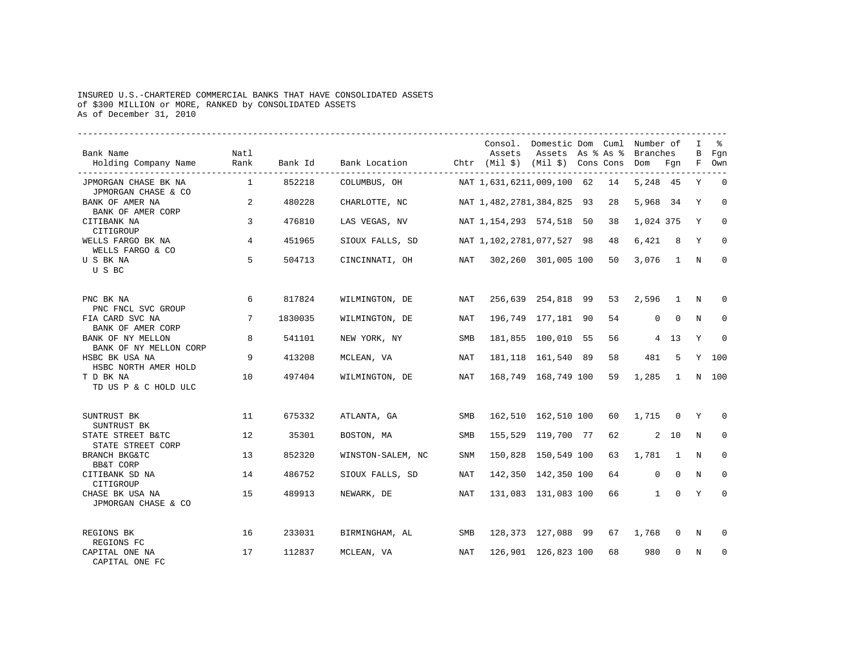## INSURED U.S.-CHARTERED COMMERCIAL BANKS THAT HAVE CONSOLIDATED ASSETS of \$300 MILLION or MORE, RANKED by CONSOLIDATED ASSETS As of December 31, 2010

| Bank Name<br>Holding Company Name                           | Natl<br>Rank   | Bank Id | Bank Location Chtr (Mil \$) (Mil \$) Cons Cons Dom Fqn |     | Consol. Domestic Dom Cuml Number of<br>Assets | Assets As % As % Branches |    |              |             | I.<br>В    | ႜႜ<br>Fgn<br>F Own |
|-------------------------------------------------------------|----------------|---------|--------------------------------------------------------|-----|-----------------------------------------------|---------------------------|----|--------------|-------------|------------|--------------------|
| JPMORGAN CHASE BK NA                                        | $\overline{1}$ | 852218  | COLUMBUS, OH                                           |     | NAT 1,631,6211,009,100 62                     |                           | 14 | 5,248 45     |             | Y          | $\overline{0}$     |
| JPMORGAN CHASE & CO<br>BANK OF AMER NA<br>BANK OF AMER CORP | 2              | 480228  | CHARLOTTE, NC                                          |     | NAT 1,482,2781,384,825 93                     |                           | 28 | 5,968 34     |             | Y          | $\Omega$           |
| CITIBANK NA<br>CITIGROUP                                    | 3              | 476810  | LAS VEGAS, NV                                          |     | NAT 1, 154, 293 574, 518 50                   |                           | 38 | 1,024 375    |             | Y          | $\mathbf 0$        |
| WELLS FARGO BK NA<br>WELLS FARGO & CO                       | 4              | 451965  | SIOUX FALLS, SD                                        |     | NAT 1, 102, 2781, 077, 527 98 48              |                           |    | 6.421        | 8           | Y          | $\mathbf 0$        |
| U S BK NA<br>U S BC                                         | 5              | 504713  | CINCINNATI, OH                                         | NAT |                                               | 302,260 301,005 100       | 50 | 3,076        | $\sim$ 1    | $_{\rm N}$ | $\Omega$           |
| PNC BK NA<br>PNC FNCL SVC GROUP                             | 6              | 817824  | WILMINGTON, DE                                         | NAT |                                               | 256,639 254,818 99        | 53 | 2,596 1      |             | N          | 0                  |
| FIA CARD SVC NA<br>BANK OF AMER CORP                        | 7              | 1830035 | WILMINGTON, DE                                         | NAT |                                               | 196,749 177,181 90        | 54 | $\mathbf 0$  | $\Omega$    | N          | $\Omega$           |
| BANK OF NY MELLON<br>BANK OF NY MELLON CORP                 | 8              | 541101  | NEW YORK, NY                                           | SMB |                                               | 181,855 100,010 55        | 56 |              | 4 13        | Y          | $\mathbf 0$        |
| HSBC BK USA NA<br>HSBC NORTH AMER HOLD                      | 9              | 413208  | MCLEAN, VA                                             | NAT |                                               | 181, 118 161, 540 89      | 58 | 481          | 5           |            | Y 100              |
| T D BK NA<br>TD US P & C HOLD ULC                           | 10             | 497404  | WILMINGTON, DE                                         | NAT |                                               | 168,749 168,749 100       | 59 | 1,285        | 1           |            | N 100              |
| SUNTRUST BK<br>SUNTRUST BK                                  | 11             | 675332  | ATLANTA, GA                                            | SMB |                                               | 162,510 162,510 100       | 60 | 1,715 0      |             | Y          | $\Omega$           |
| STATE STREET B&TC<br>STATE STREET CORP                      | 12             | 35301   | BOSTON, MA                                             | SMB |                                               | 155,529 119,700 77        | 62 |              | $2\quad 10$ | N          | $\Omega$           |
| BRANCH BKG&TC<br><b>BB&amp;T CORP</b>                       | 13             | 852320  | WINSTON-SALEM, NC                                      | SNM |                                               | 150,828 150,549 100       | 63 | 1,781        | 1           | N          | 0                  |
| CITIBANK SD NA<br>CITIGROUP                                 | 14             | 486752  | SIOUX FALLS, SD                                        | NAT |                                               | 142,350 142,350 100       | 64 | $\mathbf{0}$ | $\Omega$    | N          | $\Omega$           |
| CHASE BK USA NA<br>JPMORGAN CHASE & CO                      | 15             | 489913  | NEWARK, DE                                             | NAT |                                               | 131,083 131,083 100       | 66 | 1            | $\Omega$    | Y          | $\Omega$           |
| REGIONS BK<br>REGIONS FC                                    | 16             | 233031  | BIRMINGHAM, AL                                         | SMB |                                               | 128,373 127,088 99 67     |    | 1,768        | $\Omega$    | N          |                    |
| CAPITAL ONE NA<br>CAPITAL ONE FC                            | 17             | 112837  | MCLEAN, VA                                             | NAT |                                               | 126,901 126,823 100       | 68 | 980          | $\Omega$    | N          | 0                  |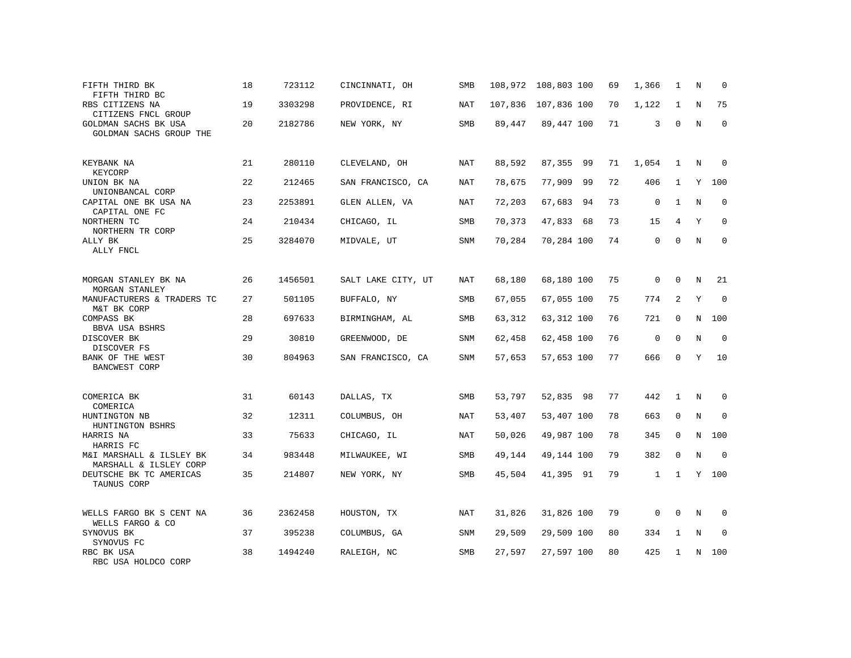| FIFTH THIRD BK<br>FIFTH THIRD BC                   | 18 | 723112  | CINCINNATI, OH     | SMB        |        | 108,972 108,803 100 | 69 | 1,366        | 1            | N           | $\Omega$    |
|----------------------------------------------------|----|---------|--------------------|------------|--------|---------------------|----|--------------|--------------|-------------|-------------|
| RBS CITIZENS NA<br>CITIZENS FNCL GROUP             | 19 | 3303298 | PROVIDENCE, RI     | NAT        |        | 107,836 107,836 100 | 70 | 1,122        | 1            | N           | 75          |
| GOLDMAN SACHS BK USA<br>GOLDMAN SACHS GROUP THE    | 20 | 2182786 | NEW YORK, NY       | SMB        | 89,447 | 89,447 100          | 71 | 3            | $\mathbf 0$  | N           | $\mathbf 0$ |
| KEYBANK NA<br>KEYCORP                              | 21 | 280110  | CLEVELAND, OH      | NAT        | 88,592 | 87,355 99           | 71 | 1,054        | 1            | N           | $\Omega$    |
| UNION BK NA<br>UNIONBANCAL CORP                    | 22 | 212465  | SAN FRANCISCO, CA  | NAT        | 78,675 | 77,909<br>99        | 72 | 406          | $\mathbf{1}$ | Y           | 100         |
| CAPITAL ONE BK USA NA<br>CAPITAL ONE FC            | 23 | 2253891 | GLEN ALLEN, VA     | <b>NAT</b> | 72,203 | 67,683 94           | 73 | $\mathbf 0$  | $\mathbf{1}$ | N           | $\mathbf 0$ |
| NORTHERN TC<br>NORTHERN TR CORP                    | 24 | 210434  | CHICAGO, IL        | <b>SMB</b> | 70,373 | 47,833 68           | 73 | 15           | 4            | Y           | $\Omega$    |
| ALLY BK<br>ALLY FNCL                               | 25 | 3284070 | MIDVALE, UT        | SNM        | 70,284 | 70,284 100          | 74 | $\mathbf 0$  | $\Omega$     | $\mathbb N$ | $\mathbf 0$ |
| MORGAN STANLEY BK NA<br>MORGAN STANLEY             | 26 | 1456501 | SALT LAKE CITY, UT | <b>NAT</b> | 68,180 | 68,180 100          | 75 | $\mathbf 0$  | $\Omega$     | N           | 21          |
| MANUFACTURERS & TRADERS TC<br>M&T BK CORP          | 27 | 501105  | BUFFALO, NY        | SMB        | 67,055 | 67,055 100          | 75 | 774          | 2            | Y           | $\Omega$    |
| <b>COMPASS BK</b><br>BBVA USA BSHRS                | 28 | 697633  | BIRMINGHAM, AL     | <b>SMB</b> | 63,312 | 63,312 100          | 76 | 721          | $\Omega$     | N           | 100         |
| DISCOVER BK<br>DISCOVER FS                         | 29 | 30810   | GREENWOOD, DE      | SNM        | 62,458 | 62,458 100          | 76 | $\mathbf 0$  | $\Omega$     | N           | $\mathbf 0$ |
| BANK OF THE WEST<br><b>BANCWEST CORP</b>           | 30 | 804963  | SAN FRANCISCO, CA  | <b>SNM</b> | 57,653 | 57,653 100          | 77 | 666          | $\Omega$     | Y           | 10          |
| COMERICA BK<br>COMERICA                            | 31 | 60143   | DALLAS, TX         | SMB        | 53,797 | 52,835 98           | 77 | 442          | $\mathbf{1}$ | N           | $\Omega$    |
| HUNTINGTON NB<br>HUNTINGTON BSHRS                  | 32 | 12311   | COLUMBUS, OH       | NAT        | 53,407 | 53,407 100          | 78 | 663          | $\mathbf 0$  | $\mathbf N$ | $\mathbf 0$ |
| HARRIS NA<br>HARRIS FC                             | 33 | 75633   | CHICAGO, IL        | <b>NAT</b> | 50,026 | 49,987 100          | 78 | 345          | $\Omega$     | N           | 100         |
| M&I MARSHALL & ILSLEY BK<br>MARSHALL & ILSLEY CORP | 34 | 983448  | MILWAUKEE, WI      | SMB        | 49,144 | 49,144 100          | 79 | 382          | $\mathbf 0$  | $\rm N$     | $\mathbf 0$ |
| DEUTSCHE BK TC AMERICAS<br>TAUNUS CORP             | 35 | 214807  | NEW YORK, NY       | SMB        | 45,504 | 41,395 91           | 79 | $\mathbf{1}$ | $\mathbf{1}$ |             | Y 100       |
| WELLS FARGO BK S CENT NA<br>WELLS FARGO & CO       | 36 | 2362458 | HOUSTON, TX        | NAT        | 31,826 | 31,826 100          | 79 | $\mathbf 0$  | $\Omega$     | N           | 0           |
| SYNOVUS BK<br>SYNOVUS FC                           | 37 | 395238  | COLUMBUS, GA       | SNM        | 29,509 | 29,509 100          | 80 | 334          | 1            | N           | 0           |
| RBC BK USA<br>RBC USA HOLDCO CORP                  | 38 | 1494240 | RALEIGH, NC        | SMB        | 27,597 | 27,597 100          | 80 | 425          | 1            | N           | 100         |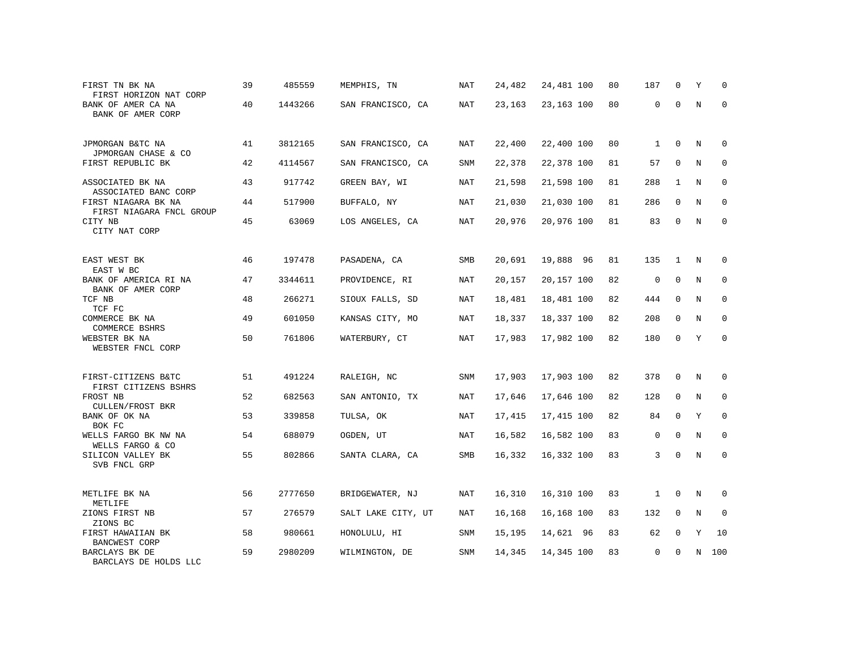| FIRST TN BK NA<br>FIRST HORIZON NAT CORP        | 39 | 485559  | MEMPHIS, TN        | NAT        | 24,482 | 24,481 100 | 80 | 187          | $\Omega$    | Υ           | <sup>0</sup> |
|-------------------------------------------------|----|---------|--------------------|------------|--------|------------|----|--------------|-------------|-------------|--------------|
| BANK OF AMER CA NA<br>BANK OF AMER CORP         | 40 | 1443266 | SAN FRANCISCO, CA  | <b>NAT</b> | 23,163 | 23,163 100 | 80 | $\mathbf 0$  | $\Omega$    | $\mathbf N$ | $\Omega$     |
| JPMORGAN B&TC NA<br>JPMORGAN CHASE & CO         | 41 | 3812165 | SAN FRANCISCO, CA  | NAT        | 22,400 | 22,400 100 | 80 | $\mathbf{1}$ | $\Omega$    | N           | $\Omega$     |
| FIRST REPUBLIC BK                               | 42 | 4114567 | SAN FRANCISCO, CA  | SNM        | 22,378 | 22,378 100 | 81 | 57           | $\Omega$    | N           | $\mathbf 0$  |
| ASSOCIATED BK NA<br>ASSOCIATED BANC CORP        | 43 | 917742  | GREEN BAY, WI      | NAT        | 21,598 | 21,598 100 | 81 | 288          | 1           | N           | $\mathbf 0$  |
| FIRST NIAGARA BK NA<br>FIRST NIAGARA FNCL GROUP | 44 | 517900  | BUFFALO, NY        | <b>NAT</b> | 21,030 | 21,030 100 | 81 | 286          | $\mathbf 0$ | $\mathbf N$ | 0            |
| CITY NB<br>CITY NAT CORP                        | 45 | 63069   | LOS ANGELES, CA    | <b>NAT</b> | 20,976 | 20,976 100 | 81 | 83           | $\Omega$    | $_{\rm N}$  | $\mathbf 0$  |
| EAST WEST BK<br>EAST W BC                       | 46 | 197478  | PASADENA, CA       | SMB        | 20,691 | 19,888 96  | 81 | 135          | 1           | N           | 0            |
| BANK OF AMERICA RI NA<br>BANK OF AMER CORP      | 47 | 3344611 | PROVIDENCE, RI     | NAT        | 20,157 | 20,157 100 | 82 | $\mathbf 0$  | $\mathbf 0$ | N           | 0            |
| TCF NB<br>TCF FC                                | 48 | 266271  | SIOUX FALLS, SD    | NAT        | 18,481 | 18,481 100 | 82 | 444          | $\mathbf 0$ | $\mathbf N$ | $\mathbf 0$  |
| COMMERCE BK NA<br>COMMERCE BSHRS                | 49 | 601050  | KANSAS CITY, MO    | NAT        | 18,337 | 18,337 100 | 82 | 208          | $\mathbf 0$ | N           | $\mathbf 0$  |
| WEBSTER BK NA<br>WEBSTER FNCL CORP              | 50 | 761806  | WATERBURY, CT      | <b>NAT</b> | 17,983 | 17,982 100 | 82 | 180          | $\Omega$    | Y           | $\mathbf 0$  |
| FIRST-CITIZENS B&TC<br>FIRST CITIZENS BSHRS     | 51 | 491224  | RALEIGH, NC        | SNM        | 17,903 | 17,903 100 | 82 | 378          | 0           | N           | 0            |
| FROST NB<br>CULLEN/FROST BKR                    | 52 | 682563  | SAN ANTONIO, TX    | <b>NAT</b> | 17,646 | 17,646 100 | 82 | 128          | $\mathbf 0$ | N           | 0            |
| BANK OF OK NA<br>BOK FC                         | 53 | 339858  | TULSA, OK          | <b>NAT</b> | 17,415 | 17,415 100 | 82 | 84           | $\Omega$    | Y           | $\mathbf 0$  |
| WELLS FARGO BK NW NA<br>WELLS FARGO & CO        | 54 | 688079  | OGDEN, UT          | NAT        | 16,582 | 16,582 100 | 83 | $\mathbf 0$  | 0           | N           | $\Omega$     |
| SILICON VALLEY BK<br>SVB FNCL GRP               | 55 | 802866  | SANTA CLARA, CA    | SMB        | 16,332 | 16,332 100 | 83 | 3            | $\Omega$    | N           | $\mathbf 0$  |
| METLIFE BK NA<br>METLIFE                        | 56 | 2777650 | BRIDGEWATER, NJ    | <b>NAT</b> | 16,310 | 16,310 100 | 83 | $\mathbf{1}$ | $\mathbf 0$ | N           | 0            |
| ZIONS FIRST NB<br>ZIONS BC                      | 57 | 276579  | SALT LAKE CITY, UT | <b>NAT</b> | 16,168 | 16,168 100 | 83 | 132          | $\mathbf 0$ | $\mathbf N$ | $\mathbf 0$  |
| FIRST HAWAIIAN BK<br>BANCWEST CORP              | 58 | 980661  | HONOLULU, HI       | SNM        | 15,195 | 14,621 96  | 83 | 62           | $\mathbf 0$ | Y           | 10           |
| BARCLAYS BK DE<br>BARCLAYS DE HOLDS LLC         | 59 | 2980209 | WILMINGTON, DE     | SNM        | 14,345 | 14,345 100 | 83 | $\mathbf 0$  | U           | N           | 100          |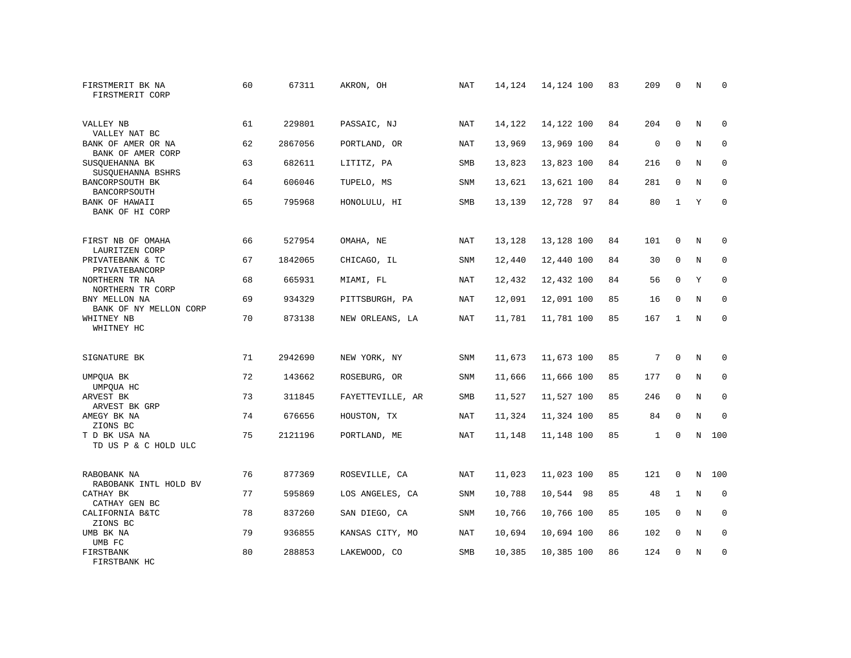| FIRSTMERIT BK NA<br>FIRSTMERIT CORP                      | 60 | 67311   | AKRON, OH        | NAT        | 14,124 | 14,124 100 | 83 | 209          | 0            | N           | $\mathbf 0$         |
|----------------------------------------------------------|----|---------|------------------|------------|--------|------------|----|--------------|--------------|-------------|---------------------|
| VALLEY NB                                                | 61 | 229801  | PASSAIC, NJ      | NAT        | 14,122 | 14,122 100 | 84 | 204          | $\mathbf{0}$ | N           | $\mathbf 0$         |
| VALLEY NAT BC<br>BANK OF AMER OR NA<br>BANK OF AMER CORP | 62 | 2867056 | PORTLAND, OR     | <b>NAT</b> | 13,969 | 13,969 100 | 84 | $\mathbf 0$  | $\mathbf 0$  | N           | $\mathbf 0$         |
| SUSOUEHANNA BK<br>SUSQUEHANNA BSHRS                      | 63 | 682611  | LITITZ, PA       | <b>SMB</b> | 13,823 | 13,823 100 | 84 | 216          | 0            | N           | $\mathbf 0$         |
| BANCORPSOUTH BK<br>BANCORPSOUTH                          | 64 | 606046  | TUPELO, MS       | SNM        | 13,621 | 13,621 100 | 84 | 281          | 0            | $\rm N$     | $\mathsf{O}\xspace$ |
| BANK OF HAWAII<br>BANK OF HI CORP                        | 65 | 795968  | HONOLULU, HI     | SMB        | 13,139 | 12,728 97  | 84 | 80           | $\mathbf{1}$ | Y           | $\mathbf 0$         |
| FIRST NB OF OMAHA<br>LAURITZEN CORP                      | 66 | 527954  | OMAHA, NE        | <b>NAT</b> | 13,128 | 13,128 100 | 84 | 101          | 0            | N           | 0                   |
| PRIVATEBANK & TC<br>PRIVATEBANCORP                       | 67 | 1842065 | CHICAGO, IL      | SNM        | 12,440 | 12,440 100 | 84 | 30           | $\mathsf 0$  | $\rm N$     | $\mathsf 0$         |
| NORTHERN TR NA<br>NORTHERN TR CORP                       | 68 | 665931  | MIAMI, FL        | <b>NAT</b> | 12,432 | 12,432 100 | 84 | 56           | $\mathbf 0$  | Y           | $\mathbf 0$         |
| BNY MELLON NA<br>BANK OF NY MELLON CORP                  | 69 | 934329  | PITTSBURGH, PA   | <b>NAT</b> | 12,091 | 12,091 100 | 85 | 16           | $\mathbf 0$  | N           | $\mathbf 0$         |
| WHITNEY NB<br>WHITNEY HC                                 | 70 | 873138  | NEW ORLEANS, LA  | <b>NAT</b> | 11,781 | 11,781 100 | 85 | 167          | $\mathbf{1}$ | $\mathbb N$ | $\mathbf 0$         |
| SIGNATURE BK                                             | 71 | 2942690 | NEW YORK, NY     | <b>SNM</b> | 11,673 | 11,673 100 | 85 | 7            | $\mathbf 0$  | N           | $\mathbf 0$         |
| UMPQUA BK<br>UMPQUA HC                                   | 72 | 143662  | ROSEBURG, OR     | <b>SNM</b> | 11,666 | 11,666 100 | 85 | 177          | $\mathbf 0$  | N           | $\mathbf 0$         |
| ARVEST BK<br>ARVEST BK GRP                               | 73 | 311845  | FAYETTEVILLE, AR | SMB        | 11,527 | 11,527 100 | 85 | 246          | 0            | N           | 0                   |
| AMEGY BK NA<br>ZIONS BC                                  | 74 | 676656  | HOUSTON, TX      | NAT        | 11,324 | 11,324 100 | 85 | 84           | 0            | $\mathbf N$ | $\mathsf 0$         |
| T D BK USA NA<br>TD US P & C HOLD ULC                    | 75 | 2121196 | PORTLAND, ME     | <b>NAT</b> | 11,148 | 11,148 100 | 85 | $\mathbf{1}$ | $\Omega$     | N           | 100                 |
| RABOBANK NA<br>RABOBANK INTL HOLD BV                     | 76 | 877369  | ROSEVILLE, CA    | NAT        | 11,023 | 11,023 100 | 85 | 121          | 0            | N           | 100                 |
| CATHAY BK<br>CATHAY GEN BC                               | 77 | 595869  | LOS ANGELES, CA  | <b>SNM</b> | 10,788 | 10,544 98  | 85 | 48           | $\mathbf{1}$ | $\rm N$     | $\mathbf 0$         |
| CALIFORNIA B&TC<br>ZIONS BC                              | 78 | 837260  | SAN DIEGO, CA    | <b>SNM</b> | 10,766 | 10,766 100 | 85 | 105          | $\mathbf 0$  | $\mathbf N$ | $\mathbf 0$         |
| UMB BK NA<br>UMB FC                                      | 79 | 936855  | KANSAS CITY, MO  | NAT        | 10,694 | 10,694 100 | 86 | 102          | $\mathbf{0}$ | N           | $\mathbf 0$         |
| FIRSTBANK<br>FIRSTBANK HC                                | 80 | 288853  | LAKEWOOD, CO     | SMB        | 10,385 | 10,385 100 | 86 | 124          | 0            | N           | $\mathbf 0$         |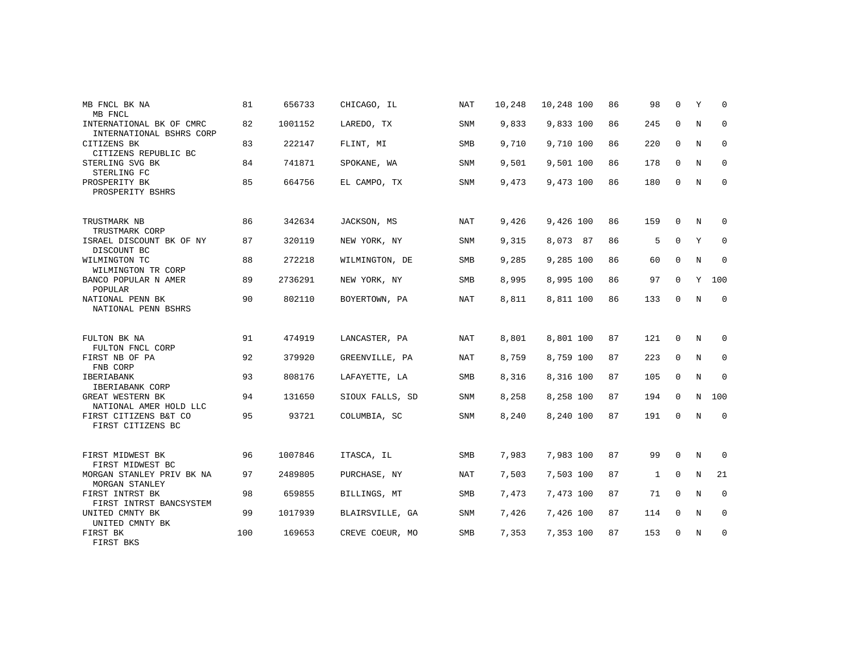| MB FNCL BK NA<br>MB FNCL                             | 81  | 656733  | CHICAGO, IL     | NAT        | 10,248 | 10,248 100 | 86 | 98           | $\Omega$    | Υ           | 0           |
|------------------------------------------------------|-----|---------|-----------------|------------|--------|------------|----|--------------|-------------|-------------|-------------|
| INTERNATIONAL BK OF CMRC<br>INTERNATIONAL BSHRS CORP | 82  | 1001152 | LAREDO, TX      | SNM        | 9,833  | 9,833 100  | 86 | 245          | $\mathbf 0$ | N           | $\mathbf 0$ |
| CITIZENS BK<br>CITIZENS REPUBLIC BC                  | 83  | 222147  | FLINT, MI       | <b>SMB</b> | 9,710  | 9,710 100  | 86 | 220          | $\mathbf 0$ | N           | $\mathbf 0$ |
| STERLING SVG BK<br>STERLING FC                       | 84  | 741871  | SPOKANE, WA     | SNM        | 9,501  | 9,501 100  | 86 | 178          | $\mathbf 0$ | N           | $\mathbf 0$ |
| PROSPERITY BK<br>PROSPERITY BSHRS                    | 85  | 664756  | EL CAMPO, TX    | <b>SNM</b> | 9,473  | 9,473 100  | 86 | 180          | $\Omega$    | $\mathbf N$ | $\mathbf 0$ |
| TRUSTMARK NB<br>TRUSTMARK CORP                       | 86  | 342634  | JACKSON, MS     | NAT        | 9,426  | 9,426 100  | 86 | 159          | 0           | N           | 0           |
| ISRAEL DISCOUNT BK OF NY<br>DISCOUNT BC              | 87  | 320119  | NEW YORK, NY    | SNM        | 9,315  | 8,073 87   | 86 | 5            | $\Omega$    | Y           | $\Omega$    |
| WILMINGTON TC<br>WILMINGTON TR CORP                  | 88  | 272218  | WILMINGTON, DE  | SMB        | 9,285  | 9,285 100  | 86 | 60           | $\mathbf 0$ | N           | $\mathbf 0$ |
| BANCO POPULAR N AMER<br>POPULAR                      | 89  | 2736291 | NEW YORK, NY    | SMB        | 8,995  | 8,995 100  | 86 | 97           | $\mathbf 0$ | Y           | 100         |
| NATIONAL PENN BK<br>NATIONAL PENN BSHRS              | 90  | 802110  | BOYERTOWN, PA   | NAT        | 8,811  | 8,811 100  | 86 | 133          | 0           | $_{\rm N}$  | $\mathbf 0$ |
| FULTON BK NA<br>FULTON FNCL CORP                     | 91  | 474919  | LANCASTER, PA   | <b>NAT</b> | 8,801  | 8,801 100  | 87 | 121          | $\mathbf 0$ | N           | $\Omega$    |
| FIRST NB OF PA<br>FNB CORP                           | 92  | 379920  | GREENVILLE, PA  | NAT        | 8,759  | 8,759 100  | 87 | 223          | 0           | N           | 0           |
| <b>IBERIABANK</b><br>IBERIABANK CORP                 | 93  | 808176  | LAFAYETTE, LA   | <b>SMB</b> | 8,316  | 8,316 100  | 87 | 105          | $\mathbf 0$ | $\mathbb N$ | $\mathbf 0$ |
| GREAT WESTERN BK<br>NATIONAL AMER HOLD LLC           | 94  | 131650  | SIOUX FALLS, SD | <b>SNM</b> | 8,258  | 8,258 100  | 87 | 194          | $\mathbf 0$ | N           | 100         |
| FIRST CITIZENS B&T CO<br>FIRST CITIZENS BC           | 95  | 93721   | COLUMBIA, SC    | <b>SNM</b> | 8,240  | 8,240 100  | 87 | 191          | $\Omega$    | N           | $\mathbf 0$ |
| FIRST MIDWEST BK<br>FIRST MIDWEST BC                 | 96  | 1007846 | ITASCA, IL      | SMB        | 7,983  | 7,983 100  | 87 | 99           | $\mathbf 0$ | N           | 0           |
| MORGAN STANLEY PRIV BK NA<br>MORGAN STANLEY          | 97  | 2489805 | PURCHASE, NY    | <b>NAT</b> | 7,503  | 7,503 100  | 87 | $\mathbf{1}$ | $\Omega$    | $_{\rm N}$  | 21          |
| FIRST INTRST BK<br>FIRST INTRST BANCSYSTEM           | 98  | 659855  | BILLINGS, MT    | SMB        | 7,473  | 7,473 100  | 87 | 71           | $\mathbf 0$ | N           | 0           |
| UNITED CMNTY BK<br>UNITED CMNTY BK                   | 99  | 1017939 | BLAIRSVILLE, GA | <b>SNM</b> | 7,426  | 7,426 100  | 87 | 114          | $\Omega$    | N           | $\mathbf 0$ |
| FIRST BK<br>FIRST BKS                                | 100 | 169653  | CREVE COEUR, MO | SMB        | 7,353  | 7,353 100  | 87 | 153          | 0           | N           | 0           |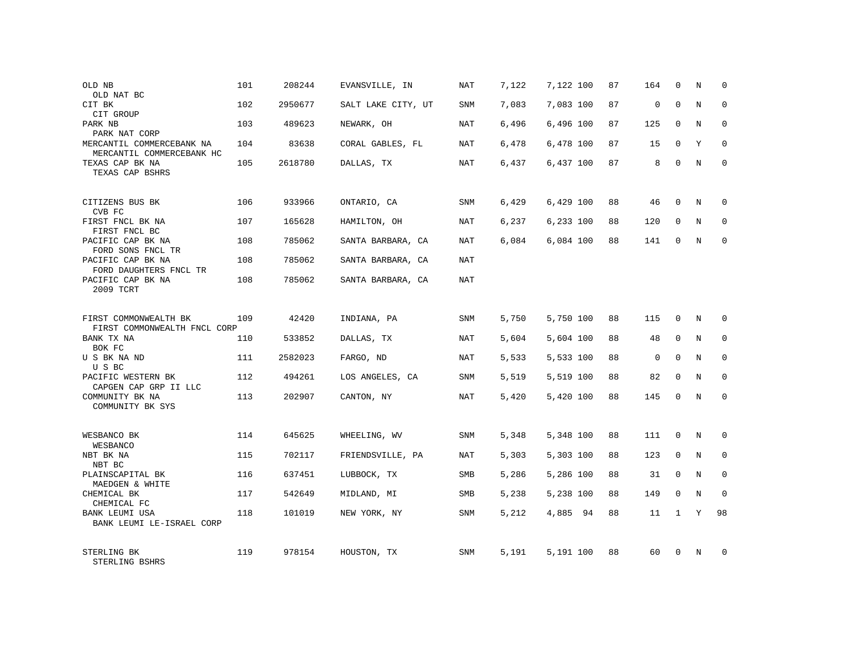| OLD NB<br>OLD NAT BC                                   | 101 | 208244  | EVANSVILLE, IN     | NAT        | 7,122 | 7,122 100 | 87 | 164         | 0            | N | $\Omega$    |
|--------------------------------------------------------|-----|---------|--------------------|------------|-------|-----------|----|-------------|--------------|---|-------------|
| CIT BK<br>CIT GROUP                                    | 102 | 2950677 | SALT LAKE CITY, UT | SNM        | 7,083 | 7,083 100 | 87 | $\mathbf 0$ | $\Omega$     | N | $\Omega$    |
| PARK NB<br>PARK NAT CORP                               | 103 | 489623  | NEWARK, OH         | <b>NAT</b> | 6,496 | 6,496 100 | 87 | 125         | $\mathbf 0$  | N | $\mathbf 0$ |
| MERCANTIL COMMERCEBANK NA<br>MERCANTIL COMMERCEBANK HC | 104 | 83638   | CORAL GABLES, FL   | NAT        | 6,478 | 6,478 100 | 87 | 15          | $\Omega$     | Y | $\Omega$    |
| TEXAS CAP BK NA<br>TEXAS CAP BSHRS                     | 105 | 2618780 | DALLAS, TX         | <b>NAT</b> | 6,437 | 6,437 100 | 87 | 8           | $\Omega$     | N | $\Omega$    |
| CITIZENS BUS BK<br>CVB FC                              | 106 | 933966  | ONTARIO, CA        | SNM        | 6,429 | 6,429 100 | 88 | 46          | $\Omega$     | N | $\Omega$    |
| FIRST FNCL BK NA<br>FIRST FNCL BC                      | 107 | 165628  | HAMILTON, OH       | NAT        | 6,237 | 6,233 100 | 88 | 120         | $\mathbf 0$  | N | 0           |
| PACIFIC CAP BK NA<br>FORD SONS FNCL TR                 | 108 | 785062  | SANTA BARBARA, CA  | <b>NAT</b> | 6,084 | 6,084 100 | 88 | 141         | $\Omega$     | N | $\Omega$    |
| PACIFIC CAP BK NA<br>FORD DAUGHTERS FNCL TR            | 108 | 785062  | SANTA BARBARA, CA  | NAT        |       |           |    |             |              |   |             |
| PACIFIC CAP BK NA<br>2009 TCRT                         | 108 | 785062  | SANTA BARBARA, CA  | <b>NAT</b> |       |           |    |             |              |   |             |
| FIRST COMMONWEALTH BK<br>FIRST COMMONWEALTH FNCL CORP  | 109 | 42420   | INDIANA, PA        | <b>SNM</b> | 5,750 | 5,750 100 | 88 | 115         | 0            | N | $\Omega$    |
| BANK TX NA<br>BOK FC                                   | 110 | 533852  | DALLAS, TX         | <b>NAT</b> | 5,604 | 5,604 100 | 88 | 48          | $\Omega$     | N | $\Omega$    |
| U S BK NA ND<br>USBC                                   | 111 | 2582023 | FARGO, ND          | NAT        | 5,533 | 5,533 100 | 88 | $\mathbf 0$ | $\mathbf 0$  | N | $\mathbf 0$ |
| PACIFIC WESTERN BK<br>CAPGEN CAP GRP II LLC            | 112 | 494261  | LOS ANGELES, CA    | SNM        | 5,519 | 5,519 100 | 88 | 82          | $\Omega$     | N | $\Omega$    |
| COMMUNITY BK NA<br>COMMUNITY BK SYS                    | 113 | 202907  | CANTON, NY         | <b>NAT</b> | 5,420 | 5,420 100 | 88 | 145         | 0            | N | 0           |
| WESBANCO BK<br>WESBANCO                                | 114 | 645625  | WHEELING, WV       | SNM        | 5,348 | 5,348 100 | 88 | 111         | $\mathbf 0$  | N | 0           |
| NBT BK NA<br>NBT BC                                    | 115 | 702117  | FRIENDSVILLE, PA   | <b>NAT</b> | 5,303 | 5,303 100 | 88 | 123         | 0            | N | 0           |
| PLAINSCAPITAL BK<br>MAEDGEN & WHITE                    | 116 | 637451  | LUBBOCK, TX        | SMB        | 5,286 | 5,286 100 | 88 | 31          | $\Omega$     | N | 0           |
| CHEMICAL BK<br>CHEMICAL FC                             | 117 | 542649  | MIDLAND, MI        | SMB        | 5,238 | 5,238 100 | 88 | 149         | $\mathbf 0$  | N | 0           |
| BANK LEUMI USA<br>BANK LEUMI LE-ISRAEL CORP            | 118 | 101019  | NEW YORK, NY       | SNM        | 5,212 | 4,885 94  | 88 | 11          | $\mathbf{1}$ | Y | 98          |
| STERLING BK<br>STERLING BSHRS                          | 119 | 978154  | HOUSTON, TX        | SNM        | 5,191 | 5,191 100 | 88 | 60          | $\Omega$     | N | $\Omega$    |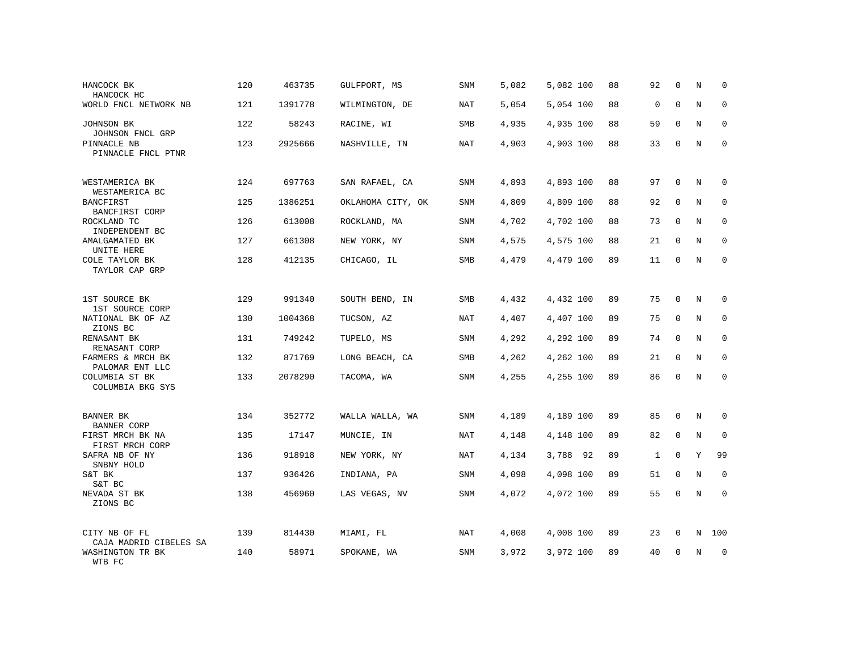| HANCOCK BK<br>HANCOCK HC                | 120 | 463735  | GULFPORT, MS      | SNM        | 5,082 | 5,082 100 | 88 | 92          | $\mathbf 0$ | N          | $\mathbf 0$  |
|-----------------------------------------|-----|---------|-------------------|------------|-------|-----------|----|-------------|-------------|------------|--------------|
| WORLD FNCL NETWORK NB                   | 121 | 1391778 | WILMINGTON, DE    | <b>NAT</b> | 5,054 | 5,054 100 | 88 | $\mathbf 0$ | $\Omega$    | N          | $\mathbf 0$  |
| JOHNSON BK<br>JOHNSON FNCL GRP          | 122 | 58243   | RACINE, WI        | SMB        | 4,935 | 4,935 100 | 88 | 59          | $\mathbf 0$ | N          | $\mathbf 0$  |
| PINNACLE NB<br>PINNACLE FNCL PTNR       | 123 | 2925666 | NASHVILLE, TN     | NAT        | 4,903 | 4,903 100 | 88 | 33          | $\mathbf 0$ | N          | $\mathbf{0}$ |
| WESTAMERICA BK<br>WESTAMERICA BC        | 124 | 697763  | SAN RAFAEL, CA    | SNM        | 4,893 | 4,893 100 | 88 | 97          | $\mathbf 0$ | N          | $\mathbf 0$  |
| <b>BANCFIRST</b><br>BANCFIRST CORP      | 125 | 1386251 | OKLAHOMA CITY, OK | <b>SNM</b> | 4,809 | 4,809 100 | 88 | 92          | $\Omega$    | N          | $\mathbf 0$  |
| ROCKLAND TC<br>INDEPENDENT BC           | 126 | 613008  | ROCKLAND, MA      | SNM        | 4,702 | 4,702 100 | 88 | 73          | $\mathbf 0$ | N          | $\mathbf 0$  |
| AMALGAMATED BK<br>UNITE HERE            | 127 | 661308  | NEW YORK, NY      | SNM        | 4,575 | 4,575 100 | 88 | 21          | $\Omega$    | N          | $\mathbf 0$  |
| COLE TAYLOR BK<br>TAYLOR CAP GRP        | 128 | 412135  | CHICAGO, IL       | SMB        | 4,479 | 4,479 100 | 89 | 11          | 0           | N          | $\mathbf{0}$ |
| 1ST SOURCE BK<br>1ST SOURCE CORP        | 129 | 991340  | SOUTH BEND, IN    | SMB        | 4,432 | 4,432 100 | 89 | 75          | 0           | $\rm N$    | $\mathbf 0$  |
| NATIONAL BK OF AZ<br>ZIONS BC           | 130 | 1004368 | TUCSON, AZ        | NAT        | 4,407 | 4,407 100 | 89 | 75          | $\mathbf 0$ | N          | $\mathbf 0$  |
| RENASANT BK<br>RENASANT CORP            | 131 | 749242  | TUPELO, MS        | <b>SNM</b> | 4,292 | 4,292 100 | 89 | 74          | $\Omega$    | $_{\rm N}$ | $\mathbf{0}$ |
| FARMERS & MRCH BK<br>PALOMAR ENT LLC    | 132 | 871769  | LONG BEACH, CA    | SMB        | 4,262 | 4,262 100 | 89 | 21          | $\mathbf 0$ | N          | $\mathbf 0$  |
| COLUMBIA ST BK<br>COLUMBIA BKG SYS      | 133 | 2078290 | TACOMA, WA        | SNM        | 4,255 | 4,255 100 | 89 | 86          | $\mathbf 0$ | N          | $\mathbf{0}$ |
| BANNER BK<br><b>BANNER CORP</b>         | 134 | 352772  | WALLA WALLA, WA   | SNM        | 4,189 | 4,189 100 | 89 | 85          | $\mathbf 0$ | N          | 0            |
| FIRST MRCH BK NA<br>FIRST MRCH CORP     | 135 | 17147   | MUNCIE, IN        | <b>NAT</b> | 4,148 | 4,148 100 | 89 | 82          | $\mathbf 0$ | $\rm N$    | $\mathbf 0$  |
| SAFRA NB OF NY<br>SNBNY HOLD            | 136 | 918918  | NEW YORK, NY      | <b>NAT</b> | 4,134 | 3,788 92  | 89 | 1           | 0           | Y          | 99           |
| S&T BK<br>S&T BC                        | 137 | 936426  | INDIANA, PA       | SNM        | 4,098 | 4,098 100 | 89 | 51          | 0           | $\rm N$    | $\mathbf 0$  |
| NEVADA ST BK<br>ZIONS BC                | 138 | 456960  | LAS VEGAS, NV     | SNM        | 4,072 | 4,072 100 | 89 | 55          | 0           | $\rm N$    | $\mathbf 0$  |
| CITY NB OF FL<br>CAJA MADRID CIBELES SA | 139 | 814430  | MIAMI, FL         | <b>NAT</b> | 4,008 | 4,008 100 | 89 | 23          | 0           | Ν          | 100          |
| WASHINGTON TR BK<br>WTB FC              | 140 | 58971   | SPOKANE, WA       | SNM        | 3,972 | 3,972 100 | 89 | 40          | $\mathbf 0$ | N          | $\mathbf 0$  |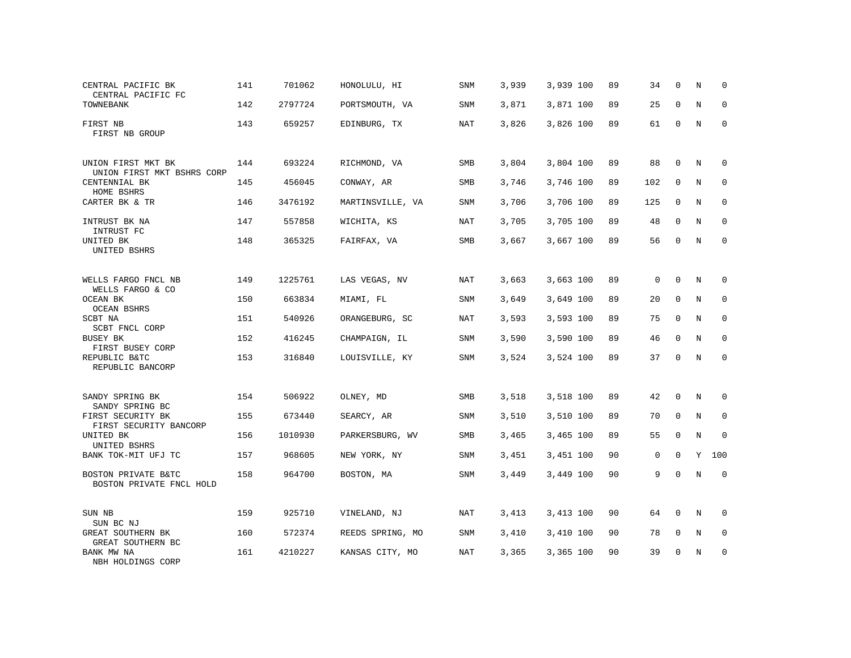| CENTRAL PACIFIC BK<br>CENTRAL PACIFIC FC         | 141 | 701062  | HONOLULU, HI     | SNM        | 3,939 | 3,939 100 | 89 | 34          | $\mathbf 0$ | N           | $\Omega$    |
|--------------------------------------------------|-----|---------|------------------|------------|-------|-----------|----|-------------|-------------|-------------|-------------|
| TOWNEBANK                                        | 142 | 2797724 | PORTSMOUTH, VA   | SNM        | 3,871 | 3,871 100 | 89 | 25          | $\Omega$    | N           | $\Omega$    |
| FIRST NB<br>FIRST NB GROUP                       | 143 | 659257  | EDINBURG, TX     | NAT        | 3,826 | 3,826 100 | 89 | 61          | $\mathbf 0$ | N           | 0           |
| UNION FIRST MKT BK<br>UNION FIRST MKT BSHRS CORP | 144 | 693224  | RICHMOND, VA     | SMB        | 3,804 | 3,804 100 | 89 | 88          | 0           | N           | $\Omega$    |
| CENTENNIAL BK<br>HOME BSHRS                      | 145 | 456045  | CONWAY, AR       | SMB        | 3,746 | 3,746 100 | 89 | 102         | $\mathbf 0$ | N           | 0           |
| CARTER BK & TR                                   | 146 | 3476192 | MARTINSVILLE, VA | SNM        | 3,706 | 3,706 100 | 89 | 125         | $\mathbf 0$ | N           | $\mathbf 0$ |
| INTRUST BK NA<br>INTRUST FC                      | 147 | 557858  | WICHITA, KS      | <b>NAT</b> | 3,705 | 3,705 100 | 89 | 48          | $\Omega$    | N           | 0           |
| UNITED BK<br>UNITED BSHRS                        | 148 | 365325  | FAIRFAX, VA      | SMB        | 3,667 | 3,667 100 | 89 | 56          | $\mathbf 0$ | N           | $\mathbf 0$ |
| WELLS FARGO FNCL NB<br>WELLS FARGO & CO          | 149 | 1225761 | LAS VEGAS, NV    | <b>NAT</b> | 3,663 | 3,663 100 | 89 | $\mathbf 0$ | $\Omega$    | N           | 0           |
| OCEAN BK<br><b>OCEAN BSHRS</b>                   | 150 | 663834  | MIAMI, FL        | SNM        | 3,649 | 3,649 100 | 89 | 20          | 0           | N           | $\mathbf 0$ |
| SCBT NA<br>SCBT FNCL CORP                        | 151 | 540926  | ORANGEBURG, SC   | <b>NAT</b> | 3,593 | 3,593 100 | 89 | 75          | $\Omega$    | N           | $\Omega$    |
| BUSEY BK<br>FIRST BUSEY CORP                     | 152 | 416245  | CHAMPAIGN, IL    | SNM        | 3,590 | 3,590 100 | 89 | 46          | $\Omega$    | N           | $\mathbf 0$ |
| REPUBLIC B&TC<br>REPUBLIC BANCORP                | 153 | 316840  | LOUISVILLE, KY   | <b>SNM</b> | 3,524 | 3,524 100 | 89 | 37          | $\Omega$    | N           | $\Omega$    |
| SANDY SPRING BK<br>SANDY SPRING BC               | 154 | 506922  | OLNEY, MD        | <b>SMB</b> | 3,518 | 3,518 100 | 89 | 42          | $\Omega$    | N           | 0           |
| FIRST SECURITY BK<br>FIRST SECURITY BANCORP      | 155 | 673440  | SEARCY, AR       | SNM        | 3,510 | 3,510 100 | 89 | 70          | $\mathbf 0$ | N           | $\mathbf 0$ |
| UNITED BK<br>UNITED BSHRS                        | 156 | 1010930 | PARKERSBURG, WV  | <b>SMB</b> | 3,465 | 3,465 100 | 89 | 55          | $\mathbf 0$ | $\mathbf N$ | $\Omega$    |
| BANK TOK-MIT UFJ TC                              | 157 | 968605  | NEW YORK, NY     | SNM        | 3,451 | 3,451 100 | 90 | 0           | $\mathbf 0$ | Y           | 100         |
| BOSTON PRIVATE B&TC<br>BOSTON PRIVATE FNCL HOLD  | 158 | 964700  | BOSTON, MA       | <b>SNM</b> | 3,449 | 3,449 100 | 90 | 9           | $\Omega$    | $\rm N$     | $\mathbf 0$ |
| SUN NB<br>SUN BC NJ                              | 159 | 925710  | VINELAND, NJ     | <b>NAT</b> | 3,413 | 3,413 100 | 90 | 64          | 0           | N           | 0           |
| GREAT SOUTHERN BK<br>GREAT SOUTHERN BC           | 160 | 572374  | REEDS SPRING, MO | SNM        | 3,410 | 3,410 100 | 90 | 78          | $\mathbf 0$ | N           | 0           |
| BANK MW NA<br>NBH HOLDINGS CORP                  | 161 | 4210227 | KANSAS CITY, MO  | <b>NAT</b> | 3,365 | 3,365 100 | 90 | 39          | $\Omega$    | N           | $\mathbf 0$ |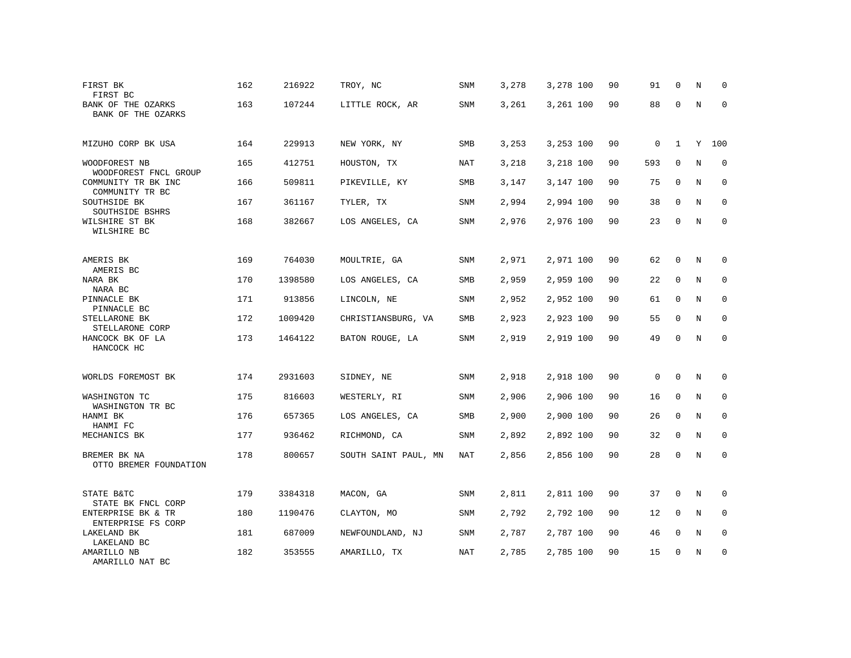| FIRST BK<br>FIRST BC                     | 162 | 216922  | TROY, NC             | SNM        | 3,278 | 3,278 100 | 90 | 91           | $\mathbf 0$  | N           | 0            |
|------------------------------------------|-----|---------|----------------------|------------|-------|-----------|----|--------------|--------------|-------------|--------------|
| BANK OF THE OZARKS<br>BANK OF THE OZARKS | 163 | 107244  | LITTLE ROCK, AR      | SNM        | 3,261 | 3,261 100 | 90 | 88           | $\Omega$     | N           | 0            |
| MIZUHO CORP BK USA                       | 164 | 229913  | NEW YORK, NY         | SMB        | 3,253 | 3,253 100 | 90 | 0            | $\mathbf{1}$ | Y           | 100          |
| WOODFOREST NB<br>WOODFOREST FNCL GROUP   | 165 | 412751  | HOUSTON, TX          | <b>NAT</b> | 3,218 | 3,218 100 | 90 | 593          | $\Omega$     | N           | $\Omega$     |
| COMMUNITY TR BK INC<br>COMMUNITY TR BC   | 166 | 509811  | PIKEVILLE, KY        | SMB        | 3,147 | 3,147 100 | 90 | 75           | $\mathbf 0$  | N           | $\mathbf{0}$ |
| SOUTHSIDE BK<br>SOUTHSIDE BSHRS          | 167 | 361167  | TYLER, TX            | SNM        | 2,994 | 2,994 100 | 90 | 38           | $\Omega$     | N           | $\Omega$     |
| WILSHIRE ST BK<br>WILSHIRE BC            | 168 | 382667  | LOS ANGELES, CA      | SNM        | 2,976 | 2,976 100 | 90 | 23           | $\mathbf 0$  | N           | $\mathbf{0}$ |
| AMERIS BK<br>AMERIS BC                   | 169 | 764030  | MOULTRIE, GA         | SNM        | 2,971 | 2,971 100 | 90 | 62           | 0            | N           | $\Omega$     |
| NARA BK<br>NARA BC                       | 170 | 1398580 | LOS ANGELES, CA      | SMB        | 2,959 | 2,959 100 | 90 | 22           | $\mathbf{0}$ | N           | $\mathbf{0}$ |
| PINNACLE BK<br>PINNACLE BC               | 171 | 913856  | LINCOLN, NE          | SNM        | 2,952 | 2,952 100 | 90 | 61           | $\mathbf 0$  | N           | $\mathbf 0$  |
| STELLARONE BK<br>STELLARONE CORP         | 172 | 1009420 | CHRISTIANSBURG, VA   | SMB        | 2,923 | 2,923 100 | 90 | 55           | $\mathbf{0}$ | N           | $\mathbf{0}$ |
| HANCOCK BK OF LA<br>HANCOCK HC           | 173 | 1464122 | BATON ROUGE, LA      | SNM        | 2,919 | 2,919 100 | 90 | 49           | $\Omega$     | N           | $\Omega$     |
| WORLDS FOREMOST BK                       | 174 | 2931603 | SIDNEY, NE           | SNM        | 2,918 | 2,918 100 | 90 | $\mathbf{0}$ | $\mathbf 0$  | N           | $\mathbf 0$  |
| WASHINGTON TC<br>WASHINGTON TR BC        | 175 | 816603  | WESTERLY, RI         | SNM        | 2,906 | 2,906 100 | 90 | 16           | $\mathbf{0}$ | N           | $\mathbf 0$  |
| HANMI BK<br>HANMI FC                     | 176 | 657365  | LOS ANGELES, CA      | <b>SMB</b> | 2,900 | 2,900 100 | 90 | 26           | $\mathbf 0$  | $\mathbf N$ | 0            |
| MECHANICS BK                             | 177 | 936462  | RICHMOND, CA         | SNM        | 2,892 | 2,892 100 | 90 | 32           | $\mathbf{0}$ | N           | $\mathbf 0$  |
| BREMER BK NA<br>OTTO BREMER FOUNDATION   | 178 | 800657  | SOUTH SAINT PAUL, MN | NAT        | 2,856 | 2,856 100 | 90 | 28           | $\mathbf 0$  | N           | $\mathbf{0}$ |
| STATE B&TC<br>STATE BK FNCL CORP         | 179 | 3384318 | MACON, GA            | SNM        | 2,811 | 2,811 100 | 90 | 37           | 0            | N           | 0            |
| ENTERPRISE BK & TR<br>ENTERPRISE FS CORP | 180 | 1190476 | CLAYTON, MO          | SNM        | 2,792 | 2,792 100 | 90 | 12           | $\mathbf{0}$ | N           | $\mathbf 0$  |
| LAKELAND BK<br>LAKELAND BC               | 181 | 687009  | NEWFOUNDLAND, NJ     | SNM        | 2,787 | 2,787 100 | 90 | 46           | 0            | N           | 0            |
| AMARILLO NB<br>AMARILLO NAT BC           | 182 | 353555  | AMARILLO, TX         | <b>NAT</b> | 2,785 | 2,785 100 | 90 | 15           | $\Omega$     | N           | $\mathbf{0}$ |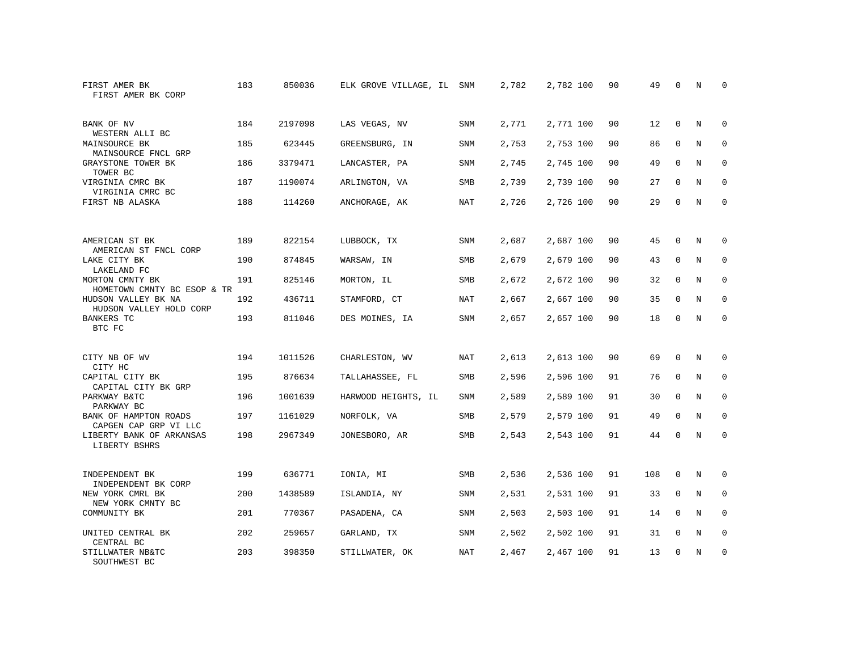| FIRST AMER BK<br>FIRST AMER BK CORP            | 183 | 850036  | ELK GROVE VILLAGE, IL SNM |            | 2,782 | 2,782 100 | 90 | 49  | $\Omega$    | N           | $\Omega$    |
|------------------------------------------------|-----|---------|---------------------------|------------|-------|-----------|----|-----|-------------|-------------|-------------|
| BANK OF NV<br>WESTERN ALLI BC                  | 184 | 2197098 | LAS VEGAS, NV             | SNM        | 2,771 | 2,771 100 | 90 | 12  | $\Omega$    | N           | $\Omega$    |
| MAINSOURCE BK<br>MAINSOURCE FNCL GRP           | 185 | 623445  | GREENSBURG, IN            | SNM        | 2,753 | 2,753 100 | 90 | 86  | $\mathbf 0$ | N           | $\mathbf 0$ |
| GRAYSTONE TOWER BK<br>TOWER BC                 | 186 | 3379471 | LANCASTER, PA             | SNM        | 2,745 | 2,745 100 | 90 | 49  | $\Omega$    | N           | $\Omega$    |
| VIRGINIA CMRC BK<br>VIRGINIA CMRC BC           | 187 | 1190074 | ARLINGTON, VA             | SMB        | 2,739 | 2,739 100 | 90 | 27  | $\mathbf 0$ | N           | $\mathbf 0$ |
| FIRST NB ALASKA                                | 188 | 114260  | ANCHORAGE, AK             | <b>NAT</b> | 2,726 | 2,726 100 | 90 | 29  | $\mathbf 0$ | N           | $\mathbf 0$ |
| AMERICAN ST BK<br>AMERICAN ST FNCL CORP        | 189 | 822154  | LUBBOCK, TX               | SNM        | 2,687 | 2,687 100 | 90 | 45  | 0           | N           | 0           |
| LAKE CITY BK<br>LAKELAND FC                    | 190 | 874845  | WARSAW, IN                | SMB        | 2,679 | 2,679 100 | 90 | 43  | $\mathbf 0$ | $\mathbf N$ | $\mathbf 0$ |
| MORTON CMNTY BK<br>HOMETOWN CMNTY BC ESOP & TR | 191 | 825146  | MORTON, IL                | SMB        | 2,672 | 2,672 100 | 90 | 32  | $\mathbf 0$ | N           | 0           |
| HUDSON VALLEY BK NA<br>HUDSON VALLEY HOLD CORP | 192 | 436711  | STAMFORD, CT              | <b>NAT</b> | 2,667 | 2,667 100 | 90 | 35  | $\mathbf 0$ | N           | $\mathbf 0$ |
| <b>BANKERS TC</b><br>BTC FC                    | 193 | 811046  | DES MOINES, IA            | <b>SNM</b> | 2,657 | 2,657 100 | 90 | 18  | $\Omega$    | $\mathbf N$ | $\Omega$    |
| CITY NB OF WV<br>CITY HC                       | 194 | 1011526 | CHARLESTON, WV            | <b>NAT</b> | 2,613 | 2,613 100 | 90 | 69  | $\Omega$    | N           | 0           |
| CAPITAL CITY BK<br>CAPITAL CITY BK GRP         | 195 | 876634  | TALLAHASSEE, FL           | SMB        | 2,596 | 2,596 100 | 91 | 76  | 0           | N           | 0           |
| PARKWAY B&TC<br>PARKWAY BC                     | 196 | 1001639 | HARWOOD HEIGHTS, IL       | SNM        | 2,589 | 2,589 100 | 91 | 30  | $\mathbf 0$ | N           | 0           |
| BANK OF HAMPTON ROADS<br>CAPGEN CAP GRP VI LLC | 197 | 1161029 | NORFOLK, VA               | SMB        | 2,579 | 2,579 100 | 91 | 49  | $\Omega$    | $_{\rm N}$  | $\mathbf 0$ |
| LIBERTY BANK OF ARKANSAS<br>LIBERTY BSHRS      | 198 | 2967349 | JONESBORO, AR             | SMB        | 2,543 | 2,543 100 | 91 | 44  | $\mathbf 0$ | N           | $\mathbf 0$ |
| INDEPENDENT BK<br>INDEPENDENT BK CORP          | 199 | 636771  | IONIA, MI                 | SMB        | 2,536 | 2,536 100 | 91 | 108 | 0           | N           | 0           |
| NEW YORK CMRL BK<br>NEW YORK CMNTY BC          | 200 | 1438589 | ISLANDIA, NY              | SNM        | 2,531 | 2,531 100 | 91 | 33  | 0           | N           | 0           |
| COMMUNITY BK                                   | 201 | 770367  | PASADENA, CA              | SNM        | 2,503 | 2,503 100 | 91 | 14  | $\mathbf 0$ | N           | $\mathbf 0$ |
| UNITED CENTRAL BK<br>CENTRAL BC                | 202 | 259657  | GARLAND, TX               | SNM        | 2,502 | 2,502 100 | 91 | 31  | $\mathbf 0$ | N           | 0           |
| STILLWATER NB&TC<br>SOUTHWEST BC               | 203 | 398350  | STILLWATER, OK            | <b>NAT</b> | 2,467 | 2,467 100 | 91 | 13  | $\Omega$    | N           | $\mathbf 0$ |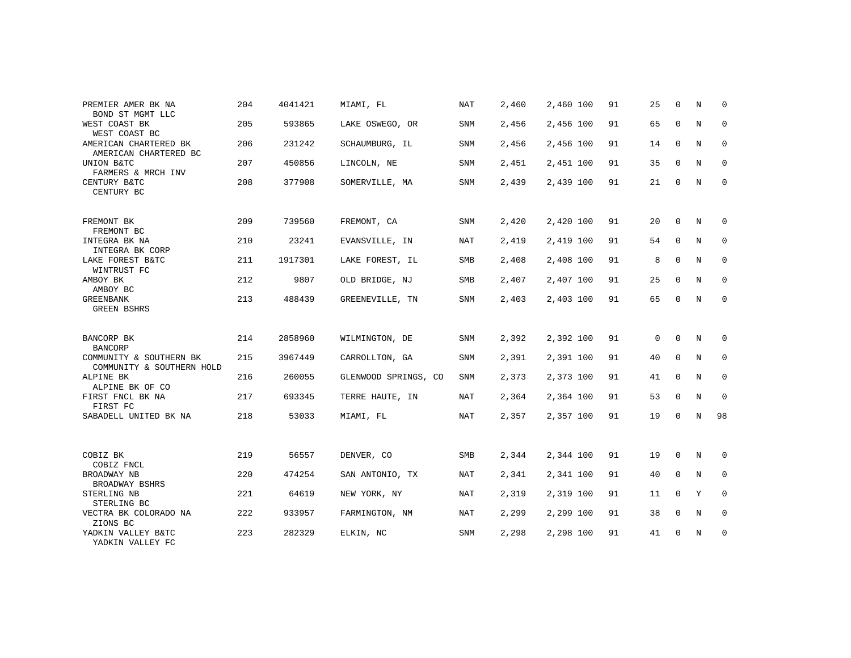| PREMIER AMER BK NA                                                     | 204 | 4041421 | MIAMI, FL            | <b>NAT</b> | 2,460 | 2,460 100 | 91 | 25       | $\Omega$    | N | $\Omega$    |
|------------------------------------------------------------------------|-----|---------|----------------------|------------|-------|-----------|----|----------|-------------|---|-------------|
| BOND ST MGMT LLC<br>WEST COAST BK<br>WEST COAST BC                     | 205 | 593865  | LAKE OSWEGO, OR      | <b>SNM</b> | 2,456 | 2,456 100 | 91 | 65       | $\mathbf 0$ | N | $\mathbf 0$ |
| AMERICAN CHARTERED BK<br>AMERICAN CHARTERED BC                         | 206 | 231242  | SCHAUMBURG, IL       | <b>SNM</b> | 2,456 | 2,456 100 | 91 | 14       | $\mathbf 0$ | N | 0           |
| UNION B&TC<br>FARMERS & MRCH INV                                       | 207 | 450856  | LINCOLN, NE          | <b>SNM</b> | 2,451 | 2,451 100 | 91 | 35       | $\mathbf 0$ | N | 0           |
| CENTURY B&TC<br>CENTURY BC                                             | 208 | 377908  | SOMERVILLE, MA       | <b>SNM</b> | 2,439 | 2,439 100 | 91 | 21       | $\mathbf 0$ | N | $\mathbf 0$ |
| FREMONT BK<br>FREMONT BC                                               | 209 | 739560  | FREMONT, CA          | <b>SNM</b> | 2,420 | 2,420 100 | 91 | 20       | $\Omega$    | N | 0           |
| INTEGRA BK NA<br>INTEGRA BK CORP                                       | 210 | 23241   | EVANSVILLE, IN       | NAT        | 2,419 | 2,419 100 | 91 | 54       | $\mathbf 0$ | N | 0           |
| LAKE FOREST B&TC<br>WINTRUST FC                                        | 211 | 1917301 | LAKE FOREST, IL      | SMB        | 2,408 | 2,408 100 | 91 | 8        | $\mathbf 0$ | N | 0           |
| AMBOY BK<br>AMBOY BC                                                   | 212 | 9807    | OLD BRIDGE, NJ       | SMB        | 2,407 | 2,407 100 | 91 | 25       | $\mathbf 0$ | N | 0           |
| <b>GREENBANK</b><br><b>GREEN BSHRS</b>                                 | 213 | 488439  | GREENEVILLE, TN      | SNM        | 2,403 | 2,403 100 | 91 | 65       | $\mathbf 0$ | N | $\mathbf 0$ |
| BANCORP BK                                                             | 214 | 2858960 | WILMINGTON, DE       | <b>SNM</b> | 2,392 | 2,392 100 | 91 | $\Omega$ | $\Omega$    | N | 0           |
| <b>BANCORP</b><br>COMMUNITY & SOUTHERN BK<br>COMMUNITY & SOUTHERN HOLD | 215 | 3967449 | CARROLLTON, GA       | SNM        | 2,391 | 2,391 100 | 91 | 40       | $\mathbf 0$ | N | $\mathbf 0$ |
| ALPINE BK<br>ALPINE BK OF CO                                           | 216 | 260055  | GLENWOOD SPRINGS, CO | <b>SNM</b> | 2,373 | 2,373 100 | 91 | 41       | $\mathbf 0$ | N | 0           |
| FIRST FNCL BK NA<br>FIRST FC                                           | 217 | 693345  | TERRE HAUTE, IN      | NAT        | 2,364 | 2,364 100 | 91 | 53       | $\mathbf 0$ | N | $\mathbf 0$ |
| SABADELL UNITED BK NA                                                  | 218 | 53033   | MIAMI, FL            | NAT        | 2,357 | 2,357 100 | 91 | 19       | 0           | N | 98          |
| COBIZ BK                                                               | 219 | 56557   | DENVER, CO           | <b>SMB</b> | 2,344 | 2,344 100 | 91 | 19       | 0           | N | 0           |
| COBIZ FNCL<br>BROADWAY NB                                              | 220 | 474254  | SAN ANTONIO, TX      | NAT        | 2,341 | 2,341 100 | 91 | 40       | $\mathbf 0$ | N | $\mathbf 0$ |
| BROADWAY BSHRS                                                         |     |         |                      |            |       |           |    |          |             |   |             |
| STERLING NB<br>STERLING BC                                             | 221 | 64619   | NEW YORK, NY         | <b>NAT</b> | 2,319 | 2,319 100 | 91 | 11       | $\mathbf 0$ | Υ | 0           |
| VECTRA BK COLORADO NA<br>ZIONS BC                                      | 222 | 933957  | FARMINGTON, NM       | <b>NAT</b> | 2,299 | 2,299 100 | 91 | 38       | $\mathbf 0$ | N | $\mathbf 0$ |
| YADKIN VALLEY B&TC<br>YADKIN VALLEY FC                                 | 223 | 282329  | ELKIN, NC            | <b>SNM</b> | 2,298 | 2,298 100 | 91 | 41       | $\mathbf 0$ | N | 0           |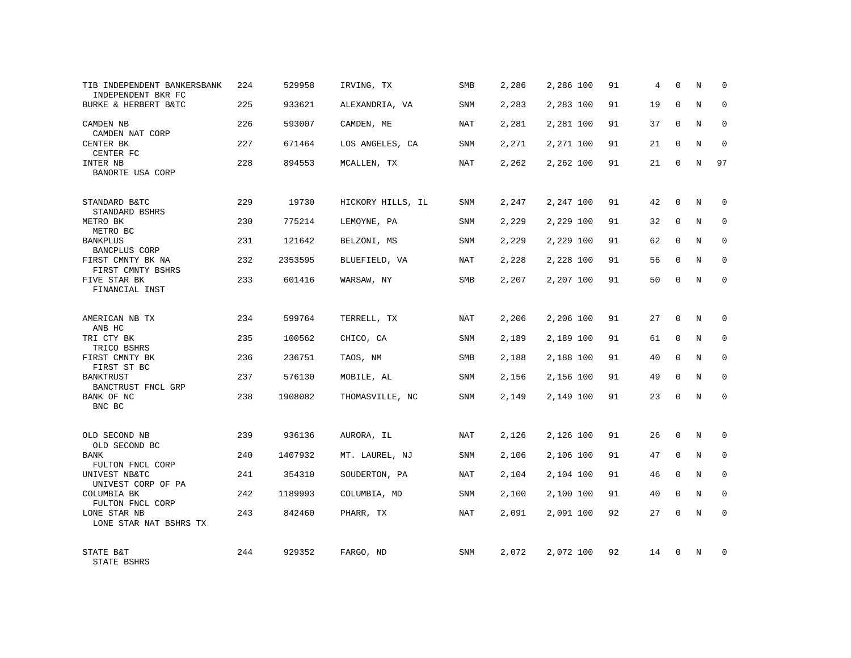| TIB INDEPENDENT BANKERSBANK<br>INDEPENDENT BKR FC | 224 | 529958  | IRVING, TX        | SMB        | 2,286 | 2,286 100 | 91 | 4  | $\Omega$     | N       | 0            |
|---------------------------------------------------|-----|---------|-------------------|------------|-------|-----------|----|----|--------------|---------|--------------|
| BURKE & HERBERT B&TC                              | 225 | 933621  | ALEXANDRIA, VA    | <b>SNM</b> | 2,283 | 2,283 100 | 91 | 19 | $\Omega$     | N       | $\Omega$     |
| CAMDEN NB<br>CAMDEN NAT CORP                      | 226 | 593007  | CAMDEN, ME        | NAT        | 2,281 | 2,281 100 | 91 | 37 | 0            | N       | 0            |
| CENTER BK<br>CENTER FC                            | 227 | 671464  | LOS ANGELES, CA   | <b>SNM</b> | 2,271 | 2,271 100 | 91 | 21 | $\Omega$     | N       | 0            |
| INTER NB<br>BANORTE USA CORP                      | 228 | 894553  | MCALLEN, TX       | NAT        | 2,262 | 2,262 100 | 91 | 21 | $\mathbf 0$  | N       | 97           |
| STANDARD B&TC<br>STANDARD BSHRS                   | 229 | 19730   | HICKORY HILLS, IL | SNM        | 2,247 | 2,247 100 | 91 | 42 | $\mathbf{0}$ | N       | $\mathbf 0$  |
| METRO BK<br>METRO BC                              | 230 | 775214  | LEMOYNE, PA       | SNM        | 2,229 | 2,229 100 | 91 | 32 | $\mathbf 0$  | N       | $\mathbf 0$  |
| <b>BANKPLUS</b><br>BANCPLUS CORP                  | 231 | 121642  | BELZONI, MS       | SNM        | 2,229 | 2,229 100 | 91 | 62 | $\mathbf 0$  | N       | $\mathbf 0$  |
| FIRST CMNTY BK NA<br>FIRST CMNTY BSHRS            | 232 | 2353595 | BLUEFIELD, VA     | NAT        | 2,228 | 2,228 100 | 91 | 56 | $\mathbf 0$  | N       | 0            |
| FIVE STAR BK<br>FINANCIAL INST                    | 233 | 601416  | WARSAW, NY        | SMB        | 2,207 | 2,207 100 | 91 | 50 | $\mathbf 0$  | N       | $\mathbf{0}$ |
| AMERICAN NB TX<br>ANB HC                          | 234 | 599764  | TERRELL, TX       | <b>NAT</b> | 2,206 | 2,206 100 | 91 | 27 | $\Omega$     | N       | $\Omega$     |
| TRI CTY BK<br>TRICO BSHRS                         | 235 | 100562  | CHICO, CA         | SNM        | 2,189 | 2,189 100 | 91 | 61 | $\mathbf 0$  | N       | $\mathbf 0$  |
| FIRST CMNTY BK<br>FIRST ST BC                     | 236 | 236751  | TAOS, NM          | <b>SMB</b> | 2,188 | 2,188 100 | 91 | 40 | $\Omega$     | N       | $\Omega$     |
| <b>BANKTRUST</b><br>BANCTRUST FNCL GRP            | 237 | 576130  | MOBILE, AL        | <b>SNM</b> | 2,156 | 2,156 100 | 91 | 49 | 0            | N       | $\mathbf 0$  |
| BANK OF NC<br>BNC BC                              | 238 | 1908082 | THOMASVILLE, NC   | <b>SNM</b> | 2,149 | 2,149 100 | 91 | 23 | $\mathbf 0$  | N       | $\mathbf{0}$ |
| OLD SECOND NB<br>OLD SECOND BC                    | 239 | 936136  | AURORA, IL        | <b>NAT</b> | 2,126 | 2,126 100 | 91 | 26 | $\mathbf 0$  | N       | $\Omega$     |
| BANK<br>FULTON FNCL CORP                          | 240 | 1407932 | MT. LAUREL, NJ    | SNM        | 2,106 | 2,106 100 | 91 | 47 | 0            | $\rm N$ | $\mathbf 0$  |
| UNIVEST NB&TC<br>UNIVEST CORP OF PA               | 241 | 354310  | SOUDERTON, PA     | <b>NAT</b> | 2,104 | 2,104 100 | 91 | 46 | $\mathbf 0$  | N       | $\mathbf 0$  |
| COLUMBIA BK<br>FULTON FNCL CORP                   | 242 | 1189993 | COLUMBIA, MD      | SNM        | 2,100 | 2,100 100 | 91 | 40 | 0            | N       | 0            |
| LONE STAR NB<br>LONE STAR NAT BSHRS TX            | 243 | 842460  | PHARR, TX         | <b>NAT</b> | 2,091 | 2,091 100 | 92 | 27 | 0            | N       | $\Omega$     |
| STATE B&T<br>STATE BSHRS                          | 244 | 929352  | FARGO, ND         | SNM        | 2,072 | 2,072 100 | 92 | 14 | $\Omega$     | N       | <sup>0</sup> |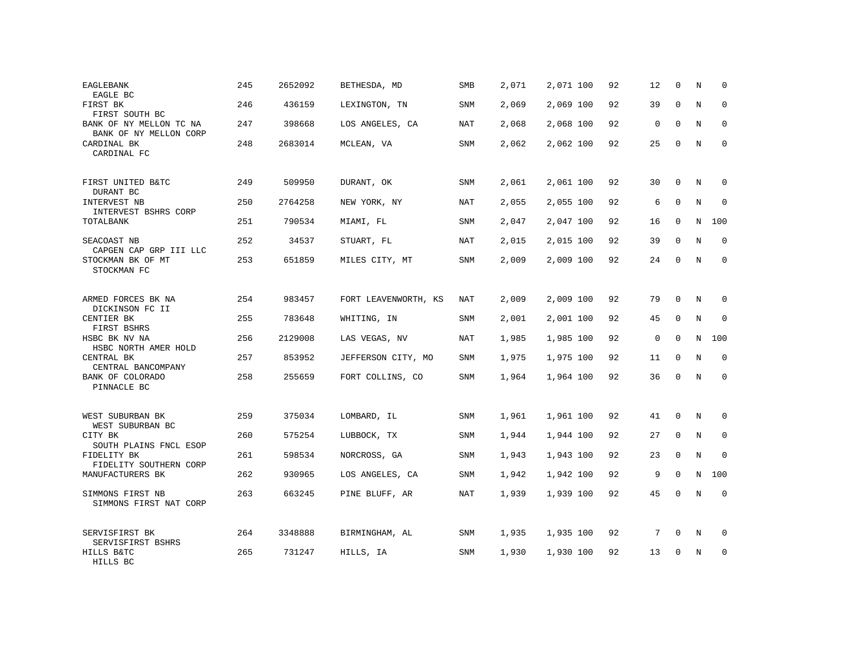| EAGLEBANK<br>EAGLE BC                             | 245 | 2652092 | BETHESDA, MD         | SMB        | 2,071 | 2,071 100 | 92 | 12          | $\mathbf 0$ | N           | 0           |
|---------------------------------------------------|-----|---------|----------------------|------------|-------|-----------|----|-------------|-------------|-------------|-------------|
| FIRST BK<br>FIRST SOUTH BC                        | 246 | 436159  | LEXINGTON, TN        | SNM        | 2,069 | 2,069 100 | 92 | 39          | $\Omega$    | N           | $\mathbf 0$ |
| BANK OF NY MELLON TC NA<br>BANK OF NY MELLON CORP | 247 | 398668  | LOS ANGELES, CA      | NAT        | 2,068 | 2,068 100 | 92 | $\mathbf 0$ | $\mathbf 0$ | N           | 0           |
| CARDINAL BK<br>CARDINAL FC                        | 248 | 2683014 | MCLEAN, VA           | SNM        | 2,062 | 2,062 100 | 92 | 25          | $\Omega$    | N           | $\mathbf 0$ |
| FIRST UNITED B&TC<br>DURANT BC                    | 249 | 509950  | DURANT, OK           | SNM        | 2,061 | 2,061 100 | 92 | 30          | $\Omega$    | N           | $\Omega$    |
| INTERVEST NB<br>INTERVEST BSHRS CORP              | 250 | 2764258 | NEW YORK, NY         | <b>NAT</b> | 2,055 | 2,055 100 | 92 | 6           | $\mathbf 0$ | N           | $\mathbf 0$ |
| TOTALBANK                                         | 251 | 790534  | MIAMI, FL            | SNM        | 2,047 | 2,047 100 | 92 | 16          | $\Omega$    | N           | 100         |
| SEACOAST NB<br>CAPGEN CAP GRP III LLC             | 252 | 34537   | STUART, FL           | <b>NAT</b> | 2,015 | 2,015 100 | 92 | 39          | $\mathbf 0$ | N           | $\mathbf 0$ |
| STOCKMAN BK OF MT<br>STOCKMAN FC                  | 253 | 651859  | MILES CITY, MT       | SNM        | 2,009 | 2,009 100 | 92 | 24          | $\Omega$    | N           | $\mathbf 0$ |
| ARMED FORCES BK NA<br>DICKINSON FC II             | 254 | 983457  | FORT LEAVENWORTH, KS | NAT        | 2,009 | 2,009 100 | 92 | 79          | $\Omega$    | N           | 0           |
| CENTIER BK<br>FIRST BSHRS                         | 255 | 783648  | WHITING, IN          | <b>SNM</b> | 2,001 | 2,001 100 | 92 | 45          | $\Omega$    | N           | $\Omega$    |
| HSBC BK NV NA<br>HSBC NORTH AMER HOLD             | 256 | 2129008 | LAS VEGAS, NV        | NAT        | 1,985 | 1,985 100 | 92 | $\mathbf 0$ | $\Omega$    | N           | 100         |
| CENTRAL BK<br>CENTRAL BANCOMPANY                  | 257 | 853952  | JEFFERSON CITY, MO   | <b>SNM</b> | 1,975 | 1,975 100 | 92 | 11          | $\Omega$    | N           | $\Omega$    |
| BANK OF COLORADO<br>PINNACLE BC                   | 258 | 255659  | FORT COLLINS, CO     | SNM        | 1,964 | 1,964 100 | 92 | 36          | $\mathbf 0$ | N           | $\mathbf 0$ |
| WEST SUBURBAN BK<br>WEST SUBURBAN BC              | 259 | 375034  | LOMBARD, IL          | SNM        | 1,961 | 1,961 100 | 92 | 41          | $\mathbf 0$ | N           | 0           |
| CITY BK<br>SOUTH PLAINS FNCL ESOP                 | 260 | 575254  | LUBBOCK, TX          | <b>SNM</b> | 1,944 | 1,944 100 | 92 | 27          | $\mathbf 0$ | N           | $\mathbf 0$ |
| FIDELITY BK<br>FIDELITY SOUTHERN CORP             | 261 | 598534  | NORCROSS, GA         | SNM        | 1,943 | 1,943 100 | 92 | 23          | $\mathbf 0$ | N           | $\mathbf 0$ |
| MANUFACTURERS BK                                  | 262 | 930965  | LOS ANGELES, CA      | <b>SNM</b> | 1,942 | 1,942 100 | 92 | 9           | $\Omega$    | $\mathbf N$ | 100         |
| SIMMONS FIRST NB<br>SIMMONS FIRST NAT CORP        | 263 | 663245  | PINE BLUFF, AR       | NAT        | 1,939 | 1,939 100 | 92 | 45          | 0           | N           | $\mathbf 0$ |
| SERVISFIRST BK<br>SERVISFIRST BSHRS               | 264 | 3348888 | BIRMINGHAM, AL       | SNM        | 1,935 | 1,935 100 | 92 | 7           | $\mathbf 0$ | N           | 0           |
| HILLS B&TC<br>HILLS BC                            | 265 | 731247  | HILLS, IA            | SNM        | 1,930 | 1,930 100 | 92 | 13          | $\Omega$    | N           | $\mathbf 0$ |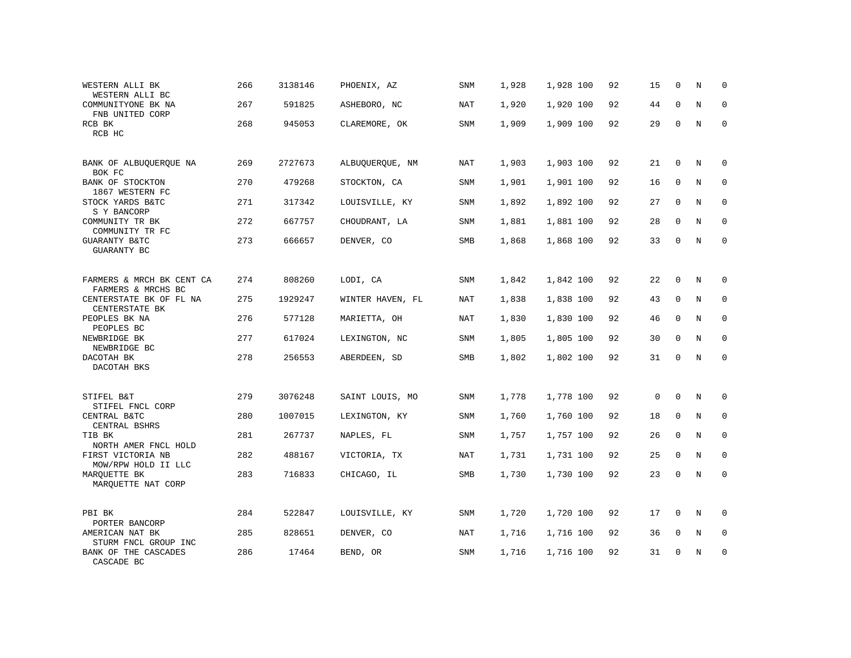| WESTERN ALLI BK<br>WESTERN ALLI BC                | 266 | 3138146 | PHOENIX, AZ      | SNM        | 1,928 | 1,928 100 | 92 | 15          | $\mathbf 0$ | N           | $\Omega$    |
|---------------------------------------------------|-----|---------|------------------|------------|-------|-----------|----|-------------|-------------|-------------|-------------|
| COMMUNITYONE BK NA<br>FNB UNITED CORP             | 267 | 591825  | ASHEBORO, NC     | <b>NAT</b> | 1,920 | 1,920 100 | 92 | 44          | $\mathbf 0$ | $\mathbf N$ | $\mathbf 0$ |
| RCB BK<br>RCB HC                                  | 268 | 945053  | CLAREMORE, OK    | SNM        | 1,909 | 1,909 100 | 92 | 29          | $\Omega$    | N           | $\Omega$    |
| BANK OF ALBUQUERQUE NA<br>BOK FC                  | 269 | 2727673 | ALBUQUERQUE, NM  | NAT        | 1,903 | 1,903 100 | 92 | 21          | $\Omega$    | N           | $\Omega$    |
| BANK OF STOCKTON<br>1867 WESTERN FC               | 270 | 479268  | STOCKTON, CA     | SNM        | 1,901 | 1,901 100 | 92 | 16          | $\mathbf 0$ | N           | $\mathbf 0$ |
| STOCK YARDS B&TC<br>S Y BANCORP                   | 271 | 317342  | LOUISVILLE, KY   | SNM        | 1,892 | 1,892 100 | 92 | 27          | $\mathbf 0$ | $\mathbf N$ | 0           |
| COMMUNITY TR BK<br>COMMUNITY TR FC                | 272 | 667757  | CHOUDRANT, LA    | SNM        | 1,881 | 1,881 100 | 92 | 28          | $\Omega$    | $_{\rm N}$  | $\mathbf 0$ |
| GUARANTY B&TC<br>GUARANTY BC                      | 273 | 666657  | DENVER, CO       | SMB        | 1,868 | 1,868 100 | 92 | 33          | $\Omega$    | N           | $\mathbf 0$ |
| FARMERS & MRCH BK CENT CA<br>FARMERS & MRCHS BC   | 274 | 808260  | LODI, CA         | SNM        | 1,842 | 1,842 100 | 92 | 22          | 0           | N           | 0           |
| CENTERSTATE BK OF FL NA<br>CENTERSTATE BK         | 275 | 1929247 | WINTER HAVEN, FL | NAT        | 1,838 | 1,838 100 | 92 | 43          | $\mathbf 0$ | $\rm N$     | 0           |
| PEOPLES BK NA<br>PEOPLES BC                       | 276 | 577128  | MARIETTA, OH     | NAT        | 1,830 | 1,830 100 | 92 | 46          | $\Omega$    | N           | $\mathbf 0$ |
| NEWBRIDGE BK<br>NEWBRIDGE BC                      | 277 | 617024  | LEXINGTON, NC    | SNM        | 1,805 | 1,805 100 | 92 | 30          | $\mathbf 0$ | N           | $\mathbf 0$ |
| DACOTAH BK<br>DACOTAH BKS                         | 278 | 256553  | ABERDEEN, SD     | SMB        | 1,802 | 1,802 100 | 92 | 31          | $\mathbf 0$ | N           | $\mathbf 0$ |
| STIFEL B&T                                        | 279 | 3076248 | SAINT LOUIS, MO  | SNM        | 1,778 | 1,778 100 | 92 | $\mathbf 0$ | $\mathbf 0$ | N           | 0           |
| STIFEL FNCL CORP<br>CENTRAL B&TC<br>CENTRAL BSHRS | 280 | 1007015 | LEXINGTON, KY    | SNM        | 1,760 | 1,760 100 | 92 | 18          | $\mathbf 0$ | N           | $\mathbf 0$ |
| TIB BK<br>NORTH AMER FNCL HOLD                    | 281 | 267737  | NAPLES, FL       | SNM        | 1,757 | 1,757 100 | 92 | 26          | $\mathbf 0$ | N           | $\mathbf 0$ |
| FIRST VICTORIA NB<br>MOW/RPW HOLD II LLC          | 282 | 488167  | VICTORIA, TX     | <b>NAT</b> | 1,731 | 1,731 100 | 92 | 25          | $\mathbf 0$ | N           | $\mathbf 0$ |
| MARQUETTE BK<br>MARQUETTE NAT CORP                | 283 | 716833  | CHICAGO, IL      | SMB        | 1,730 | 1,730 100 | 92 | 23          | 0           | N           | $\mathbf 0$ |
| PBI BK<br>PORTER BANCORP                          | 284 | 522847  | LOUISVILLE, KY   | SNM        | 1,720 | 1,720 100 | 92 | 17          | $\mathbf 0$ | N           | 0           |
| AMERICAN NAT BK<br>STURM FNCL GROUP INC           | 285 | 828651  | DENVER, CO       | <b>NAT</b> | 1,716 | 1,716 100 | 92 | 36          | $\mathbf 0$ | N           | $\mathbf 0$ |
| BANK OF THE CASCADES<br>CASCADE BC                | 286 | 17464   | BEND, OR         | SNM        | 1,716 | 1,716 100 | 92 | 31          | $\Omega$    | N           | $\mathbf 0$ |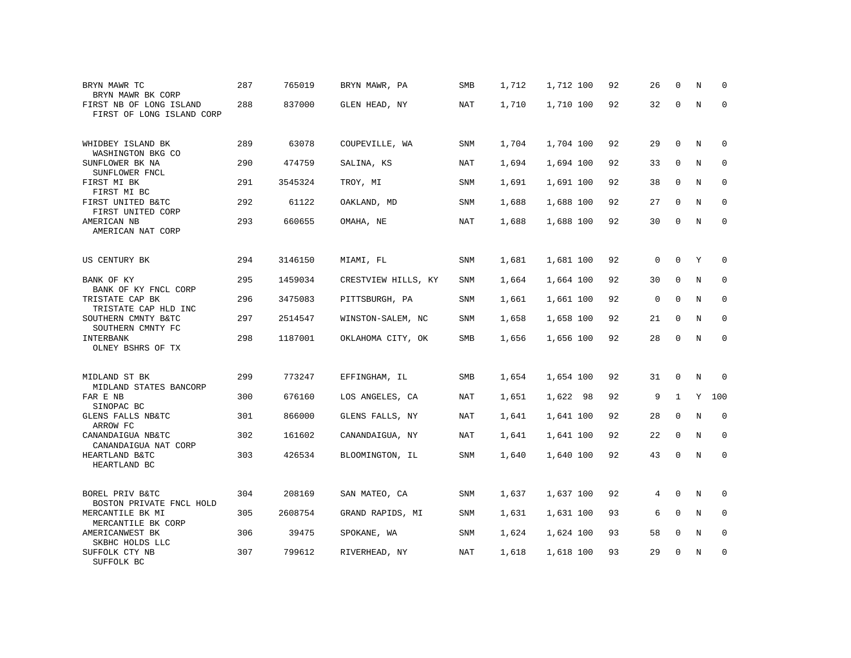| BRYN MAWR TC<br>BRYN MAWR BK CORP                    | 287 | 765019  | BRYN MAWR, PA       | SMB        | 1,712 | 1,712 100 | 92 | 26          | $\mathbf 0$  | N           | 0                   |
|------------------------------------------------------|-----|---------|---------------------|------------|-------|-----------|----|-------------|--------------|-------------|---------------------|
| FIRST NB OF LONG ISLAND<br>FIRST OF LONG ISLAND CORP | 288 | 837000  | GLEN HEAD, NY       | NAT        | 1,710 | 1,710 100 | 92 | 32          | $\mathbf 0$  | $\mathbf N$ | $\mathbf 0$         |
| WHIDBEY ISLAND BK<br>WASHINGTON BKG CO               | 289 | 63078   | COUPEVILLE, WA      | <b>SNM</b> | 1,704 | 1,704 100 | 92 | 29          | $\mathbf 0$  | N           | $\mathbf 0$         |
| SUNFLOWER BK NA<br>SUNFLOWER FNCL                    | 290 | 474759  | SALINA, KS          | NAT        | 1,694 | 1,694 100 | 92 | 33          | $\mathbf 0$  | N           | $\mathbf 0$         |
| FIRST MI BK<br>FIRST MI BC                           | 291 | 3545324 | TROY, MI            | SNM        | 1,691 | 1,691 100 | 92 | 38          | 0            | $\mathbf N$ | $\mathbf 0$         |
| FIRST UNITED B&TC<br>FIRST UNITED CORP               | 292 | 61122   | OAKLAND, MD         | <b>SNM</b> | 1,688 | 1,688 100 | 92 | 27          | $\mathbf 0$  | N           | $\mathbf 0$         |
| AMERICAN NB<br>AMERICAN NAT CORP                     | 293 | 660655  | OMAHA, NE           | NAT        | 1,688 | 1,688 100 | 92 | 30          | $\mathbf 0$  | N           | $\mathbf 0$         |
| US CENTURY BK                                        | 294 | 3146150 | MIAMI, FL           | SNM        | 1,681 | 1,681 100 | 92 | 0           | $\mathbf 0$  | Υ           | $\mathbf 0$         |
| BANK OF KY<br>BANK OF KY FNCL CORP                   | 295 | 1459034 | CRESTVIEW HILLS, KY | <b>SNM</b> | 1,664 | 1,664 100 | 92 | 30          | $\mathbf 0$  | $_{\rm N}$  | $\mathbf 0$         |
| TRISTATE CAP BK<br>TRISTATE CAP HLD INC              | 296 | 3475083 | PITTSBURGH, PA      | SNM        | 1,661 | 1,661 100 | 92 | $\mathbf 0$ | $\mathbf 0$  | $\mathbf N$ | $\mathbf 0$         |
| SOUTHERN CMNTY B&TC<br>SOUTHERN CMNTY FC             | 297 | 2514547 | WINSTON-SALEM, NC   | <b>SNM</b> | 1,658 | 1,658 100 | 92 | 21          | $\mathbf 0$  | N           | 0                   |
| INTERBANK<br>OLNEY BSHRS OF TX                       | 298 | 1187001 | OKLAHOMA CITY, OK   | SMB        | 1,656 | 1,656 100 | 92 | 28          | 0            | $\rm N$     | $\mathsf{O}\xspace$ |
| MIDLAND ST BK                                        | 299 | 773247  | EFFINGHAM, IL       | SMB        | 1,654 | 1,654 100 | 92 | 31          | 0            | N           | $\mathbf 0$         |
| MIDLAND STATES BANCORP<br>FAR E NB<br>SINOPAC BC     | 300 | 676160  | LOS ANGELES, CA     | NAT        | 1,651 | 1,622 98  | 92 | 9           | $\mathbf{1}$ | Y           | 100                 |
| GLENS FALLS NB&TC<br>ARROW FC                        | 301 | 866000  | GLENS FALLS, NY     | <b>NAT</b> | 1,641 | 1,641 100 | 92 | 28          | $\mathsf{O}$ | $\rm N$     | $\mathbf 0$         |
| CANANDAIGUA NB&TC<br>CANANDAIGUA NAT CORP            | 302 | 161602  | CANANDAIGUA, NY     | NAT        | 1,641 | 1,641 100 | 92 | 22          | $\Omega$     | N           | $\mathbf 0$         |
| HEARTLAND B&TC<br>HEARTLAND BC                       | 303 | 426534  | BLOOMINGTON, IL     | SNM        | 1,640 | 1,640 100 | 92 | 43          | $\mathbf 0$  | $\mathbf N$ | $\mathbf 0$         |
| BOREL PRIV B&TC<br>BOSTON PRIVATE FNCL HOLD          | 304 | 208169  | SAN MATEO, CA       | SNM        | 1,637 | 1,637 100 | 92 | 4           | $\mathbf 0$  | $\mathbf N$ | $\mathbf 0$         |
| MERCANTILE BK MI<br>MERCANTILE BK CORP               | 305 | 2608754 | GRAND RAPIDS, MI    | <b>SNM</b> | 1,631 | 1,631 100 | 93 | 6           | $\mathbf 0$  | $_{\rm N}$  | $\mathbf 0$         |
| AMERICANWEST BK<br>SKBHC HOLDS LLC                   | 306 | 39475   | SPOKANE, WA         | <b>SNM</b> | 1,624 | 1,624 100 | 93 | 58          | $\mathbf 0$  | N           | $\mathbf 0$         |
| SUFFOLK CTY NB<br>SUFFOLK BC                         | 307 | 799612  | RIVERHEAD, NY       | <b>NAT</b> | 1,618 | 1,618 100 | 93 | 29          | 0            | N           | $\mathbf 0$         |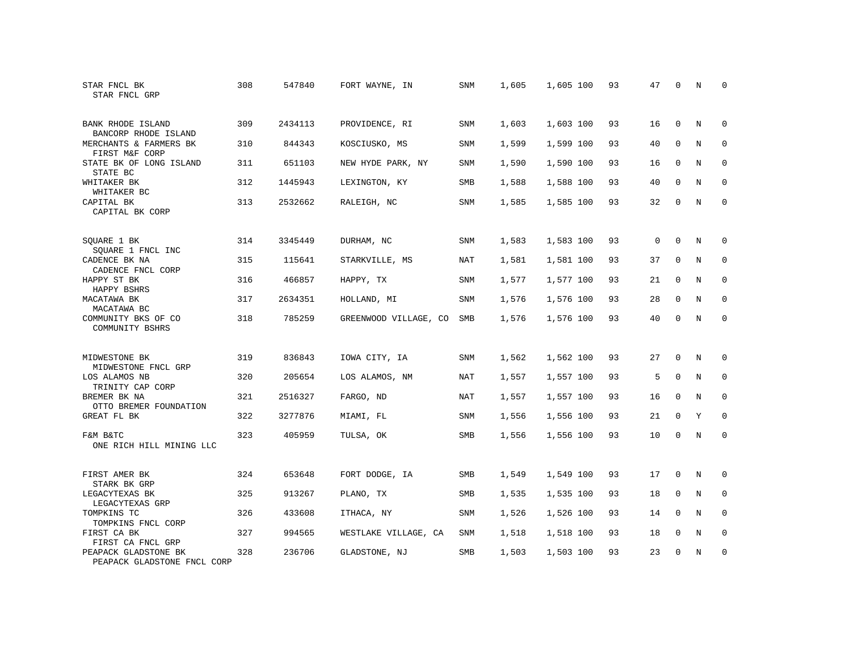| STAR FNCL BK<br>STAR FNCL GRP                            | 308 | 547840  | FORT WAYNE, IN        | SNM        | 1,605 | 1,605 100 | 93 | 47          | 0           | N          | 0           |
|----------------------------------------------------------|-----|---------|-----------------------|------------|-------|-----------|----|-------------|-------------|------------|-------------|
| BANK RHODE ISLAND<br>BANCORP RHODE ISLAND                | 309 | 2434113 | PROVIDENCE, RI        | <b>SNM</b> | 1,603 | 1,603 100 | 93 | 16          | $\Omega$    | N          | $\Omega$    |
| MERCHANTS & FARMERS BK<br>FIRST M&F CORP                 | 310 | 844343  | KOSCIUSKO, MS         | SNM        | 1,599 | 1,599 100 | 93 | 40          | $\mathbf 0$ | N          | $\mathbf 0$ |
| STATE BK OF LONG ISLAND<br>STATE BC                      | 311 | 651103  | NEW HYDE PARK, NY     | SNM        | 1,590 | 1,590 100 | 93 | 16          | $\Omega$    | N          | $\Omega$    |
| WHITAKER BK<br>WHITAKER BC                               | 312 | 1445943 | LEXINGTON, KY         | SMB        | 1,588 | 1,588 100 | 93 | 40          | 0           | N          | $\mathbf 0$ |
| CAPITAL BK<br>CAPITAL BK CORP                            | 313 | 2532662 | RALEIGH, NC           | <b>SNM</b> | 1,585 | 1,585 100 | 93 | 32          | $\mathbf 0$ | N          | $\mathbf 0$ |
| SQUARE 1 BK<br>SQUARE 1 FNCL INC                         | 314 | 3345449 | DURHAM, NC            | SNM        | 1,583 | 1,583 100 | 93 | $\mathbf 0$ | $\Omega$    | N          | 0           |
| CADENCE BK NA<br>CADENCE FNCL CORP                       | 315 | 115641  | STARKVILLE, MS        | <b>NAT</b> | 1,581 | 1,581 100 | 93 | 37          | $\mathbf 0$ | $\rm N$    | $\mathbf 0$ |
| HAPPY ST BK<br>HAPPY BSHRS                               | 316 | 466857  | HAPPY, TX             | SNM        | 1,577 | 1,577 100 | 93 | 21          | 0           | N          | $\mathbf 0$ |
| MACATAWA BK<br>MACATAWA BC                               | 317 | 2634351 | HOLLAND, MI           | <b>SNM</b> | 1,576 | 1,576 100 | 93 | 28          | $\mathbf 0$ | N          | $\mathbf 0$ |
| COMMUNITY BKS OF CO<br>COMMUNITY BSHRS                   | 318 | 785259  | GREENWOOD VILLAGE, CO | <b>SMB</b> | 1,576 | 1,576 100 | 93 | 40          | $\Omega$    | $_{\rm N}$ | $\Omega$    |
| MIDWESTONE BK                                            | 319 | 836843  | IOWA CITY, IA         | <b>SNM</b> | 1,562 | 1,562 100 | 93 | 27          | $\mathbf 0$ | N          | 0           |
| MIDWESTONE FNCL GRP<br>LOS ALAMOS NB<br>TRINITY CAP CORP | 320 | 205654  | LOS ALAMOS, NM        | <b>NAT</b> | 1,557 | 1,557 100 | 93 | 5           | $\mathbf 0$ | N          | 0           |
| BREMER BK NA<br>OTTO BREMER FOUNDATION                   | 321 | 2516327 | FARGO, ND             | <b>NAT</b> | 1,557 | 1,557 100 | 93 | 16          | $\mathbf 0$ | N          | $\mathbf 0$ |
| GREAT FL BK                                              | 322 | 3277876 | MIAMI, FL             | SNM        | 1,556 | 1,556 100 | 93 | 21          | $\Omega$    | Y          | $\mathbf 0$ |
| F&M B&TC<br>ONE RICH HILL MINING LLC                     | 323 | 405959  | TULSA, OK             | SMB        | 1,556 | 1,556 100 | 93 | 10          | $\mathbf 0$ | N          | $\mathbf 0$ |
| FIRST AMER BK<br>STARK BK GRP                            | 324 | 653648  | FORT DODGE, IA        | SMB        | 1,549 | 1,549 100 | 93 | 17          | 0           | N          | 0           |
| LEGACYTEXAS BK<br>LEGACYTEXAS GRP                        | 325 | 913267  | PLANO, TX             | SMB        | 1,535 | 1,535 100 | 93 | 18          | $\mathbf 0$ | N          | 0           |
| TOMPKINS TC<br>TOMPKINS FNCL CORP                        | 326 | 433608  | ITHACA, NY            | SNM        | 1,526 | 1,526 100 | 93 | 14          | $\Omega$    | N          | $\mathbf 0$ |
| FIRST CA BK<br>FIRST CA FNCL GRP                         | 327 | 994565  | WESTLAKE VILLAGE, CA  | SNM        | 1,518 | 1,518 100 | 93 | 18          | $\mathbf 0$ | N          | 0           |
| PEAPACK GLADSTONE BK<br>PEAPACK GLADSTONE FNCL CORP      | 328 | 236706  | GLADSTONE, NJ         | SMB        | 1,503 | 1,503 100 | 93 | 23          | $\Omega$    | N          | $\mathbf 0$ |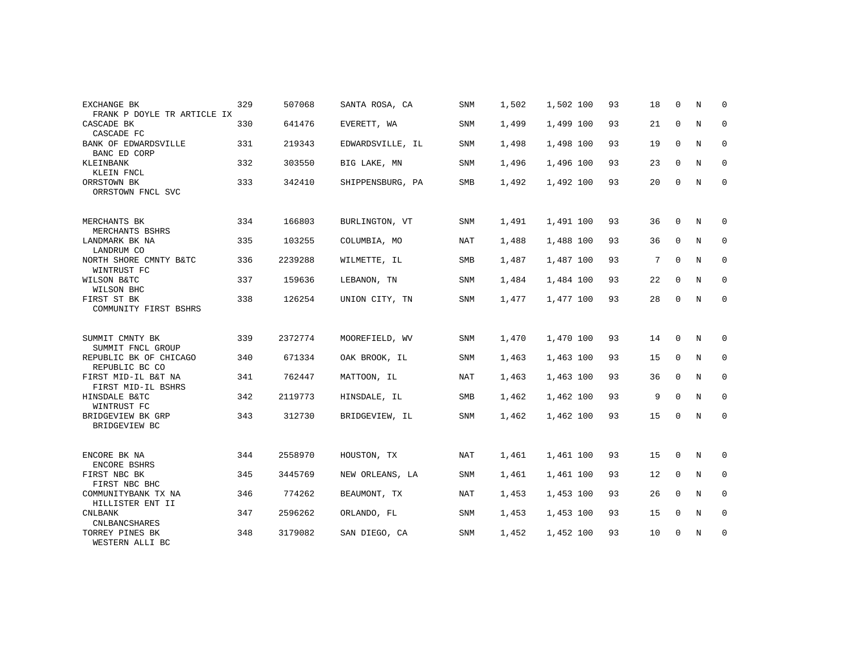| EXCHANGE BK                                             | 329 | 507068  | SANTA ROSA, CA   | <b>SNM</b> | 1,502 | 1,502 100 | 93 | 18 | $\Omega$    | N | $\Omega$    |
|---------------------------------------------------------|-----|---------|------------------|------------|-------|-----------|----|----|-------------|---|-------------|
| FRANK P DOYLE TR ARTICLE IX<br>CASCADE BK<br>CASCADE FC | 330 | 641476  | EVERETT, WA      | <b>SNM</b> | 1,499 | 1,499 100 | 93 | 21 | $\mathbf 0$ | N | $\mathbf 0$ |
| BANK OF EDWARDSVILLE<br>BANC ED CORP                    | 331 | 219343  | EDWARDSVILLE, IL | <b>SNM</b> | 1,498 | 1,498 100 | 93 | 19 | $\mathbf 0$ | N | 0           |
| KLEINBANK<br>KLEIN FNCL                                 | 332 | 303550  | BIG LAKE, MN     | <b>SNM</b> | 1,496 | 1,496 100 | 93 | 23 | $\Omega$    | N | 0           |
| ORRSTOWN BK<br>ORRSTOWN FNCL SVC                        | 333 | 342410  | SHIPPENSBURG, PA | <b>SMB</b> | 1,492 | 1,492 100 | 93 | 20 | $\Omega$    | N | $\mathbf 0$ |
| MERCHANTS BK<br>MERCHANTS BSHRS                         | 334 | 166803  | BURLINGTON, VT   | <b>SNM</b> | 1,491 | 1,491 100 | 93 | 36 | $\Omega$    | N | 0           |
| LANDMARK BK NA<br>LANDRUM CO                            | 335 | 103255  | COLUMBIA, MO     | NAT        | 1,488 | 1,488 100 | 93 | 36 | $\mathbf 0$ | N | 0           |
| NORTH SHORE CMNTY B&TC<br>WINTRUST FC                   | 336 | 2239288 | WILMETTE, IL     | <b>SMB</b> | 1,487 | 1,487 100 | 93 | 7  | $\mathbf 0$ | N | 0           |
| WILSON B&TC<br>WILSON BHC                               | 337 | 159636  | LEBANON, TN      | SNM        | 1,484 | 1,484 100 | 93 | 22 | $\mathbf 0$ | N | $\mathbf 0$ |
| FIRST ST BK<br>COMMUNITY FIRST BSHRS                    | 338 | 126254  | UNION CITY, TN   | SNM        | 1,477 | 1,477 100 | 93 | 28 | 0           | N | $\mathbf 0$ |
| SUMMIT CMNTY BK<br>SUMMIT FNCL GROUP                    | 339 | 2372774 | MOOREFIELD, WV   | <b>SNM</b> | 1,470 | 1,470 100 | 93 | 14 | $\Omega$    | N | 0           |
| REPUBLIC BK OF CHICAGO<br>REPUBLIC BC CO                | 340 | 671334  | OAK BROOK, IL    | SNM        | 1,463 | 1,463 100 | 93 | 15 | $\mathbf 0$ | N | $\mathbf 0$ |
| FIRST MID-IL B&T NA<br>FIRST MID-IL BSHRS               | 341 | 762447  | MATTOON, IL      | NAT        | 1,463 | 1,463 100 | 93 | 36 | $\mathbf 0$ | N | 0           |
| HINSDALE B&TC<br>WINTRUST FC                            | 342 | 2119773 | HINSDALE, IL     | SMB        | 1,462 | 1,462 100 | 93 | 9  | $\Omega$    | N | $\mathbf 0$ |
| BRIDGEVIEW BK GRP<br>BRIDGEVIEW BC                      | 343 | 312730  | BRIDGEVIEW, IL   | <b>SNM</b> | 1,462 | 1,462 100 | 93 | 15 | $\mathbf 0$ | N | 0           |
| ENCORE BK NA<br>ENCORE BSHRS                            | 344 | 2558970 | HOUSTON, TX      | NAT        | 1,461 | 1,461 100 | 93 | 15 | $\mathbf 0$ | N | 0           |
| FIRST NBC BK<br>FIRST NBC BHC                           | 345 | 3445769 | NEW ORLEANS, LA  | SNM        | 1,461 | 1,461 100 | 93 | 12 | $\mathbf 0$ | N | $\mathbf 0$ |
| COMMUNITYBANK TX NA<br>HILLISTER ENT II                 | 346 | 774262  | BEAUMONT, TX     | <b>NAT</b> | 1,453 | 1,453 100 | 93 | 26 | $\mathbf 0$ | N | 0           |
| <b>CNLBANK</b><br><b>CNLBANCSHARES</b>                  | 347 | 2596262 | ORLANDO, FL      | SNM        | 1,453 | 1,453 100 | 93 | 15 | $\mathbf 0$ | N | $\mathbf 0$ |
| TORREY PINES BK<br>WESTERN ALLI BC                      | 348 | 3179082 | SAN DIEGO, CA    | <b>SNM</b> | 1,452 | 1,452 100 | 93 | 10 | 0           | N | 0           |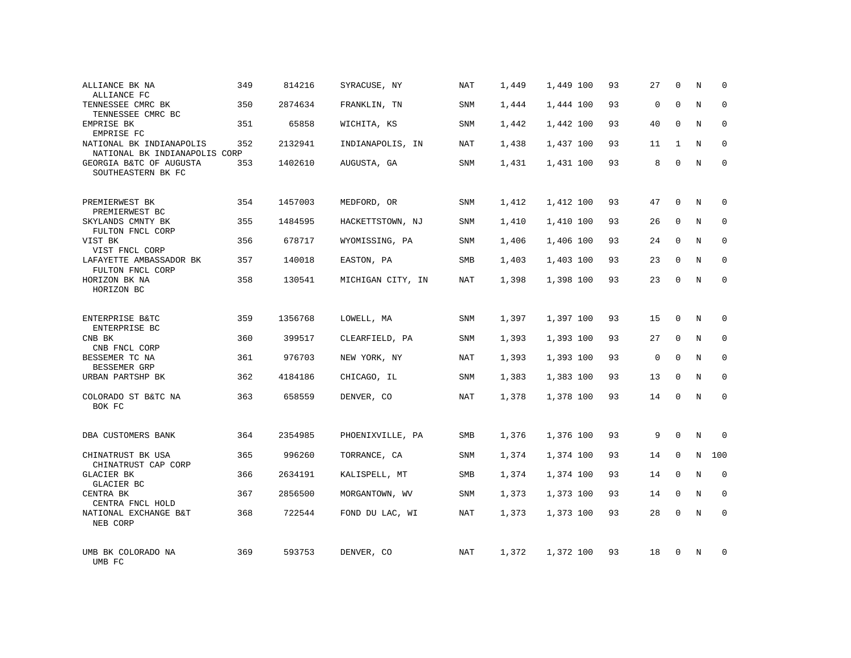| ALLIANCE BK NA<br>ALLIANCE FC                             | 349 | 814216  | SYRACUSE, NY      | <b>NAT</b> | 1,449 | 1,449 100 | 93 | 27          | $\mathbf 0$  | N           | 0           |
|-----------------------------------------------------------|-----|---------|-------------------|------------|-------|-----------|----|-------------|--------------|-------------|-------------|
| TENNESSEE CMRC BK<br>TENNESSEE CMRC BC                    | 350 | 2874634 | FRANKLIN, TN      | SNM        | 1,444 | 1,444 100 | 93 | $\mathbf 0$ | $\Omega$     | N           | $\mathbf 0$ |
| EMPRISE BK<br>EMPRISE FC                                  | 351 | 65858   | WICHITA, KS       | SNM        | 1,442 | 1,442 100 | 93 | 40          | $\Omega$     | $_{\rm N}$  | $\Omega$    |
| NATIONAL BK INDIANAPOLIS<br>NATIONAL BK INDIANAPOLIS CORP | 352 | 2132941 | INDIANAPOLIS, IN  | <b>NAT</b> | 1,438 | 1,437 100 | 93 | 11          | $\mathbf{1}$ | N           | $\mathbf 0$ |
| GEORGIA B&TC OF AUGUSTA<br>SOUTHEASTERN BK FC             | 353 | 1402610 | AUGUSTA, GA       | <b>SNM</b> | 1,431 | 1,431 100 | 93 | 8           | $\Omega$     | $_{\rm N}$  | $\Omega$    |
| PREMIERWEST BK<br>PREMIERWEST BC                          | 354 | 1457003 | MEDFORD, OR       | <b>SNM</b> | 1,412 | 1,412 100 | 93 | 47          | $\mathbf 0$  | N           | 0           |
| SKYLANDS CMNTY BK<br>FULTON FNCL CORP                     | 355 | 1484595 | HACKETTSTOWN, NJ  | SNM        | 1,410 | 1,410 100 | 93 | 26          | $\Omega$     | $_{\rm N}$  | $\Omega$    |
| VIST BK<br>VIST FNCL CORP                                 | 356 | 678717  | WYOMISSING, PA    | SNM        | 1,406 | 1,406 100 | 93 | 24          | $\mathbf 0$  | N           | $\mathbf 0$ |
| LAFAYETTE AMBASSADOR BK<br>FULTON FNCL CORP               | 357 | 140018  | EASTON, PA        | SMB        | 1,403 | 1,403 100 | 93 | 23          | $\Omega$     | $\rm N$     | $\mathbf 0$ |
| HORIZON BK NA<br>HORIZON BC                               | 358 | 130541  | MICHIGAN CITY, IN | NAT        | 1,398 | 1,398 100 | 93 | 23          | 0            | N           | $\mathbf 0$ |
| ENTERPRISE B&TC<br>ENTERPRISE BC                          | 359 | 1356768 | LOWELL, MA        | <b>SNM</b> | 1,397 | 1,397 100 | 93 | 15          | $\Omega$     | N           | $\Omega$    |
| CNB BK<br>CNB FNCL CORP                                   | 360 | 399517  | CLEARFIELD, PA    | SNM        | 1,393 | 1,393 100 | 93 | 27          | $\mathbf 0$  | N           | $\mathbf 0$ |
| BESSEMER TC NA<br>BESSEMER GRP                            | 361 | 976703  | NEW YORK, NY      | <b>NAT</b> | 1,393 | 1,393 100 | 93 | $\mathbf 0$ | $\Omega$     | N           | $\mathbf 0$ |
| URBAN PARTSHP BK                                          | 362 | 4184186 | CHICAGO, IL       | SNM        | 1,383 | 1,383 100 | 93 | 13          | $\mathbf 0$  | N           | $\mathbf 0$ |
| COLORADO ST B&TC NA<br>BOK FC                             | 363 | 658559  | DENVER, CO        | <b>NAT</b> | 1,378 | 1,378 100 | 93 | 14          | $\Omega$     | N           | $\mathbf 0$ |
| DBA CUSTOMERS BANK                                        | 364 | 2354985 | PHOENIXVILLE, PA  | SMB        | 1,376 | 1,376 100 | 93 | 9           | 0            | N           | $\mathbf 0$ |
| CHINATRUST BK USA<br>CHINATRUST CAP CORP                  | 365 | 996260  | TORRANCE, CA      | SNM        | 1,374 | 1,374 100 | 93 | 14          | $\mathbf 0$  | $\mathbf N$ | 100         |
| <b>GLACIER BK</b><br>GLACIER BC                           | 366 | 2634191 | KALISPELL, MT     | SMB        | 1,374 | 1,374 100 | 93 | 14          | $\mathbf 0$  | N           | $\mathbf 0$ |
| CENTRA BK<br>CENTRA FNCL HOLD                             | 367 | 2856500 | MORGANTOWN, WV    | SNM        | 1,373 | 1,373 100 | 93 | 14          | $\mathbf 0$  | N           | $\mathbf 0$ |
| NATIONAL EXCHANGE B&T<br>NEB CORP                         | 368 | 722544  | FOND DU LAC, WI   | <b>NAT</b> | 1,373 | 1,373 100 | 93 | 28          | $\Omega$     | N           | $\Omega$    |
| UMB BK COLORADO NA<br>UMB FC                              | 369 | 593753  | DENVER, CO        | NAT        | 1,372 | 1,372 100 | 93 | 18          | $\Omega$     | N           | $\Omega$    |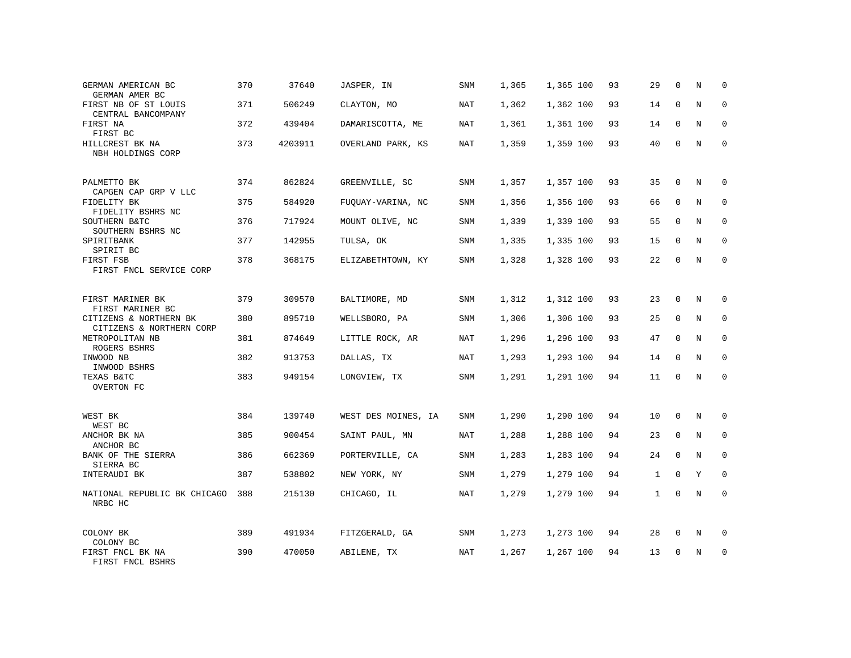| GERMAN AMERICAN BC<br>GERMAN AMER BC               | 370 | 37640   | JASPER, IN          | SNM        | 1,365 | 1,365 100 | 93 | 29           | $\mathbf 0$ | N | 0           |
|----------------------------------------------------|-----|---------|---------------------|------------|-------|-----------|----|--------------|-------------|---|-------------|
| FIRST NB OF ST LOUIS<br>CENTRAL BANCOMPANY         | 371 | 506249  | CLAYTON, MO         | NAT        | 1,362 | 1,362 100 | 93 | 14           | $\Omega$    | N | $\mathbf 0$ |
| FIRST NA<br>FIRST BC                               | 372 | 439404  | DAMARISCOTTA, ME    | NAT        | 1,361 | 1,361 100 | 93 | 14           | $\mathbf 0$ | N | 0           |
| HILLCREST BK NA<br>NBH HOLDINGS CORP               | 373 | 4203911 | OVERLAND PARK, KS   | <b>NAT</b> | 1,359 | 1,359 100 | 93 | 40           | $\Omega$    | N | $\mathbf 0$ |
| PALMETTO BK<br>CAPGEN CAP GRP V LLC                | 374 | 862824  | GREENVILLE, SC      | SNM        | 1,357 | 1,357 100 | 93 | 35           | $\mathbf 0$ | N | $\Omega$    |
| FIDELITY BK<br>FIDELITY BSHRS NC                   | 375 | 584920  | FUQUAY-VARINA, NC   | SNM        | 1,356 | 1,356 100 | 93 | 66           | $\mathbf 0$ | N | $\mathbf 0$ |
| SOUTHERN B&TC<br>SOUTHERN BSHRS NC                 | 376 | 717924  | MOUNT OLIVE, NC     | SNM        | 1,339 | 1,339 100 | 93 | 55           | $\Omega$    | N | $\mathbf 0$ |
| SPIRITBANK<br>SPIRIT BC                            | 377 | 142955  | TULSA, OK           | SNM        | 1,335 | 1,335 100 | 93 | 15           | $\mathbf 0$ | N | $\mathbf 0$ |
| FIRST FSB<br>FIRST FNCL SERVICE CORP               | 378 | 368175  | ELIZABETHTOWN, KY   | SNM        | 1,328 | 1,328 100 | 93 | 22           | $\Omega$    | N | $\mathbf 0$ |
| FIRST MARINER BK<br>FIRST MARINER BC               | 379 | 309570  | BALTIMORE, MD       | SNM        | 1,312 | 1,312 100 | 93 | 23           | $\mathbf 0$ | N | $\mathbf 0$ |
| CITIZENS & NORTHERN BK<br>CITIZENS & NORTHERN CORP | 380 | 895710  | WELLSBORO, PA       | SNM        | 1,306 | 1,306 100 | 93 | 25           | $\Omega$    | N | $\Omega$    |
| METROPOLITAN NB<br>ROGERS BSHRS                    | 381 | 874649  | LITTLE ROCK, AR     | NAT        | 1,296 | 1,296 100 | 93 | 47           | $\mathbf 0$ | N | $\mathbf 0$ |
| INWOOD NB<br>INWOOD BSHRS                          | 382 | 913753  | DALLAS, TX          | NAT        | 1,293 | 1,293 100 | 94 | 14           | $\Omega$    | N | $\Omega$    |
| TEXAS B&TC<br>OVERTON FC                           | 383 | 949154  | LONGVIEW, TX        | SNM        | 1,291 | 1,291 100 | 94 | 11           | 0           | N | $\mathbf 0$ |
| WEST BK<br>WEST BC                                 | 384 | 139740  | WEST DES MOINES, IA | SNM        | 1,290 | 1,290 100 | 94 | 10           | 0           | N | 0           |
| ANCHOR BK NA<br>ANCHOR BC                          | 385 | 900454  | SAINT PAUL, MN      | <b>NAT</b> | 1,288 | 1,288 100 | 94 | 23           | $\mathbf 0$ | N | $\mathbf 0$ |
| BANK OF THE SIERRA<br>SIERRA BC                    | 386 | 662369  | PORTERVILLE, CA     | SNM        | 1,283 | 1,283 100 | 94 | 24           | $\mathbf 0$ | N | $\mathbf 0$ |
| INTERAUDI BK                                       | 387 | 538802  | NEW YORK, NY        | SNM        | 1,279 | 1,279 100 | 94 | $\mathbf{1}$ | $\Omega$    | Y | $\mathbf 0$ |
| NATIONAL REPUBLIC BK CHICAGO<br>NRBC HC            | 388 | 215130  | CHICAGO, IL         | NAT        | 1,279 | 1,279 100 | 94 | $\mathbf{1}$ | 0           | N | $\mathbf 0$ |
| COLONY BK<br>COLONY BC                             | 389 | 491934  | FITZGERALD, GA      | SNM        | 1,273 | 1,273 100 | 94 | 28           | $\mathbf 0$ | N | 0           |
| FIRST FNCL BK NA<br>FIRST FNCL BSHRS               | 390 | 470050  | ABILENE, TX         | <b>NAT</b> | 1,267 | 1,267 100 | 94 | 13           | $\Omega$    | N | $\mathbf 0$ |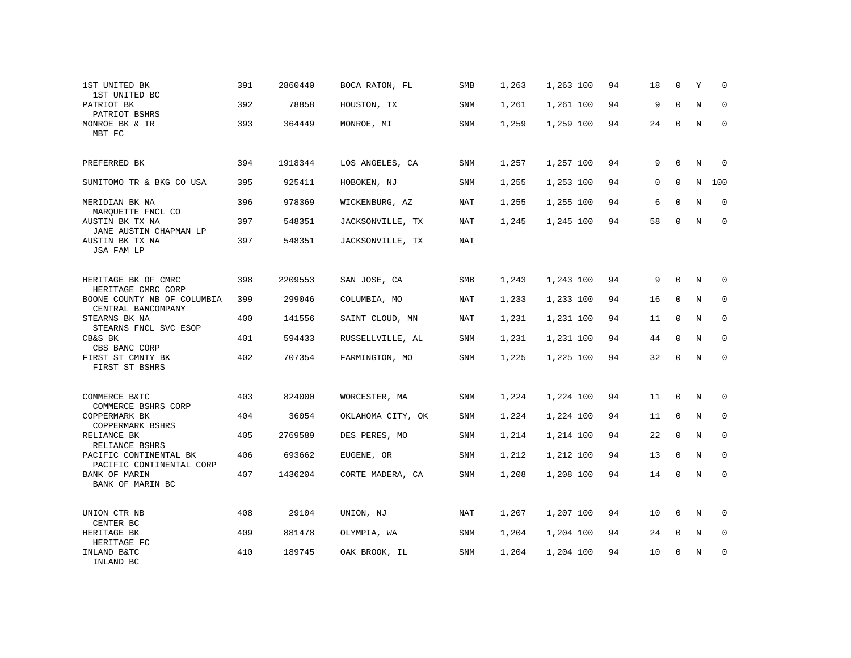| 1ST UNITED BK<br>1ST UNITED BC                           | 391 | 2860440 | BOCA RATON, FL    | SMB        | 1,263 | 1,263 100 | 94 | 18 | $\mathbf 0$ | Y           | 0           |
|----------------------------------------------------------|-----|---------|-------------------|------------|-------|-----------|----|----|-------------|-------------|-------------|
| PATRIOT BK<br>PATRIOT BSHRS                              | 392 | 78858   | HOUSTON, TX       | SNM        | 1,261 | 1,261 100 | 94 | 9  | $\Omega$    | N           | 0           |
| MONROE BK & TR<br>MBT FC                                 | 393 | 364449  | MONROE, MI        | SNM        | 1,259 | 1,259 100 | 94 | 24 | 0           | N           | 0           |
| PREFERRED BK                                             | 394 | 1918344 | LOS ANGELES, CA   | SNM        | 1,257 | 1,257 100 | 94 | 9  | 0           | N           | $\Omega$    |
| SUMITOMO TR & BKG CO USA                                 | 395 | 925411  | HOBOKEN, NJ       | SNM        | 1,255 | 1,253 100 | 94 | 0  | $\mathbf 0$ | N           | 100         |
| MERIDIAN BK NA<br>MARQUETTE FNCL CO                      | 396 | 978369  | WICKENBURG, AZ    | NAT        | 1,255 | 1,255 100 | 94 | 6  | $\mathbf 0$ | N           | $\mathbf 0$ |
| AUSTIN BK TX NA<br>JANE AUSTIN CHAPMAN LP                | 397 | 548351  | JACKSONVILLE, TX  | NAT        | 1,245 | 1,245 100 | 94 | 58 | $\mathbf 0$ | N           | $\mathbf 0$ |
| AUSTIN BK TX NA<br>JSA FAM LP                            | 397 | 548351  | JACKSONVILLE, TX  | NAT        |       |           |    |    |             |             |             |
| HERITAGE BK OF CMRC<br>HERITAGE CMRC CORP                | 398 | 2209553 | SAN JOSE, CA      | SMB        | 1,243 | 1,243 100 | 94 | 9  | $\mathbf 0$ | N           | 0           |
| BOONE COUNTY NB OF COLUMBIA<br>CENTRAL BANCOMPANY        | 399 | 299046  | COLUMBIA, MO      | NAT        | 1,233 | 1,233 100 | 94 | 16 | 0           | N           | 0           |
| STEARNS BK NA<br>STEARNS FNCL SVC ESOP                   | 400 | 141556  | SAINT CLOUD, MN   | NAT        | 1,231 | 1,231 100 | 94 | 11 | 0           | N           | 0           |
| CB&S BK<br>CBS BANC CORP                                 | 401 | 594433  | RUSSELLVILLE, AL  | SNM        | 1,231 | 1,231 100 | 94 | 44 | 0           | N           | 0           |
| FIRST ST CMNTY BK<br>FIRST ST BSHRS                      | 402 | 707354  | FARMINGTON, MO    | SNM        | 1,225 | 1,225 100 | 94 | 32 | $\mathbf 0$ | N           | $\mathbf 0$ |
| COMMERCE B&TC                                            | 403 | 824000  | WORCESTER, MA     | SNM        | 1,224 | 1,224 100 | 94 | 11 | 0           | N           | 0           |
| COMMERCE BSHRS CORP<br>COPPERMARK BK<br>COPPERMARK BSHRS | 404 | 36054   | OKLAHOMA CITY, OK | SNM        | 1,224 | 1,224 100 | 94 | 11 | $\mathbf 0$ | N           | $\mathbf 0$ |
| RELIANCE BK<br>RELIANCE BSHRS                            | 405 | 2769589 | DES PERES, MO     | <b>SNM</b> | 1,214 | 1,214 100 | 94 | 22 | $\mathbf 0$ | $\mathbf N$ | $\mathbf 0$ |
| PACIFIC CONTINENTAL BK<br>PACIFIC CONTINENTAL CORP       | 406 | 693662  | EUGENE, OR        | <b>SNM</b> | 1,212 | 1,212 100 | 94 | 13 | $\mathbf 0$ | N           | $\mathbf 0$ |
| BANK OF MARIN<br>BANK OF MARIN BC                        | 407 | 1436204 | CORTE MADERA, CA  | <b>SNM</b> | 1,208 | 1,208 100 | 94 | 14 | $\mathbf 0$ | N           | $\mathbf 0$ |
| UNION CTR NB<br>CENTER BC                                | 408 | 29104   | UNION, NJ         | NAT        | 1,207 | 1,207 100 | 94 | 10 | 0           | N           | 0           |
| HERITAGE BK<br>HERITAGE FC                               | 409 | 881478  | OLYMPIA, WA       | <b>SNM</b> | 1,204 | 1,204 100 | 94 | 24 | 0           | N           | $\mathbf 0$ |
| INLAND B&TC<br>INLAND BC                                 | 410 | 189745  | OAK BROOK, IL     | <b>SNM</b> | 1,204 | 1,204 100 | 94 | 10 | 0           | N           | 0           |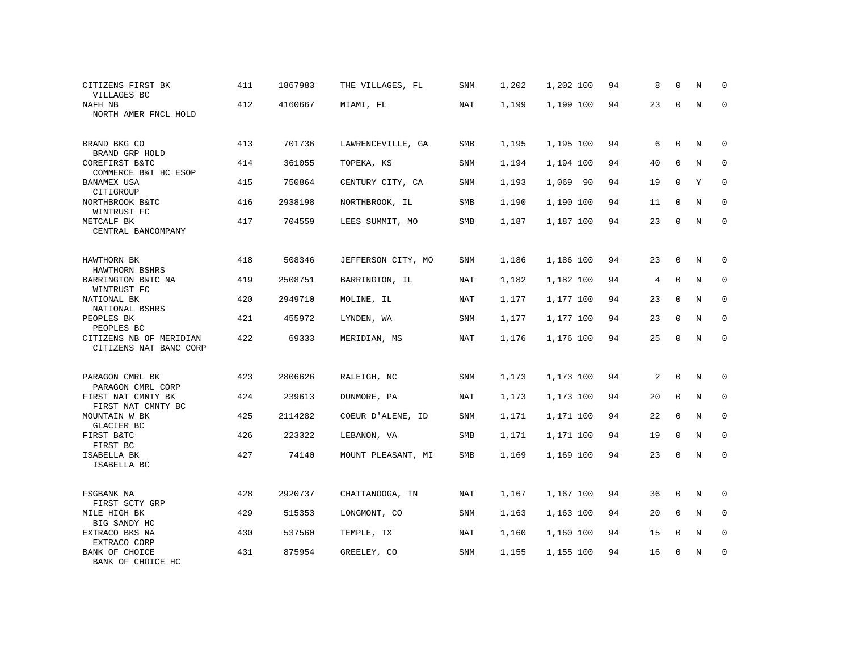| CITIZENS FIRST BK<br>VILLAGES BC                  | 411 | 1867983 | THE VILLAGES, FL   | SNM        | 1,202 | 1,202 100 | 94 | 8  | $\mathbf 0$  | N           | 0            |
|---------------------------------------------------|-----|---------|--------------------|------------|-------|-----------|----|----|--------------|-------------|--------------|
| NAFH NB<br>NORTH AMER FNCL HOLD                   | 412 | 4160667 | MIAMI, FL          | NAT        | 1,199 | 1,199 100 | 94 | 23 | $\mathbf 0$  | $\mathbf N$ | 0            |
| BRAND BKG CO<br>BRAND GRP HOLD                    | 413 | 701736  | LAWRENCEVILLE, GA  | SMB        | 1,195 | 1,195 100 | 94 | 6  | $\mathbf{0}$ | N           | 0            |
| COREFIRST B&TC<br>COMMERCE B&T HC ESOP            | 414 | 361055  | TOPEKA, KS         | SNM        | 1,194 | 1,194 100 | 94 | 40 | $\mathbf 0$  | N           | $\mathbf 0$  |
| <b>BANAMEX USA</b><br>CITIGROUP                   | 415 | 750864  | CENTURY CITY, CA   | SNM        | 1,193 | 1,069 90  | 94 | 19 | $\mathbf 0$  | Y           | $\mathbf 0$  |
| NORTHBROOK B&TC<br>WINTRUST FC                    | 416 | 2938198 | NORTHBROOK, IL     | SMB        | 1,190 | 1,190 100 | 94 | 11 | $\mathbf{0}$ | N           | $\mathbf 0$  |
| METCALF BK<br>CENTRAL BANCOMPANY                  | 417 | 704559  | LEES SUMMIT, MO    | SMB        | 1,187 | 1,187 100 | 94 | 23 | 0            | N           | $\mathbf{0}$ |
| HAWTHORN BK<br>HAWTHORN BSHRS                     | 418 | 508346  | JEFFERSON CITY, MO | SNM        | 1,186 | 1,186 100 | 94 | 23 | $\mathbf 0$  | N           | 0            |
| BARRINGTON B&TC NA<br>WINTRUST FC                 | 419 | 2508751 | BARRINGTON, IL     | NAT        | 1,182 | 1,182 100 | 94 | 4  | $\Omega$     | N           | $\mathbf 0$  |
| NATIONAL BK<br>NATIONAL BSHRS                     | 420 | 2949710 | MOLINE, IL         | NAT        | 1,177 | 1,177 100 | 94 | 23 | $\mathbf{0}$ | N           | 0            |
| PEOPLES BK<br>PEOPLES BC                          | 421 | 455972  | LYNDEN, WA         | SNM        | 1,177 | 1,177 100 | 94 | 23 | $\mathbf{0}$ | N           | $\mathbf 0$  |
| CITIZENS NB OF MERIDIAN<br>CITIZENS NAT BANC CORP | 422 | 69333   | MERIDIAN, MS       | NAT        | 1,176 | 1,176 100 | 94 | 25 | 0            | $\rm N$     | $\mathsf 0$  |
| PARAGON CMRL BK<br>PARAGON CMRL CORP              | 423 | 2806626 | RALEIGH, NC        | SNM        | 1,173 | 1,173 100 | 94 | 2  | $\mathbf 0$  | N           | 0            |
| FIRST NAT CMNTY BK<br>FIRST NAT CMNTY BC          | 424 | 239613  | DUNMORE, PA        | NAT        | 1,173 | 1,173 100 | 94 | 20 | 0            | N           | $\mathbf 0$  |
| MOUNTAIN W BK<br>GLACIER BC                       | 425 | 2114282 | COEUR D'ALENE, ID  | SNM        | 1,171 | 1,171 100 | 94 | 22 | 0            | N           | 0            |
| FIRST B&TC<br>FIRST BC                            | 426 | 223322  | LEBANON, VA        | SMB        | 1,171 | 1,171 100 | 94 | 19 | $\mathbf 0$  | N           | $\Omega$     |
| ISABELLA BK<br>ISABELLA BC                        | 427 | 74140   | MOUNT PLEASANT, MI | SMB        | 1,169 | 1,169 100 | 94 | 23 | $\mathbf 0$  | N           | $\mathbf 0$  |
| FSGBANK NA<br>FIRST SCTY GRP                      | 428 | 2920737 | CHATTANOOGA, TN    | <b>NAT</b> | 1,167 | 1,167 100 | 94 | 36 | $\mathbf 0$  | N           | 0            |
| MILE HIGH BK<br>BIG SANDY HC                      | 429 | 515353  | LONGMONT, CO       | SNM        | 1,163 | 1,163 100 | 94 | 20 | $\mathbf 0$  | N           | $\mathbf{0}$ |
| EXTRACO BKS NA<br>EXTRACO CORP                    | 430 | 537560  | TEMPLE, TX         | <b>NAT</b> | 1,160 | 1,160 100 | 94 | 15 | $\mathbf 0$  | N           | 0            |
| BANK OF CHOICE<br>BANK OF CHOICE HC               | 431 | 875954  | GREELEY, CO        | SNM        | 1,155 | 1,155 100 | 94 | 16 | 0            | N           | 0            |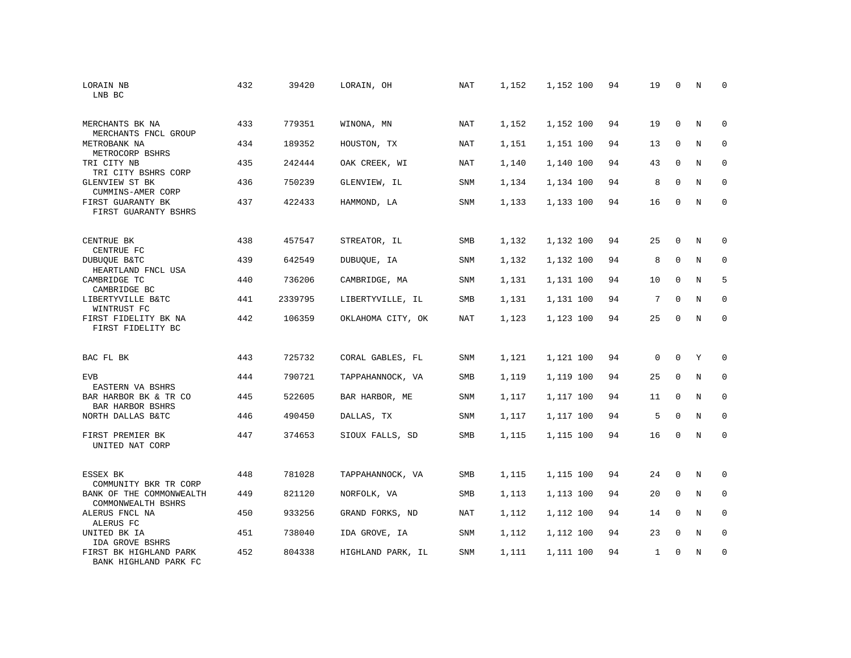| LORAIN NB<br>LNB BC                              | 432 | 39420   | LORAIN, OH        | NAT        | 1,152 | 1,152 100 | 94 | 19           | $\Omega$    | N           | $\Omega$    |
|--------------------------------------------------|-----|---------|-------------------|------------|-------|-----------|----|--------------|-------------|-------------|-------------|
| MERCHANTS BK NA<br>MERCHANTS FNCL GROUP          | 433 | 779351  | WINONA, MN        | <b>NAT</b> | 1,152 | 1,152 100 | 94 | 19           | $\mathbf 0$ | N           | $\mathbf 0$ |
| METROBANK NA<br>METROCORP BSHRS                  | 434 | 189352  | HOUSTON, TX       | NAT        | 1,151 | 1,151 100 | 94 | 13           | $\mathbf 0$ | N           | $\mathbf 0$ |
| TRI CITY NB<br>TRI CITY BSHRS CORP               | 435 | 242444  | OAK CREEK, WI     | <b>NAT</b> | 1,140 | 1,140 100 | 94 | 43           | $\Omega$    | N           | $\Omega$    |
| GLENVIEW ST BK<br>CUMMINS-AMER CORP              | 436 | 750239  | GLENVIEW, IL      | SNM        | 1,134 | 1,134 100 | 94 | 8            | $\Omega$    | N           | $\mathbf 0$ |
| FIRST GUARANTY BK<br>FIRST GUARANTY BSHRS        | 437 | 422433  | HAMMOND, LA       | <b>SNM</b> | 1,133 | 1,133 100 | 94 | 16           | $\Omega$    | $_{\rm N}$  | $\Omega$    |
| CENTRUE BK<br>CENTRUE FC                         | 438 | 457547  | STREATOR, IL      | SMB        | 1,132 | 1,132 100 | 94 | 25           | $\Omega$    | N           | $\Omega$    |
| DUBUQUE B&TC<br>HEARTLAND FNCL USA               | 439 | 642549  | DUBUQUE, IA       | SNM        | 1,132 | 1,132 100 | 94 | 8            | $\mathbf 0$ | N           | $\mathbf 0$ |
| CAMBRIDGE TC<br>CAMBRIDGE BC                     | 440 | 736206  | CAMBRIDGE, MA     | SNM        | 1,131 | 1,131 100 | 94 | 10           | $\Omega$    | N           | 5           |
| LIBERTYVILLE B&TC<br>WINTRUST FC                 | 441 | 2339795 | LIBERTYVILLE, IL  | SMB        | 1,131 | 1,131 100 | 94 | 7            | $\mathbf 0$ | $\rm N$     | $\mathbf 0$ |
| FIRST FIDELITY BK NA<br>FIRST FIDELITY BC        | 442 | 106359  | OKLAHOMA CITY, OK | <b>NAT</b> | 1,123 | 1,123 100 | 94 | 25           | $\Omega$    | N           | $\mathbf 0$ |
| BAC FL BK                                        | 443 | 725732  | CORAL GABLES, FL  | SNM        | 1,121 | 1,121 100 | 94 | $\mathbf 0$  | $\mathbf 0$ | Y           | 0           |
| <b>EVB</b><br>EASTERN VA BSHRS                   | 444 | 790721  | TAPPAHANNOCK, VA  | <b>SMB</b> | 1,119 | 1,119 100 | 94 | 25           | $\mathbf 0$ | $\rm N$     | $\mathbf 0$ |
| BAR HARBOR BK & TR CO<br><b>BAR HARBOR BSHRS</b> | 445 | 522605  | BAR HARBOR, ME    | <b>SNM</b> | 1,117 | 1,117 100 | 94 | 11           | 0           | N           | 0           |
| NORTH DALLAS B&TC                                | 446 | 490450  | DALLAS, TX        | <b>SNM</b> | 1,117 | 1,117 100 | 94 | 5            | $\Omega$    | $\mathbf N$ | $\mathbf 0$ |
| FIRST PREMIER BK<br>UNITED NAT CORP              | 447 | 374653  | SIOUX FALLS, SD   | SMB        | 1,115 | 1,115 100 | 94 | 16           | $\mathbf 0$ | $\mathbf N$ | $\mathbf 0$ |
| ESSEX BK<br>COMMUNITY BKR TR CORP                | 448 | 781028  | TAPPAHANNOCK, VA  | SMB        | 1,115 | 1,115 100 | 94 | 24           | $\Omega$    | $_{\rm N}$  | $\mathbf 0$ |
| BANK OF THE COMMONWEALTH<br>COMMONWEALTH BSHRS   | 449 | 821120  | NORFOLK, VA       | SMB        | 1,113 | 1,113 100 | 94 | 20           | $\mathbf 0$ | N           | 0           |
| ALERUS FNCL NA<br>ALERUS FC                      | 450 | 933256  | GRAND FORKS, ND   | <b>NAT</b> | 1,112 | 1,112 100 | 94 | 14           | $\Omega$    | N           | $\mathbf 0$ |
| UNITED BK IA<br>IDA GROVE BSHRS                  | 451 | 738040  | IDA GROVE, IA     | SNM        | 1,112 | 1,112 100 | 94 | 23           | 0           | N           | 0           |
| FIRST BK HIGHLAND PARK<br>BANK HIGHLAND PARK FC  | 452 | 804338  | HIGHLAND PARK, IL | <b>SNM</b> | 1,111 | 1,111 100 | 94 | $\mathbf{1}$ | $\Omega$    | N           | $\mathbf 0$ |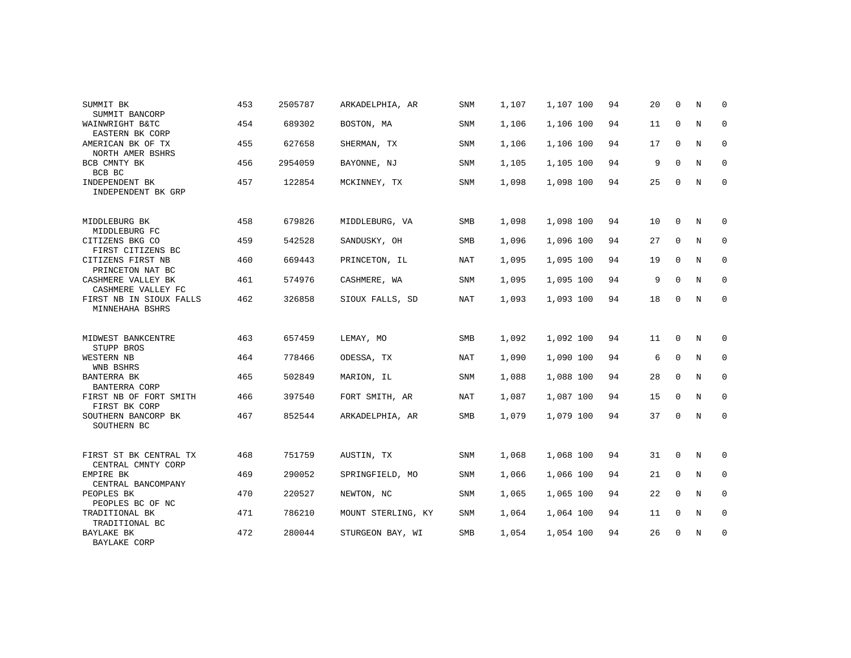| SUMMIT BK<br>SUMMIT BANCORP                  | 453 | 2505787 | ARKADELPHIA, AR    | <b>SNM</b> | 1,107 | 1,107 100 | 94 | 20 | $\Omega$    | N | $\Omega$    |
|----------------------------------------------|-----|---------|--------------------|------------|-------|-----------|----|----|-------------|---|-------------|
| WAINWRIGHT B&TC<br>EASTERN BK CORP           | 454 | 689302  | BOSTON, MA         | SNM        | 1,106 | 1,106 100 | 94 | 11 | $\mathbf 0$ | N | $\mathbf 0$ |
| AMERICAN BK OF TX<br>NORTH AMER BSHRS        | 455 | 627658  | SHERMAN, TX        | <b>SNM</b> | 1,106 | 1,106 100 | 94 | 17 | $\mathbf 0$ | N | 0           |
| BCB CMNTY BK<br>BCB BC                       | 456 | 2954059 | BAYONNE, NJ        | SNM        | 1,105 | 1,105 100 | 94 | 9  | $\Omega$    | N | 0           |
| INDEPENDENT BK<br>INDEPENDENT BK GRP         | 457 | 122854  | MCKINNEY, TX       | <b>SNM</b> | 1,098 | 1,098 100 | 94 | 25 | 0           | N | $\mathbf 0$ |
| MIDDLEBURG BK<br>MIDDLEBURG FC               | 458 | 679826  | MIDDLEBURG, VA     | SMB        | 1,098 | 1,098 100 | 94 | 10 | $\Omega$    | N | 0           |
| CITIZENS BKG CO<br>FIRST CITIZENS BC         | 459 | 542528  | SANDUSKY, OH       | SMB        | 1,096 | 1,096 100 | 94 | 27 | $\mathbf 0$ | N | $\mathsf 0$ |
| CITIZENS FIRST NB<br>PRINCETON NAT BC        | 460 | 669443  | PRINCETON, IL      | <b>NAT</b> | 1,095 | 1,095 100 | 94 | 19 | $\mathbf 0$ | N | 0           |
| CASHMERE VALLEY BK<br>CASHMERE VALLEY FC     | 461 | 574976  | CASHMERE, WA       | <b>SNM</b> | 1,095 | 1,095 100 | 94 | 9  | $\mathbf 0$ | N | 0           |
| FIRST NB IN SIOUX FALLS<br>MINNEHAHA BSHRS   | 462 | 326858  | SIOUX FALLS, SD    | <b>NAT</b> | 1,093 | 1,093 100 | 94 | 18 | 0           | N | $\mathbf 0$ |
| MIDWEST BANKCENTRE<br>STUPP BROS             | 463 | 657459  | LEMAY, MO          | SMB        | 1,092 | 1,092 100 | 94 | 11 | $\Omega$    | N | 0           |
| WESTERN NB<br>WNB BSHRS                      | 464 | 778466  | ODESSA, TX         | NAT        | 1,090 | 1,090 100 | 94 | 6  | $\mathbf 0$ | N | $\mathbf 0$ |
| BANTERRA BK<br>BANTERRA CORP                 | 465 | 502849  | MARION, IL         | <b>SNM</b> | 1,088 | 1,088 100 | 94 | 28 | $\mathbf 0$ | N | 0           |
| FIRST NB OF FORT SMITH<br>FIRST BK CORP      | 466 | 397540  | FORT SMITH, AR     | NAT        | 1,087 | 1,087 100 | 94 | 15 | $\mathbf 0$ | N | $\mathbf 0$ |
| SOUTHERN BANCORP BK<br>SOUTHERN BC           | 467 | 852544  | ARKADELPHIA, AR    | SMB        | 1,079 | 1,079 100 | 94 | 37 | $\mathbf 0$ | N | 0           |
| FIRST ST BK CENTRAL TX<br>CENTRAL CMNTY CORP | 468 | 751759  | AUSTIN, TX         | <b>SNM</b> | 1,068 | 1,068 100 | 94 | 31 | $\mathbf 0$ | N | 0           |
| EMPIRE BK<br>CENTRAL BANCOMPANY              | 469 | 290052  | SPRINGFIELD, MO    | SNM        | 1,066 | 1,066 100 | 94 | 21 | $\Omega$    | N | $\mathbf 0$ |
| PEOPLES BK<br>PEOPLES BC OF NC               | 470 | 220527  | NEWTON, NC         | <b>SNM</b> | 1,065 | 1,065 100 | 94 | 22 | $\mathbf 0$ | N | 0           |
| TRADITIONAL BK<br>TRADITIONAL BC             | 471 | 786210  | MOUNT STERLING, KY | SNM        | 1,064 | 1,064 100 | 94 | 11 | $\mathbf 0$ | N | $\mathbf 0$ |
| BAYLAKE BK<br>BAYLAKE CORP                   | 472 | 280044  | STURGEON BAY, WI   | <b>SMB</b> | 1,054 | 1,054 100 | 94 | 26 | 0           | N | 0           |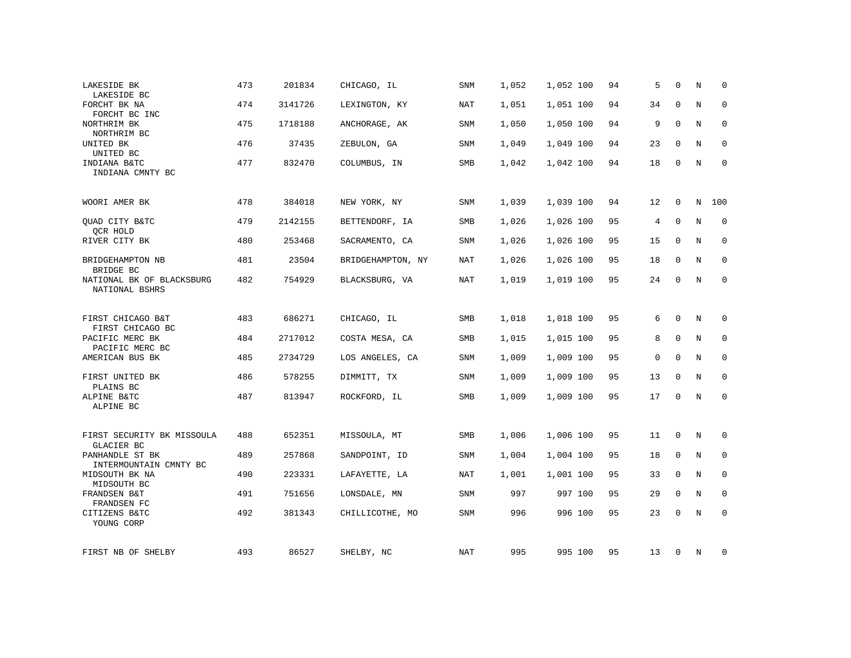| LAKESIDE BK<br>LAKESIDE BC                             | 473 | 201834  | CHICAGO, IL       | <b>SNM</b> | 1,052 | 1,052 100 | 94 | 5  | $\Omega$    | N           | $\Omega$    |
|--------------------------------------------------------|-----|---------|-------------------|------------|-------|-----------|----|----|-------------|-------------|-------------|
| FORCHT BK NA<br>FORCHT BC INC                          | 474 | 3141726 | LEXINGTON, KY     | NAT        | 1,051 | 1,051 100 | 94 | 34 | $\mathbf 0$ | N           | $\mathbf 0$ |
| NORTHRIM BK<br>NORTHRIM BC                             | 475 | 1718188 | ANCHORAGE, AK     | SNM        | 1,050 | 1,050 100 | 94 | 9  | $\mathbf 0$ | N           | 0           |
| UNITED BK<br>UNITED BC                                 | 476 | 37435   | ZEBULON, GA       | SNM        | 1,049 | 1,049 100 | 94 | 23 | $\Omega$    | $\mathbf N$ | $\mathbf 0$ |
| INDIANA B&TC<br>INDIANA CMNTY BC                       | 477 | 832470  | COLUMBUS, IN      | SMB        | 1,042 | 1,042 100 | 94 | 18 | 0           | N           | $\mathbf 0$ |
| WOORI AMER BK                                          | 478 | 384018  | NEW YORK, NY      | SNM        | 1,039 | 1,039 100 | 94 | 12 | $\mathbf 0$ | $\mathbf N$ | 100         |
| QUAD CITY B&TC<br>QCR HOLD                             | 479 | 2142155 | BETTENDORF, IA    | SMB        | 1,026 | 1,026 100 | 95 | 4  | $\mathbf 0$ | $\rm N$     | $\mathbf 0$ |
| RIVER CITY BK                                          | 480 | 253468  | SACRAMENTO, CA    | <b>SNM</b> | 1,026 | 1,026 100 | 95 | 15 | $\mathbf 0$ | N           | $\mathbf 0$ |
| BRIDGEHAMPTON NB<br>BRIDGE BC                          | 481 | 23504   | BRIDGEHAMPTON, NY | NAT        | 1,026 | 1,026 100 | 95 | 18 | 0           | N           | $\mathbf 0$ |
| NATIONAL BK OF BLACKSBURG<br>NATIONAL BSHRS            | 482 | 754929  | BLACKSBURG, VA    | <b>NAT</b> | 1,019 | 1,019 100 | 95 | 24 | $\mathbf 0$ | N           | $\mathbf 0$ |
| FIRST CHICAGO B&T                                      | 483 | 686271  | CHICAGO, IL       | SMB        | 1,018 | 1,018 100 | 95 | 6  | 0           | N           | 0           |
| FIRST CHICAGO BC<br>PACIFIC MERC BK<br>PACIFIC MERC BC | 484 | 2717012 | COSTA MESA, CA    | SMB        | 1,015 | 1,015 100 | 95 | 8  | $\mathbf 0$ | $\mathbf N$ | 0           |
| AMERICAN BUS BK                                        | 485 | 2734729 | LOS ANGELES, CA   | SNM        | 1,009 | 1,009 100 | 95 | 0  | $\mathbf 0$ | N           | 0           |
| FIRST UNITED BK<br>PLAINS BC                           | 486 | 578255  | DIMMITT, TX       | SNM        | 1,009 | 1,009 100 | 95 | 13 | 0           | N           | 0           |
| ALPINE B&TC<br>ALPINE BC                               | 487 | 813947  | ROCKFORD, IL      | SMB        | 1,009 | 1,009 100 | 95 | 17 | $\mathbf 0$ | $\rm N$     | $\mathbf 0$ |
| FIRST SECURITY BK MISSOULA<br>GLACIER BC               | 488 | 652351  | MISSOULA, MT      | SMB        | 1,006 | 1,006 100 | 95 | 11 | 0           | N           | 0           |
| PANHANDLE ST BK<br>INTERMOUNTAIN CMNTY BC              | 489 | 257868  | SANDPOINT, ID     | SNM        | 1,004 | 1,004 100 | 95 | 18 | $\mathbf 0$ | N           | $\mathbf 0$ |
| MIDSOUTH BK NA<br>MIDSOUTH BC                          | 490 | 223331  | LAFAYETTE, LA     | <b>NAT</b> | 1,001 | 1,001 100 | 95 | 33 | $\mathbf 0$ | N           | 0           |
| FRANDSEN B&T<br>FRANDSEN FC                            | 491 | 751656  | LONSDALE, MN      | SNM        | 997   | 997 100   | 95 | 29 | 0           | N           | 0           |
| CITIZENS B&TC<br>YOUNG CORP                            | 492 | 381343  | CHILLICOTHE, MO   | SNM        | 996   | 996 100   | 95 | 23 | $\Omega$    | $\mathbf N$ | $\mathbf 0$ |
| FIRST NB OF SHELBY                                     | 493 | 86527   | SHELBY, NC        | NAT        | 995   | 995 100   | 95 | 13 | 0           | N           | 0           |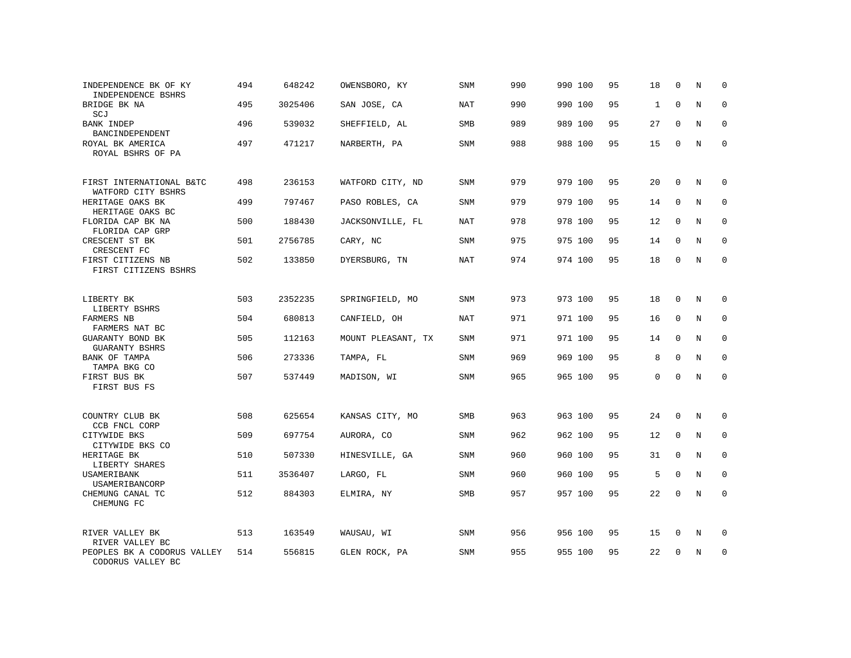| INDEPENDENCE BK OF KY<br>INDEPENDENCE BSHRS      | 494 | 648242  | OWENSBORO, KY      | SNM        | 990 | 990 100 | 95 | 18           | $\Omega$     | N           | 0           |
|--------------------------------------------------|-----|---------|--------------------|------------|-----|---------|----|--------------|--------------|-------------|-------------|
| BRIDGE BK NA<br>SCJ                              | 495 | 3025406 | SAN JOSE, CA       | <b>NAT</b> | 990 | 990 100 | 95 | $\mathbf{1}$ | $\mathbf 0$  | $\mathbf N$ | $\mathbf 0$ |
| <b>BANK INDEP</b><br>BANCINDEPENDENT             | 496 | 539032  | SHEFFIELD, AL      | <b>SMB</b> | 989 | 989 100 | 95 | 27           | $\Omega$     | N           | $\mathbf 0$ |
| ROYAL BK AMERICA<br>ROYAL BSHRS OF PA            | 497 | 471217  | NARBERTH, PA       | <b>SNM</b> | 988 | 988 100 | 95 | 15           | $\Omega$     | $\mathbf N$ | $\mathbf 0$ |
| FIRST INTERNATIONAL B&TC<br>WATFORD CITY BSHRS   | 498 | 236153  | WATFORD CITY, ND   | <b>SNM</b> | 979 | 979 100 | 95 | 20           | $\mathbf 0$  | N           | $\mathbf 0$ |
| HERITAGE OAKS BK<br>HERITAGE OAKS BC             | 499 | 797467  | PASO ROBLES, CA    | SNM        | 979 | 979 100 | 95 | 14           | $\mathbf{0}$ | $\rm N$     | $\mathbf 0$ |
| FLORIDA CAP BK NA<br>FLORIDA CAP GRP             | 500 | 188430  | JACKSONVILLE, FL   | <b>NAT</b> | 978 | 978 100 | 95 | 12           | $\mathbf 0$  | N           | $\mathbf 0$ |
| CRESCENT ST BK<br>CRESCENT FC                    | 501 | 2756785 | CARY, NC           | SNM        | 975 | 975 100 | 95 | 14           | $\mathbf{0}$ | N           | $\mathbf 0$ |
| FIRST CITIZENS NB<br>FIRST CITIZENS BSHRS        | 502 | 133850  | DYERSBURG, TN      | <b>NAT</b> | 974 | 974 100 | 95 | 18           | 0            | N           | $\mathbf 0$ |
| LIBERTY BK<br>LIBERTY BSHRS                      | 503 | 2352235 | SPRINGFIELD, MO    | SNM        | 973 | 973 100 | 95 | 18           | $\mathbf 0$  | N           | $\mathsf 0$ |
| <b>FARMERS NB</b><br>FARMERS NAT BC              | 504 | 680813  | CANFIELD, OH       | NAT        | 971 | 971 100 | 95 | 16           | $\mathbf 0$  | N           | $\mathbf 0$ |
| GUARANTY BOND BK<br><b>GUARANTY BSHRS</b>        | 505 | 112163  | MOUNT PLEASANT, TX | <b>SNM</b> | 971 | 971 100 | 95 | 14           | $\mathbf 0$  | N           | $\mathbf 0$ |
| BANK OF TAMPA<br>TAMPA BKG CO                    | 506 | 273336  | TAMPA, FL          | <b>SNM</b> | 969 | 969 100 | 95 | 8            | $\mathbf 0$  | N           | $\mathbf 0$ |
| FIRST BUS BK<br>FIRST BUS FS                     | 507 | 537449  | MADISON, WI        | SNM        | 965 | 965 100 | 95 | 0            | $\mathbf 0$  | N           | $\mathbf 0$ |
| COUNTRY CLUB BK                                  | 508 | 625654  | KANSAS CITY, MO    | SMB        | 963 | 963 100 | 95 | 24           | $\mathbf{0}$ | N           | 0           |
| CCB FNCL CORP<br>CITYWIDE BKS<br>CITYWIDE BKS CO | 509 | 697754  | AURORA, CO         | SNM        | 962 | 962 100 | 95 | 12           | $\mathbf 0$  | N           | 0           |
| HERITAGE BK<br>LIBERTY SHARES                    | 510 | 507330  | HINESVILLE, GA     | <b>SNM</b> | 960 | 960 100 | 95 | 31           | $\mathbf 0$  | N           | $\mathbf 0$ |
| USAMERIBANK<br>USAMERIBANCORP                    | 511 | 3536407 | LARGO, FL          | SNM        | 960 | 960 100 | 95 | 5            | $\mathbf 0$  | N           | $\mathbf 0$ |
| CHEMUNG CANAL TC<br>CHEMUNG FC                   | 512 | 884303  | ELMIRA, NY         | SMB        | 957 | 957 100 | 95 | 22           | $\mathbf 0$  | $\rm N$     | $\mathbf 0$ |
| RIVER VALLEY BK<br>RIVER VALLEY BC               | 513 | 163549  | WAUSAU, WI         | <b>SNM</b> | 956 | 956 100 | 95 | 15           | 0            | N           | $\mathbf 0$ |
| PEOPLES BK A CODORUS VALLEY<br>CODORUS VALLEY BC | 514 | 556815  | GLEN ROCK, PA      | SNM        | 955 | 955 100 | 95 | 22           | 0            | N           | 0           |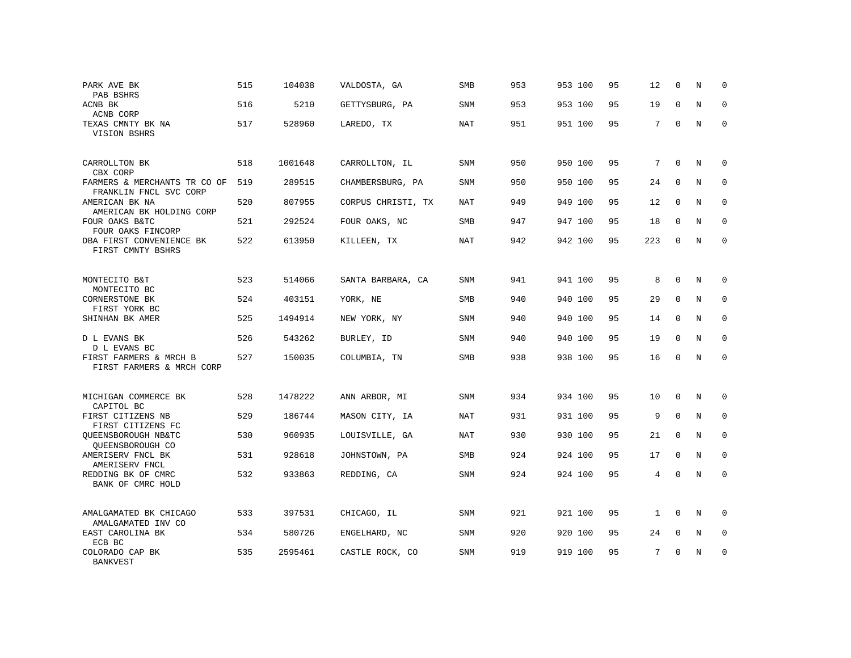| PARK AVE BK<br>PAB BSHRS                               | 515 | 104038  | VALDOSTA, GA       | <b>SMB</b> | 953 | 953 100 | 95 | 12             | $\mathbf 0$  | N           | 0           |
|--------------------------------------------------------|-----|---------|--------------------|------------|-----|---------|----|----------------|--------------|-------------|-------------|
| ACNB BK<br>ACNB CORP                                   | 516 | 5210    | GETTYSBURG, PA     | SNM        | 953 | 953 100 | 95 | 19             | $\Omega$     | N           | 0           |
| TEXAS CMNTY BK NA<br>VISION BSHRS                      | 517 | 528960  | LAREDO, TX         | <b>NAT</b> | 951 | 951 100 | 95 | 7              | $\Omega$     | N           | $\Omega$    |
| CARROLLTON BK<br>CBX CORP                              | 518 | 1001648 | CARROLLTON, IL     | SNM        | 950 | 950 100 | 95 | 7              | $\Omega$     | N           | 0           |
| FARMERS & MERCHANTS TR CO OF<br>FRANKLIN FNCL SVC CORP | 519 | 289515  | CHAMBERSBURG, PA   | <b>SNM</b> | 950 | 950 100 | 95 | 24             | $\Omega$     | N           | $\mathbf 0$ |
| AMERICAN BK NA<br>AMERICAN BK HOLDING CORP             | 520 | 807955  | CORPUS CHRISTI, TX | NAT        | 949 | 949 100 | 95 | 12             | $\mathbf{0}$ | N           | $\mathbf 0$ |
| FOUR OAKS B&TC<br>FOUR OAKS FINCORP                    | 521 | 292524  | FOUR OAKS, NC      | SMB        | 947 | 947 100 | 95 | 18             | $\mathbf 0$  | $\mathbf N$ | $\mathbf 0$ |
| DBA FIRST CONVENIENCE BK<br>FIRST CMNTY BSHRS          | 522 | 613950  | KILLEEN, TX        | <b>NAT</b> | 942 | 942 100 | 95 | 223            | $\Omega$     | N           | $\Omega$    |
| MONTECITO B&T<br>MONTECITO BC                          | 523 | 514066  | SANTA BARBARA, CA  | SNM        | 941 | 941 100 | 95 | 8              | $\mathbf{0}$ | $\mathbf N$ | $\mathbf 0$ |
| CORNERSTONE BK<br>FIRST YORK BC                        | 524 | 403151  | YORK, NE           | SMB        | 940 | 940 100 | 95 | 29             | $\mathbf 0$  | N           | $\mathbf 0$ |
| SHINHAN BK AMER                                        | 525 | 1494914 | NEW YORK, NY       | SNM        | 940 | 940 100 | 95 | 14             | $\Omega$     | N           | $\mathbf 0$ |
| D L EVANS BK<br>D L EVANS BC                           | 526 | 543262  | BURLEY, ID         | SNM        | 940 | 940 100 | 95 | 19             | $\mathbf 0$  | N           | $\mathbf 0$ |
| FIRST FARMERS & MRCH B<br>FIRST FARMERS & MRCH CORP    | 527 | 150035  | COLUMBIA, TN       | <b>SMB</b> | 938 | 938 100 | 95 | 16             | $\Omega$     | N           | $\mathbf 0$ |
| MICHIGAN COMMERCE BK<br>CAPITOL BC                     | 528 | 1478222 | ANN ARBOR, MI      | SNM        | 934 | 934 100 | 95 | 10             | $\mathbf{0}$ | $\mathbf N$ | $\mathbf 0$ |
| FIRST CITIZENS NB<br>FIRST CITIZENS FC                 | 529 | 186744  | MASON CITY, IA     | NAT        | 931 | 931 100 | 95 | 9              | $\mathbf{0}$ | N           | $\mathbf 0$ |
| OUEENSBOROUGH NB&TC<br>OUEENSBOROUGH CO                | 530 | 960935  | LOUISVILLE, GA     | NAT        | 930 | 930 100 | 95 | 21             | $\mathbf 0$  | N           | $\mathbf 0$ |
| AMERISERV FNCL BK<br>AMERISERV FNCL                    | 531 | 928618  | JOHNSTOWN, PA      | <b>SMB</b> | 924 | 924 100 | 95 | 17             | $\mathbf 0$  | $\mathbf N$ | $\mathbf 0$ |
| REDDING BK OF CMRC<br>BANK OF CMRC HOLD                | 532 | 933863  | REDDING, CA        | <b>SNM</b> | 924 | 924 100 | 95 | $\overline{4}$ | $\Omega$     | $\mathbf N$ | $\mathbf 0$ |
| AMALGAMATED BK CHICAGO<br>AMALGAMATED INV CO           | 533 | 397531  | CHICAGO, IL        | SNM        | 921 | 921 100 | 95 | $\mathbf{1}$   | $\mathbf 0$  | N           | 0           |
| EAST CAROLINA BK<br>ECB BC                             | 534 | 580726  | ENGELHARD, NC      | <b>SNM</b> | 920 | 920 100 | 95 | 24             | $\mathbf 0$  | N           | 0           |
| COLORADO CAP BK<br><b>BANKVEST</b>                     | 535 | 2595461 | CASTLE ROCK, CO    | SNM        | 919 | 919 100 | 95 | 7              | $\Omega$     | N           | 0           |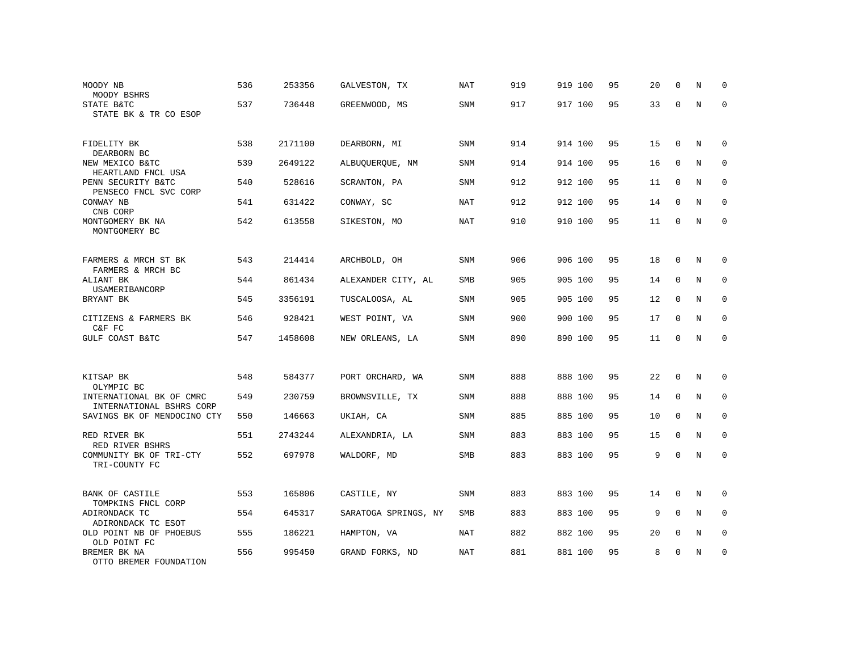| MOODY NB<br>MOODY BSHRS                              | 536 | 253356  | GALVESTON, TX        | NAT        | 919 | 919 100 | 95 | 20 | $\mathbf 0$ | N           | 0            |
|------------------------------------------------------|-----|---------|----------------------|------------|-----|---------|----|----|-------------|-------------|--------------|
| STATE B&TC<br>STATE BK & TR CO ESOP                  | 537 | 736448  | GREENWOOD, MS        | SNM        | 917 | 917 100 | 95 | 33 | $\Omega$    | $\mathbf N$ | $\mathbf 0$  |
| FIDELITY BK<br>DEARBORN BC                           | 538 | 2171100 | DEARBORN, MI         | <b>SNM</b> | 914 | 914 100 | 95 | 15 | $\mathbf 0$ | N           | $\mathbf 0$  |
| NEW MEXICO B&TC<br>HEARTLAND FNCL USA                | 539 | 2649122 | ALBUQUERQUE, NM      | SNM        | 914 | 914 100 | 95 | 16 | $\mathbf 0$ | N           | $\mathbf{0}$ |
| PENN SECURITY B&TC<br>PENSECO FNCL SVC CORP          | 540 | 528616  | SCRANTON, PA         | SNM        | 912 | 912 100 | 95 | 11 | $\mathbf 0$ | N           | 0            |
| CONWAY NB<br>CNB CORP                                | 541 | 631422  | CONWAY, SC           | NAT        | 912 | 912 100 | 95 | 14 | 0           | N           | 0            |
| MONTGOMERY BK NA<br>MONTGOMERY BC                    | 542 | 613558  | SIKESTON, MO         | NAT        | 910 | 910 100 | 95 | 11 | $\mathbf 0$ | $\rm N$     | $\mathbf 0$  |
| FARMERS & MRCH ST BK<br>FARMERS & MRCH BC            | 543 | 214414  | ARCHBOLD, OH         | <b>SNM</b> | 906 | 906 100 | 95 | 18 | $\mathbf 0$ | N           | 0            |
| ALIANT BK<br>USAMERIBANCORP                          | 544 | 861434  | ALEXANDER CITY, AL   | <b>SMB</b> | 905 | 905 100 | 95 | 14 | $\mathbf 0$ | N           | $\mathbf 0$  |
| BRYANT BK                                            | 545 | 3356191 | TUSCALOOSA, AL       | SNM        | 905 | 905 100 | 95 | 12 | $\mathbf 0$ | N           | $\mathbf 0$  |
| CITIZENS & FARMERS BK<br>C&F FC                      | 546 | 928421  | WEST POINT, VA       | SNM        | 900 | 900 100 | 95 | 17 | 0           | N           | 0            |
| GULF COAST B&TC                                      | 547 | 1458608 | NEW ORLEANS, LA      | SNM        | 890 | 890 100 | 95 | 11 | $\mathbf 0$ | $\rm N$     | $\mathbf 0$  |
| KITSAP BK<br>OLYMPIC BC                              | 548 | 584377  | PORT ORCHARD, WA     | <b>SNM</b> | 888 | 888 100 | 95 | 22 | $\mathbf 0$ | N           | 0            |
| INTERNATIONAL BK OF CMRC<br>INTERNATIONAL BSHRS CORP | 549 | 230759  | BROWNSVILLE, TX      | <b>SNM</b> | 888 | 888 100 | 95 | 14 | $\mathbf 0$ | N           | $\mathbf{0}$ |
| SAVINGS BK OF MENDOCINO CTY                          | 550 | 146663  | UKIAH, CA            | SNM        | 885 | 885 100 | 95 | 10 | $\mathbf 0$ | N           | $\mathbf 0$  |
| RED RIVER BK<br>RED RIVER BSHRS                      | 551 | 2743244 | ALEXANDRIA, LA       | SNM        | 883 | 883 100 | 95 | 15 | 0           | N           | $\mathbf{0}$ |
| COMMUNITY BK OF TRI-CTY<br>TRI-COUNTY FC             | 552 | 697978  | WALDORF, MD          | SMB        | 883 | 883 100 | 95 | 9  | $\mathbf 0$ | N           | $\mathbf 0$  |
| <b>BANK OF CASTILE</b><br>TOMPKINS FNCL CORP         | 553 | 165806  | CASTILE, NY          | SNM        | 883 | 883 100 | 95 | 14 | $\mathbf 0$ | N           | 0            |
| ADIRONDACK TC<br>ADIRONDACK TC ESOT                  | 554 | 645317  | SARATOGA SPRINGS, NY | SMB        | 883 | 883 100 | 95 | 9  | $\Omega$    | N           | 0            |
| OLD POINT NB OF PHOEBUS<br>OLD POINT FC              | 555 | 186221  | HAMPTON, VA          | NAT        | 882 | 882 100 | 95 | 20 | $\mathbf 0$ | N           | $\mathbf 0$  |
| BREMER BK NA<br>OTTO BREMER FOUNDATION               | 556 | 995450  | GRAND FORKS, ND      | NAT        | 881 | 881 100 | 95 | 8  | 0           | N           | 0            |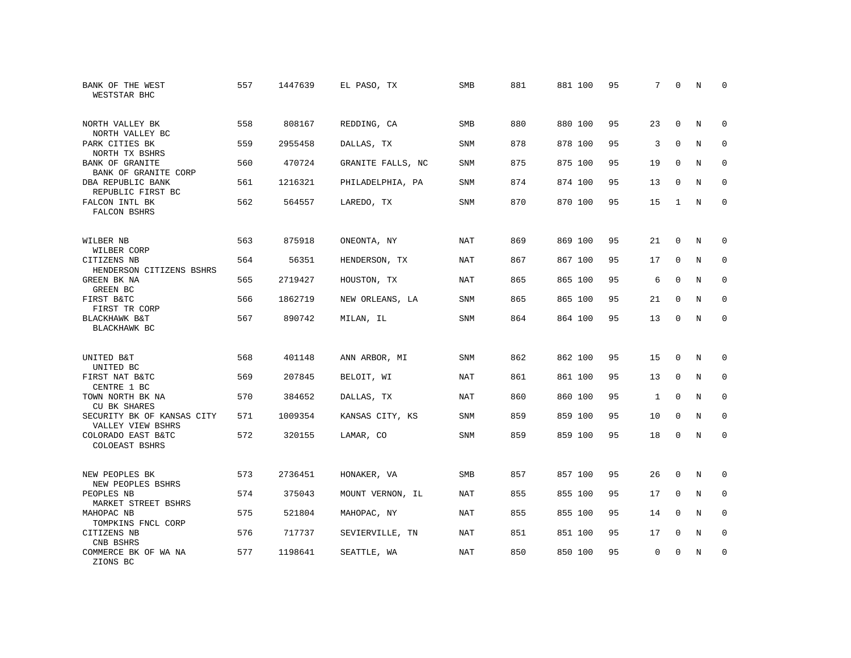| BANK OF THE WEST<br>WESTSTAR BHC                | 557 | 1447639 | EL PASO, TX       | SMB        | 881 | 881 100 | 95 | 7            | $\mathbf 0$ | N          | 0           |
|-------------------------------------------------|-----|---------|-------------------|------------|-----|---------|----|--------------|-------------|------------|-------------|
| NORTH VALLEY BK<br>NORTH VALLEY BC              | 558 | 808167  | REDDING, CA       | <b>SMB</b> | 880 | 880 100 | 95 | 23           | $\Omega$    | N          | $\Omega$    |
| PARK CITIES BK<br>NORTH TX BSHRS                | 559 | 2955458 | DALLAS, TX        | SNM        | 878 | 878 100 | 95 | 3            | $\mathbf 0$ | N          | 0           |
| <b>BANK OF GRANITE</b><br>BANK OF GRANITE CORP  | 560 | 470724  | GRANITE FALLS, NC | <b>SNM</b> | 875 | 875 100 | 95 | 19           | $\mathbf 0$ | N          | $\mathbf 0$ |
| DBA REPUBLIC BANK<br>REPUBLIC FIRST BC          | 561 | 1216321 | PHILADELPHIA, PA  | <b>SNM</b> | 874 | 874 100 | 95 | 13           | $\Omega$    | $_{\rm N}$ | $\mathbf 0$ |
| FALCON INTL BK<br>FALCON BSHRS                  | 562 | 564557  | LAREDO, TX        | SNM        | 870 | 870 100 | 95 | 15           | 1           | N          | $\mathbf 0$ |
| WILBER NB<br>WILBER CORP                        | 563 | 875918  | ONEONTA, NY       | <b>NAT</b> | 869 | 869 100 | 95 | 21           | $\mathbf 0$ | N          | 0           |
| CITIZENS NB<br>HENDERSON CITIZENS BSHRS         | 564 | 56351   | HENDERSON, TX     | <b>NAT</b> | 867 | 867 100 | 95 | 17           | $\mathbf 0$ | N          | 0           |
| GREEN BK NA<br><b>GREEN BC</b>                  | 565 | 2719427 | HOUSTON, TX       | <b>NAT</b> | 865 | 865 100 | 95 | 6            | $\Omega$    | N          | $\mathbf 0$ |
| FIRST B&TC<br>FIRST TR CORP                     | 566 | 1862719 | NEW ORLEANS, LA   | SNM        | 865 | 865 100 | 95 | 21           | $\mathbf 0$ | N          | 0           |
| BLACKHAWK B&T<br>BLACKHAWK BC                   | 567 | 890742  | MILAN, IL         | SNM        | 864 | 864 100 | 95 | 13           | 0           | N          | $\mathbf 0$ |
| UNITED B&T<br>UNITED BC                         | 568 | 401148  | ANN ARBOR, MI     | SNM        | 862 | 862 100 | 95 | 15           | $\mathbf 0$ | N          | 0           |
| FIRST NAT B&TC<br>CENTRE 1 BC                   | 569 | 207845  | BELOIT, WI        | <b>NAT</b> | 861 | 861 100 | 95 | 13           | $\mathbf 0$ | N          | $\mathbf 0$ |
| TOWN NORTH BK NA<br>CU BK SHARES                | 570 | 384652  | DALLAS, TX        | <b>NAT</b> | 860 | 860 100 | 95 | $\mathbf{1}$ | $\Omega$    | N          | $\mathbf 0$ |
| SECURITY BK OF KANSAS CITY<br>VALLEY VIEW BSHRS | 571 | 1009354 | KANSAS CITY, KS   | SNM        | 859 | 859 100 | 95 | 10           | $\mathbf 0$ | N          | 0           |
| COLORADO EAST B&TC<br><b>COLOEAST BSHRS</b>     | 572 | 320155  | LAMAR, CO         | SNM        | 859 | 859 100 | 95 | 18           | 0           | N          | $\mathbf 0$ |
| NEW PEOPLES BK<br>NEW PEOPLES BSHRS             | 573 | 2736451 | HONAKER, VA       | SMB        | 857 | 857 100 | 95 | 26           | $\mathbf 0$ | N          | 0           |
| PEOPLES NB<br>MARKET STREET BSHRS               | 574 | 375043  | MOUNT VERNON, IL  | <b>NAT</b> | 855 | 855 100 | 95 | 17           | $\mathbf 0$ | N          | $\mathbf 0$ |
| MAHOPAC NB<br>TOMPKINS FNCL CORP                | 575 | 521804  | MAHOPAC, NY       | <b>NAT</b> | 855 | 855 100 | 95 | 14           | $\mathbf 0$ | N          | 0           |
| CITIZENS NB<br>CNB BSHRS                        | 576 | 717737  | SEVIERVILLE, TN   | <b>NAT</b> | 851 | 851 100 | 95 | 17           | $\mathbf 0$ | N          | 0           |
| COMMERCE BK OF WA NA<br>ZIONS BC                | 577 | 1198641 | SEATTLE, WA       | <b>NAT</b> | 850 | 850 100 | 95 | $\mathbf 0$  | $\Omega$    | N          | $\mathbf 0$ |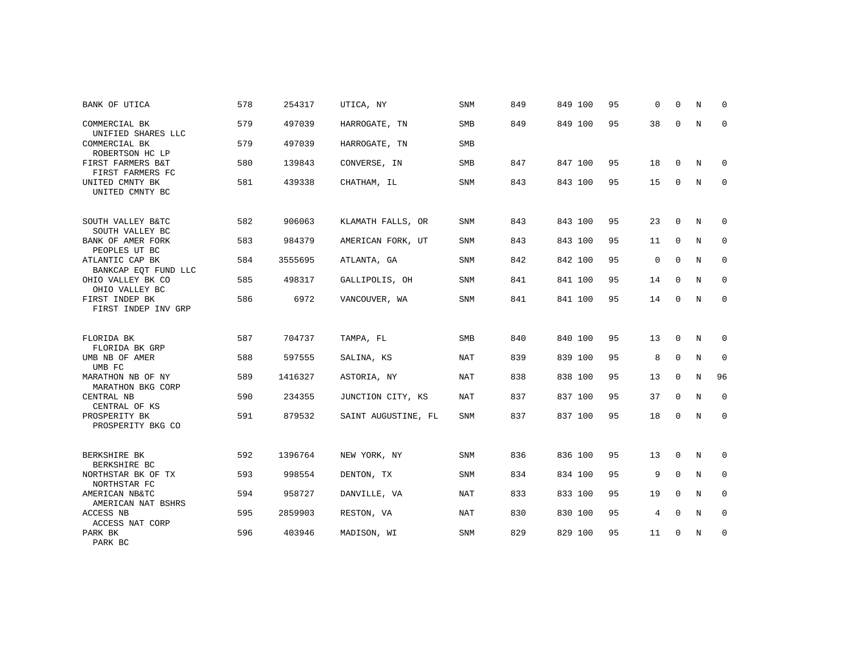| BANK OF UTICA                           | 578 | 254317  | UTICA, NY           | <b>SNM</b> | 849 | 849 100 | 95 | $\Omega$ | $\Omega$    | N           | 0           |
|-----------------------------------------|-----|---------|---------------------|------------|-----|---------|----|----------|-------------|-------------|-------------|
| COMMERCIAL BK<br>UNIFIED SHARES LLC     | 579 | 497039  | HARROGATE, TN       | SMB        | 849 | 849 100 | 95 | 38       | 0           | $\mathbf N$ | $\mathbf 0$ |
| COMMERCIAL BK<br>ROBERTSON HC LP        | 579 | 497039  | HARROGATE, TN       | <b>SMB</b> |     |         |    |          |             |             |             |
| FIRST FARMERS B&T<br>FIRST FARMERS FC   | 580 | 139843  | CONVERSE, IN        | SMB        | 847 | 847 100 | 95 | 18       | $\mathbf 0$ | N           | $\Omega$    |
| UNITED CMNTY BK<br>UNITED CMNTY BC      | 581 | 439338  | CHATHAM, IL         | <b>SNM</b> | 843 | 843 100 | 95 | 15       | $\mathbf 0$ | $\mathbf N$ | $\mathbf 0$ |
| SOUTH VALLEY B&TC<br>SOUTH VALLEY BC    | 582 | 906063  | KLAMATH FALLS, OR   | SNM        | 843 | 843 100 | 95 | 23       | 0           | N           | 0           |
| BANK OF AMER FORK<br>PEOPLES UT BC      | 583 | 984379  | AMERICAN FORK, UT   | <b>SNM</b> | 843 | 843 100 | 95 | 11       | $\mathbf 0$ | $\mathbf N$ | $\mathbf 0$ |
| ATLANTIC CAP BK<br>BANKCAP EQT FUND LLC | 584 | 3555695 | ATLANTA, GA         | SNM        | 842 | 842 100 | 95 | 0        | $\mathbf 0$ | N           | 0           |
| OHIO VALLEY BK CO<br>OHIO VALLEY BC     | 585 | 498317  | GALLIPOLIS, OH      | <b>SNM</b> | 841 | 841 100 | 95 | 14       | $\mathbf 0$ | N           | $\mathbf 0$ |
| FIRST INDEP BK<br>FIRST INDEP INV GRP   | 586 | 6972    | VANCOUVER, WA       | <b>SNM</b> | 841 | 841 100 | 95 | 14       | 0           | N           | 0           |
| FLORIDA BK<br>FLORIDA BK GRP            | 587 | 704737  | TAMPA, FL           | <b>SMB</b> | 840 | 840 100 | 95 | 13       | $\Omega$    | N           | $\Omega$    |
| UMB NB OF AMER<br>UMB FC                | 588 | 597555  | SALINA, KS          | NAT        | 839 | 839 100 | 95 | 8        | $\mathbf 0$ | N           | 0           |
| MARATHON NB OF NY<br>MARATHON BKG CORP  | 589 | 1416327 | ASTORIA, NY         | <b>NAT</b> | 838 | 838 100 | 95 | 13       | 0           | $\rm N$     | 96          |
| CENTRAL NB<br>CENTRAL OF KS             | 590 | 234355  | JUNCTION CITY, KS   | NAT        | 837 | 837 100 | 95 | 37       | $\mathbf 0$ | N           | 0           |
| PROSPERITY BK<br>PROSPERITY BKG CO      | 591 | 879532  | SAINT AUGUSTINE, FL | <b>SNM</b> | 837 | 837 100 | 95 | 18       | 0           | N           | $\mathbf 0$ |
| BERKSHIRE BK<br>BERKSHIRE BC            | 592 | 1396764 | NEW YORK, NY        | <b>SNM</b> | 836 | 836 100 | 95 | 13       | 0           | N           | 0           |
| NORTHSTAR BK OF TX<br>NORTHSTAR FC      | 593 | 998554  | DENTON, TX          | <b>SNM</b> | 834 | 834 100 | 95 | 9        | $\Omega$    | $_{\rm N}$  | $\mathbf 0$ |
| AMERICAN NB&TC<br>AMERICAN NAT BSHRS    | 594 | 958727  | DANVILLE, VA        | NAT        | 833 | 833 100 | 95 | 19       | 0           | N           | 0           |
| ACCESS NB<br>ACCESS NAT CORP            | 595 | 2859903 | RESTON, VA          | <b>NAT</b> | 830 | 830 100 | 95 | 4        | $\Omega$    | N           | $\mathbf 0$ |
| PARK BK<br>PARK BC                      | 596 | 403946  | MADISON, WI         | SNM        | 829 | 829 100 | 95 | 11       | 0           | N           | 0           |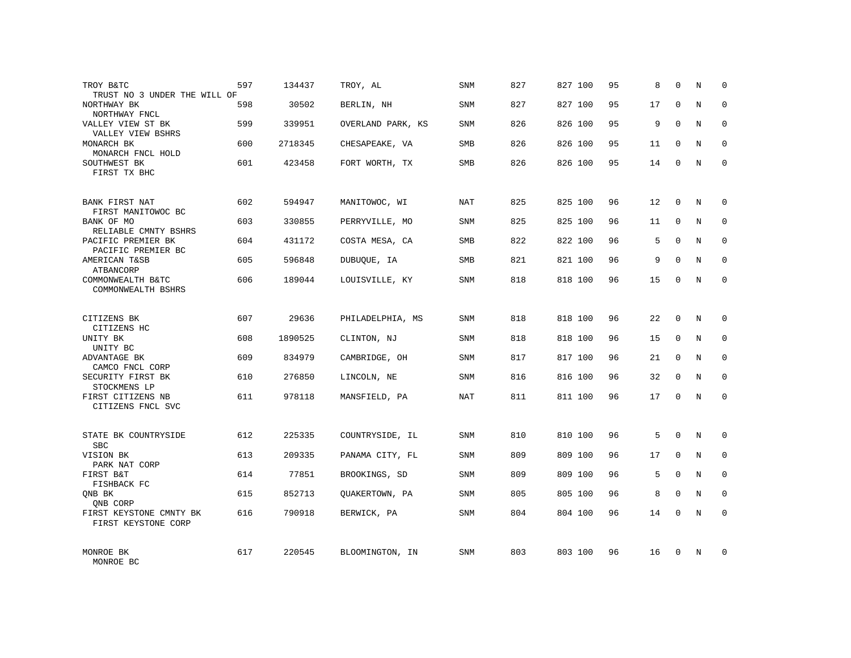| TROY B&TC<br>TRUST NO 3 UNDER THE WILL OF      | 597 | 134437  | TROY, AL          | SNM        | 827 | 827 100 | 95 | 8  | $\Omega$    | N          | $\mathbf 0$  |
|------------------------------------------------|-----|---------|-------------------|------------|-----|---------|----|----|-------------|------------|--------------|
| NORTHWAY BK<br>NORTHWAY FNCL                   | 598 | 30502   | BERLIN, NH        | SNM        | 827 | 827 100 | 95 | 17 | $\Omega$    | N          | $\mathbf{0}$ |
| VALLEY VIEW ST BK<br>VALLEY VIEW BSHRS         | 599 | 339951  | OVERLAND PARK, KS | SNM        | 826 | 826 100 | 95 | 9  | $\Omega$    | N          | 0            |
| MONARCH BK<br>MONARCH FNCL HOLD                | 600 | 2718345 | CHESAPEAKE, VA    | SMB        | 826 | 826 100 | 95 | 11 | $\Omega$    | N          | $\mathbf{0}$ |
| SOUTHWEST BK<br>FIRST TX BHC                   | 601 | 423458  | FORT WORTH, TX    | SMB        | 826 | 826 100 | 95 | 14 | 0           | N          | 0            |
| BANK FIRST NAT<br>FIRST MANITOWOC BC           | 602 | 594947  | MANITOWOC, WI     | <b>NAT</b> | 825 | 825 100 | 96 | 12 | $\mathbf 0$ | N          | $\mathbf{0}$ |
| BANK OF MO<br>RELIABLE CMNTY BSHRS             | 603 | 330855  | PERRYVILLE, MO    | SNM        | 825 | 825 100 | 96 | 11 | 0           | N          | $\mathbf 0$  |
| PACIFIC PREMIER BK<br>PACIFIC PREMIER BC       | 604 | 431172  | COSTA MESA, CA    | <b>SMB</b> | 822 | 822 100 | 96 | 5  | $\mathbf 0$ | N          | $\mathbf 0$  |
| AMERICAN T&SB<br>ATBANCORP                     | 605 | 596848  | DUBUQUE, IA       | <b>SMB</b> | 821 | 821 100 | 96 | 9  | $\Omega$    | N          | $\mathbf{0}$ |
| COMMONWEALTH B&TC<br>COMMONWEALTH BSHRS        | 606 | 189044  | LOUISVILLE, KY    | SNM        | 818 | 818 100 | 96 | 15 | $\mathbf 0$ | N          | $\mathbf 0$  |
| CITIZENS BK<br>CITIZENS HC                     | 607 | 29636   | PHILADELPHIA, MS  | SNM        | 818 | 818 100 | 96 | 22 | $\Omega$    | N          | $\Omega$     |
| UNITY BK<br>UNITY BC                           | 608 | 1890525 | CLINTON, NJ       | SNM        | 818 | 818 100 | 96 | 15 | $\mathbf 0$ | N          | $\mathbf{0}$ |
| ADVANTAGE BK<br>CAMCO FNCL CORP                | 609 | 834979  | CAMBRIDGE, OH     | SNM        | 817 | 817 100 | 96 | 21 | $\Omega$    | N          | $\Omega$     |
| SECURITY FIRST BK<br>STOCKMENS LP              | 610 | 276850  | LINCOLN, NE       | SNM        | 816 | 816 100 | 96 | 32 | $\mathbf 0$ | N          | $\mathbf{0}$ |
| FIRST CITIZENS NB<br>CITIZENS FNCL SVC         | 611 | 978118  | MANSFIELD, PA     | <b>NAT</b> | 811 | 811 100 | 96 | 17 | $\Omega$    | N          | $\Omega$     |
| STATE BK COUNTRYSIDE<br><b>SBC</b>             | 612 | 225335  | COUNTRYSIDE, IL   | <b>SNM</b> | 810 | 810 100 | 96 | 5  | $\Omega$    | $_{\rm N}$ | $\Omega$     |
| VISION BK<br>PARK NAT CORP                     | 613 | 209335  | PANAMA CITY, FL   | SNM        | 809 | 809 100 | 96 | 17 | 0           | N          | $\mathbf 0$  |
| FIRST B&T<br>FISHBACK FC                       | 614 | 77851   | BROOKINGS, SD     | SNM        | 809 | 809 100 | 96 | 5  | $\Omega$    | $_{\rm N}$ | $\mathbf 0$  |
| ONB BK<br>QNB CORP                             | 615 | 852713  | QUAKERTOWN, PA    | SNM        | 805 | 805 100 | 96 | 8  | 0           | N          | $\mathbf 0$  |
| FIRST KEYSTONE CMNTY BK<br>FIRST KEYSTONE CORP | 616 | 790918  | BERWICK, PA       | <b>SNM</b> | 804 | 804 100 | 96 | 14 | $\Omega$    | N          | $\mathbf{0}$ |
| MONROE BK<br>MONROE BC                         | 617 | 220545  | BLOOMINGTON, IN   | <b>SNM</b> | 803 | 803 100 | 96 | 16 | $\Omega$    | N          | $\Omega$     |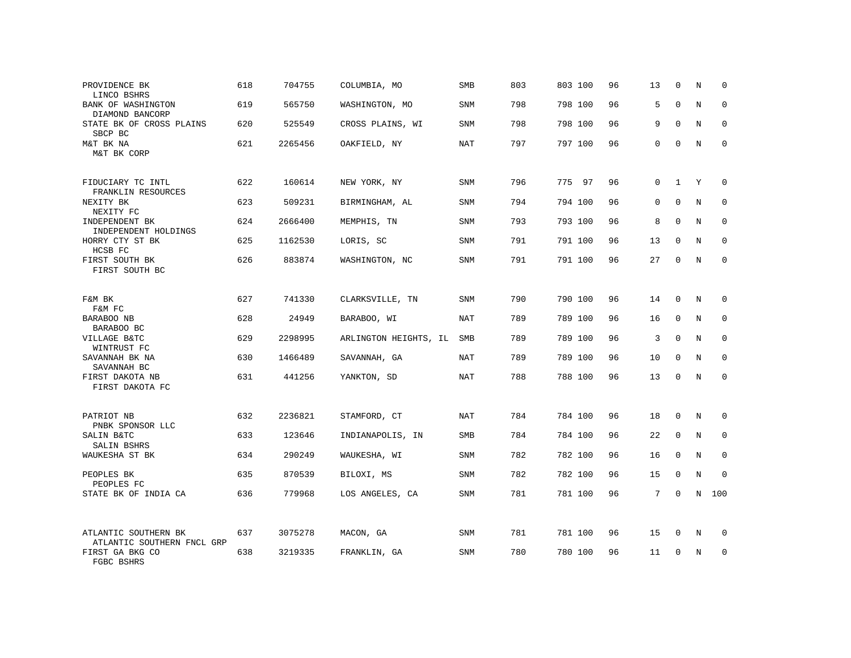| PROVIDENCE BK<br>LINCO BSHRS                                | 618 | 704755  | COLUMBIA, MO          | SMB        | 803 | 803 100 | 96 | 13           | $\mathbf 0$  | N | 0           |
|-------------------------------------------------------------|-----|---------|-----------------------|------------|-----|---------|----|--------------|--------------|---|-------------|
| BANK OF WASHINGTON<br>DIAMOND BANCORP                       | 619 | 565750  | WASHINGTON, MO        | SNM        | 798 | 798 100 | 96 | 5            | $\Omega$     | N | $\mathbf 0$ |
| STATE BK OF CROSS PLAINS<br>SBCP BC                         | 620 | 525549  | CROSS PLAINS, WI      | SNM        | 798 | 798 100 | 96 | 9            | $\Omega$     | N | 0           |
| M&T BK NA<br>M&T BK CORP                                    | 621 | 2265456 | OAKFIELD, NY          | <b>NAT</b> | 797 | 797 100 | 96 | $\Omega$     | $\Omega$     | N | $\mathbf 0$ |
| FIDUCIARY TC INTL<br>FRANKLIN RESOURCES                     | 622 | 160614  | NEW YORK, NY          | SNM        | 796 | 775 97  | 96 | $\mathbf{0}$ | $\mathbf{1}$ | Y | $\Omega$    |
| NEXITY BK<br>NEXITY FC                                      | 623 | 509231  | BIRMINGHAM, AL        | SNM        | 794 | 794 100 | 96 | $\mathbf 0$  | $\mathbf 0$  | N | $\mathbf 0$ |
| INDEPENDENT BK<br>INDEPENDENT HOLDINGS                      | 624 | 2666400 | MEMPHIS, TN           | SNM        | 793 | 793 100 | 96 | 8            | $\Omega$     | N | $\mathbf 0$ |
| HORRY CTY ST BK<br>HCSB FC                                  | 625 | 1162530 | LORIS, SC             | SNM        | 791 | 791 100 | 96 | 13           | $\mathbf 0$  | N | $\mathbf 0$ |
| FIRST SOUTH BK<br>FIRST SOUTH BC                            | 626 | 883874  | WASHINGTON, NC        | SNM        | 791 | 791 100 | 96 | 27           | $\Omega$     | N | $\mathbf 0$ |
| F&M BK<br>F&M FC                                            | 627 | 741330  | CLARKSVILLE, TN       | SNM        | 790 | 790 100 | 96 | 14           | $\mathbf 0$  | N | 0           |
| BARABOO NB<br>BARABOO BC                                    | 628 | 24949   | BARABOO, WI           | <b>NAT</b> | 789 | 789 100 | 96 | 16           | $\Omega$     | N | $\Omega$    |
| VILLAGE B&TC<br>WINTRUST FC                                 | 629 | 2298995 | ARLINGTON HEIGHTS, IL | SMB        | 789 | 789 100 | 96 | 3            | $\mathbf 0$  | N | $\mathbf 0$ |
| SAVANNAH BK NA<br>SAVANNAH BC                               | 630 | 1466489 | SAVANNAH, GA          | NAT        | 789 | 789 100 | 96 | 10           | $\Omega$     | N | $\Omega$    |
| FIRST DAKOTA NB<br>FIRST DAKOTA FC                          | 631 | 441256  | YANKTON, SD           | <b>NAT</b> | 788 | 788 100 | 96 | 13           | 0            | N | $\mathbf 0$ |
| PATRIOT NB                                                  | 632 | 2236821 | STAMFORD, CT          | NAT        | 784 | 784 100 | 96 | 18           | 0            | N | 0           |
| PNBK SPONSOR LLC<br>SALIN B&TC<br>SALIN BSHRS               | 633 | 123646  | INDIANAPOLIS, IN      | <b>SMB</b> | 784 | 784 100 | 96 | 22           | $\mathbf 0$  | N | $\mathbf 0$ |
| WAUKESHA ST BK                                              | 634 | 290249  | WAUKESHA, WI          | SNM        | 782 | 782 100 | 96 | 16           | $\mathbf 0$  | N | 0           |
| PEOPLES BK<br>PEOPLES FC                                    | 635 | 870539  | BILOXI, MS            | <b>SNM</b> | 782 | 782 100 | 96 | 15           | $\mathbf 0$  | N | $\mathbf 0$ |
| STATE BK OF INDIA CA                                        | 636 | 779968  | LOS ANGELES, CA       | SNM        | 781 | 781 100 | 96 | 7            | 0            | N | 100         |
| ATLANTIC SOUTHERN BK                                        | 637 | 3075278 | MACON, GA             | SNM        | 781 | 781 100 | 96 | 15           | $\mathbf 0$  | N | 0           |
| ATLANTIC SOUTHERN FNCL GRP<br>FIRST GA BKG CO<br>FGBC BSHRS | 638 | 3219335 | FRANKLIN, GA          | SNM        | 780 | 780 100 | 96 | 11           | $\Omega$     | N | $\mathbf 0$ |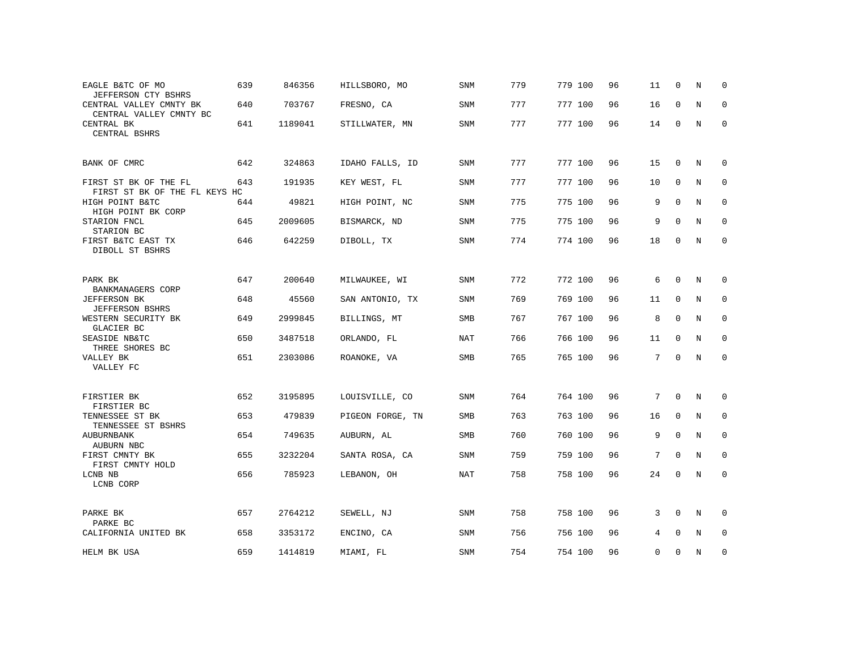| EAGLE B&TC OF MO<br>JEFFERSON CTY BSHRS                | 639 | 846356  | HILLSBORO, MO    | SNM        | 779 | 779 100 | 96 | 11 | $\mathbf 0$  | N           | $\Omega$     |
|--------------------------------------------------------|-----|---------|------------------|------------|-----|---------|----|----|--------------|-------------|--------------|
| CENTRAL VALLEY CMNTY BK<br>CENTRAL VALLEY CMNTY BC     | 640 | 703767  | FRESNO, CA       | <b>SNM</b> | 777 | 777 100 | 96 | 16 | $\mathbf 0$  | $\mathbf N$ | $\mathbf{0}$ |
| CENTRAL BK<br>CENTRAL BSHRS                            | 641 | 1189041 | STILLWATER, MN   | SNM        | 777 | 777 100 | 96 | 14 | 0            | N           | $\mathbf 0$  |
| BANK OF CMRC                                           | 642 | 324863  | IDAHO FALLS, ID  | SNM        | 777 | 777 100 | 96 | 15 | $\Omega$     | N           | 0            |
| FIRST ST BK OF THE FL<br>FIRST ST BK OF THE FL KEYS HC | 643 | 191935  | KEY WEST, FL     | SNM        | 777 | 777 100 | 96 | 10 | $\mathbf 0$  | N           | $\mathbf 0$  |
| HIGH POINT B&TC<br>HIGH POINT BK CORP                  | 644 | 49821   | HIGH POINT, NC   | SNM        | 775 | 775 100 | 96 | 9  | $\Omega$     | N           | $\mathbf 0$  |
| STARION FNCL<br>STARION BC                             | 645 | 2009605 | BISMARCK, ND     | SNM        | 775 | 775 100 | 96 | 9  | 0            | N           | 0            |
| FIRST B&TC EAST TX<br>DIBOLL ST BSHRS                  | 646 | 642259  | DIBOLL, TX       | <b>SNM</b> | 774 | 774 100 | 96 | 18 | 0            | N           | $\mathbf 0$  |
| PARK BK                                                | 647 | 200640  | MILWAUKEE, WI    | SNM        | 772 | 772 100 | 96 | 6  | $\mathbf 0$  | N           | 0            |
| BANKMANAGERS CORP<br><b>JEFFERSON BK</b>               | 648 | 45560   | SAN ANTONIO, TX  | SNM        | 769 | 769 100 | 96 | 11 | $\mathbf 0$  | N           | 0            |
| JEFFERSON BSHRS<br>WESTERN SECURITY BK<br>GLACIER BC   | 649 | 2999845 | BILLINGS, MT     | SMB        | 767 | 767 100 | 96 | 8  | $\mathbf 0$  | N           | 0            |
| SEASIDE NB&TC<br>THREE SHORES BC                       | 650 | 3487518 | ORLANDO, FL      | <b>NAT</b> | 766 | 766 100 | 96 | 11 | $\mathbf 0$  | N           | $\mathbf 0$  |
| VALLEY BK<br>VALLEY FC                                 | 651 | 2303086 | ROANOKE, VA      | SMB        | 765 | 765 100 | 96 | 7  | $\mathbf 0$  | N           | $\mathbf 0$  |
| FIRSTIER BK<br>FIRSTIER BC                             | 652 | 3195895 | LOUISVILLE, CO   | <b>SNM</b> | 764 | 764 100 | 96 | 7  | $\mathbf{0}$ | N           | 0            |
| TENNESSEE ST BK<br>TENNESSEE ST BSHRS                  | 653 | 479839  | PIGEON FORGE, TN | <b>SMB</b> | 763 | 763 100 | 96 | 16 | $\mathbf{0}$ | N           | 0            |
| AUBURNBANK<br>AUBURN NBC                               | 654 | 749635  | AUBURN, AL       | SMB        | 760 | 760 100 | 96 | 9  | $\mathbf 0$  | $\mathbf N$ | $\mathbf 0$  |
| FIRST CMNTY BK<br>FIRST CMNTY HOLD                     | 655 | 3232204 | SANTA ROSA, CA   | SNM        | 759 | 759 100 | 96 | 7  | $\mathbf{0}$ | N           | 0            |
| LCNB NB<br>LCNB CORP                                   | 656 | 785923  | LEBANON, OH      | NAT        | 758 | 758 100 | 96 | 24 | $\mathbf 0$  | N           | 0            |
| PARKE BK<br>PARKE BC                                   | 657 | 2764212 | SEWELL, NJ       | SNM        | 758 | 758 100 | 96 | 3  | $\mathbf 0$  | N           | 0            |
| CALIFORNIA UNITED BK                                   | 658 | 3353172 | ENCINO, CA       | SNM        | 756 | 756 100 | 96 | 4  | $\mathbf 0$  | N           | $\mathbf 0$  |
| HELM BK USA                                            | 659 | 1414819 | MIAMI, FL        | SNM        | 754 | 754 100 | 96 | 0  | 0            | N           | $\mathbf 0$  |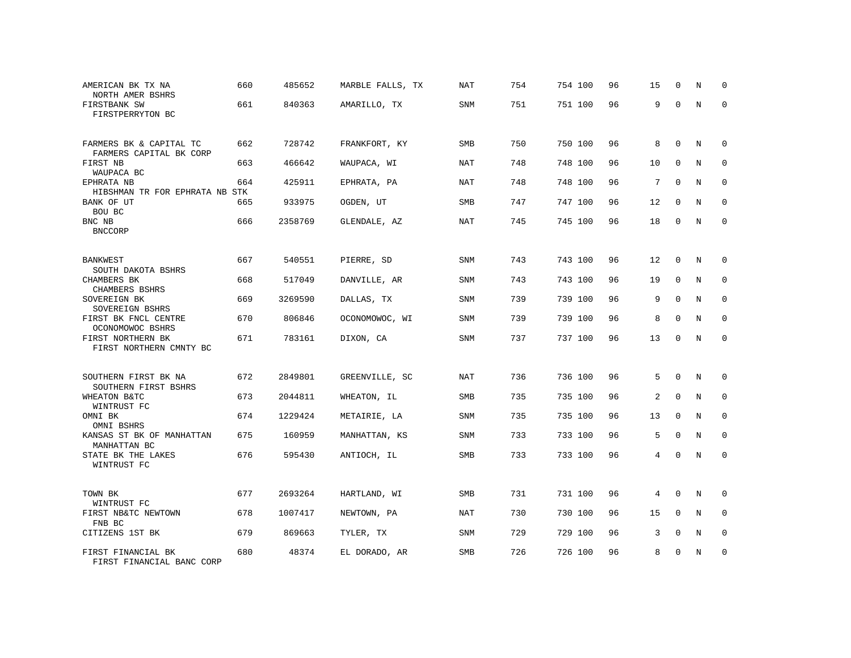| AMERICAN BK TX NA<br>NORTH AMER BSHRS              | 660 | 485652  | MARBLE FALLS, TX | NAT        | 754 | 754 100 | 96 | 15             | $\mathbf 0$ | N | $\Omega$    |
|----------------------------------------------------|-----|---------|------------------|------------|-----|---------|----|----------------|-------------|---|-------------|
| FIRSTBANK SW<br>FIRSTPERRYTON BC                   | 661 | 840363  | AMARILLO, TX     | SNM        | 751 | 751 100 | 96 | 9              | 0           | N | 0           |
| FARMERS BK & CAPITAL TC<br>FARMERS CAPITAL BK CORP | 662 | 728742  | FRANKFORT, KY    | SMB        | 750 | 750 100 | 96 | 8              | $\mathbf 0$ | N | $\mathbf 0$ |
| FIRST NB<br>WAUPACA BC                             | 663 | 466642  | WAUPACA, WI      | <b>NAT</b> | 748 | 748 100 | 96 | 10             | $\mathbf 0$ | N | $\mathbf 0$ |
| EPHRATA NB<br>HIBSHMAN TR FOR EPHRATA NB STK       | 664 | 425911  | EPHRATA, PA      | <b>NAT</b> | 748 | 748 100 | 96 | 7              | $\mathbf 0$ | N | $\mathbf 0$ |
| BANK OF UT<br>BOU BC                               | 665 | 933975  | OGDEN, UT        | SMB        | 747 | 747 100 | 96 | 12             | $\mathbf 0$ | N | $\mathbf 0$ |
| BNC NB<br><b>BNCCORP</b>                           | 666 | 2358769 | GLENDALE, AZ     | <b>NAT</b> | 745 | 745 100 | 96 | 18             | $\mathbf 0$ | N | $\mathbf 0$ |
| BANKWEST<br>SOUTH DAKOTA BSHRS                     | 667 | 540551  | PIERRE, SD       | SNM        | 743 | 743 100 | 96 | 12             | 0           | N | 0           |
| CHAMBERS BK<br>CHAMBERS BSHRS                      | 668 | 517049  | DANVILLE, AR     | SNM        | 743 | 743 100 | 96 | 19             | $\mathbf 0$ | N | 0           |
| SOVEREIGN BK<br>SOVEREIGN BSHRS                    | 669 | 3269590 | DALLAS, TX       | SNM        | 739 | 739 100 | 96 | 9              | $\mathbf 0$ | N | $\mathbf 0$ |
| FIRST BK FNCL CENTRE<br>OCONOMOWOC BSHRS           | 670 | 806846  | OCONOMOWOC, WI   | SNM        | 739 | 739 100 | 96 | 8              | $\mathbf 0$ | N | 0           |
| FIRST NORTHERN BK<br>FIRST NORTHERN CMNTY BC       | 671 | 783161  | DIXON, CA        | SNM        | 737 | 737 100 | 96 | 13             | $\mathbf 0$ | N | $\mathbf 0$ |
| SOUTHERN FIRST BK NA<br>SOUTHERN FIRST BSHRS       | 672 | 2849801 | GREENVILLE, SC   | <b>NAT</b> | 736 | 736 100 | 96 | 5              | $\mathbf 0$ | N | $\mathbf 0$ |
| WHEATON B&TC<br>WINTRUST FC                        | 673 | 2044811 | WHEATON, IL      | SMB        | 735 | 735 100 | 96 | 2              | $\mathbf 0$ | N | $\mathbf 0$ |
| OMNI BK<br>OMNI BSHRS                              | 674 | 1229424 | METAIRIE, LA     | SNM        | 735 | 735 100 | 96 | 13             | $\Omega$    | N | $\mathbf 0$ |
| KANSAS ST BK OF MANHATTAN<br>MANHATTAN BC          | 675 | 160959  | MANHATTAN, KS    | <b>SNM</b> | 733 | 733 100 | 96 | 5              | $\Omega$    | N | $\mathbf 0$ |
| STATE BK THE LAKES<br>WINTRUST FC                  | 676 | 595430  | ANTIOCH, IL      | SMB        | 733 | 733 100 | 96 | $\overline{4}$ | $\mathbf 0$ | N | $\mathbf 0$ |
| TOWN BK<br>WINTRUST FC                             | 677 | 2693264 | HARTLAND, WI     | SMB        | 731 | 731 100 | 96 | 4              | $\mathbf 0$ | N | 0           |
| FIRST NB&TC NEWTOWN<br>FNB BC                      | 678 | 1007417 | NEWTOWN, PA      | <b>NAT</b> | 730 | 730 100 | 96 | 15             | $\mathbf 0$ | N | 0           |
| CITIZENS 1ST BK                                    | 679 | 869663  | TYLER, TX        | SNM        | 729 | 729 100 | 96 | 3              | $\mathbf 0$ | N | 0           |
| FIRST FINANCIAL BK<br>FIRST FINANCIAL BANC CORP    | 680 | 48374   | EL DORADO, AR    | SMB        | 726 | 726 100 | 96 | 8              | 0           | N | 0           |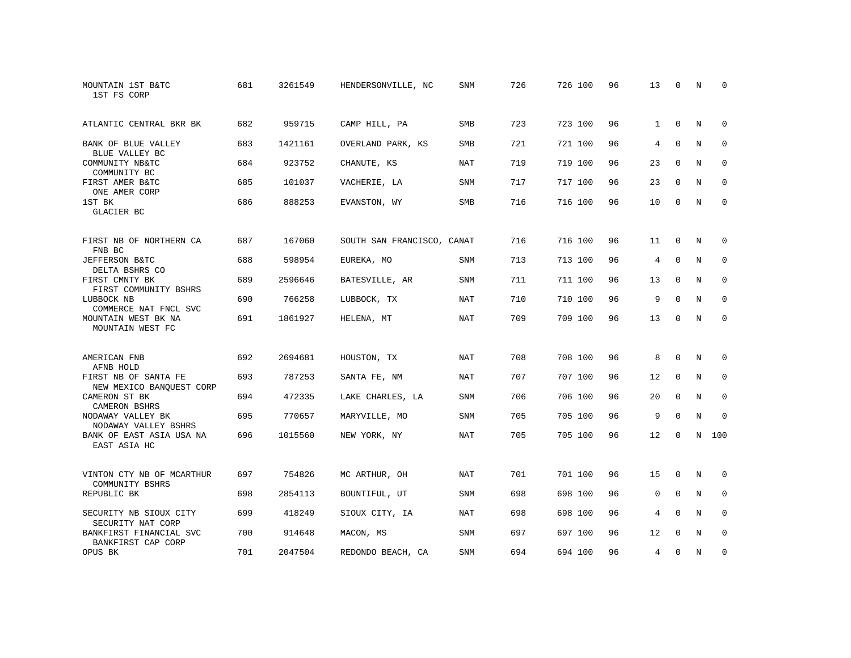| MOUNTAIN 1ST B&TC<br>1ST FS CORP                 | 681 | 3261549 | HENDERSONVILLE, NC         | <b>SNM</b> | 726 | 726 100 | 96 | 13             | $\Omega$    | N           | $\Omega$    |
|--------------------------------------------------|-----|---------|----------------------------|------------|-----|---------|----|----------------|-------------|-------------|-------------|
| ATLANTIC CENTRAL BKR BK                          | 682 | 959715  | CAMP HILL, PA              | <b>SMB</b> | 723 | 723 100 | 96 | $\mathbf{1}$   | $\mathbf 0$ | N           | 0           |
| BANK OF BLUE VALLEY<br>BLUE VALLEY BC            | 683 | 1421161 | OVERLAND PARK, KS          | SMB        | 721 | 721 100 | 96 | $\overline{4}$ | $\Omega$    | $_{\rm N}$  | $\mathbf 0$ |
| COMMUNITY NB&TC<br>COMMUNITY BC                  | 684 | 923752  | CHANUTE, KS                | <b>NAT</b> | 719 | 719 100 | 96 | 23             | $\Omega$    | N           | $\mathbf 0$ |
| FIRST AMER B&TC<br>ONE AMER CORP                 | 685 | 101037  | VACHERIE, LA               | SNM        | 717 | 717 100 | 96 | 23             | $\Omega$    | N           | 0           |
| 1ST BK<br>GLACIER BC                             | 686 | 888253  | EVANSTON, WY               | SMB        | 716 | 716 100 | 96 | 10             | $\Omega$    | N           | $\mathbf 0$ |
| FIRST NB OF NORTHERN CA<br>FNB BC                | 687 | 167060  | SOUTH SAN FRANCISCO, CANAT |            | 716 | 716 100 | 96 | 11             | $\mathbf 0$ | N           | 0           |
| JEFFERSON B&TC<br>DELTA BSHRS CO                 | 688 | 598954  | EUREKA, MO                 | SNM        | 713 | 713 100 | 96 | 4              | $\Omega$    | N           | $\mathbf 0$ |
| FIRST CMNTY BK<br>FIRST COMMUNITY BSHRS          | 689 | 2596646 | BATESVILLE, AR             | SNM        | 711 | 711 100 | 96 | 13             | $\mathbf 0$ | N           | $\mathbf 0$ |
| LUBBOCK NB<br>COMMERCE NAT FNCL SVC              | 690 | 766258  | LUBBOCK, TX                | <b>NAT</b> | 710 | 710 100 | 96 | 9              | $\mathbf 0$ | N           | $\mathbf 0$ |
| MOUNTAIN WEST BK NA<br>MOUNTAIN WEST FC          | 691 | 1861927 | HELENA, MT                 | NAT        | 709 | 709 100 | 96 | 13             | $\Omega$    | N           | $\mathbf 0$ |
| AMERICAN FNB<br>AFNB HOLD                        | 692 | 2694681 | HOUSTON, TX                | NAT        | 708 | 708 100 | 96 | 8              | $\mathbf 0$ | N           | 0           |
| FIRST NB OF SANTA FE<br>NEW MEXICO BANQUEST CORP | 693 | 787253  | SANTA FE, NM               | NAT        | 707 | 707 100 | 96 | 12             | $\Omega$    | N           | 0           |
| CAMERON ST BK<br><b>CAMERON BSHRS</b>            | 694 | 472335  | LAKE CHARLES, LA           | SNM        | 706 | 706 100 | 96 | 20             | $\mathbf 0$ | $\mathbf N$ | $\mathbf 0$ |
| NODAWAY VALLEY BK<br>NODAWAY VALLEY BSHRS        | 695 | 770657  | MARYVILLE, MO              | SNM        | 705 | 705 100 | 96 | 9              | $\mathbf 0$ | N           | $\mathbf 0$ |
| BANK OF EAST ASIA USA NA<br>EAST ASIA HC         | 696 | 1015560 | NEW YORK, NY               | NAT        | 705 | 705 100 | 96 | 12             | 0           | N           | 100         |
| VINTON CTY NB OF MCARTHUR<br>COMMUNITY BSHRS     | 697 | 754826  | MC ARTHUR, OH              | NAT        | 701 | 701 100 | 96 | 15             | $\mathbf 0$ | N           | 0           |
| REPUBLIC BK                                      | 698 | 2854113 | BOUNTIFUL, UT              | SNM        | 698 | 698 100 | 96 | $\mathbf{0}$   | $\mathbf 0$ | N           | $\mathbf 0$ |
| SECURITY NB SIOUX CITY<br>SECURITY NAT CORP      | 699 | 418249  | SIOUX CITY, IA             | <b>NAT</b> | 698 | 698 100 | 96 | 4              | $\Omega$    | $_{\rm N}$  | $\mathbf 0$ |
| BANKFIRST FINANCIAL SVC<br>BANKFIRST CAP CORP    | 700 | 914648  | MACON, MS                  | SNM        | 697 | 697 100 | 96 | 12             | $\Omega$    | N           | 0           |
| OPUS BK                                          | 701 | 2047504 | REDONDO BEACH, CA          | SNM        | 694 | 694 100 | 96 | 4              | 0           | N           | $\mathbf 0$ |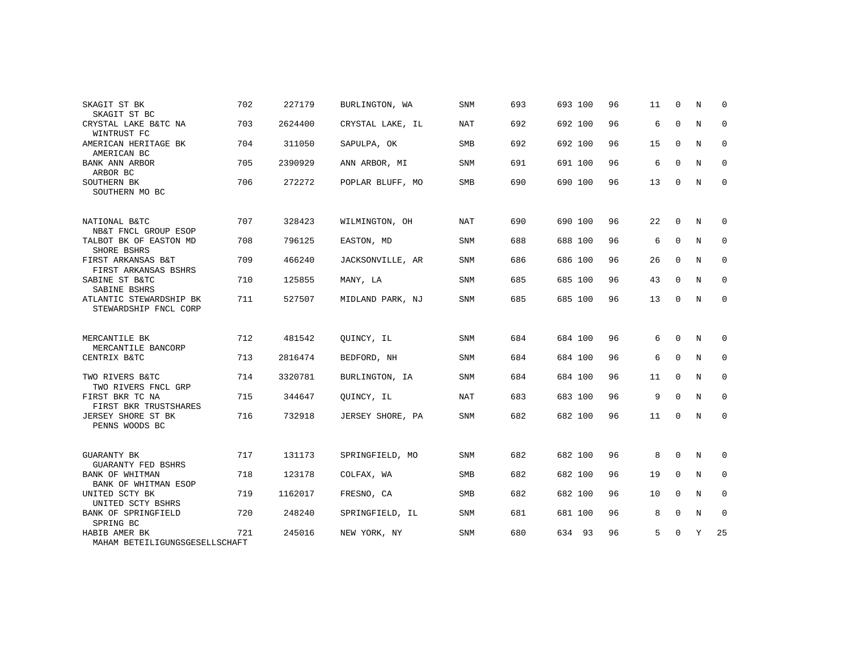| SKAGIT ST BK<br>SKAGIT ST BC                     | 702 | 227179  | BURLINGTON, WA   | <b>SNM</b> | 693 | 693 100 | 96 | 11 | $\Omega$    | N           | $\Omega$    |
|--------------------------------------------------|-----|---------|------------------|------------|-----|---------|----|----|-------------|-------------|-------------|
| CRYSTAL LAKE B&TC NA<br>WINTRUST FC              | 703 | 2624400 | CRYSTAL LAKE, IL | NAT        | 692 | 692 100 | 96 | 6  | $\mathbf 0$ | N           | 0           |
| AMERICAN HERITAGE BK<br>AMERICAN BC              | 704 | 311050  | SAPULPA, OK      | SMB        | 692 | 692 100 | 96 | 15 | $\mathbf 0$ | N           | 0           |
| BANK ANN ARBOR<br>ARBOR BC                       | 705 | 2390929 | ANN ARBOR, MI    | <b>SNM</b> | 691 | 691 100 | 96 | 6  | $\Omega$    | N           | $\mathbf 0$ |
| SOUTHERN BK<br>SOUTHERN MO BC                    | 706 | 272272  | POPLAR BLUFF, MO | SMB        | 690 | 690 100 | 96 | 13 | 0           | N           | $\mathbf 0$ |
| NATIONAL B&TC<br>NB&T FNCL GROUP ESOP            | 707 | 328423  | WILMINGTON, OH   | NAT        | 690 | 690 100 | 96 | 22 | 0           | N           | 0           |
| TALBOT BK OF EASTON MD<br>SHORE BSHRS            | 708 | 796125  | EASTON, MD       | <b>SNM</b> | 688 | 688 100 | 96 | 6  | $\Omega$    | N           | $\mathbf 0$ |
| FIRST ARKANSAS B&T<br>FIRST ARKANSAS BSHRS       | 709 | 466240  | JACKSONVILLE, AR | SNM        | 686 | 686 100 | 96 | 26 | $\mathbf 0$ | N           | 0           |
| SABINE ST B&TC<br>SABINE BSHRS                   | 710 | 125855  | MANY, LA         | <b>SNM</b> | 685 | 685 100 | 96 | 43 | $\mathbf 0$ | N           | $\mathbf 0$ |
| ATLANTIC STEWARDSHIP BK<br>STEWARDSHIP FNCL CORP | 711 | 527507  | MIDLAND PARK, NJ | <b>SNM</b> | 685 | 685 100 | 96 | 13 | $\Omega$    | N           | 0           |
| MERCANTILE BK<br>MERCANTILE BANCORP              | 712 | 481542  | QUINCY, IL       | <b>SNM</b> | 684 | 684 100 | 96 | 6  | $\Omega$    | N           | 0           |
| CENTRIX B&TC                                     | 713 | 2816474 | BEDFORD, NH      | SNM        | 684 | 684 100 | 96 | 6  | $\mathbf 0$ | N           | 0           |
| TWO RIVERS B&TC<br>TWO RIVERS FNCL GRP           | 714 | 3320781 | BURLINGTON, IA   | SNM        | 684 | 684 100 | 96 | 11 | $\mathbf 0$ | N           | $\mathbf 0$ |
| FIRST BKR TC NA<br>FIRST BKR TRUSTSHARES         | 715 | 344647  | QUINCY, IL       | NAT        | 683 | 683 100 | 96 | 9  | $\Omega$    | N           | 0           |
| JERSEY SHORE ST BK<br>PENNS WOODS BC             | 716 | 732918  | JERSEY SHORE, PA | SNM        | 682 | 682 100 | 96 | 11 | 0           | N           | $\mathbf 0$ |
| <b>GUARANTY BK</b><br><b>GUARANTY FED BSHRS</b>  | 717 | 131173  | SPRINGFIELD, MO  | SNM        | 682 | 682 100 | 96 | 8  | $\Omega$    | N           | 0           |
| BANK OF WHITMAN<br>BANK OF WHITMAN ESOP          | 718 | 123178  | COLFAX, WA       | SMB        | 682 | 682 100 | 96 | 19 | $\Omega$    | N           | 0           |
| UNITED SCTY BK<br>UNITED SCTY BSHRS              | 719 | 1162017 | FRESNO, CA       | <b>SMB</b> | 682 | 682 100 | 96 | 10 | $\Omega$    | $\mathbf N$ | $\mathbf 0$ |
| BANK OF SPRINGFIELD<br>SPRING BC                 | 720 | 248240  | SPRINGFIELD, IL  | <b>SNM</b> | 681 | 681 100 | 96 | 8  | $\mathbf 0$ | N           | $\mathbf 0$ |
| HABIB AMER BK<br>MAHAM BETEILIGUNGSGESELLSCHAFT  | 721 | 245016  | NEW YORK, NY     | <b>SNM</b> | 680 | 634 93  | 96 | 5  | 0           | Υ           | 25          |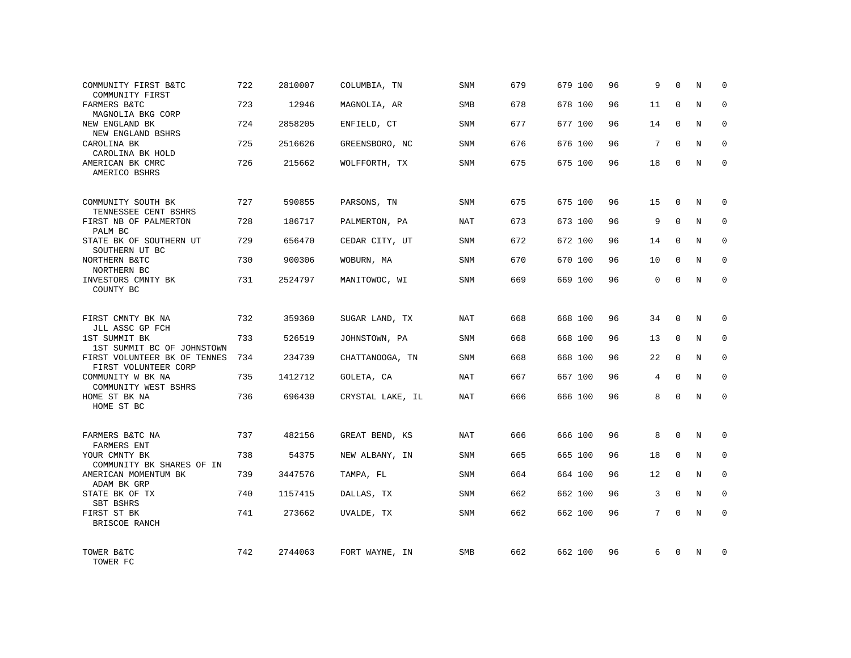| COMMUNITY FIRST B&TC<br>COMMUNITY FIRST              | 722 | 2810007 | COLUMBIA, TN     | <b>SNM</b> | 679 | 679 100 | 96 | 9           | $\Omega$     | N | 0            |
|------------------------------------------------------|-----|---------|------------------|------------|-----|---------|----|-------------|--------------|---|--------------|
| FARMERS B&TC<br>MAGNOLIA BKG CORP                    | 723 | 12946   | MAGNOLIA, AR     | SMB        | 678 | 678 100 | 96 | 11          | $\Omega$     | N | $\Omega$     |
| NEW ENGLAND BK<br>NEW ENGLAND BSHRS                  | 724 | 2858205 | ENFIELD, CT      | SNM        | 677 | 677 100 | 96 | 14          | 0            | N | 0            |
| CAROLINA BK<br>CAROLINA BK HOLD                      | 725 | 2516626 | GREENSBORO, NC   | <b>SNM</b> | 676 | 676 100 | 96 | 7           | $\Omega$     | N | $\Omega$     |
| AMERICAN BK CMRC<br>AMERICO BSHRS                    | 726 | 215662  | WOLFFORTH, TX    | SNM        | 675 | 675 100 | 96 | 18          | 0            | N | 0            |
| COMMUNITY SOUTH BK<br>TENNESSEE CENT BSHRS           | 727 | 590855  | PARSONS, TN      | SNM        | 675 | 675 100 | 96 | 15          | 0            | N | <sup>0</sup> |
| FIRST NB OF PALMERTON<br>PALM BC                     | 728 | 186717  | PALMERTON, PA    | <b>NAT</b> | 673 | 673 100 | 96 | 9           | $\Omega$     | N | $\Omega$     |
| STATE BK OF SOUTHERN UT<br>SOUTHERN UT BC            | 729 | 656470  | CEDAR CITY, UT   | SNM        | 672 | 672 100 | 96 | 14          | $\Omega$     | N | 0            |
| NORTHERN B&TC<br>NORTHERN BC                         | 730 | 900306  | WOBURN, MA       | SNM        | 670 | 670 100 | 96 | 10          | $\Omega$     | N | $\Omega$     |
| INVESTORS CMNTY BK<br>COUNTY BC                      | 731 | 2524797 | MANITOWOC, WI    | SNM        | 669 | 669 100 | 96 | $\mathbf 0$ | $\Omega$     | N | $\mathbf 0$  |
| FIRST CMNTY BK NA<br>JLL ASSC GP FCH                 | 732 | 359360  | SUGAR LAND, TX   | NAT        | 668 | 668 100 | 96 | 34          | $\Omega$     | N | $\Omega$     |
| 1ST SUMMIT BK<br>1ST SUMMIT BC OF JOHNSTOWN          | 733 | 526519  | JOHNSTOWN, PA    | SNM        | 668 | 668 100 | 96 | 13          | $\mathbf 0$  | N | $\mathbf 0$  |
| FIRST VOLUNTEER BK OF TENNES<br>FIRST VOLUNTEER CORP | 734 | 234739  | CHATTANOOGA, TN  | SNM        | 668 | 668 100 | 96 | 22          | $\Omega$     | N | $\mathbf 0$  |
| COMMUNITY W BK NA<br>COMMUNITY WEST BSHRS            | 735 | 1412712 | GOLETA, CA       | <b>NAT</b> | 667 | 667 100 | 96 | 4           | $\mathbf 0$  | N | $\mathbf 0$  |
| HOME ST BK NA<br>HOME ST BC                          | 736 | 696430  | CRYSTAL LAKE, IL | NAT        | 666 | 666 100 | 96 | 8           | $\mathbf 0$  | N | $\mathbf{0}$ |
| FARMERS B&TC NA<br>FARMERS ENT                       | 737 | 482156  | GREAT BEND, KS   | NAT        | 666 | 666 100 | 96 | 8           | $\Omega$     | N | $\Omega$     |
| YOUR CMNTY BK<br>COMMUNITY BK SHARES OF IN           | 738 | 54375   | NEW ALBANY, IN   | SNM        | 665 | 665 100 | 96 | 18          | $\mathbf 0$  | N | $\mathbf 0$  |
| AMERICAN MOMENTUM BK<br>ADAM BK GRP                  | 739 | 3447576 | TAMPA, FL        | <b>SNM</b> | 664 | 664 100 | 96 | 12          | $\mathbf 0$  | N | $\mathbf{0}$ |
| STATE BK OF TX<br>SBT BSHRS                          | 740 | 1157415 | DALLAS, TX       | SNM        | 662 | 662 100 | 96 | 3           | $\mathbf 0$  | N | $\mathbf{0}$ |
| FIRST ST BK<br>BRISCOE RANCH                         | 741 | 273662  | UVALDE, TX       | SNM        | 662 | 662 100 | 96 | 7           | $\Omega$     | N | $\mathbf 0$  |
| TOWER B&TC<br>TOWER FC                               | 742 | 2744063 | FORT WAYNE, IN   | <b>SMB</b> | 662 | 662 100 | 96 | 6           | <sup>0</sup> | N | $\Omega$     |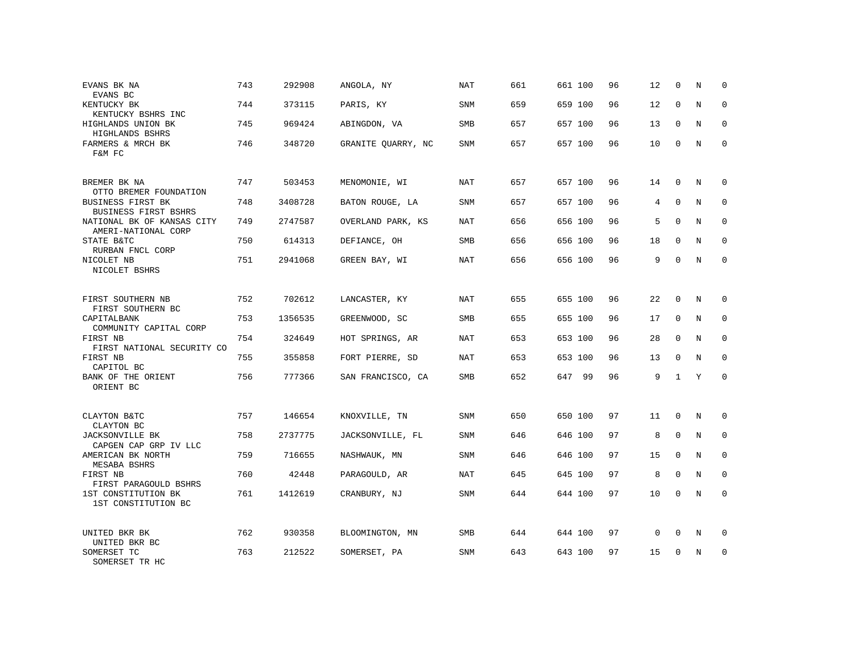| EVANS BK NA<br>EVANS BC                           | 743 | 292908  | ANGOLA, NY         | NAT        | 661 | 661 100 | 96 | 12 | $\mathbf 0$  | N | $\Omega$    |
|---------------------------------------------------|-----|---------|--------------------|------------|-----|---------|----|----|--------------|---|-------------|
| KENTUCKY BK<br>KENTUCKY BSHRS INC                 | 744 | 373115  | PARIS, KY          | SNM        | 659 | 659 100 | 96 | 12 | $\Omega$     | N | $\Omega$    |
| HIGHLANDS UNION BK<br>HIGHLANDS BSHRS             | 745 | 969424  | ABINGDON, VA       | SMB        | 657 | 657 100 | 96 | 13 | $\mathbf 0$  | N | 0           |
| FARMERS & MRCH BK<br>F&M FC                       | 746 | 348720  | GRANITE QUARRY, NC | SNM        | 657 | 657 100 | 96 | 10 | $\Omega$     | N | $\Omega$    |
| BREMER BK NA<br>OTTO BREMER FOUNDATION            | 747 | 503453  | MENOMONIE, WI      | NAT        | 657 | 657 100 | 96 | 14 | $\mathbf 0$  | N | $\Omega$    |
| BUSINESS FIRST BK<br>BUSINESS FIRST BSHRS         | 748 | 3408728 | BATON ROUGE, LA    | <b>SNM</b> | 657 | 657 100 | 96 | 4  | $\mathbf 0$  | N | $\mathbf 0$ |
| NATIONAL BK OF KANSAS CITY<br>AMERI-NATIONAL CORP | 749 | 2747587 | OVERLAND PARK, KS  | NAT        | 656 | 656 100 | 96 | 5  | $\Omega$     | N | $\mathbf 0$ |
| STATE B&TC<br>RURBAN FNCL CORP                    | 750 | 614313  | DEFIANCE, OH       | SMB        | 656 | 656 100 | 96 | 18 | $\mathbf 0$  | N | $\mathbf 0$ |
| NICOLET NB<br>NICOLET BSHRS                       | 751 | 2941068 | GREEN BAY, WI      | NAT        | 656 | 656 100 | 96 | 9  | $\Omega$     | N | $\mathbf 0$ |
| FIRST SOUTHERN NB<br>FIRST SOUTHERN BC            | 752 | 702612  | LANCASTER, KY      | NAT        | 655 | 655 100 | 96 | 22 | 0            | N | $\mathbf 0$ |
| CAPITALBANK<br>COMMUNITY CAPITAL CORP             | 753 | 1356535 | GREENWOOD, SC      | <b>SMB</b> | 655 | 655 100 | 96 | 17 | $\Omega$     | N | $\Omega$    |
| FIRST NB<br>FIRST NATIONAL SECURITY CO            | 754 | 324649  | HOT SPRINGS, AR    | NAT        | 653 | 653 100 | 96 | 28 | $\mathbf 0$  | N | $\mathbf 0$ |
| FIRST NB<br>CAPITOL BC                            | 755 | 355858  | FORT PIERRE, SD    | <b>NAT</b> | 653 | 653 100 | 96 | 13 | $\Omega$     | N | $\Omega$    |
| BANK OF THE ORIENT<br>ORIENT BC                   | 756 | 777366  | SAN FRANCISCO, CA  | SMB        | 652 | 647 99  | 96 | 9  | $\mathbf{1}$ | Y | $\mathbf 0$ |
| CLAYTON B&TC<br>CLAYTON BC                        | 757 | 146654  | KNOXVILLE, TN      | <b>SNM</b> | 650 | 650 100 | 97 | 11 | $\mathbf 0$  | N | 0           |
| <b>JACKSONVILLE BK</b><br>CAPGEN CAP GRP IV LLC   | 758 | 2737775 | JACKSONVILLE, FL   | <b>SNM</b> | 646 | 646 100 | 97 | 8  | $\Omega$     | N | $\mathbf 0$ |
| AMERICAN BK NORTH<br><b>MESABA BSHRS</b>          | 759 | 716655  | NASHWAUK, MN       | SNM        | 646 | 646 100 | 97 | 15 | $\mathbf 0$  | N | $\mathbf 0$ |
| FIRST NB<br>FIRST PARAGOULD BSHRS                 | 760 | 42448   | PARAGOULD, AR      | <b>NAT</b> | 645 | 645 100 | 97 | 8  | $\Omega$     | N | $\mathbf 0$ |
| 1ST CONSTITUTION BK<br>1ST CONSTITUTION BC        | 761 | 1412619 | CRANBURY, NJ       | SNM        | 644 | 644 100 | 97 | 10 | 0            | N | $\mathbf 0$ |
| UNITED BKR BK<br>UNITED BKR BC                    | 762 | 930358  | BLOOMINGTON, MN    | SMB        | 644 | 644 100 | 97 | 0  | 0            | N | 0           |
| SOMERSET TC<br>SOMERSET TR HC                     | 763 | 212522  | SOMERSET, PA       | SNM        | 643 | 643 100 | 97 | 15 | $\Omega$     | N | $\mathbf 0$ |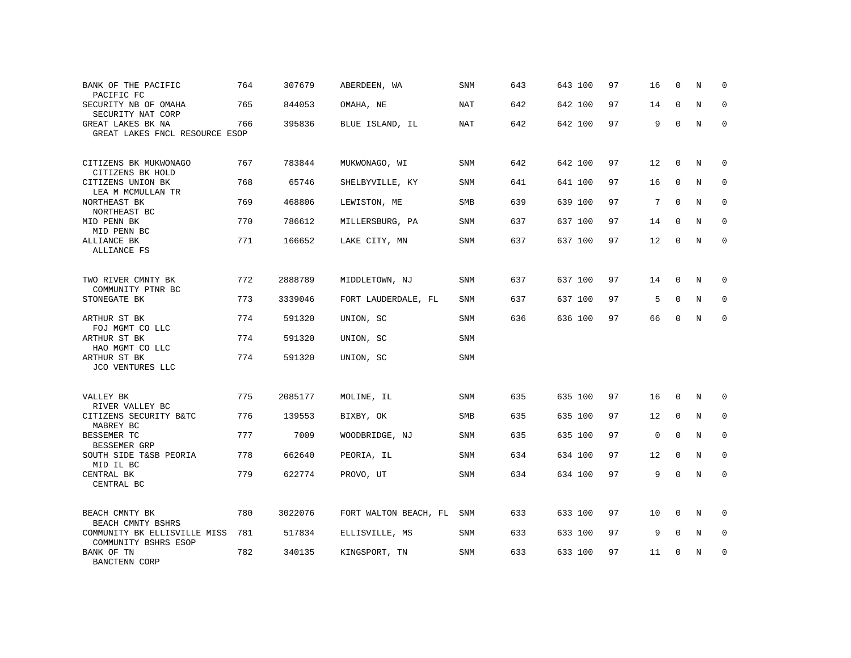| BANK OF THE PACIFIC<br>PACIFIC FC                    | 764 | 307679  | ABERDEEN, WA          | SNM        | 643 | 643 100 | 97 | 16          | $\Omega$    | N           | $\Omega$    |
|------------------------------------------------------|-----|---------|-----------------------|------------|-----|---------|----|-------------|-------------|-------------|-------------|
| SECURITY NB OF OMAHA<br>SECURITY NAT CORP            | 765 | 844053  | OMAHA, NE             | <b>NAT</b> | 642 | 642 100 | 97 | 14          | $\Omega$    | N           | $\Omega$    |
| GREAT LAKES BK NA<br>GREAT LAKES FNCL RESOURCE ESOP  | 766 | 395836  | BLUE ISLAND, IL       | <b>NAT</b> | 642 | 642 100 | 97 | 9           | $\mathbf 0$ | N           | $\mathbf 0$ |
| CITIZENS BK MUKWONAGO<br>CITIZENS BK HOLD            | 767 | 783844  | MUKWONAGO, WI         | SNM        | 642 | 642 100 | 97 | 12          | $\Omega$    | N           | $\Omega$    |
| CITIZENS UNION BK<br>LEA M MCMULLAN TR               | 768 | 65746   | SHELBYVILLE, KY       | SNM        | 641 | 641 100 | 97 | 16          | $\mathbf 0$ | N           | $\mathbf 0$ |
| NORTHEAST BK<br>NORTHEAST BC                         | 769 | 468806  | LEWISTON, ME          | <b>SMB</b> | 639 | 639 100 | 97 | 7           | $\Omega$    | N           | $\Omega$    |
| MID PENN BK<br>MID PENN BC                           | 770 | 786612  | MILLERSBURG, PA       | SNM        | 637 | 637 100 | 97 | 14          | $\mathbf 0$ | N           | $\mathbf 0$ |
| ALLIANCE BK<br>ALLIANCE FS                           | 771 | 166652  | LAKE CITY, MN         | <b>SNM</b> | 637 | 637 100 | 97 | 12          | $\Omega$    | N           | $\Omega$    |
| TWO RIVER CMNTY BK<br>COMMUNITY PTNR BC              | 772 | 2888789 | MIDDLETOWN, NJ        | SNM        | 637 | 637 100 | 97 | 14          | $\Omega$    | N           | $\Omega$    |
| STONEGATE BK                                         | 773 | 3339046 | FORT LAUDERDALE, FL   | <b>SNM</b> | 637 | 637 100 | 97 | 5           | $\mathbf 0$ | $\mathbf N$ | $\mathbf 0$ |
| ARTHUR ST BK<br>FOJ MGMT CO LLC                      | 774 | 591320  | UNION, SC             | <b>SNM</b> | 636 | 636 100 | 97 | 66          | $\Omega$    | N           | $\mathbf 0$ |
| ARTHUR ST BK<br>HAO MGMT CO LLC                      | 774 | 591320  | UNION, SC             | SNM        |     |         |    |             |             |             |             |
| ARTHUR ST BK<br>JCO VENTURES LLC                     | 774 | 591320  | UNION, SC             | <b>SNM</b> |     |         |    |             |             |             |             |
| VALLEY BK<br>RIVER VALLEY BC                         | 775 | 2085177 | MOLINE, IL            | <b>SNM</b> | 635 | 635 100 | 97 | 16          | $\mathbf 0$ | N           | 0           |
| CITIZENS SECURITY B&TC<br>MABREY BC                  | 776 | 139553  | BIXBY, OK             | <b>SMB</b> | 635 | 635 100 | 97 | 12          | $\mathbf 0$ | $\mathbf N$ | $\mathbf 0$ |
| BESSEMER TC<br>BESSEMER GRP                          | 777 | 7009    | WOODBRIDGE, NJ        | SNM        | 635 | 635 100 | 97 | $\mathbf 0$ | $\mathbf 0$ | $\mathbf N$ | $\mathbf 0$ |
| SOUTH SIDE T&SB PEORIA<br>MID IL BC                  | 778 | 662640  | PEORIA, IL            | SNM        | 634 | 634 100 | 97 | 12          | $\mathbf 0$ | N           | $\mathbf 0$ |
| CENTRAL BK<br>CENTRAL BC                             | 779 | 622774  | PROVO, UT             | SNM        | 634 | 634 100 | 97 | 9           | $\Omega$    | $_{\rm N}$  | $\Omega$    |
| BEACH CMNTY BK<br>BEACH CMNTY BSHRS                  | 780 | 3022076 | FORT WALTON BEACH, FL | SNM        | 633 | 633 100 | 97 | 10          | $\Omega$    | N           | $\Omega$    |
| COMMUNITY BK ELLISVILLE MISS<br>COMMUNITY BSHRS ESOP | 781 | 517834  | ELLISVILLE, MS        | SNM        | 633 | 633 100 | 97 | 9           | $\mathbf 0$ | N           | 0           |
| BANK OF TN<br>BANCTENN CORP                          | 782 | 340135  | KINGSPORT, TN         | SNM        | 633 | 633 100 | 97 | 11          | $\Omega$    | N           | $\mathbf 0$ |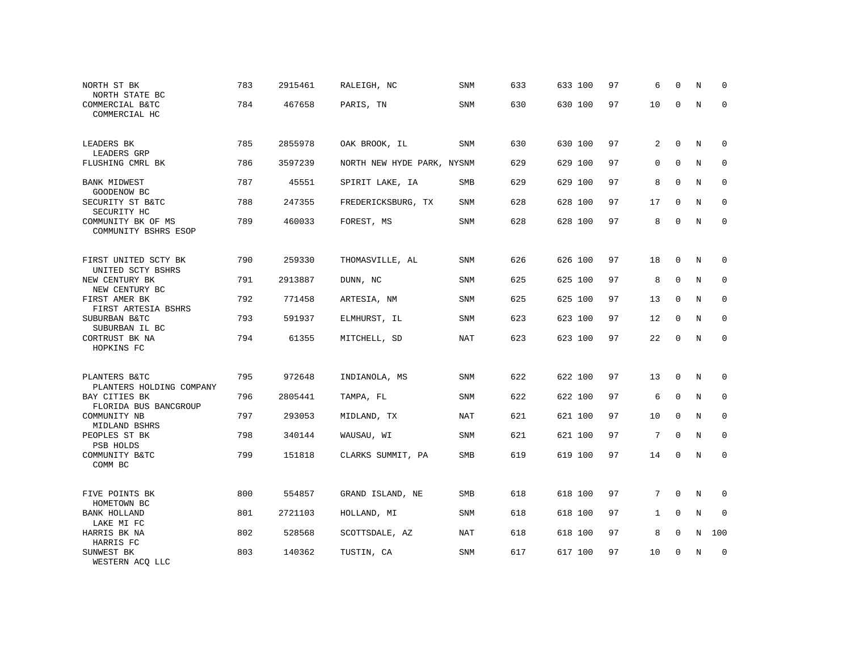| NORTH ST BK<br>NORTH STATE BC                          | 783 | 2915461 | RALEIGH, NC                | SNM        | 633 | 633 100 | 97 | 6           | $\mathbf 0$  | N           | U                   |
|--------------------------------------------------------|-----|---------|----------------------------|------------|-----|---------|----|-------------|--------------|-------------|---------------------|
| COMMERCIAL B&TC<br>COMMERCIAL HC                       | 784 | 467658  | PARIS, TN                  | SNM        | 630 | 630 100 | 97 | 10          | $\Omega$     | $\mathbf N$ | $\mathbf 0$         |
| LEADERS BK<br>LEADERS GRP                              | 785 | 2855978 | OAK BROOK, IL              | <b>SNM</b> | 630 | 630 100 | 97 | 2           | $\mathbf 0$  | N           | 0                   |
| FLUSHING CMRL BK                                       | 786 | 3597239 | NORTH NEW HYDE PARK, NYSNM |            | 629 | 629 100 | 97 | 0           | $\Omega$     | N           | $\mathbf{0}$        |
| <b>BANK MIDWEST</b><br>GOODENOW BC                     | 787 | 45551   | SPIRIT LAKE, IA            | SMB        | 629 | 629 100 | 97 | 8           | $\mathbf 0$  | N           | 0                   |
| SECURITY ST B&TC<br>SECURITY HC                        | 788 | 247355  | FREDERICKSBURG, TX         | SNM        | 628 | 628 100 | 97 | 17          | $\mathbf{0}$ | N           | 0                   |
| COMMUNITY BK OF MS<br>COMMUNITY BSHRS ESOP             | 789 | 460033  | FOREST, MS                 | SNM        | 628 | 628 100 | 97 | 8           | $\mathbf 0$  | $\rm N$     | $\mathbf 0$         |
| FIRST UNITED SCTY BK<br>UNITED SCTY BSHRS              | 790 | 259330  | THOMASVILLE, AL            | SNM        | 626 | 626 100 | 97 | 18          | $\mathbf 0$  | N           | $\mathbf 0$         |
| NEW CENTURY BK<br>NEW CENTURY BC                       | 791 | 2913887 | DUNN, NC                   | <b>SNM</b> | 625 | 625 100 | 97 | 8           | $\mathbf{0}$ | N           | $\mathbf 0$         |
| FIRST AMER BK<br>FIRST ARTESIA BSHRS                   | 792 | 771458  | ARTESIA, NM                | <b>SNM</b> | 625 | 625 100 | 97 | 13          | $\mathbf{0}$ | N           | $\mathbf 0$         |
| SUBURBAN B&TC<br>SUBURBAN IL BC                        | 793 | 591937  | ELMHURST, IL               | SNM        | 623 | 623 100 | 97 | 12          | $\mathbf{0}$ | N           | $\mathbf 0$         |
| CORTRUST BK NA<br>HOPKINS FC                           | 794 | 61355   | MITCHELL, SD               | <b>NAT</b> | 623 | 623 100 | 97 | 22          | $\mathbf{0}$ | $\rm N$     | $\mathsf{O}\xspace$ |
| PLANTERS B&TC<br>PLANTERS HOLDING COMPANY              | 795 | 972648  | INDIANOLA, MS              | SNM        | 622 | 622 100 | 97 | 13          | $\mathbf 0$  | N           | 0                   |
| BAY CITIES BK                                          | 796 | 2805441 | TAMPA, FL                  | SNM        | 622 | 622 100 | 97 | 6           | $\mathbf 0$  | N           | $\mathbf{0}$        |
| FLORIDA BUS BANCGROUP<br>COMMUNITY NB<br>MIDLAND BSHRS | 797 | 293053  | MIDLAND, TX                | NAT        | 621 | 621 100 | 97 | 10          | $\mathbf 0$  | N           | 0                   |
| PEOPLES ST BK<br>PSB HOLDS                             | 798 | 340144  | WAUSAU, WI                 | SNM        | 621 | 621 100 | 97 | 7           | $\mathbf 0$  | N           | $\mathbf{0}$        |
| COMMUNITY B&TC<br>COMM BC                              | 799 | 151818  | CLARKS SUMMIT, PA          | SMB        | 619 | 619 100 | 97 | 14          | $\mathbf 0$  | $\mathbf N$ | $\mathbf{0}$        |
| FIVE POINTS BK<br>HOMETOWN BC                          | 800 | 554857  | GRAND ISLAND, NE           | SMB        | 618 | 618 100 | 97 | $7^{\circ}$ | $\Omega$     | N           | 0                   |
| <b>BANK HOLLAND</b><br>LAKE MI FC                      | 801 | 2721103 | HOLLAND, MI                | SNM        | 618 | 618 100 | 97 | $\mathbf 1$ | $\Omega$     | N           | $\mathbf 0$         |
| HARRIS BK NA<br>HARRIS FC                              | 802 | 528568  | SCOTTSDALE, AZ             | NAT        | 618 | 618 100 | 97 | 8           | $\mathbf 0$  | N           | 100                 |
| SUNWEST BK<br>WESTERN ACQ LLC                          | 803 | 140362  | TUSTIN, CA                 | SNM        | 617 | 617 100 | 97 | 10          | 0            | N           | $\mathbf 0$         |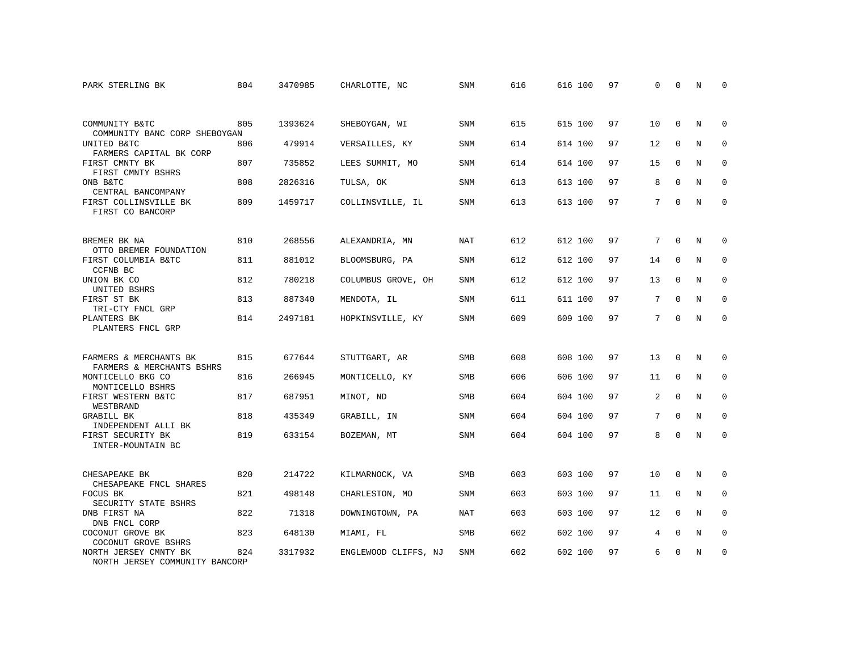| PARK STERLING BK                                        | 804 | 3470985 | CHARLOTTE, NC        | <b>SNM</b> | 616 | 616 100 | 97 | $\Omega$        | $\Omega$    | N          | $\Omega$    |
|---------------------------------------------------------|-----|---------|----------------------|------------|-----|---------|----|-----------------|-------------|------------|-------------|
|                                                         |     |         |                      |            |     |         |    |                 |             |            |             |
| COMMUNITY B&TC<br>COMMUNITY BANC CORP SHEBOYGAN         | 805 | 1393624 | SHEBOYGAN, WI        | <b>SNM</b> | 615 | 615 100 | 97 | 10              | $\Omega$    | N          | $\Omega$    |
| UNITED B&TC<br>FARMERS CAPITAL BK CORP                  | 806 | 479914  | VERSAILLES, KY       | <b>SNM</b> | 614 | 614 100 | 97 | 12              | $\mathbf 0$ | N          | $\mathbf 0$ |
| FIRST CMNTY BK<br>FIRST CMNTY BSHRS                     | 807 | 735852  | LEES SUMMIT, MO      | <b>SNM</b> | 614 | 614 100 | 97 | 15              | $\Omega$    | N          | $\Omega$    |
| ONB B&TC<br>CENTRAL BANCOMPANY                          | 808 | 2826316 | TULSA, OK            | SNM        | 613 | 613 100 | 97 | 8               | $\mathbf 0$ | N          | $\mathbf 0$ |
| FIRST COLLINSVILLE BK<br>FIRST CO BANCORP               | 809 | 1459717 | COLLINSVILLE, IL     | <b>SNM</b> | 613 | 613 100 | 97 | $7\overline{ }$ | $\Omega$    | $_{\rm N}$ | $\mathbf 0$ |
| BREMER BK NA<br>OTTO BREMER FOUNDATION                  | 810 | 268556  | ALEXANDRIA, MN       | NAT        | 612 | 612 100 | 97 | 7               | $\Omega$    | N          | 0           |
| FIRST COLUMBIA B&TC<br>CCFNB BC                         | 811 | 881012  | BLOOMSBURG, PA       | <b>SNM</b> | 612 | 612 100 | 97 | 14              | $\Omega$    | N          | $\mathbf 0$ |
| UNION BK CO<br>UNITED BSHRS                             | 812 | 780218  | COLUMBUS GROVE, OH   | <b>SNM</b> | 612 | 612 100 | 97 | 13              | $\mathbf 0$ | N          | $\mathbf 0$ |
| FIRST ST BK<br>TRI-CTY FNCL GRP                         | 813 | 887340  | MENDOTA, IL          | <b>SNM</b> | 611 | 611 100 | 97 | 7               | $\Omega$    | $_{\rm N}$ | $\mathbf 0$ |
| PLANTERS BK<br>PLANTERS FNCL GRP                        | 814 | 2497181 | HOPKINSVILLE, KY     | <b>SNM</b> | 609 | 609 100 | 97 | $7\overline{ }$ | $\Omega$    | $_{\rm N}$ | $\Omega$    |
| FARMERS & MERCHANTS BK<br>FARMERS & MERCHANTS BSHRS     | 815 | 677644  | STUTTGART, AR        | <b>SMB</b> | 608 | 608 100 | 97 | 13              | $\Omega$    | N          | 0           |
| MONTICELLO BKG CO<br>MONTICELLO BSHRS                   | 816 | 266945  | MONTICELLO, KY       | SMB        | 606 | 606 100 | 97 | 11              | $\mathbf 0$ | N          | 0           |
| FIRST WESTERN B&TC<br>WESTBRAND                         | 817 | 687951  | MINOT, ND            | <b>SMB</b> | 604 | 604 100 | 97 | 2               | $\Omega$    | N          | $\mathbf 0$ |
| GRABILL BK<br>INDEPENDENT ALLI BK                       | 818 | 435349  | GRABILL, IN          | SNM        | 604 | 604 100 | 97 | 7               | $\Omega$    | $_{\rm N}$ | $\Omega$    |
| FIRST SECURITY BK<br>INTER-MOUNTAIN BC                  | 819 | 633154  | BOZEMAN, MT          | <b>SNM</b> | 604 | 604 100 | 97 | 8               | $\Omega$    | N          | $\mathbf 0$ |
| CHESAPEAKE BK<br>CHESAPEAKE FNCL SHARES                 | 820 | 214722  | KILMARNOCK, VA       | SMB        | 603 | 603 100 | 97 | 10              | $\mathbf 0$ | N          | 0           |
| FOCUS BK<br>SECURITY STATE BSHRS                        | 821 | 498148  | CHARLESTON, MO       | SNM        | 603 | 603 100 | 97 | 11              | $\mathbf 0$ | N          | $\mathbf 0$ |
| DNB FIRST NA<br>DNB FNCL CORP                           | 822 | 71318   | DOWNINGTOWN, PA      | <b>NAT</b> | 603 | 603 100 | 97 | 12              | $\Omega$    | N          | $\mathbf 0$ |
| COCONUT GROVE BK<br>COCONUT GROVE BSHRS                 | 823 | 648130  | MIAMI, FL            | <b>SMB</b> | 602 | 602 100 | 97 | 4               | 0           | N          | 0           |
| NORTH JERSEY CMNTY BK<br>NORTH JERSEY COMMUNITY BANCORP | 824 | 3317932 | ENGLEWOOD CLIFFS, NJ | <b>SNM</b> | 602 | 602 100 | 97 | 6               | $\Omega$    | N          | $\mathbf 0$ |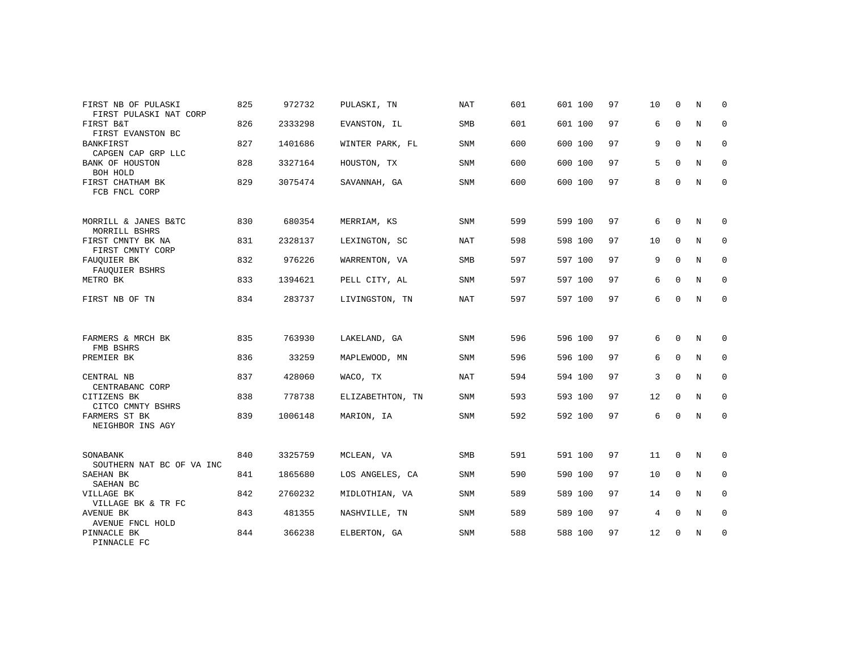| FIRST NB OF PULASKI<br>FIRST PULASKI NAT CORP | 825 | 972732  | PULASKI, TN      | NAT        | 601 | 601 100 | 97 | 10 | $\mathbf 0$ | N           | 0           |
|-----------------------------------------------|-----|---------|------------------|------------|-----|---------|----|----|-------------|-------------|-------------|
| FIRST B&T<br>FIRST EVANSTON BC                | 826 | 2333298 | EVANSTON, IL     | SMB        | 601 | 601 100 | 97 | 6  | $\mathbf 0$ | N           | $\mathbf 0$ |
| <b>BANKFIRST</b><br>CAPGEN CAP GRP LLC        | 827 | 1401686 | WINTER PARK, FL  | <b>SNM</b> | 600 | 600 100 | 97 | 9  | $\mathbf 0$ | N           | $\mathbf 0$ |
| BANK OF HOUSTON<br>BOH HOLD                   | 828 | 3327164 | HOUSTON, TX      | SNM        | 600 | 600 100 | 97 | 5  | $\Omega$    | N           | $\mathbf 0$ |
| FIRST CHATHAM BK<br>FCB FNCL CORP             | 829 | 3075474 | SAVANNAH, GA     | <b>SNM</b> | 600 | 600 100 | 97 | 8  | $\Omega$    | $\mathbf N$ | $\mathbf 0$ |
| MORRILL & JANES B&TC<br>MORRILL BSHRS         | 830 | 680354  | MERRIAM, KS      | SNM        | 599 | 599 100 | 97 | 6  | $\mathbf 0$ | N           | 0           |
| FIRST CMNTY BK NA<br>FIRST CMNTY CORP         | 831 | 2328137 | LEXINGTON, SC    | <b>NAT</b> | 598 | 598 100 | 97 | 10 | $\Omega$    | N           | $\mathbf 0$ |
| FAUQUIER BK<br>FAUQUIER BSHRS                 | 832 | 976226  | WARRENTON, VA    | <b>SMB</b> | 597 | 597 100 | 97 | 9  | $\mathbf 0$ | N           | 0           |
| METRO BK                                      | 833 | 1394621 | PELL CITY, AL    | <b>SNM</b> | 597 | 597 100 | 97 | 6  | $\mathbf 0$ | N           | $\mathbf 0$ |
| FIRST NB OF TN                                | 834 | 283737  | LIVINGSTON, TN   | NAT        | 597 | 597 100 | 97 | 6  | $\mathbf 0$ | N           | $\mathbf 0$ |
|                                               |     |         |                  |            |     |         |    |    |             |             |             |
| FARMERS & MRCH BK<br>FMB BSHRS                | 835 | 763930  | LAKELAND, GA     | <b>SNM</b> | 596 | 596 100 | 97 | 6  | $\Omega$    | N           | $\Omega$    |
| PREMIER BK                                    | 836 | 33259   | MAPLEWOOD, MN    | <b>SNM</b> | 596 | 596 100 | 97 | 6  | $\mathbf 0$ | N           | $\mathbf 0$ |
| CENTRAL NB<br>CENTRABANC CORP                 | 837 | 428060  | WACO, TX         | NAT        | 594 | 594 100 | 97 | 3  | $\Omega$    | $\mathbb N$ | $\mathbf 0$ |
| CITIZENS BK<br>CITCO CMNTY BSHRS              | 838 | 778738  | ELIZABETHTON, TN | <b>SNM</b> | 593 | 593 100 | 97 | 12 | $\mathbf 0$ | N           | 0           |
| FARMERS ST BK<br>NEIGHBOR INS AGY             | 839 | 1006148 | MARION, IA       | <b>SNM</b> | 592 | 592 100 | 97 | 6  | $\Omega$    | N           | $\mathbf 0$ |
|                                               |     |         |                  |            |     |         |    |    |             |             |             |
| SONABANK<br>SOUTHERN NAT BC OF VA INC         | 840 | 3325759 | MCLEAN, VA       | SMB        | 591 | 591 100 | 97 | 11 | 0           | N           | 0           |
| SAEHAN BK<br>SAEHAN BC                        | 841 | 1865680 | LOS ANGELES, CA  | <b>SNM</b> | 590 | 590 100 | 97 | 10 | $\Omega$    | N           | $\mathbf 0$ |
| VILLAGE BK<br>VILLAGE BK & TR FC              | 842 | 2760232 | MIDLOTHIAN, VA   | SNM        | 589 | 589 100 | 97 | 14 | $\mathbf 0$ | N           | 0           |
| AVENUE BK<br>AVENUE FNCL HOLD                 | 843 | 481355  | NASHVILLE, TN    | <b>SNM</b> | 589 | 589 100 | 97 | 4  | $\mathbf 0$ | N           | $\mathbf 0$ |
| PINNACLE BK<br>PINNACLE FC                    | 844 | 366238  | ELBERTON, GA     | SNM        | 588 | 588 100 | 97 | 12 | 0           | N           | 0           |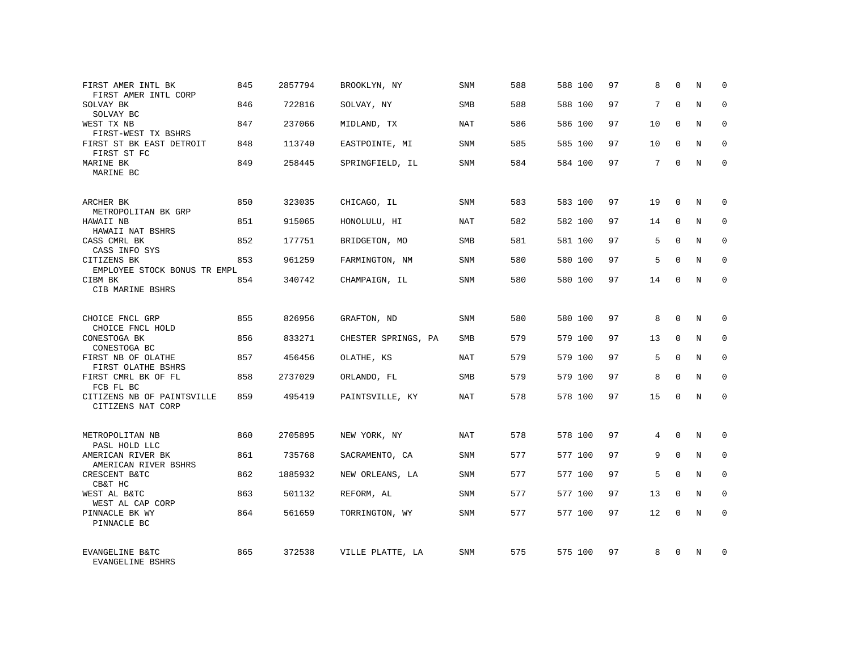| FIRST AMER INTL BK<br>FIRST AMER INTL CORP      | 845 | 2857794 | BROOKLYN, NY        | SNM        | 588 | 588 100 | 97 | 8  | $\Omega$    | N          | $\Omega$    |
|-------------------------------------------------|-----|---------|---------------------|------------|-----|---------|----|----|-------------|------------|-------------|
| SOLVAY BK<br>SOLVAY BC                          | 846 | 722816  | SOLVAY, NY          | SMB        | 588 | 588 100 | 97 | 7  | $\Omega$    | N          | $\Omega$    |
| WEST TX NB<br>FIRST-WEST TX BSHRS               | 847 | 237066  | MIDLAND, TX         | NAT        | 586 | 586 100 | 97 | 10 | $\Omega$    | N          | 0           |
| FIRST ST BK EAST DETROIT<br>FIRST ST FC         | 848 | 113740  | EASTPOINTE, MI      | <b>SNM</b> | 585 | 585 100 | 97 | 10 | $\Omega$    | N          | $\Omega$    |
| MARINE BK<br>MARINE BC                          | 849 | 258445  | SPRINGFIELD, IL     | SNM        | 584 | 584 100 | 97 | 7  | $\Omega$    | N          | 0           |
| ARCHER BK<br>METROPOLITAN BK GRP                | 850 | 323035  | CHICAGO, IL         | SNM        | 583 | 583 100 | 97 | 19 | $\Omega$    | N          | $\Omega$    |
| HAWAII NB<br>HAWAII NAT BSHRS                   | 851 | 915065  | HONOLULU, HI        | NAT        | 582 | 582 100 | 97 | 14 | $\Omega$    | N          | $\Omega$    |
| CASS CMRL BK<br>CASS INFO SYS                   | 852 | 177751  | BRIDGETON, MO       | SMB        | 581 | 581 100 | 97 | 5  | $\Omega$    | N          | $\mathbf 0$ |
| CITIZENS BK<br>EMPLOYEE STOCK BONUS TR EMPL     | 853 | 961259  | FARMINGTON, NM      | <b>SNM</b> | 580 | 580 100 | 97 | 5  | $\Omega$    | N          | $\Omega$    |
| CIBM BK<br>CIB MARINE BSHRS                     | 854 | 340742  | CHAMPAIGN, IL       | SNM        | 580 | 580 100 | 97 | 14 | $\Omega$    | N          | $\mathbf 0$ |
| CHOICE FNCL GRP<br>CHOICE FNCL HOLD             | 855 | 826956  | GRAFTON, ND         | <b>SNM</b> | 580 | 580 100 | 97 | 8  | $\Omega$    | N          | $\Omega$    |
| CONESTOGA BK<br>CONESTOGA BC                    | 856 | 833271  | CHESTER SPRINGS, PA | <b>SMB</b> | 579 | 579 100 | 97 | 13 | $\Omega$    | N          | $\mathbf 0$ |
| FIRST NB OF OLATHE<br>FIRST OLATHE BSHRS        | 857 | 456456  | OLATHE, KS          | <b>NAT</b> | 579 | 579 100 | 97 | 5  | $\Omega$    | N          | $\Omega$    |
| FIRST CMRL BK OF FL<br>FCB FL BC                | 858 | 2737029 | ORLANDO, FL         | <b>SMB</b> | 579 | 579 100 | 97 | 8  | $\Omega$    | N          | $\mathbf 0$ |
| CITIZENS NB OF PAINTSVILLE<br>CITIZENS NAT CORP | 859 | 495419  | PAINTSVILLE, KY     | <b>NAT</b> | 578 | 578 100 | 97 | 15 | $\Omega$    | N          | $\Omega$    |
| METROPOLITAN NB<br>PASL HOLD LLC                | 860 | 2705895 | NEW YORK, NY        | <b>NAT</b> | 578 | 578 100 | 97 | 4  | $\Omega$    | $_{\rm N}$ | $\Omega$    |
| AMERICAN RIVER BK<br>AMERICAN RIVER BSHRS       | 861 | 735768  | SACRAMENTO, CA      | SNM        | 577 | 577 100 | 97 | 9  | $\mathbf 0$ | N          | 0           |
| CRESCENT B&TC<br>CB&T HC                        | 862 | 1885932 | NEW ORLEANS, LA     | <b>SNM</b> | 577 | 577 100 | 97 | 5  | $\Omega$    | N          | $\Omega$    |
| WEST AL B&TC<br>WEST AL CAP CORP                | 863 | 501132  | REFORM, AL          | SNM        | 577 | 577 100 | 97 | 13 | $\mathbf 0$ | N          | 0           |
| PINNACLE BK WY<br>PINNACLE BC                   | 864 | 561659  | TORRINGTON, WY      | SNM        | 577 | 577 100 | 97 | 12 | $\Omega$    | N          | $\Omega$    |
| EVANGELINE B&TC<br>EVANGELINE BSHRS             | 865 | 372538  | VILLE PLATTE, LA    | SNM        | 575 | 575 100 | 97 | 8  | $\Omega$    | N          | $\Omega$    |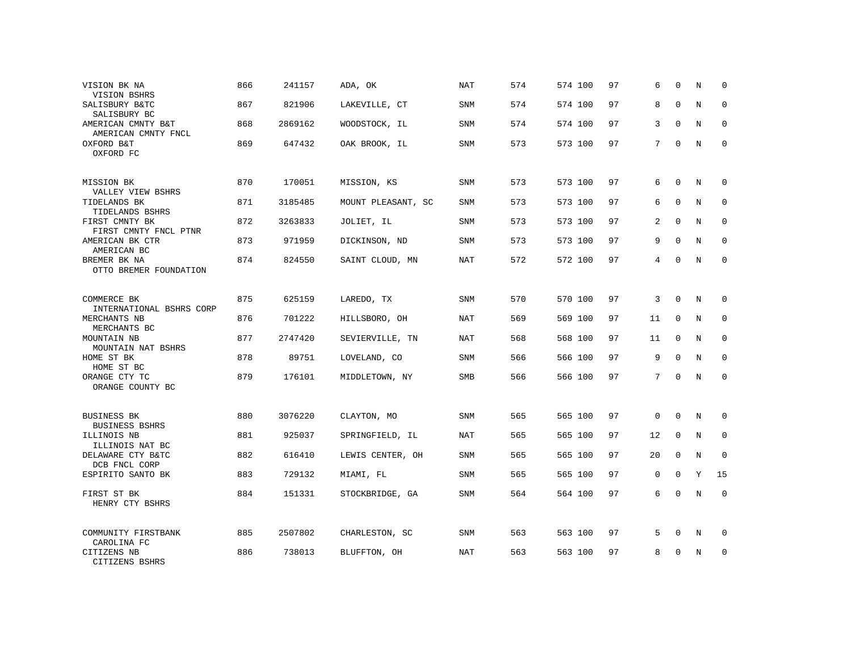| VISION BK NA<br>VISION BSHRS                            | 866 | 241157  | ADA, OK            | NAT        | 574 | 574 100 | 97 | 6           | $\Omega$    | N | 0           |
|---------------------------------------------------------|-----|---------|--------------------|------------|-----|---------|----|-------------|-------------|---|-------------|
| SALISBURY B&TC<br>SALISBURY BC                          | 867 | 821906  | LAKEVILLE, CT      | SNM        | 574 | 574 100 | 97 | 8           | $\Omega$    | N | $\mathbf 0$ |
| AMERICAN CMNTY B&T<br>AMERICAN CMNTY FNCL               | 868 | 2869162 | WOODSTOCK, IL      | SNM        | 574 | 574 100 | 97 | 3           | $\Omega$    | N | 0           |
| OXFORD B&T<br>OXFORD FC                                 | 869 | 647432  | OAK BROOK, IL      | SNM        | 573 | 573 100 | 97 | 7           | $\Omega$    | N | $\mathbf 0$ |
| MISSION BK<br>VALLEY VIEW BSHRS                         | 870 | 170051  | MISSION, KS        | SNM        | 573 | 573 100 | 97 | 6           | $\Omega$    | N | $\Omega$    |
| TIDELANDS BK<br>TIDELANDS BSHRS                         | 871 | 3185485 | MOUNT PLEASANT, SC | SNM        | 573 | 573 100 | 97 | 6           | $\mathbf 0$ | N | $\mathbf 0$ |
| FIRST CMNTY BK<br>FIRST CMNTY FNCL PTNR                 | 872 | 3263833 | JOLIET, IL         | SNM        | 573 | 573 100 | 97 | 2           | $\Omega$    | N | $\mathbf 0$ |
| AMERICAN BK CTR<br>AMERICAN BC                          | 873 | 971959  | DICKINSON, ND      | SNM        | 573 | 573 100 | 97 | 9           | $\Omega$    | N | $\mathbf 0$ |
| BREMER BK NA<br>OTTO BREMER FOUNDATION                  | 874 | 824550  | SAINT CLOUD, MN    | NAT        | 572 | 572 100 | 97 | 4           | $\Omega$    | N | $\mathbf 0$ |
| COMMERCE BK<br>INTERNATIONAL BSHRS CORP                 | 875 | 625159  | LAREDO, TX         | SNM        | 570 | 570 100 | 97 | 3           | $\mathbf 0$ | N | $\mathbf 0$ |
| MERCHANTS NB<br>MERCHANTS BC                            | 876 | 701222  | HILLSBORO, OH      | <b>NAT</b> | 569 | 569 100 | 97 | 11          | $\Omega$    | N | $\Omega$    |
| MOUNTAIN NB<br>MOUNTAIN NAT BSHRS                       | 877 | 2747420 | SEVIERVILLE, TN    | NAT        | 568 | 568 100 | 97 | 11          | $\mathbf 0$ | N | $\mathbf 0$ |
| HOME ST BK<br>HOME ST BC                                | 878 | 89751   | LOVELAND, CO       | SNM        | 566 | 566 100 | 97 | 9           | $\Omega$    | N | $\Omega$    |
| ORANGE CTY TC<br>ORANGE COUNTY BC                       | 879 | 176101  | MIDDLETOWN, NY     | <b>SMB</b> | 566 | 566 100 | 97 | 7           | $\Omega$    | N | $\mathbf 0$ |
| <b>BUSINESS BK</b>                                      | 880 | 3076220 | CLAYTON, MO        | SNM        | 565 | 565 100 | 97 | $\mathbf 0$ | $\mathbf 0$ | N | 0           |
| <b>BUSINESS BSHRS</b><br>ILLINOIS NB<br>ILLINOIS NAT BC | 881 | 925037  | SPRINGFIELD, IL    | <b>NAT</b> | 565 | 565 100 | 97 | 12          | $\Omega$    | N | $\mathbf 0$ |
| DELAWARE CTY B&TC<br>DCB FNCL CORP                      | 882 | 616410  | LEWIS CENTER, OH   | SNM        | 565 | 565 100 | 97 | 20          | $\mathbf 0$ | N | $\mathbf 0$ |
| ESPIRITO SANTO BK                                       | 883 | 729132  | MIAMI, FL          | SNM        | 565 | 565 100 | 97 | $\mathbf 0$ | $\Omega$    | Y | 15          |
| FIRST ST BK<br>HENRY CTY BSHRS                          | 884 | 151331  | STOCKBRIDGE, GA    | SNM        | 564 | 564 100 | 97 | 6           | $\Omega$    | N | $\mathbf 0$ |
| COMMUNITY FIRSTBANK<br>CAROLINA FC                      | 885 | 2507802 | CHARLESTON, SC     | SNM        | 563 | 563 100 | 97 | 5           | 0           | N | 0           |
| CITIZENS NB<br>CITIZENS BSHRS                           | 886 | 738013  | BLUFFTON, OH       | <b>NAT</b> | 563 | 563 100 | 97 | 8           | $\Omega$    | N | $\mathbf 0$ |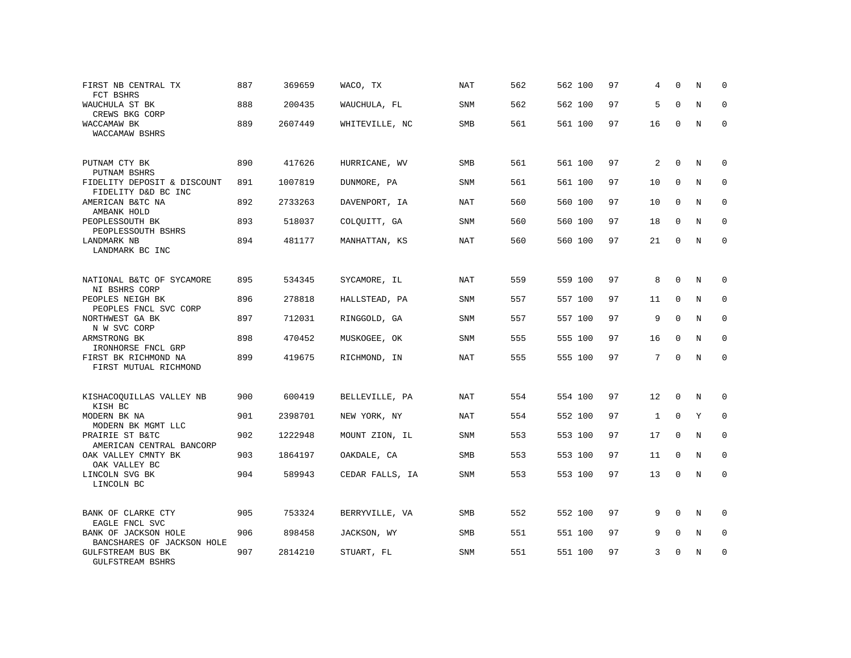| FIRST NB CENTRAL TX<br>FCT BSHRS                    | 887 | 369659  | WACO, TX        | NAT        | 562 | 562 100 | 97 | 4               | $\Omega$     | N           | $\Omega$    |
|-----------------------------------------------------|-----|---------|-----------------|------------|-----|---------|----|-----------------|--------------|-------------|-------------|
| WAUCHULA ST BK<br>CREWS BKG CORP                    | 888 | 200435  | WAUCHULA, FL    | SNM        | 562 | 562 100 | 97 | 5               | $\Omega$     | $\rm N$     | $\mathbf 0$ |
| WACCAMAW BK<br>WACCAMAW BSHRS                       | 889 | 2607449 | WHITEVILLE, NC  | SMB        | 561 | 561 100 | 97 | 16              | $\Omega$     | N           | $\Omega$    |
| PUTNAM CTY BK<br>PUTNAM BSHRS                       | 890 | 417626  | HURRICANE, WV   | <b>SMB</b> | 561 | 561 100 | 97 | 2               | $\Omega$     | N           | 0           |
| FIDELITY DEPOSIT & DISCOUNT<br>FIDELITY D&D BC INC  | 891 | 1007819 | DUNMORE, PA     | SNM        | 561 | 561 100 | 97 | 10              | $\mathbf 0$  | $\mathbf N$ | 0           |
| AMERICAN B&TC NA<br>AMBANK HOLD                     | 892 | 2733263 | DAVENPORT, IA   | <b>NAT</b> | 560 | 560 100 | 97 | 10              | $\Omega$     | N           | $\mathbf 0$ |
| PEOPLESSOUTH BK<br>PEOPLESSOUTH BSHRS               | 893 | 518037  | COLQUITT, GA    | SNM        | 560 | 560 100 | 97 | 18              | $\Omega$     | N           | $\mathbf 0$ |
| LANDMARK NB<br>LANDMARK BC INC                      | 894 | 481177  | MANHATTAN, KS   | <b>NAT</b> | 560 | 560 100 | 97 | 21              | $\Omega$     | N           | $\mathbf 0$ |
| NATIONAL B&TC OF SYCAMORE<br>NI BSHRS CORP          | 895 | 534345  | SYCAMORE, IL    | <b>NAT</b> | 559 | 559 100 | 97 | 8               | $\Omega$     | N           | $\Omega$    |
| PEOPLES NEIGH BK<br>PEOPLES FNCL SVC CORP           | 896 | 278818  | HALLSTEAD, PA   | SNM        | 557 | 557 100 | 97 | 11              | $\mathbf{0}$ | N           | $\mathbf 0$ |
| NORTHWEST GA BK<br>N W SVC CORP                     | 897 | 712031  | RINGGOLD, GA    | <b>SNM</b> | 557 | 557 100 | 97 | 9               | $\mathbf 0$  | N           | 0           |
| ARMSTRONG BK<br>IRONHORSE FNCL GRP                  | 898 | 470452  | MUSKOGEE, OK    | SNM        | 555 | 555 100 | 97 | 16              | $\mathbf 0$  | $\mathbf N$ | $\mathbf 0$ |
| FIRST BK RICHMOND NA<br>FIRST MUTUAL RICHMOND       | 899 | 419675  | RICHMOND, IN    | <b>NAT</b> | 555 | 555 100 | 97 | $7\phantom{.0}$ | $\Omega$     | $\mathbf N$ | $\Omega$    |
| KISHACOQUILLAS VALLEY NB<br>KISH BC                 | 900 | 600419  | BELLEVILLE, PA  | NAT        | 554 | 554 100 | 97 | 12              | $\mathbf 0$  | N           | $\Omega$    |
| MODERN BK NA<br>MODERN BK MGMT LLC                  | 901 | 2398701 | NEW YORK, NY    | NAT        | 554 | 552 100 | 97 | $\mathbf{1}$    | $\mathbf 0$  | Y           | 0           |
| PRAIRIE ST B&TC<br>AMERICAN CENTRAL BANCORP         | 902 | 1222948 | MOUNT ZION, IL  | SNM        | 553 | 553 100 | 97 | 17              | $\Omega$     | N           | $\Omega$    |
| OAK VALLEY CMNTY BK<br>OAK VALLEY BC                | 903 | 1864197 | OAKDALE, CA     | SMB        | 553 | 553 100 | 97 | 11              | $\Omega$     | N           | $\Omega$    |
| LINCOLN SVG BK<br>LINCOLN BC                        | 904 | 589943  | CEDAR FALLS, IA | SNM        | 553 | 553 100 | 97 | 13              | $\Omega$     | N           | $\mathbf 0$ |
| BANK OF CLARKE CTY<br>EAGLE FNCL SVC                | 905 | 753324  | BERRYVILLE, VA  | SMB        | 552 | 552 100 | 97 | 9               | $\Omega$     | N           | $\Omega$    |
| BANK OF JACKSON HOLE<br>BANCSHARES OF JACKSON HOLE  | 906 | 898458  | JACKSON, WY     | SMB        | 551 | 551 100 | 97 | 9               | $\Omega$     | N           | $\Omega$    |
| <b>GULFSTREAM BUS BK</b><br><b>GULFSTREAM BSHRS</b> | 907 | 2814210 | STUART, FL      | SNM        | 551 | 551 100 | 97 | 3               | ∩            | N           | $\mathbf 0$ |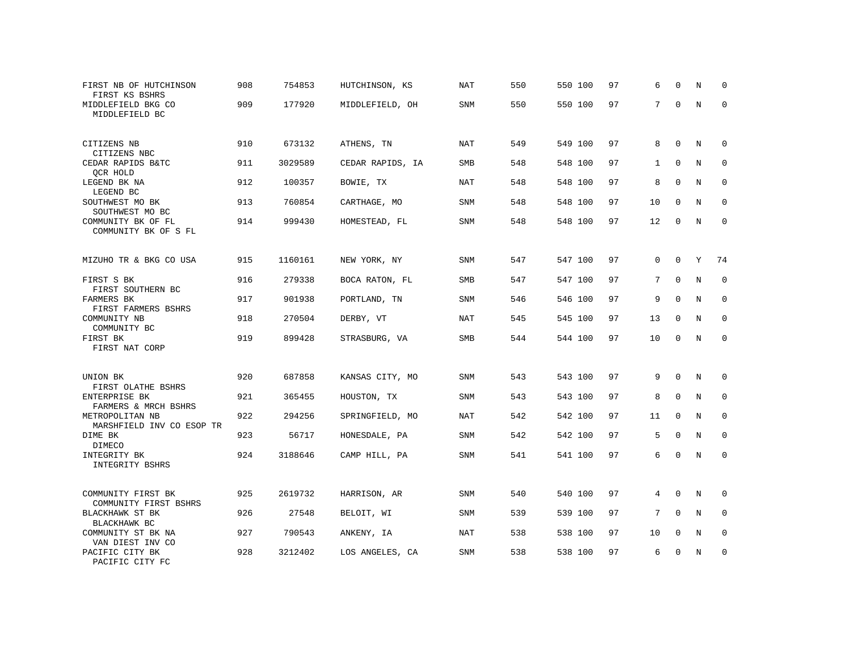| FIRST NB OF HUTCHINSON<br>FIRST KS BSHRS                      | 908 | 754853  | HUTCHINSON, KS   | NAT        | 550 | 550 100 | 97 | 6            | $\Omega$    | N           | $\Omega$     |
|---------------------------------------------------------------|-----|---------|------------------|------------|-----|---------|----|--------------|-------------|-------------|--------------|
| MIDDLEFIELD BKG CO<br>MIDDLEFIELD BC                          | 909 | 177920  | MIDDLEFIELD, OH  | SNM        | 550 | 550 100 | 97 | 7            | $\Omega$    | $\mathbb N$ | $\mathbf 0$  |
| CITIZENS NB                                                   | 910 | 673132  | ATHENS, TN       | <b>NAT</b> | 549 | 549 100 | 97 | 8            | $\Omega$    | $\mathbb N$ | $\mathbf 0$  |
| CITIZENS NBC<br>CEDAR RAPIDS B&TC                             | 911 | 3029589 | CEDAR RAPIDS, IA | <b>SMB</b> | 548 | 548 100 | 97 | $\mathbf{1}$ | $\Omega$    | $_{\rm N}$  | $\mathbf{0}$ |
| QCR HOLD<br>LEGEND BK NA                                      | 912 | 100357  | BOWIE, TX        | NAT        | 548 | 548 100 | 97 | 8            | $\mathbf 0$ | N           | $\mathbf{0}$ |
| LEGEND BC<br>SOUTHWEST MO BK                                  | 913 | 760854  | CARTHAGE, MO     | SNM        | 548 | 548 100 | 97 | 10           | 0           | N           | 0            |
| SOUTHWEST MO BC<br>COMMUNITY BK OF FL<br>COMMUNITY BK OF S FL | 914 | 999430  | HOMESTEAD, FL    | SNM        | 548 | 548 100 | 97 | 12           | $\mathbf 0$ | $\mathbb N$ | $\mathbf 0$  |
|                                                               |     |         |                  |            |     |         |    |              |             |             |              |
| MIZUHO TR & BKG CO USA                                        | 915 | 1160161 | NEW YORK, NY     | <b>SNM</b> | 547 | 547 100 | 97 | $\mathbf 0$  | $\mathbf 0$ | Y           | 74           |
| FIRST S BK                                                    | 916 | 279338  | BOCA RATON, FL   | <b>SMB</b> | 547 | 547 100 | 97 | 7            | $\Omega$    | N           | $\mathbf 0$  |
| FIRST SOUTHERN BC<br><b>FARMERS BK</b>                        | 917 | 901938  | PORTLAND, TN     | <b>SNM</b> | 546 | 546 100 | 97 | 9            | $\mathbf 0$ | $\mathbb N$ | $\mathbf 0$  |
| FIRST FARMERS BSHRS<br>COMMUNITY NB                           | 918 | 270504  | DERBY, VT        | <b>NAT</b> | 545 | 545 100 | 97 | 13           | 0           | N           | 0            |
| COMMUNITY BC<br>FIRST BK<br>FIRST NAT CORP                    | 919 | 899428  | STRASBURG, VA    | SMB        | 544 | 544 100 | 97 | 10           | $\mathbf 0$ | $\rm N$     | $\mathbf 0$  |
|                                                               |     |         |                  |            |     |         |    |              |             |             |              |
| UNION BK<br>FIRST OLATHE BSHRS                                | 920 | 687858  | KANSAS CITY, MO  | <b>SNM</b> | 543 | 543 100 | 97 | 9            | $\Omega$    | N           | 0            |
| ENTERPRISE BK<br>FARMERS & MRCH BSHRS                         | 921 | 365455  | HOUSTON, TX      | <b>SNM</b> | 543 | 543 100 | 97 | 8            | $\Omega$    | $_{\rm N}$  | $\mathbf 0$  |
| METROPOLITAN NB<br>MARSHFIELD INV CO ESOP TR                  | 922 | 294256  | SPRINGFIELD, MO  | NAT        | 542 | 542 100 | 97 | 11           | $\mathbf 0$ | N           | $\mathbf 0$  |
| DIME BK                                                       | 923 | 56717   | HONESDALE, PA    | SNM        | 542 | 542 100 | 97 | 5            | $\mathbf 0$ | N           | $\mathbf{0}$ |
| DIMECO<br>INTEGRITY BK<br>INTEGRITY BSHRS                     | 924 | 3188646 | CAMP HILL, PA    | SNM        | 541 | 541 100 | 97 | 6            | $\mathbf 0$ | $\mathbb N$ | $\mathbf 0$  |
|                                                               |     |         |                  |            |     |         |    |              |             |             |              |
| COMMUNITY FIRST BK<br>COMMUNITY FIRST BSHRS                   | 925 | 2619732 | HARRISON, AR     | <b>SNM</b> | 540 | 540 100 | 97 | 4            | $\Omega$    | N           | 0            |
| BLACKHAWK ST BK<br>BLACKHAWK BC                               | 926 | 27548   | BELOIT, WI       | <b>SNM</b> | 539 | 539 100 | 97 | 7            | $\Omega$    | N           | $\mathbf 0$  |
| COMMUNITY ST BK NA<br>VAN DIEST INV CO                        | 927 | 790543  | ANKENY, IA       | NAT        | 538 | 538 100 | 97 | 10           | $\Omega$    | N           | $\mathbf 0$  |
| PACIFIC CITY BK<br>PACIFIC CITY FC                            | 928 | 3212402 | LOS ANGELES, CA  | <b>SNM</b> | 538 | 538 100 | 97 | 6            | U           | N           | $\mathbf{0}$ |
|                                                               |     |         |                  |            |     |         |    |              |             |             |              |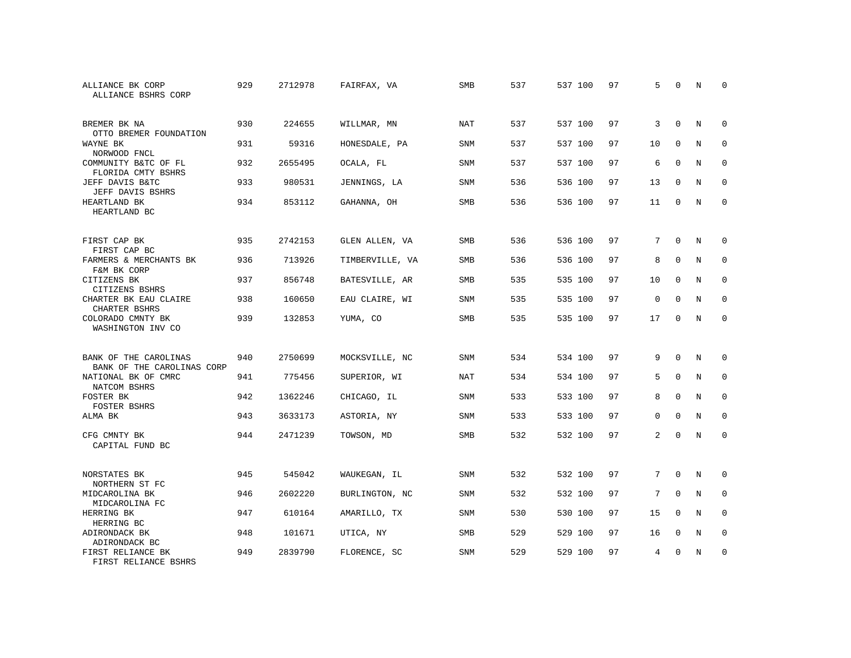| ALLIANCE BK CORP<br>ALLIANCE BSHRS CORP             | 929 | 2712978 | FAIRFAX, VA     | SMB        | 537 | 537 100 | 97 | 5           | $\Omega$    | N           | $\Omega$    |
|-----------------------------------------------------|-----|---------|-----------------|------------|-----|---------|----|-------------|-------------|-------------|-------------|
| BREMER BK NA<br>OTTO BREMER FOUNDATION              | 930 | 224655  | WILLMAR, MN     | <b>NAT</b> | 537 | 537 100 | 97 | 3           | $\Omega$    | N           | $\mathbf 0$ |
| WAYNE BK<br>NORWOOD FNCL                            | 931 | 59316   | HONESDALE, PA   | <b>SNM</b> | 537 | 537 100 | 97 | 10          | $\mathbf 0$ | N           | $\mathbf 0$ |
| COMMUNITY B&TC OF FL<br>FLORIDA CMTY BSHRS          | 932 | 2655495 | OCALA, FL       | <b>SNM</b> | 537 | 537 100 | 97 | 6           | $\Omega$    | N           | $\Omega$    |
| JEFF DAVIS B&TC<br>JEFF DAVIS BSHRS                 | 933 | 980531  | JENNINGS, LA    | <b>SNM</b> | 536 | 536 100 | 97 | 13          | $\Omega$    | N           | $\mathbf 0$ |
| HEARTLAND BK<br>HEARTLAND BC                        | 934 | 853112  | GAHANNA, OH     | <b>SMB</b> | 536 | 536 100 | 97 | 11          | $\Omega$    | N           | $\Omega$    |
| FIRST CAP BK<br>FIRST CAP BC                        | 935 | 2742153 | GLEN ALLEN, VA  | <b>SMB</b> | 536 | 536 100 | 97 | 7           | $\Omega$    | N           | $\Omega$    |
| FARMERS & MERCHANTS BK<br>F&M BK CORP               | 936 | 713926  | TIMBERVILLE, VA | SMB        | 536 | 536 100 | 97 | 8           | $\mathbf 0$ | N           | $\mathbf 0$ |
| CITIZENS BK<br>CITIZENS BSHRS                       | 937 | 856748  | BATESVILLE, AR  | <b>SMB</b> | 535 | 535 100 | 97 | 10          | $\Omega$    | N           | $\Omega$    |
| CHARTER BK EAU CLAIRE<br>CHARTER BSHRS              | 938 | 160650  | EAU CLAIRE, WI  | SNM        | 535 | 535 100 | 97 | $\mathbf 0$ | $\mathbf 0$ | $\mathbf N$ | $\mathbf 0$ |
| COLORADO CMNTY BK<br>WASHINGTON INV CO              | 939 | 132853  | YUMA, CO        | <b>SMB</b> | 535 | 535 100 | 97 | 17          | $\mathbf 0$ | N           | $\mathbf 0$ |
| BANK OF THE CAROLINAS<br>BANK OF THE CAROLINAS CORP | 940 | 2750699 | MOCKSVILLE, NC  | <b>SNM</b> | 534 | 534 100 | 97 | 9           | $\Omega$    | N           | 0           |
| NATIONAL BK OF CMRC<br>NATCOM BSHRS                 | 941 | 775456  | SUPERIOR, WI    | <b>NAT</b> | 534 | 534 100 | 97 | 5           | $\Omega$    | $\mathbf N$ | $\mathbf 0$ |
| FOSTER BK<br>FOSTER BSHRS                           | 942 | 1362246 | CHICAGO, IL     | SNM        | 533 | 533 100 | 97 | 8           | $\mathbf 0$ | N           | $\mathbf 0$ |
| ALMA BK                                             | 943 | 3633173 | ASTORIA, NY     | <b>SNM</b> | 533 | 533 100 | 97 | $\Omega$    | $\Omega$    | $\mathbf N$ | $\mathbf 0$ |
| CFG CMNTY BK<br>CAPITAL FUND BC                     | 944 | 2471239 | TOWSON, MD      | SMB        | 532 | 532 100 | 97 | 2           | $\mathbf 0$ | $\mathbf N$ | $\mathbf 0$ |
| NORSTATES BK<br>NORTHERN ST FC                      | 945 | 545042  | WAUKEGAN, IL    | SNM        | 532 | 532 100 | 97 | 7           | $\Omega$    | N           | $\Omega$    |
| MIDCAROLINA BK<br>MIDCAROLINA FC                    | 946 | 2602220 | BURLINGTON, NC  | SNM        | 532 | 532 100 | 97 | 7           | $\mathbf 0$ | N           | $\mathbf 0$ |
| HERRING BK<br>HERRING BC                            | 947 | 610164  | AMARILLO, TX    | <b>SNM</b> | 530 | 530 100 | 97 | 15          | $\Omega$    | N           | $\mathbf 0$ |
| ADIRONDACK BK<br>ADIRONDACK BC                      | 948 | 101671  | UTICA, NY       | SMB        | 529 | 529 100 | 97 | 16          | $\mathbf 0$ | N           | 0           |
| FIRST RELIANCE BK<br>FIRST RELIANCE BSHRS           | 949 | 2839790 | FLORENCE, SC    | <b>SNM</b> | 529 | 529 100 | 97 | 4           | $\Omega$    | N           | $\mathbf 0$ |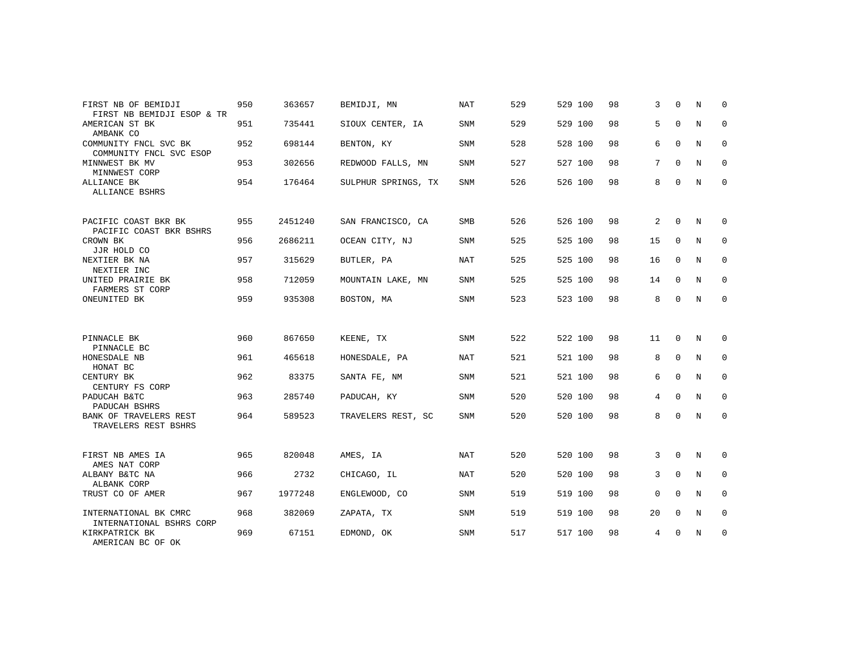| FIRST NB OF BEMIDJI<br>FIRST NB BEMIDJI ESOP & TR | 950 | 363657  | BEMIDJI, MN         | <b>NAT</b> | 529 | 529 100 | 98 | 3              | $\Omega$    | N           | 0           |
|---------------------------------------------------|-----|---------|---------------------|------------|-----|---------|----|----------------|-------------|-------------|-------------|
| AMERICAN ST BK<br>AMBANK CO                       | 951 | 735441  | SIOUX CENTER, IA    | SNM        | 529 | 529 100 | 98 | 5              | $\mathbf 0$ | N           | 0           |
| COMMUNITY FNCL SVC BK<br>COMMUNITY FNCL SVC ESOP  | 952 | 698144  | BENTON, KY          | SNM        | 528 | 528 100 | 98 | 6              | $\mathbf 0$ | N           | 0           |
| MINNWEST BK MV<br>MINNWEST CORP                   | 953 | 302656  | REDWOOD FALLS, MN   | SNM        | 527 | 527 100 | 98 | 7              | $\Omega$    | N           | 0           |
| ALLIANCE BK<br>ALLIANCE BSHRS                     | 954 | 176464  | SULPHUR SPRINGS, TX | SNM        | 526 | 526 100 | 98 | 8              | $\Omega$    | $\mathbf N$ | $\Omega$    |
| PACIFIC COAST BKR BK<br>PACIFIC COAST BKR BSHRS   | 955 | 2451240 | SAN FRANCISCO, CA   | <b>SMB</b> | 526 | 526 100 | 98 | 2              | $\Omega$    | N           | 0           |
| CROWN BK<br>JJR HOLD CO                           | 956 | 2686211 | OCEAN CITY, NJ      | SNM        | 525 | 525 100 | 98 | 15             | 0           | N           | 0           |
| NEXTIER BK NA<br>NEXTIER INC                      | 957 | 315629  | BUTLER, PA          | NAT        | 525 | 525 100 | 98 | 16             | $\Omega$    | N           | 0           |
| UNITED PRAIRIE BK<br>FARMERS ST CORP              | 958 | 712059  | MOUNTAIN LAKE, MN   | SNM        | 525 | 525 100 | 98 | 14             | 0           | N           | 0           |
| ONEUNITED BK                                      | 959 | 935308  | BOSTON, MA          | SNM        | 523 | 523 100 | 98 | 8              | $\mathbf 0$ | N           | $\mathbf 0$ |
| PINNACLE BK<br>PINNACLE BC                        | 960 | 867650  | KEENE, TX           | SNM        | 522 | 522 100 | 98 | 11             | $\mathbf 0$ | N           | 0           |
| HONESDALE NB<br>HONAT BC                          | 961 | 465618  | HONESDALE, PA       | <b>NAT</b> | 521 | 521 100 | 98 | 8              | $\mathbf 0$ | N           | $\mathbf 0$ |
| CENTURY BK<br>CENTURY FS CORP                     | 962 | 83375   | SANTA FE, NM        | SNM        | 521 | 521 100 | 98 | 6              | $\mathbf 0$ | N           | 0           |
| PADUCAH B&TC<br>PADUCAH BSHRS                     | 963 | 285740  | PADUCAH, KY         | <b>SNM</b> | 520 | 520 100 | 98 | $\overline{4}$ | $\Omega$    | $_{\rm N}$  | $\Omega$    |
| BANK OF TRAVELERS REST<br>TRAVELERS REST BSHRS    | 964 | 589523  | TRAVELERS REST, SC  | SNM        | 520 | 520 100 | 98 | 8              | $\mathbf 0$ | N           | 0           |
| FIRST NB AMES IA<br>AMES NAT CORP                 | 965 | 820048  | AMES, IA            | NAT        | 520 | 520 100 | 98 | 3              | $\mathbf 0$ | N           | 0           |
| ALBANY B&TC NA<br>ALBANK CORP                     | 966 | 2732    | CHICAGO, IL         | <b>NAT</b> | 520 | 520 100 | 98 | 3              | $\Omega$    | N           | $\mathbf 0$ |
| TRUST CO OF AMER                                  | 967 | 1977248 | ENGLEWOOD, CO       | SNM        | 519 | 519 100 | 98 | $\mathbf 0$    | $\mathbf 0$ | N           | 0           |
| INTERNATIONAL BK CMRC<br>INTERNATIONAL BSHRS CORP | 968 | 382069  | ZAPATA, TX          | <b>SNM</b> | 519 | 519 100 | 98 | 20             | $\mathbf 0$ | N           | 0           |
| KIRKPATRICK BK<br>AMERICAN BC OF OK               | 969 | 67151   | EDMOND, OK          | <b>SNM</b> | 517 | 517 100 | 98 | 4              | 0           | N           | $\mathbf 0$ |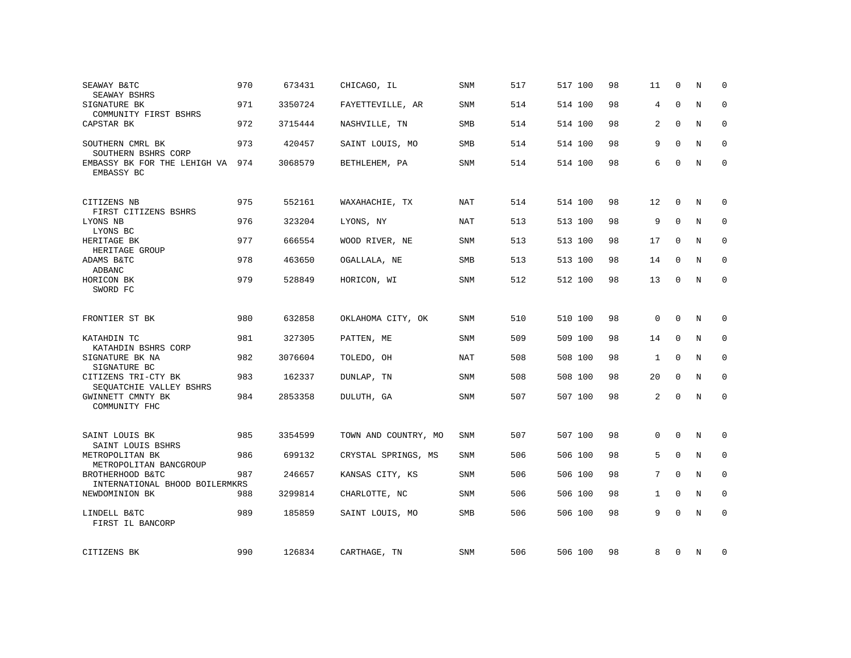| SEAWAY B&TC<br>SEAWAY BSHRS                        | 970 | 673431  | CHICAGO, IL          | <b>SNM</b> | 517 | 517 100 | 98 | 11             | $\Omega$    | N           | $\Omega$    |
|----------------------------------------------------|-----|---------|----------------------|------------|-----|---------|----|----------------|-------------|-------------|-------------|
| SIGNATURE BK<br>COMMUNITY FIRST BSHRS              | 971 | 3350724 | FAYETTEVILLE, AR     | SNM        | 514 | 514 100 | 98 | $\overline{4}$ | $\Omega$    | $\mathbf N$ | $\mathbf 0$ |
| CAPSTAR BK                                         | 972 | 3715444 | NASHVILLE, TN        | SMB        | 514 | 514 100 | 98 | 2              | $\Omega$    | N           | 0           |
| SOUTHERN CMRL BK<br>SOUTHERN BSHRS CORP            | 973 | 420457  | SAINT LOUIS, MO      | SMB        | 514 | 514 100 | 98 | 9              | $\Omega$    | $_{\rm N}$  | $\Omega$    |
| EMBASSY BK FOR THE LEHIGH VA<br>EMBASSY BC         | 974 | 3068579 | BETHLEHEM, PA        | SNM        | 514 | 514 100 | 98 | 6              | $\Omega$    | N           | $\mathbf 0$ |
| CITIZENS NB<br>FIRST CITIZENS BSHRS                | 975 | 552161  | WAXAHACHIE, TX       | <b>NAT</b> | 514 | 514 100 | 98 | 12             | $\Omega$    | N           | $\Omega$    |
| LYONS NB<br>LYONS BC                               | 976 | 323204  | LYONS, NY            | <b>NAT</b> | 513 | 513 100 | 98 | 9              | $\mathbf 0$ | $\rm N$     | $\mathbf 0$ |
| HERITAGE BK<br>HERITAGE GROUP                      | 977 | 666554  | WOOD RIVER, NE       | <b>SNM</b> | 513 | 513 100 | 98 | 17             | $\mathbf 0$ | N           | $\mathbf 0$ |
| ADAMS B&TC<br><b>ADBANC</b>                        | 978 | 463650  | OGALLALA, NE         | <b>SMB</b> | 513 | 513 100 | 98 | 14             | $\Omega$    | N           | $\Omega$    |
| HORICON BK<br>SWORD FC                             | 979 | 528849  | HORICON, WI          | SNM        | 512 | 512 100 | 98 | 13             | $\Omega$    | $_{\rm N}$  | $\mathbf 0$ |
| FRONTIER ST BK                                     | 980 | 632858  | OKLAHOMA CITY, OK    | SNM        | 510 | 510 100 | 98 | $\mathbf{0}$   | $\Omega$    | N           | 0           |
| KATAHDIN TC<br>KATAHDIN BSHRS CORP                 | 981 | 327305  | PATTEN, ME           | <b>SNM</b> | 509 | 509 100 | 98 | 14             | $\mathbf 0$ | $\mathbf N$ | $\mathbf 0$ |
| SIGNATURE BK NA<br>SIGNATURE BC                    | 982 | 3076604 | TOLEDO, OH           | NAT        | 508 | 508 100 | 98 | $\mathbf{1}$   | $\mathbf 0$ | N           | 0           |
| CITIZENS TRI-CTY BK<br>SEOUATCHIE VALLEY BSHRS     | 983 | 162337  | DUNLAP, TN           | <b>SNM</b> | 508 | 508 100 | 98 | 20             | $\Omega$    | N           | $\mathbf 0$ |
| GWINNETT CMNTY BK<br>COMMUNITY FHC                 | 984 | 2853358 | DULUTH, GA           | SNM        | 507 | 507 100 | 98 | 2              | $\Omega$    | $_{\rm N}$  | $\mathsf 0$ |
| SAINT LOUIS BK<br>SAINT LOUIS BSHRS                | 985 | 3354599 | TOWN AND COUNTRY, MO | SNM        | 507 | 507 100 | 98 | $\mathbf{0}$   | 0           | N           | 0           |
| METROPOLITAN BK<br>METROPOLITAN BANCGROUP          | 986 | 699132  | CRYSTAL SPRINGS, MS  | SNM        | 506 | 506 100 | 98 | 5              | $\Omega$    | N           | $\mathbf 0$ |
| BROTHERHOOD B&TC<br>INTERNATIONAL BHOOD BOILERMKRS | 987 | 246657  | KANSAS CITY, KS      | SNM        | 506 | 506 100 | 98 | 7              | $\Omega$    | $\mathbf N$ | $\mathbf 0$ |
| NEWDOMINION BK                                     | 988 | 3299814 | CHARLOTTE, NC        | SNM        | 506 | 506 100 | 98 | $\mathbf{1}$   | $\mathbf 0$ | N           | $\mathbf 0$ |
| LINDELL B&TC<br>FIRST IL BANCORP                   | 989 | 185859  | SAINT LOUIS, MO      | SMB        | 506 | 506 100 | 98 | 9              | $\Omega$    | $_{\rm N}$  | $\mathbf 0$ |
| CITIZENS BK                                        | 990 | 126834  | CARTHAGE, TN         | SNM        | 506 | 506 100 | 98 | 8              | 0           | N           | 0           |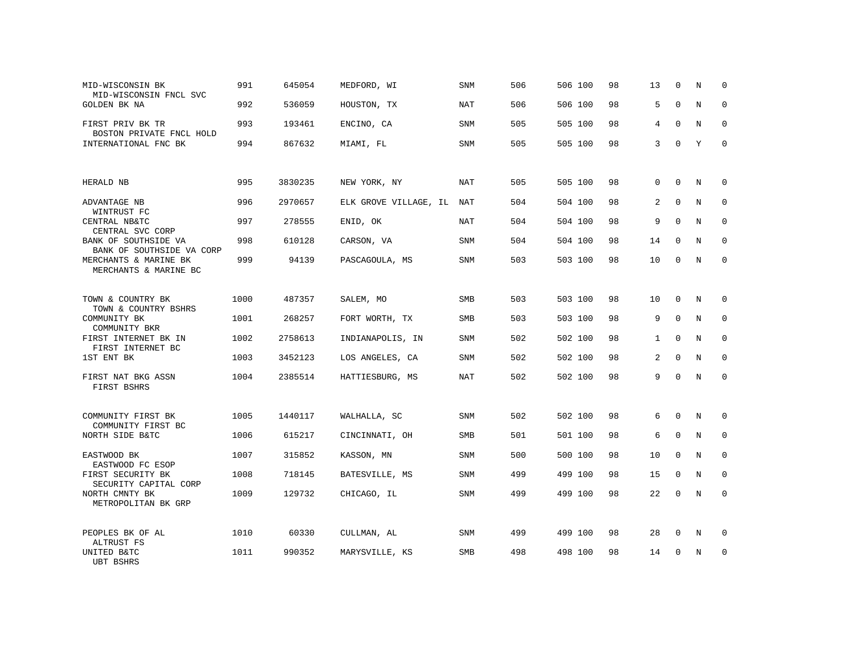| MID-WISCONSIN BK<br>MID-WISCONSIN FNCL SVC                     | 991  | 645054  | MEDFORD, WI           | SNM        | 506 | 506 100 | 98 | 13          | 0            | N           | $\mathbf 0$  |
|----------------------------------------------------------------|------|---------|-----------------------|------------|-----|---------|----|-------------|--------------|-------------|--------------|
| <b>GOLDEN BK NA</b>                                            | 992  | 536059  | HOUSTON, TX           | <b>NAT</b> | 506 | 506 100 | 98 | 5           | $\mathbf 0$  | N           | $\mathbf 0$  |
| FIRST PRIV BK TR                                               | 993  | 193461  | ENCINO, CA            | SNM        | 505 | 505 100 | 98 | 4           | 0            | N           | $\mathbf 0$  |
| BOSTON PRIVATE FNCL HOLD<br>INTERNATIONAL FNC BK               | 994  | 867632  | MIAMI, FL             | SNM        | 505 | 505 100 | 98 | 3           | $\Omega$     | Y           | $\Omega$     |
|                                                                |      |         |                       |            |     |         |    |             |              |             |              |
| HERALD NB                                                      | 995  | 3830235 | NEW YORK, NY          | NAT        | 505 | 505 100 | 98 | $\mathbf 0$ | $\Omega$     | N           | $\Omega$     |
| ADVANTAGE NB<br>WINTRUST FC                                    | 996  | 2970657 | ELK GROVE VILLAGE, IL | NAT        | 504 | 504 100 | 98 | 2           | $\Omega$     | N           | 0            |
| CENTRAL NB&TC<br>CENTRAL SVC CORP                              | 997  | 278555  | ENID, OK              | NAT        | 504 | 504 100 | 98 | 9           | $\Omega$     | N           | $\mathbf 0$  |
| BANK OF SOUTHSIDE VA<br>BANK OF SOUTHSIDE VA CORP              | 998  | 610128  | CARSON, VA            | SNM        | 504 | 504 100 | 98 | 14          | 0            | N           | 0            |
| MERCHANTS & MARINE BK                                          | 999  | 94139   | PASCAGOULA, MS        | SNM        | 503 | 503 100 | 98 | 10          | $\Omega$     | N           | $\Omega$     |
| MERCHANTS & MARINE BC                                          |      |         |                       |            |     |         |    |             |              |             |              |
| TOWN & COUNTRY BK<br>TOWN & COUNTRY BSHRS                      | 1000 | 487357  | SALEM, MO             | SMB        | 503 | 503 100 | 98 | 10          | 0            | N           | $\mathbf{0}$ |
| COMMUNITY BK<br>COMMUNITY BKR                                  | 1001 | 268257  | FORT WORTH, TX        | <b>SMB</b> | 503 | 503 100 | 98 | 9           | $\Omega$     | N           | $\mathbf 0$  |
| FIRST INTERNET BK IN<br>FIRST INTERNET BC                      | 1002 | 2758613 | INDIANAPOLIS, IN      | SNM        | 502 | 502 100 | 98 | 1           | $\mathbf{0}$ | N           | $\mathbf 0$  |
| 1ST ENT BK                                                     | 1003 | 3452123 | LOS ANGELES, CA       | <b>SNM</b> | 502 | 502 100 | 98 | 2           | $\Omega$     | N           | $\mathbf 0$  |
| FIRST NAT BKG ASSN<br>FIRST BSHRS                              | 1004 | 2385514 | HATTIESBURG, MS       | <b>NAT</b> | 502 | 502 100 | 98 | 9           | $\mathbf 0$  | $\mathbb N$ | $\mathbf 0$  |
|                                                                |      |         |                       |            |     |         |    |             |              |             |              |
| COMMUNITY FIRST BK<br>COMMUNITY FIRST BC                       | 1005 | 1440117 | WALHALLA, SC          | SNM        | 502 | 502 100 | 98 | 6           | $\mathbf 0$  | N           | $\mathbf 0$  |
| NORTH SIDE B&TC                                                | 1006 | 615217  | CINCINNATI, OH        | <b>SMB</b> | 501 | 501 100 | 98 | 6           | $\mathbf 0$  | N           | $\mathbf 0$  |
| EASTWOOD BK                                                    | 1007 | 315852  | KASSON, MN            | SNM        | 500 | 500 100 | 98 | 10          | $\mathbf 0$  | $\mathbf N$ | $\mathbf 0$  |
| EASTWOOD FC ESOP<br>FIRST SECURITY BK<br>SECURITY CAPITAL CORP | 1008 | 718145  | BATESVILLE, MS        | <b>SNM</b> | 499 | 499 100 | 98 | 15          | $\mathbf 0$  | N           | $\mathbf 0$  |
| NORTH CMNTY BK<br>METROPOLITAN BK GRP                          | 1009 | 129732  | CHICAGO, IL           | SNM        | 499 | 499 100 | 98 | 22          | $\mathbf 0$  | $\rm N$     | $\mathbf 0$  |
|                                                                |      |         |                       |            |     |         |    |             |              |             |              |
| PEOPLES BK OF AL<br>ALTRUST FS                                 | 1010 | 60330   | CULLMAN, AL           | SNM        | 499 | 499 100 | 98 | 28          | 0            | N           | 0            |
| UNITED B&TC<br><b>UBT BSHRS</b>                                | 1011 | 990352  | MARYSVILLE, KS        | <b>SMB</b> | 498 | 498 100 | 98 | 14          | 0            | N           | $\mathbf{0}$ |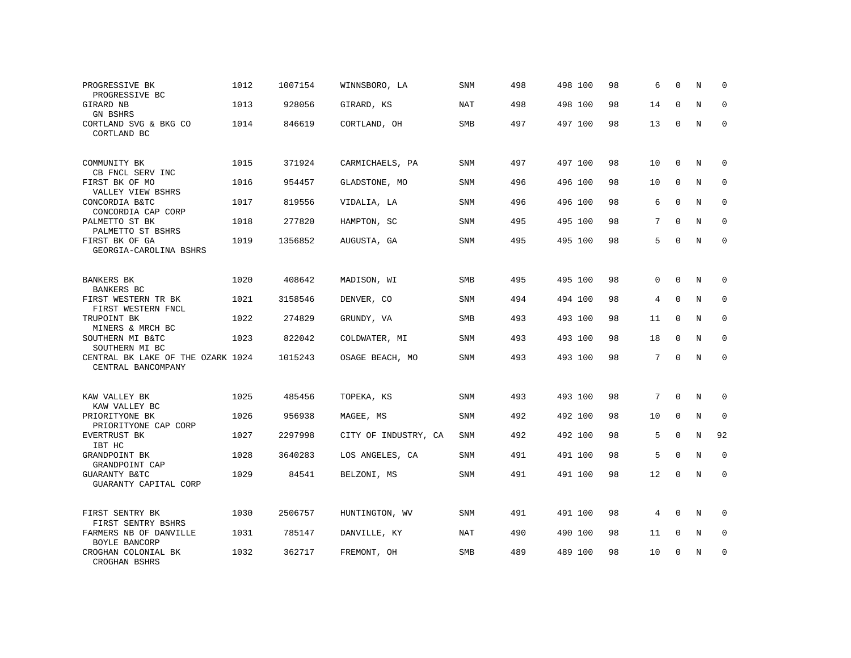| PROGRESSIVE BK<br>PROGRESSIVE BC                        | 1012 | 1007154 | WINNSBORO, LA        | SNM        | 498 | 498 100 | 98 | 6  | $\mathbf 0$  | N           | $\Omega$     |
|---------------------------------------------------------|------|---------|----------------------|------------|-----|---------|----|----|--------------|-------------|--------------|
| GIRARD NB<br><b>GN BSHRS</b>                            | 1013 | 928056  | GIRARD, KS           | <b>NAT</b> | 498 | 498 100 | 98 | 14 | $\Omega$     | $\mathbf N$ | 0            |
| CORTLAND SVG & BKG CO<br>CORTLAND BC                    | 1014 | 846619  | CORTLAND, OH         | <b>SMB</b> | 497 | 497 100 | 98 | 13 | $\Omega$     | N           | $\Omega$     |
| COMMUNITY BK<br>CB FNCL SERV INC                        | 1015 | 371924  | CARMICHAELS, PA      | <b>SNM</b> | 497 | 497 100 | 98 | 10 | $\Omega$     | N           | $\Omega$     |
| FIRST BK OF MO<br>VALLEY VIEW BSHRS                     | 1016 | 954457  | GLADSTONE, MO        | <b>SNM</b> | 496 | 496 100 | 98 | 10 | $\mathbf 0$  | N           | $\mathbf{0}$ |
| CONCORDIA B&TC<br>CONCORDIA CAP CORP                    | 1017 | 819556  | VIDALIA, LA          | SNM        | 496 | 496 100 | 98 | 6  | $\mathbf 0$  | $\mathbf N$ | $\mathbf{0}$ |
| PALMETTO ST BK<br>PALMETTO ST BSHRS                     | 1018 | 277820  | HAMPTON, SC          | <b>SNM</b> | 495 | 495 100 | 98 | 7  | $\Omega$     | N           | $\mathbf{0}$ |
| FIRST BK OF GA<br>GEORGIA-CAROLINA BSHRS                | 1019 | 1356852 | AUGUSTA, GA          | <b>SNM</b> | 495 | 495 100 | 98 | 5  | $\Omega$     | N           | $\mathbf{0}$ |
| BANKERS BK<br>BANKERS BC                                | 1020 | 408642  | MADISON, WI          | <b>SMB</b> | 495 | 495 100 | 98 | 0  | $\Omega$     | N           | $\mathbf 0$  |
| FIRST WESTERN TR BK<br>FIRST WESTERN FNCL               | 1021 | 3158546 | DENVER, CO           | SNM        | 494 | 494 100 | 98 | 4  | $\mathbf 0$  | $\mathbf N$ | $\mathbf 0$  |
| TRUPOINT BK<br>MINERS & MRCH BC                         | 1022 | 274829  | GRUNDY, VA           | SMB        | 493 | 493 100 | 98 | 11 | $\Omega$     | N           | $\mathbf 0$  |
| SOUTHERN MI B&TC<br>SOUTHERN MI BC                      | 1023 | 822042  | COLDWATER, MI        | <b>SNM</b> | 493 | 493 100 | 98 | 18 | $\mathbf 0$  | N           | $\mathbf 0$  |
| CENTRAL BK LAKE OF THE OZARK 1024<br>CENTRAL BANCOMPANY |      | 1015243 | OSAGE BEACH, MO      | <b>SNM</b> | 493 | 493 100 | 98 | 7  | $\mathbf{0}$ | $\mathbf N$ | $\mathbf 0$  |
| KAW VALLEY BK<br>KAW VALLEY BC                          | 1025 | 485456  | TOPEKA, KS           | SNM        | 493 | 493 100 | 98 | 7  | $\mathbf 0$  | N           | $\mathbf 0$  |
| PRIORITYONE BK<br>PRIORITYONE CAP CORP                  | 1026 | 956938  | MAGEE, MS            | <b>SNM</b> | 492 | 492 100 | 98 | 10 | $\mathbf 0$  | N           | $\mathbf{0}$ |
| EVERTRUST BK<br>IBT HC                                  | 1027 | 2297998 | CITY OF INDUSTRY, CA | SNM        | 492 | 492 100 | 98 | 5  | $\Omega$     | N           | 92           |
| GRANDPOINT BK<br>GRANDPOINT CAP                         | 1028 | 3640283 | LOS ANGELES, CA      | SNM        | 491 | 491 100 | 98 | 5  | $\mathbf 0$  | N           | 0            |
| GUARANTY B&TC<br>GUARANTY CAPITAL CORP                  | 1029 | 84541   | BELZONI, MS          | SNM        | 491 | 491 100 | 98 | 12 | 0            | N           | $\mathbf{0}$ |
| FIRST SENTRY BK<br>FIRST SENTRY BSHRS                   | 1030 | 2506757 | HUNTINGTON, WV       | <b>SNM</b> | 491 | 491 100 | 98 | 4  | $\mathbf 0$  | N           | $\Omega$     |
| FARMERS NB OF DANVILLE<br>BOYLE BANCORP                 | 1031 | 785147  | DANVILLE, KY         | <b>NAT</b> | 490 | 490 100 | 98 | 11 | $\mathbf 0$  | N           | 0            |
| CROGHAN COLONIAL BK<br>CROGHAN BSHRS                    | 1032 | 362717  | FREMONT, OH          | <b>SMB</b> | 489 | 489 100 | 98 | 10 | 0            | N           | 0            |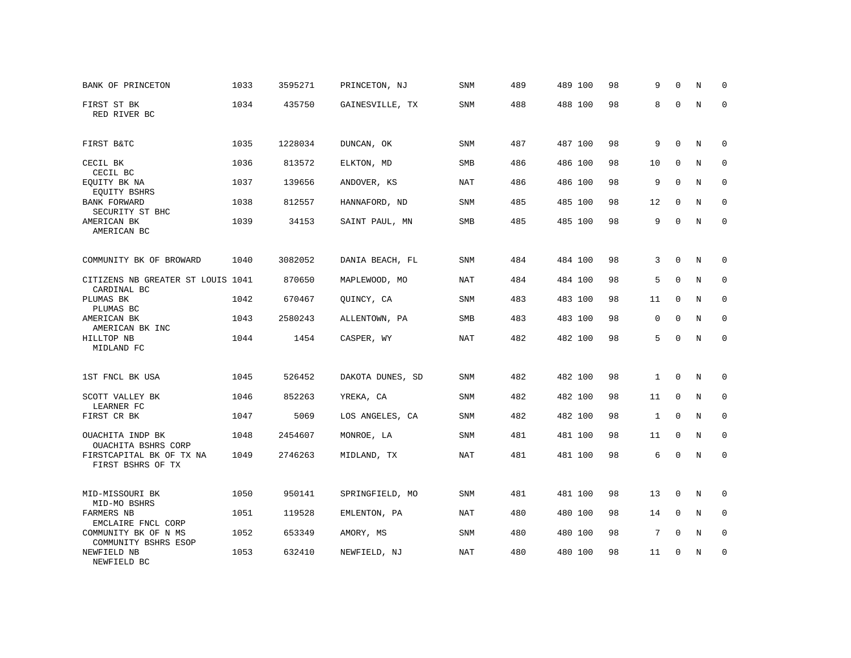| BANK OF PRINCETON                                | 1033 | 3595271 | PRINCETON, NJ    | SNM        | 489 | 489 100 | 98 | 9            | $\mathbf 0$  | N       | $\mathbf 0$         |
|--------------------------------------------------|------|---------|------------------|------------|-----|---------|----|--------------|--------------|---------|---------------------|
| FIRST ST BK<br>RED RIVER BC                      | 1034 | 435750  | GAINESVILLE, TX  | SNM        | 488 | 488 100 | 98 | 8            | $\mathbf 0$  | N       | $\mathbf 0$         |
| FIRST B&TC                                       | 1035 | 1228034 | DUNCAN, OK       | SNM        | 487 | 487 100 | 98 | 9            | 0            | N       | $\mathbf 0$         |
| CECIL BK                                         | 1036 | 813572  | ELKTON, MD       | SMB        | 486 | 486 100 | 98 | 10           | $\mathbf 0$  | N       | $\mathbf 0$         |
| CECIL BC<br>EQUITY BK NA<br>EQUITY BSHRS         | 1037 | 139656  | ANDOVER, KS      | NAT        | 486 | 486 100 | 98 | 9            | $\mathbf 0$  | N       | $\mathbf 0$         |
| <b>BANK FORWARD</b><br>SECURITY ST BHC           | 1038 | 812557  | HANNAFORD, ND    | SNM        | 485 | 485 100 | 98 | 12           | $\mathbf 0$  | N       | $\mathbf 0$         |
| AMERICAN BK<br>AMERICAN BC                       | 1039 | 34153   | SAINT PAUL, MN   | <b>SMB</b> | 485 | 485 100 | 98 | 9            | $\mathbf 0$  | $\rm N$ | $\mathbf 0$         |
| COMMUNITY BK OF BROWARD                          | 1040 | 3082052 | DANIA BEACH, FL  | <b>SNM</b> | 484 | 484 100 | 98 | 3            | $\mathbf 0$  | $\rm N$ | $\mathbf 0$         |
| CITIZENS NB GREATER ST LOUIS 1041<br>CARDINAL BC |      | 870650  | MAPLEWOOD, MO    | NAT        | 484 | 484 100 | 98 | 5            | $\mathbf 0$  | $\rm N$ | $\mathbf 0$         |
| PLUMAS BK<br>PLUMAS BC                           | 1042 | 670467  | QUINCY, CA       | SNM        | 483 | 483 100 | 98 | 11           | $\Omega$     | N       | $\mathbf 0$         |
| AMERICAN BK<br>AMERICAN BK INC                   | 1043 | 2580243 | ALLENTOWN, PA    | <b>SMB</b> | 483 | 483 100 | 98 | $\mathbf 0$  | $\Omega$     | N       | $\mathbf 0$         |
| HILLTOP NB<br>MIDLAND FC                         | 1044 | 1454    | CASPER, WY       | <b>NAT</b> | 482 | 482 100 | 98 | 5            | $\Omega$     | N       | $\mathbf 0$         |
| 1ST FNCL BK USA                                  | 1045 | 526452  | DAKOTA DUNES, SD | <b>SNM</b> | 482 | 482 100 | 98 | $\mathbf{1}$ | $\mathbf 0$  | N       | 0                   |
| SCOTT VALLEY BK<br>LEARNER FC                    | 1046 | 852263  | YREKA, CA        | <b>SNM</b> | 482 | 482 100 | 98 | 11           | 0            | N       | $\mathbf 0$         |
| FIRST CR BK                                      | 1047 | 5069    | LOS ANGELES, CA  | <b>SNM</b> | 482 | 482 100 | 98 | $\mathbf{1}$ | $\mathbf 0$  | $\rm N$ | $\mathsf{O}\xspace$ |
| OUACHITA INDP BK<br>OUACHITA BSHRS CORP          | 1048 | 2454607 | MONROE, LA       | <b>SNM</b> | 481 | 481 100 | 98 | 11           | $\mathbf{0}$ | N       | $\mathbf 0$         |
| FIRSTCAPITAL BK OF TX NA<br>FIRST BSHRS OF TX    | 1049 | 2746263 | MIDLAND, TX      | <b>NAT</b> | 481 | 481 100 | 98 | 6            | $\Omega$     | N       | $\mathbf 0$         |
| MID-MISSOURI BK<br>MID-MO BSHRS                  | 1050 | 950141  | SPRINGFIELD, MO  | SNM        | 481 | 481 100 | 98 | 13           | $\mathbf 0$  | N       | 0                   |
| <b>FARMERS NB</b><br>EMCLAIRE FNCL CORP          | 1051 | 119528  | EMLENTON, PA     | NAT        | 480 | 480 100 | 98 | 14           | 0            | N       | $\mathbf 0$         |
| COMMUNITY BK OF N MS<br>COMMUNITY BSHRS ESOP     | 1052 | 653349  | AMORY, MS        | SNM        | 480 | 480 100 | 98 | 7            | 0            | N       | $\mathbf 0$         |
| NEWFIELD NB<br>NEWFIELD BC                       | 1053 | 632410  | NEWFIELD, NJ     | NAT        | 480 | 480 100 | 98 | 11           | 0            | $\rm N$ | $\mathbf 0$         |
|                                                  |      |         |                  |            |     |         |    |              |              |         |                     |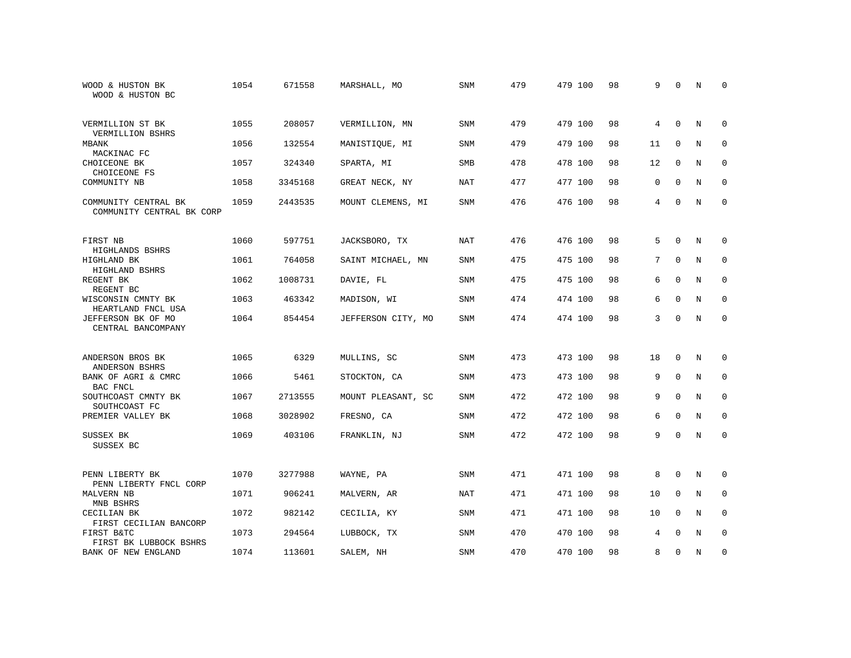| WOOD & HUSTON BK<br>WOOD & HUSTON BC              | 1054 | 671558  | MARSHALL, MO       | <b>SNM</b> | 479 | 479 100 | 98 | 9           | $\Omega$     | N           | $\Omega$     |
|---------------------------------------------------|------|---------|--------------------|------------|-----|---------|----|-------------|--------------|-------------|--------------|
| VERMILLION ST BK<br>VERMILLION BSHRS              | 1055 | 208057  | VERMILLION, MN     | SNM        | 479 | 479 100 | 98 | 4           | $\mathbf{0}$ | N           | $\mathbf 0$  |
| MBANK<br>MACKINAC FC                              | 1056 | 132554  | MANISTIOUE, MI     | SNM        | 479 | 479 100 | 98 | 11          | $\mathbf 0$  | N           | 0            |
| CHOICEONE BK<br>CHOICEONE FS                      | 1057 | 324340  | SPARTA, MI         | <b>SMB</b> | 478 | 478 100 | 98 | 12          | $\Omega$     | N           | $\mathbf 0$  |
| COMMUNITY NB                                      | 1058 | 3345168 | GREAT NECK, NY     | <b>NAT</b> | 477 | 477 100 | 98 | $\mathbf 0$ | $\Omega$     | N           | 0            |
| COMMUNITY CENTRAL BK<br>COMMUNITY CENTRAL BK CORP | 1059 | 2443535 | MOUNT CLEMENS, MI  | SNM        | 476 | 476 100 | 98 | 4           | $\mathbf 0$  | N           | 0            |
| FIRST NB<br>HIGHLANDS BSHRS                       | 1060 | 597751  | JACKSBORO, TX      | <b>NAT</b> | 476 | 476 100 | 98 | 5           | $\Omega$     | $\mathbf N$ | 0            |
| HIGHLAND BK<br>HIGHLAND BSHRS                     | 1061 | 764058  | SAINT MICHAEL, MN  | SNM        | 475 | 475 100 | 98 | 7           | $\mathbf 0$  | N           | $\mathbf 0$  |
| REGENT BK<br>REGENT BC                            | 1062 | 1008731 | DAVIE, FL          | SNM        | 475 | 475 100 | 98 | 6           | $\mathbf 0$  | N           | 0            |
| WISCONSIN CMNTY BK<br>HEARTLAND FNCL USA          | 1063 | 463342  | MADISON, WI        | <b>SNM</b> | 474 | 474 100 | 98 | 6           | $\mathbf 0$  | N           | $\mathbf 0$  |
| JEFFERSON BK OF MO<br>CENTRAL BANCOMPANY          | 1064 | 854454  | JEFFERSON CITY, MO | <b>SNM</b> | 474 | 474 100 | 98 | 3           | $\mathbf 0$  | N           | $\mathbf{0}$ |
| ANDERSON BROS BK                                  | 1065 | 6329    | MULLINS, SC        | SNM        | 473 | 473 100 | 98 | 18          | $\mathbf{0}$ | N           | 0            |
| ANDERSON BSHRS<br>BANK OF AGRI & CMRC<br>BAC FNCL | 1066 | 5461    | STOCKTON, CA       | <b>SNM</b> | 473 | 473 100 | 98 | 9           | $\mathbf{0}$ | $\mathbf N$ | $\mathbf 0$  |
| SOUTHCOAST CMNTY BK<br>SOUTHCOAST FC              | 1067 | 2713555 | MOUNT PLEASANT, SC | SNM        | 472 | 472 100 | 98 | 9           | $\mathbf 0$  | N           | 0            |
| PREMIER VALLEY BK                                 | 1068 | 3028902 | FRESNO, CA         | SNM        | 472 | 472 100 | 98 | 6           | $\mathbf 0$  | N           | 0            |
| SUSSEX BK<br>SUSSEX BC                            | 1069 | 403106  | FRANKLIN, NJ       | SNM        | 472 | 472 100 | 98 | 9           | $\Omega$     | $\mathbf N$ | $\mathbf 0$  |
| PENN LIBERTY BK<br>PENN LIBERTY FNCL CORP         | 1070 | 3277988 | WAYNE, PA          | SNM        | 471 | 471 100 | 98 | 8           | $\mathbf 0$  | N           | 0            |
| <b>MALVERN NB</b><br>MNB BSHRS                    | 1071 | 906241  | MALVERN, AR        | <b>NAT</b> | 471 | 471 100 | 98 | 10          | $\mathbf{0}$ | N           | $\mathbf{0}$ |
| CECILIAN BK<br>FIRST CECILIAN BANCORP             | 1072 | 982142  | CECILIA, KY        | SNM        | 471 | 471 100 | 98 | 10          | $\mathbf 0$  | N           | $\mathbf{0}$ |
| FIRST B&TC<br>FIRST BK LUBBOCK BSHRS              | 1073 | 294564  | LUBBOCK, TX        | SNM        | 470 | 470 100 | 98 | 4           | $\Omega$     | N           | $\mathbf 0$  |
| BANK OF NEW ENGLAND                               | 1074 | 113601  | SALEM, NH          | SNM        | 470 | 470 100 | 98 | 8           | $\Omega$     | N           | 0            |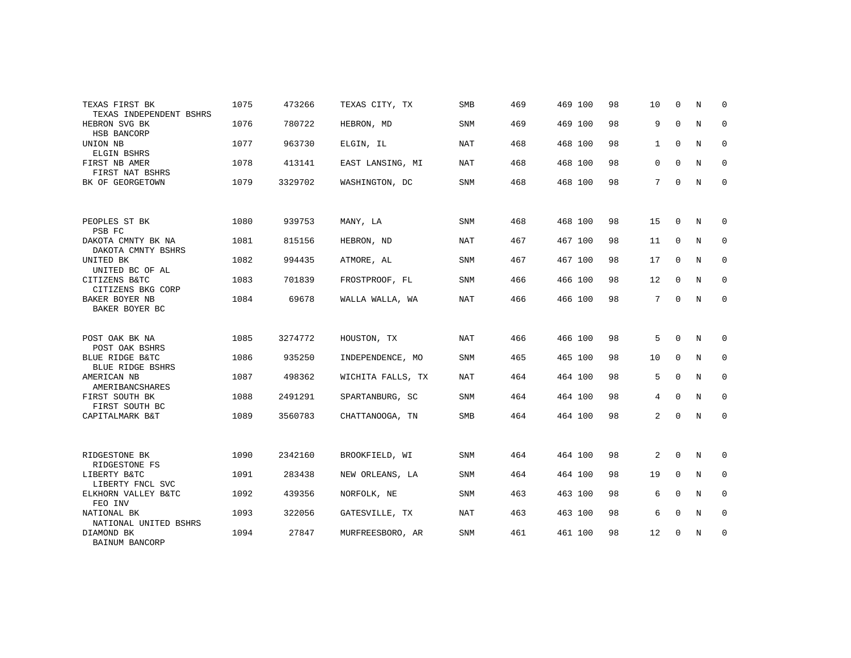| TEXAS FIRST BK<br>TEXAS INDEPENDENT BSHRS  | 1075 | 473266  | TEXAS CITY, TX    | <b>SMB</b> | 469 | 469 100 | 98 | 10           | $\Omega$    | N | $\Omega$    |
|--------------------------------------------|------|---------|-------------------|------------|-----|---------|----|--------------|-------------|---|-------------|
| HEBRON SVG BK<br>HSB BANCORP               | 1076 | 780722  | HEBRON, MD        | <b>SNM</b> | 469 | 469 100 | 98 | 9            | $\mathbf 0$ | N | $\mathbf 0$ |
| UNION NB<br>ELGIN BSHRS                    | 1077 | 963730  | ELGIN, IL         | <b>NAT</b> | 468 | 468 100 | 98 | $\mathbf{1}$ | $\mathbf 0$ | N | 0           |
| FIRST NB AMER<br>FIRST NAT BSHRS           | 1078 | 413141  | EAST LANSING, MI  | NAT        | 468 | 468 100 | 98 | $\mathbf 0$  | $\Omega$    | N | 0           |
| BK OF GEORGETOWN                           | 1079 | 3329702 | WASHINGTON, DC    | <b>SNM</b> | 468 | 468 100 | 98 | 7            | 0           | N | $\mathbf 0$ |
| PEOPLES ST BK                              | 1080 | 939753  | MANY, LA          | <b>SNM</b> | 468 | 468 100 | 98 | 15           | $\Omega$    | N | 0           |
| PSB FC                                     |      |         |                   |            |     |         |    |              |             |   |             |
| DAKOTA CMNTY BK NA<br>DAKOTA CMNTY BSHRS   | 1081 | 815156  | HEBRON, ND        | NAT        | 467 | 467 100 | 98 | 11           | $\mathbf 0$ | N | 0           |
| UNITED BK<br>UNITED BC OF AL               | 1082 | 994435  | ATMORE, AL        | <b>SNM</b> | 467 | 467 100 | 98 | 17           | $\mathbf 0$ | N | 0           |
| CITIZENS B&TC<br>CITIZENS BKG CORP         | 1083 | 701839  | FROSTPROOF, FL    | <b>SNM</b> | 466 | 466 100 | 98 | 12           | 0           | N | $\mathbf 0$ |
| BAKER BOYER NB<br>BAKER BOYER BC           | 1084 | 69678   | WALLA WALLA, WA   | <b>NAT</b> | 466 | 466 100 | 98 | 7            | 0           | N | $\mathbf 0$ |
|                                            |      |         |                   |            |     |         |    |              |             |   |             |
| POST OAK BK NA<br>POST OAK BSHRS           | 1085 | 3274772 | HOUSTON, TX       | <b>NAT</b> | 466 | 466 100 | 98 | 5            | $\Omega$    | N | 0           |
| BLUE RIDGE B&TC<br><b>BLUE RIDGE BSHRS</b> | 1086 | 935250  | INDEPENDENCE, MO  | SNM        | 465 | 465 100 | 98 | 10           | $\mathbf 0$ | N | $\mathbf 0$ |
| AMERICAN NB<br>AMERIBANCSHARES             | 1087 | 498362  | WICHITA FALLS, TX | <b>NAT</b> | 464 | 464 100 | 98 | 5            | $\mathbf 0$ | N | 0           |
| FIRST SOUTH BK<br>FIRST SOUTH BC           | 1088 | 2491291 | SPARTANBURG, SC   | <b>SNM</b> | 464 | 464 100 | 98 | 4            | $\Omega$    | N | $\mathbf 0$ |
| CAPITALMARK B&T                            | 1089 | 3560783 | CHATTANOOGA, TN   | <b>SMB</b> | 464 | 464 100 | 98 | 2            | $\mathbf 0$ | N | 0           |
|                                            |      |         |                   |            |     |         |    |              |             |   |             |
| RIDGESTONE BK<br>RIDGESTONE FS             | 1090 | 2342160 | BROOKFIELD, WI    | <b>SNM</b> | 464 | 464 100 | 98 | 2            | $\mathbf 0$ | N | 0           |
| LIBERTY B&TC<br>LIBERTY FNCL SVC           | 1091 | 283438  | NEW ORLEANS, LA   | <b>SNM</b> | 464 | 464 100 | 98 | 19           | $\mathbf 0$ | N | $\mathbf 0$ |
| ELKHORN VALLEY B&TC<br>FEO INV             | 1092 | 439356  | NORFOLK, NE       | <b>SNM</b> | 463 | 463 100 | 98 | 6            | $\mathbf 0$ | N | 0           |
| NATIONAL BK<br>NATIONAL UNITED BSHRS       | 1093 | 322056  | GATESVILLE, TX    | <b>NAT</b> | 463 | 463 100 | 98 | 6            | $\Omega$    | N | $\mathbf 0$ |
| DIAMOND BK<br>BAINUM BANCORP               | 1094 | 27847   | MURFREESBORO, AR  | <b>SNM</b> | 461 | 461 100 | 98 | 12           | 0           | N | 0           |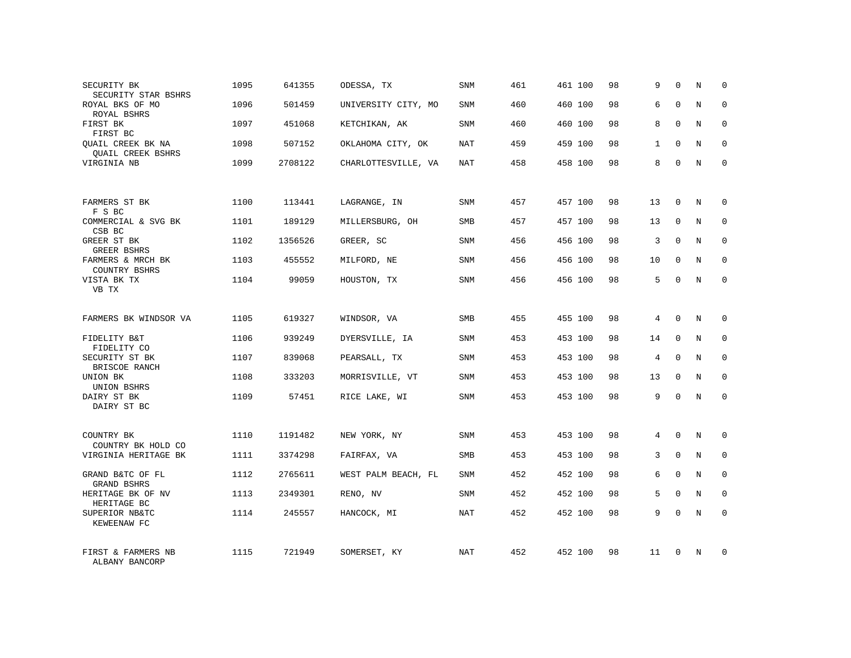| SECURITY BK<br>SECURITY STAR BSHRS                   | 1095 | 641355  | ODESSA, TX          | SNM        | 461 | 461 100 | 98 | 9              | $\Omega$    | N          | 0           |
|------------------------------------------------------|------|---------|---------------------|------------|-----|---------|----|----------------|-------------|------------|-------------|
| ROYAL BKS OF MO<br>ROYAL BSHRS                       | 1096 | 501459  | UNIVERSITY CITY, MO | SNM        | 460 | 460 100 | 98 | 6              | $\Omega$    | N          | $\Omega$    |
| FIRST BK<br>FIRST BC                                 | 1097 | 451068  | KETCHIKAN, AK       | SNM        | 460 | 460 100 | 98 | 8              | $\Omega$    | N          | 0           |
| <b>OUAIL CREEK BK NA</b><br><b>OUAIL CREEK BSHRS</b> | 1098 | 507152  | OKLAHOMA CITY, OK   | NAT        | 459 | 459 100 | 98 | $\mathbf{1}$   | $\Omega$    | N          | $\Omega$    |
| VIRGINIA NB                                          | 1099 | 2708122 | CHARLOTTESVILLE, VA | NAT        | 458 | 458 100 | 98 | 8              | $\Omega$    | N          | 0           |
| FARMERS ST BK                                        | 1100 | 113441  | LAGRANGE, IN        | <b>SNM</b> | 457 | 457 100 | 98 | 13             | $\mathbf 0$ | N          | $\mathbf 0$ |
| F S BC<br>COMMERCIAL & SVG BK<br>CSB BC              | 1101 | 189129  | MILLERSBURG, OH     | <b>SMB</b> | 457 | 457 100 | 98 | 13             | $\Omega$    | N          | $\mathbf 0$ |
| GREER ST BK<br>GREER BSHRS                           | 1102 | 1356526 | GREER, SC           | SNM        | 456 | 456 100 | 98 | 3              | $\Omega$    | N          | $\mathbf 0$ |
| FARMERS & MRCH BK<br><b>COUNTRY BSHRS</b>            | 1103 | 455552  | MILFORD, NE         | <b>SNM</b> | 456 | 456 100 | 98 | 10             | $\Omega$    | N          | $\Omega$    |
| VISTA BK TX<br>VB TX                                 | 1104 | 99059   | HOUSTON, TX         | SNM        | 456 | 456 100 | 98 | 5              | $\Omega$    | N          | $\mathbf 0$ |
| FARMERS BK WINDSOR VA                                | 1105 | 619327  | WINDSOR, VA         | <b>SMB</b> | 455 | 455 100 | 98 | $\overline{4}$ | $\Omega$    | N          | $\Omega$    |
| FIDELITY B&T<br>FIDELITY CO                          | 1106 | 939249  | DYERSVILLE, IA      | SNM        | 453 | 453 100 | 98 | 14             | $\mathbf 0$ | N          | $\mathbf 0$ |
| SECURITY ST BK<br>BRISCOE RANCH                      | 1107 | 839068  | PEARSALL, TX        | <b>SNM</b> | 453 | 453 100 | 98 | 4              | $\Omega$    | N          | $\Omega$    |
| UNION BK<br>UNION BSHRS                              | 1108 | 333203  | MORRISVILLE, VT     | <b>SNM</b> | 453 | 453 100 | 98 | 13             | $\mathbf 0$ | N          | $\mathbf 0$ |
| DAIRY ST BK<br>DAIRY ST BC                           | 1109 | 57451   | RICE LAKE, WI       | <b>SNM</b> | 453 | 453 100 | 98 | 9              | $\Omega$    | $_{\rm N}$ | $\Omega$    |
| COUNTRY BK<br>COUNTRY BK HOLD CO                     | 1110 | 1191482 | NEW YORK, NY        | <b>SNM</b> | 453 | 453 100 | 98 | 4              | $\Omega$    | N          | $\Omega$    |
| VIRGINIA HERITAGE BK                                 | 1111 | 3374298 | FAIRFAX, VA         | SMB        | 453 | 453 100 | 98 | 3              | $\mathbf 0$ | N          | 0           |
| GRAND B&TC OF FL<br><b>GRAND BSHRS</b>               | 1112 | 2765611 | WEST PALM BEACH, FL | <b>SNM</b> | 452 | 452 100 | 98 | 6              | $\Omega$    | N          | $\Omega$    |
| HERITAGE BK OF NV<br>HERITAGE BC                     | 1113 | 2349301 | RENO, NV            | SNM        | 452 | 452 100 | 98 | 5              | $\mathbf 0$ | N          | $\mathbf 0$ |
| SUPERIOR NB&TC<br>KEWEENAW FC                        | 1114 | 245557  | HANCOCK, MI         | <b>NAT</b> | 452 | 452 100 | 98 | 9              | $\Omega$    | N          | $\Omega$    |
| FIRST & FARMERS NB<br>ALBANY BANCORP                 | 1115 | 721949  | SOMERSET, KY        | <b>NAT</b> | 452 | 452 100 | 98 | 11             | $\Omega$    | N          | 0           |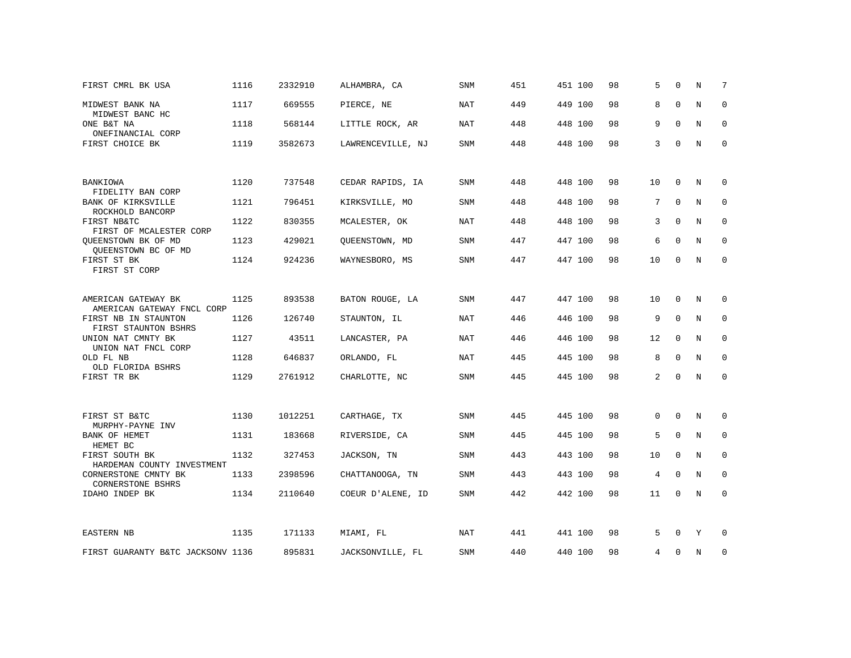| FIRST CMRL BK USA                                 | 1116 | 2332910 | ALHAMBRA, CA      | <b>SNM</b> | 451 | 451 100 | 98 | 5              | $\Omega$    | N           | 7           |
|---------------------------------------------------|------|---------|-------------------|------------|-----|---------|----|----------------|-------------|-------------|-------------|
| MIDWEST BANK NA<br>MIDWEST BANC HC                | 1117 | 669555  | PIERCE, NE        | <b>NAT</b> | 449 | 449 100 | 98 | 8              | $\Omega$    | $\mathbf N$ | $\mathbf 0$ |
| ONE B&T NA<br>ONEFINANCIAL CORP                   | 1118 | 568144  | LITTLE ROCK, AR   | NAT        | 448 | 448 100 | 98 | 9              | $\Omega$    | N           | 0           |
| FIRST CHOICE BK                                   | 1119 | 3582673 | LAWRENCEVILLE, NJ | <b>SNM</b> | 448 | 448 100 | 98 | 3              | $\Omega$    | $\rm N$     | $\mathbf 0$ |
|                                                   |      |         |                   |            |     |         |    |                |             |             |             |
| BANKIOWA<br>FIDELITY BAN CORP                     | 1120 | 737548  | CEDAR RAPIDS, IA  | SNM        | 448 | 448 100 | 98 | 10             | 0           | N           | 0           |
| <b>BANK OF KIRKSVILLE</b><br>ROCKHOLD BANCORP     | 1121 | 796451  | KIRKSVILLE, MO    | <b>SNM</b> | 448 | 448 100 | 98 | 7              | $\Omega$    | N           | $\mathbf 0$ |
| FIRST NB&TC<br>FIRST OF MCALESTER CORP            | 1122 | 830355  | MCALESTER, OK     | <b>NAT</b> | 448 | 448 100 | 98 | 3              | $\Omega$    | $\rm N$     | $\mathbf 0$ |
| QUEENSTOWN BK OF MD<br>QUEENSTOWN BC OF MD        | 1123 | 429021  | QUEENSTOWN, MD    | <b>SNM</b> | 447 | 447 100 | 98 | 6              | $\mathbf 0$ | N           | $\mathbf 0$ |
| FIRST ST BK<br>FIRST ST CORP                      | 1124 | 924236  | WAYNESBORO, MS    | <b>SNM</b> | 447 | 447 100 | 98 | 10             | $\Omega$    | N           | $\mathbf 0$ |
|                                                   |      |         |                   |            |     |         |    |                |             |             |             |
| AMERICAN GATEWAY BK<br>AMERICAN GATEWAY FNCL CORP | 1125 | 893538  | BATON ROUGE, LA   | SNM        | 447 | 447 100 | 98 | 10             | 0           | N           | 0           |
| FIRST NB IN STAUNTON<br>FIRST STAUNTON BSHRS      | 1126 | 126740  | STAUNTON, IL      | NAT        | 446 | 446 100 | 98 | 9              | $\Omega$    | N           | 0           |
| UNION NAT CMNTY BK<br>UNION NAT FNCL CORP         | 1127 | 43511   | LANCASTER, PA     | <b>NAT</b> | 446 | 446 100 | 98 | 12             | $\mathbf 0$ | $\mathbf N$ | $\mathbf 0$ |
| OLD FL NB<br>OLD FLORIDA BSHRS                    | 1128 | 646837  | ORLANDO, FL       | NAT        | 445 | 445 100 | 98 | 8              | $\mathbf 0$ | N           | 0           |
| FIRST TR BK                                       | 1129 | 2761912 | CHARLOTTE, NC     | <b>SNM</b> | 445 | 445 100 | 98 | 2              | $\Omega$    | $\mathbf N$ | $\mathbf 0$ |
|                                                   |      |         |                   |            |     |         |    |                |             |             |             |
| FIRST ST B&TC<br>MURPHY-PAYNE INV                 | 1130 | 1012251 | CARTHAGE, TX      | SNM        | 445 | 445 100 | 98 | $\mathbf 0$    | 0           | N           | 0           |
| BANK OF HEMET<br>HEMET BC                         | 1131 | 183668  | RIVERSIDE, CA     | SNM        | 445 | 445 100 | 98 | 5              | 0           | N           | 0           |
| FIRST SOUTH BK<br>HARDEMAN COUNTY INVESTMENT      | 1132 | 327453  | JACKSON, TN       | <b>SNM</b> | 443 | 443 100 | 98 | 10             | $\mathbf 0$ | N           | $\mathbf 0$ |
| CORNERSTONE CMNTY BK<br><b>CORNERSTONE BSHRS</b>  | 1133 | 2398596 | CHATTANOOGA, TN   | <b>SNM</b> | 443 | 443 100 | 98 | $\overline{4}$ | $\mathbf 0$ | $\mathbf N$ | $\mathbf 0$ |
| IDAHO INDEP BK                                    | 1134 | 2110640 | COEUR D'ALENE, ID | SNM        | 442 | 442 100 | 98 | 11             | 0           | N           | $\mathbf 0$ |
|                                                   |      |         |                   |            |     |         |    |                |             |             |             |
| <b>EASTERN NB</b>                                 | 1135 | 171133  | MIAMI, FL         | NAT        | 441 | 441 100 | 98 | 5              | $\Omega$    | Y           | 0           |
| FIRST GUARANTY B&TC JACKSONV 1136                 |      | 895831  | JACKSONVILLE, FL  | SNM        | 440 | 440 100 | 98 | 4              | $\Omega$    | N           | 0           |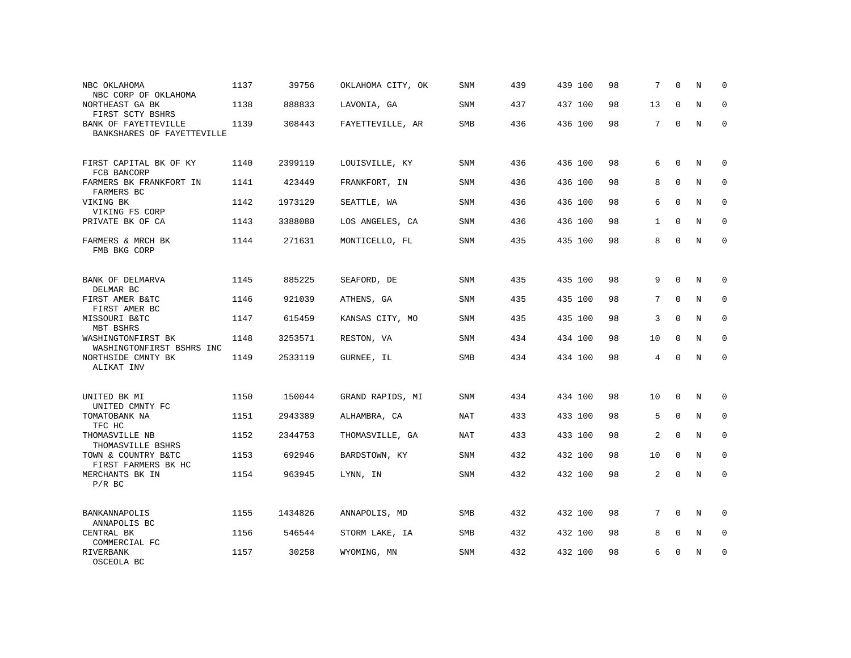| NBC OKLAHOMA<br>NBC CORP OF OKLAHOMA               | 1137 | 39756   | OKLAHOMA CITY, OK | SNM        | 439 | 439 100 | 98 | 7            | $\Omega$    | N           | $\Omega$    |
|----------------------------------------------------|------|---------|-------------------|------------|-----|---------|----|--------------|-------------|-------------|-------------|
| NORTHEAST GA BK<br>FIRST SCTY BSHRS                | 1138 | 888833  | LAVONIA, GA       | <b>SNM</b> | 437 | 437 100 | 98 | 13           | $\Omega$    | N           | $\mathbf 0$ |
| BANK OF FAYETTEVILLE<br>BANKSHARES OF FAYETTEVILLE | 1139 | 308443  | FAYETTEVILLE, AR  | <b>SMB</b> | 436 | 436 100 | 98 | 7            | $\Omega$    | N           | $\Omega$    |
| FIRST CAPITAL BK OF KY<br>FCB BANCORP              | 1140 | 2399119 | LOUISVILLE, KY    | <b>SNM</b> | 436 | 436 100 | 98 | 6            | $\Omega$    | N           | $\mathbf 0$ |
| FARMERS BK FRANKFORT IN<br>FARMERS BC              | 1141 | 423449  | FRANKFORT, IN     | <b>SNM</b> | 436 | 436 100 | 98 | 8            | $\mathbf 0$ | N           | $\mathbf 0$ |
| VIKING BK<br>VIKING FS CORP                        | 1142 | 1973129 | SEATTLE, WA       | <b>SNM</b> | 436 | 436 100 | 98 | 6            | $\Omega$    | N           | $\mathbf 0$ |
| PRIVATE BK OF CA                                   | 1143 | 3388080 | LOS ANGELES, CA   | <b>SNM</b> | 436 | 436 100 | 98 | $\mathbf{1}$ | $\mathbf 0$ | $\rm N$     | $\mathbf 0$ |
| FARMERS & MRCH BK<br>FMB BKG CORP                  | 1144 | 271631  | MONTICELLO, FL    | <b>SNM</b> | 435 | 435 100 | 98 | 8            | $\Omega$    | $_{\rm N}$  | $\mathbf 0$ |
| BANK OF DELMARVA<br>DELMAR BC                      | 1145 | 885225  | SEAFORD, DE       | SNM        | 435 | 435 100 | 98 | 9            | $\mathbf 0$ | $\mathbf N$ | $\mathbf 0$ |
| FIRST AMER B&TC<br>FIRST AMER BC                   | 1146 | 921039  | ATHENS, GA        | SNM        | 435 | 435 100 | 98 | 7            | $\Omega$    | N           | $\mathbf 0$ |
| MISSOURI B&TC<br>MBT BSHRS                         | 1147 | 615459  | KANSAS CITY, MO   | SNM        | 435 | 435 100 | 98 | 3            | $\Omega$    | N           | 0           |
| WASHINGTONFIRST BK<br>WASHINGTONFIRST BSHRS INC    | 1148 | 3253571 | RESTON, VA        | <b>SNM</b> | 434 | 434 100 | 98 | 10           | $\mathbf 0$ | $\mathbf N$ | $\mathbf 0$ |
| NORTHSIDE CMNTY BK<br>ALIKAT INV                   | 1149 | 2533119 | GURNEE, IL        | <b>SMB</b> | 434 | 434 100 | 98 | 4            | $\Omega$    | N           | $\Omega$    |
| UNITED BK MI<br>UNITED CMNTY FC                    | 1150 | 150044  | GRAND RAPIDS, MI  | <b>SNM</b> | 434 | 434 100 | 98 | 10           | $\mathbf 0$ | $\mathbf N$ | 0           |
| TOMATOBANK NA<br>TFC HC                            | 1151 | 2943389 | ALHAMBRA, CA      | <b>NAT</b> | 433 | 433 100 | 98 | 5            | $\mathbf 0$ | $\mathbf N$ | $\mathbf 0$ |
| THOMASVILLE NB<br>THOMASVILLE BSHRS                | 1152 | 2344753 | THOMASVILLE, GA   | NAT        | 433 | 433 100 | 98 | 2            | $\Omega$    | N           | $\mathbf 0$ |
| TOWN & COUNTRY B&TC<br>FIRST FARMERS BK HC         | 1153 | 692946  | BARDSTOWN, KY     | SNM        | 432 | 432 100 | 98 | 10           | $\mathbf 0$ | $\mathbf N$ | 0           |
| MERCHANTS BK IN<br>$P/R$ BC                        | 1154 | 963945  | LYNN, IN          | <b>SNM</b> | 432 | 432 100 | 98 | 2            | $\Omega$    | $\mathbf N$ | $\mathbf 0$ |
| BANKANNAPOLIS<br>ANNAPOLIS BC                      | 1155 | 1434826 | ANNAPOLIS, MD     | SMB        | 432 | 432 100 | 98 | 7            | $\mathbf 0$ | N           | 0           |
| CENTRAL BK<br>COMMERCIAL FC                        | 1156 | 546544  | STORM LAKE, IA    | <b>SMB</b> | 432 | 432 100 | 98 | 8            | $\Omega$    | N           | $\mathbf 0$ |
| RIVERBANK<br>OSCEOLA BC                            | 1157 | 30258   | WYOMING, MN       | <b>SNM</b> | 432 | 432 100 | 98 | 6            | U           | N           | $\mathbf 0$ |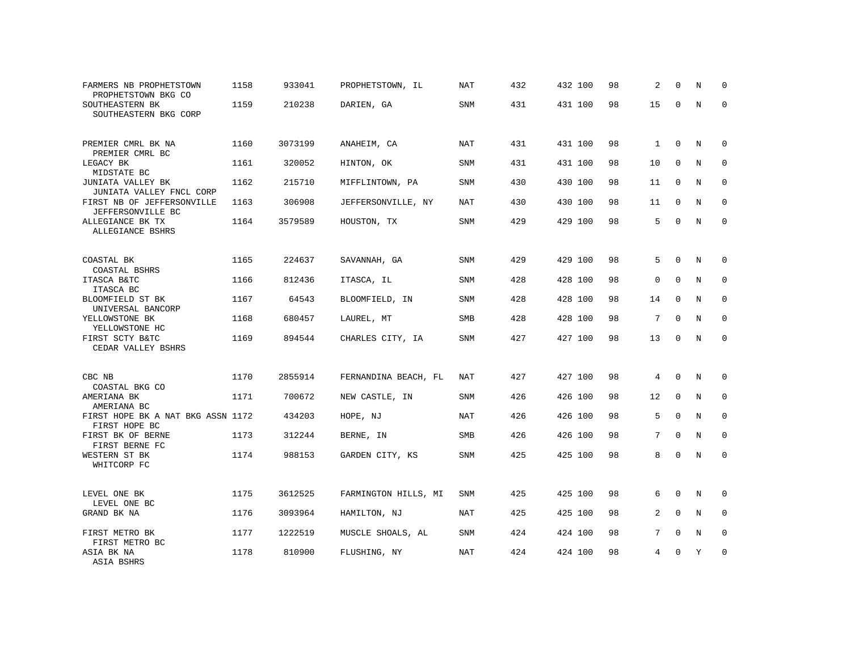| FARMERS NB PROPHETSTOWN<br>PROPHETSTOWN BKG CO     | 1158 | 933041  | PROPHETSTOWN, IL     | NAT        | 432 | 432 100 | 98 | 2               | $\Omega$    | N           | $\Omega$    |
|----------------------------------------------------|------|---------|----------------------|------------|-----|---------|----|-----------------|-------------|-------------|-------------|
| SOUTHEASTERN BK<br>SOUTHEASTERN BKG CORP           | 1159 | 210238  | DARIEN, GA           | SNM        | 431 | 431 100 | 98 | 15              | $\Omega$    | N           | $\mathbf 0$ |
| PREMIER CMRL BK NA<br>PREMIER CMRL BC              | 1160 | 3073199 | ANAHEIM, CA          | NAT        | 431 | 431 100 | 98 | $\mathbf{1}$    | $\Omega$    | N           | $\Omega$    |
| LEGACY BK<br>MIDSTATE BC                           | 1161 | 320052  | HINTON, OK           | <b>SNM</b> | 431 | 431 100 | 98 | 10              | $\Omega$    | N           | $\mathbf 0$ |
| JUNIATA VALLEY BK<br>JUNIATA VALLEY FNCL CORP      | 1162 | 215710  | MIFFLINTOWN, PA      | SNM        | 430 | 430 100 | 98 | 11              | $\mathbf 0$ | N           | $\mathbf 0$ |
| FIRST NB OF JEFFERSONVILLE<br>JEFFERSONVILLE BC    | 1163 | 306908  | JEFFERSONVILLE, NY   | <b>NAT</b> | 430 | 430 100 | 98 | 11              | $\mathbf 0$ | N           | $\mathbf 0$ |
| ALLEGIANCE BK TX<br>ALLEGIANCE BSHRS               | 1164 | 3579589 | HOUSTON, TX          | <b>SNM</b> | 429 | 429 100 | 98 | 5               | $\Omega$    | N           | $\mathbf 0$ |
| COASTAL BK<br>COASTAL BSHRS                        | 1165 | 224637  | SAVANNAH, GA         | <b>SNM</b> | 429 | 429 100 | 98 | 5               | $\mathbf 0$ | N           | 0           |
| ITASCA B&TC<br>ITASCA BC                           | 1166 | 812436  | ITASCA, IL           | SNM        | 428 | 428 100 | 98 | $\mathbf 0$     | $\Omega$    | N           | 0           |
| BLOOMFIELD ST BK<br>UNIVERSAL BANCORP              | 1167 | 64543   | BLOOMFIELD, IN       | SNM        | 428 | 428 100 | 98 | 14              | $\mathbf 0$ | $\mathbb N$ | 0           |
| YELLOWSTONE BK<br>YELLOWSTONE HC                   | 1168 | 680457  | LAUREL, MT           | <b>SMB</b> | 428 | 428 100 | 98 | 7               | $\Omega$    | N           | $\mathbf 0$ |
| FIRST SCTY B&TC<br>CEDAR VALLEY BSHRS              | 1169 | 894544  | CHARLES CITY, IA     | SNM        | 427 | 427 100 | 98 | 13              | $\mathbf 0$ | N           | $\mathbf 0$ |
| CBC NB<br>COASTAL BKG CO                           | 1170 | 2855914 | FERNANDINA BEACH, FL | NAT        | 427 | 427 100 | 98 | 4               | $\mathbf 0$ | N           | 0           |
| AMERIANA BK<br>AMERIANA BC                         | 1171 | 700672  | NEW CASTLE, IN       | <b>SNM</b> | 426 | 426 100 | 98 | 12              | $\mathbf 0$ | $\mathbb N$ | 0           |
| FIRST HOPE BK A NAT BKG ASSN 1172<br>FIRST HOPE BC |      | 434203  | HOPE, NJ             | <b>NAT</b> | 426 | 426 100 | 98 | 5               | $\mathbf 0$ | N           | $\mathbf 0$ |
| FIRST BK OF BERNE<br>FIRST BERNE FC                | 1173 | 312244  | BERNE, IN            | <b>SMB</b> | 426 | 426 100 | 98 | $7\overline{ }$ | $\Omega$    | N           | $\mathbf 0$ |
| WESTERN ST BK<br>WHITCORP FC                       | 1174 | 988153  | GARDEN CITY, KS      | <b>SNM</b> | 425 | 425 100 | 98 | 8               | $\Omega$    | N           | $\mathbf 0$ |
| LEVEL ONE BK<br>LEVEL ONE BC                       | 1175 | 3612525 | FARMINGTON HILLS, MI | <b>SNM</b> | 425 | 425 100 | 98 | 6               | $\mathbf 0$ | N           | 0           |
| GRAND BK NA                                        | 1176 | 3093964 | HAMILTON, NJ         | <b>NAT</b> | 425 | 425 100 | 98 | $\overline{a}$  | $\Omega$    | $\mathbb N$ | $\mathbf 0$ |
| FIRST METRO BK<br>FIRST METRO BC                   | 1177 | 1222519 | MUSCLE SHOALS, AL    | <b>SNM</b> | 424 | 424 100 | 98 | $7\overline{ }$ | $\Omega$    | N           | $\mathbf 0$ |
| ASIA BK NA<br>ASIA BSHRS                           | 1178 | 810900  | FLUSHING, NY         | <b>NAT</b> | 424 | 424 100 | 98 | 4               | $\Omega$    | Υ           | $\mathbf 0$ |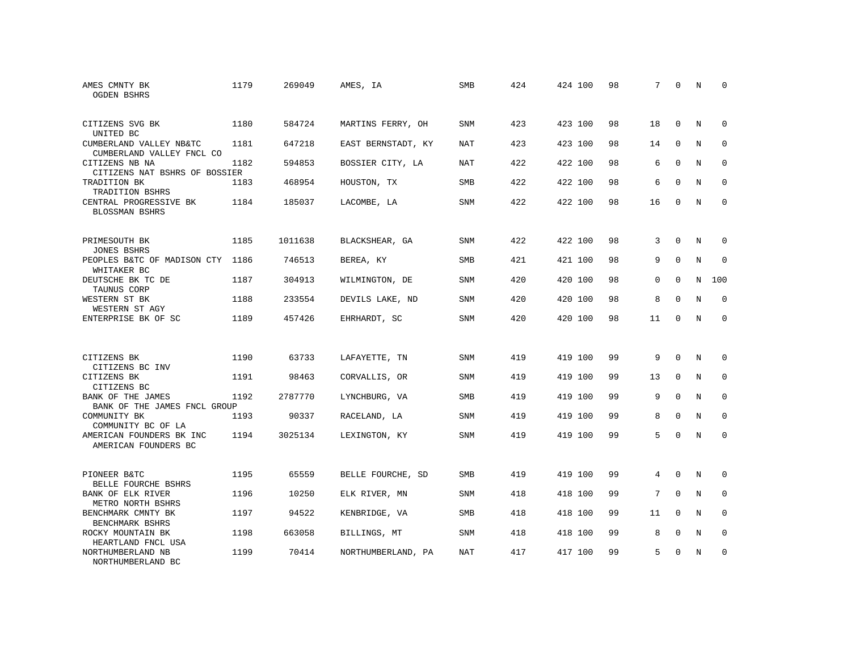| AMES CMNTY BK<br><b>OGDEN BSHRS</b>                  | 1179 | 269049  | AMES, IA           | <b>SMB</b> | 424 | 424 100 | 98 | 7        | $\mathbf 0$ | N           | $\Omega$    |
|------------------------------------------------------|------|---------|--------------------|------------|-----|---------|----|----------|-------------|-------------|-------------|
| CITIZENS SVG BK<br>UNITED BC                         | 1180 | 584724  | MARTINS FERRY, OH  | <b>SNM</b> | 423 | 423 100 | 98 | 18       | $\Omega$    | $_{\rm N}$  | $\Omega$    |
| CUMBERLAND VALLEY NB&TC<br>CUMBERLAND VALLEY FNCL CO | 1181 | 647218  | EAST BERNSTADT, KY | NAT        | 423 | 423 100 | 98 | 14       | 0           | N           | 0           |
| CITIZENS NB NA<br>CITIZENS NAT BSHRS OF BOSSIER      | 1182 | 594853  | BOSSIER CITY, LA   | <b>NAT</b> | 422 | 422 100 | 98 | 6        | $\Omega$    | N           | $\mathbf 0$ |
| TRADITION BK<br>TRADITION BSHRS                      | 1183 | 468954  | HOUSTON, TX        | <b>SMB</b> | 422 | 422 100 | 98 | 6        | $\Omega$    | $_{\rm N}$  | $\Omega$    |
| CENTRAL PROGRESSIVE BK<br>BLOSSMAN BSHRS             | 1184 | 185037  | LACOMBE, LA        | SNM        | 422 | 422 100 | 98 | 16       | $\mathbf 0$ | N           | $\mathbf 0$ |
| PRIMESOUTH BK<br><b>JONES BSHRS</b>                  | 1185 | 1011638 | BLACKSHEAR, GA     | SNM        | 422 | 422 100 | 98 | 3        | $\mathbf 0$ | $\mathbf N$ | 0           |
| PEOPLES B&TC OF MADISON CTY<br>WHITAKER BC           | 1186 | 746513  | BEREA, KY          | SMB        | 421 | 421 100 | 98 | 9        | $\Omega$    | N           | 0           |
| DEUTSCHE BK TC DE<br>TAUNUS CORP                     | 1187 | 304913  | WILMINGTON, DE     | <b>SNM</b> | 420 | 420 100 | 98 | $\Omega$ | $\Omega$    | N           | 100         |
| WESTERN ST BK<br>WESTERN ST AGY                      | 1188 | 233554  | DEVILS LAKE, ND    | SNM        | 420 | 420 100 | 98 | 8        | $\Omega$    | N           | $\mathbf 0$ |
| ENTERPRISE BK OF SC                                  | 1189 | 457426  | EHRHARDT, SC       | SNM        | 420 | 420 100 | 98 | 11       | $\Omega$    | N           | $\Omega$    |
| CITIZENS BK<br>CITIZENS BC INV                       | 1190 | 63733   | LAFAYETTE, TN      | SNM        | 419 | 419 100 | 99 | 9        | 0           | N           | 0           |
| CITIZENS BK<br>CITIZENS BC                           | 1191 | 98463   | CORVALLIS, OR      | <b>SNM</b> | 419 | 419 100 | 99 | 13       | $\mathbf 0$ | N           | $\mathbf 0$ |
| BANK OF THE JAMES<br>BANK OF THE JAMES FNCL GROUP    | 1192 | 2787770 | LYNCHBURG, VA      | <b>SMB</b> | 419 | 419 100 | 99 | 9        | $\Omega$    | N           | $\Omega$    |
| COMMUNITY BK<br>COMMUNITY BC OF LA                   | 1193 | 90337   | RACELAND, LA       | SNM        | 419 | 419 100 | 99 | 8        | $\Omega$    | N           | $\mathbf 0$ |
| AMERICAN FOUNDERS BK INC<br>AMERICAN FOUNDERS BC     | 1194 | 3025134 | LEXINGTON, KY      | <b>SNM</b> | 419 | 419 100 | 99 | 5        | $\Omega$    | N           | $\Omega$    |
| PIONEER B&TC<br>BELLE FOURCHE BSHRS                  | 1195 | 65559   | BELLE FOURCHE, SD  | SMB        | 419 | 419 100 | 99 | 4        | 0           | N           | 0           |
| BANK OF ELK RIVER<br>METRO NORTH BSHRS               | 1196 | 10250   | ELK RIVER, MN      | <b>SNM</b> | 418 | 418 100 | 99 | 7        | $\Omega$    | N           | $\mathbf 0$ |
| BENCHMARK CMNTY BK<br>BENCHMARK BSHRS                | 1197 | 94522   | KENBRIDGE, VA      | SMB        | 418 | 418 100 | 99 | 11       | $\mathbf 0$ | N           | $\mathbf 0$ |
| ROCKY MOUNTAIN BK<br>HEARTLAND FNCL USA              | 1198 | 663058  | BILLINGS, MT       | SNM        | 418 | 418 100 | 99 | 8        | $\mathbf 0$ | N           | 0           |
| NORTHUMBERLAND NB<br>NORTHUMBERLAND BC               | 1199 | 70414   | NORTHUMBERLAND, PA | <b>NAT</b> | 417 | 417 100 | 99 | 5        | $\Omega$    | N           | $\mathbf 0$ |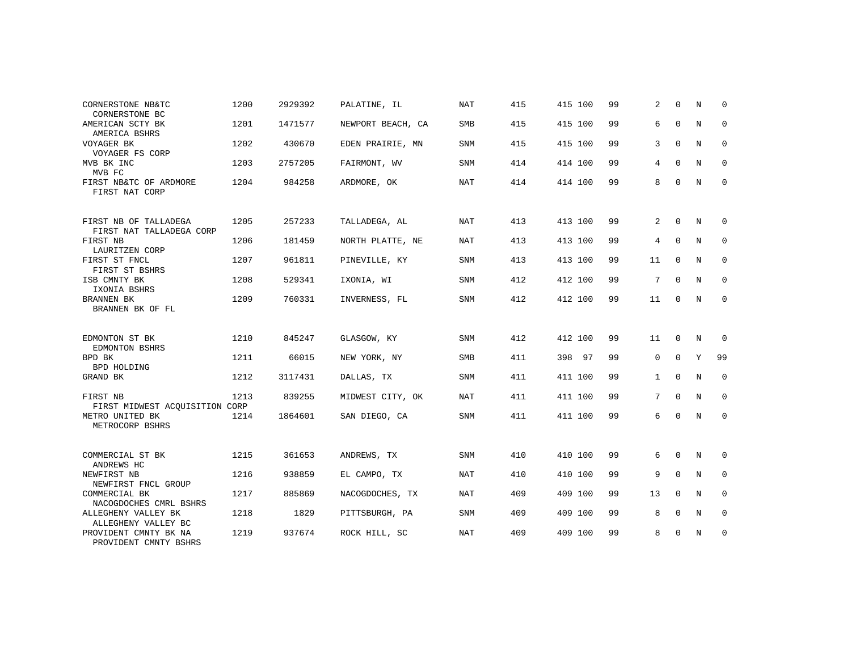| CORNERSTONE NB&TC<br>CORNERSTONE BC               | 1200 | 2929392 | PALATINE, IL      | <b>NAT</b> | 415 | 415 100 | 99 | 2           | $\Omega$    | N          | $\Omega$    |
|---------------------------------------------------|------|---------|-------------------|------------|-----|---------|----|-------------|-------------|------------|-------------|
| AMERICAN SCTY BK<br>AMERICA BSHRS                 | 1201 | 1471577 | NEWPORT BEACH, CA | <b>SMB</b> | 415 | 415 100 | 99 | 6           | $\mathbf 0$ | N          | $\mathbf 0$ |
| VOYAGER BK<br>VOYAGER FS CORP                     | 1202 | 430670  | EDEN PRAIRIE, MN  | <b>SNM</b> | 415 | 415 100 | 99 | 3           | $\mathbf 0$ | N          | 0           |
| MVB BK INC<br>MVB FC                              | 1203 | 2757205 | FAIRMONT, WV      | <b>SNM</b> | 414 | 414 100 | 99 | 4           | $\Omega$    | N          | 0           |
| FIRST NB&TC OF ARDMORE<br>FIRST NAT CORP          | 1204 | 984258  | ARDMORE, OK       | <b>NAT</b> | 414 | 414 100 | 99 | 8           | $\mathbf 0$ | N          | 0           |
| FIRST NB OF TALLADEGA<br>FIRST NAT TALLADEGA CORP | 1205 | 257233  | TALLADEGA, AL     | <b>NAT</b> | 413 | 413 100 | 99 | 2           | $\Omega$    | N          | $\Omega$    |
| FIRST NB<br>LAURITZEN CORP                        | 1206 | 181459  | NORTH PLATTE, NE  | NAT        | 413 | 413 100 | 99 | 4           | $\mathbf 0$ | N          | 0           |
| FIRST ST FNCL<br>FIRST ST BSHRS                   | 1207 | 961811  | PINEVILLE, KY     | <b>SNM</b> | 413 | 413 100 | 99 | 11          | 0           | N          | 0           |
| ISB CMNTY BK<br>IXONIA BSHRS                      | 1208 | 529341  | IXONIA, WI        | SNM        | 412 | 412 100 | 99 | 7           | $\mathbf 0$ | N          | $\mathbf 0$ |
| BRANNEN BK<br>BRANNEN BK OF FL                    | 1209 | 760331  | INVERNESS, FL     | SNM        | 412 | 412 100 | 99 | 11          | 0           | N          | 0           |
| EDMONTON ST BK<br>EDMONTON BSHRS                  | 1210 | 845247  | GLASGOW, KY       | <b>SNM</b> | 412 | 412 100 | 99 | 11          | $\Omega$    | N          | $\Omega$    |
| BPD BK<br><b>BPD HOLDING</b>                      | 1211 | 66015   | NEW YORK, NY      | SMB        | 411 | 398 97  | 99 | $\mathbf 0$ | $\mathbf 0$ | Y          | 99          |
| GRAND BK                                          | 1212 | 3117431 | DALLAS, TX        | <b>SNM</b> | 411 | 411 100 | 99 | $\mathbf 1$ | 0           | N          | $\mathbf 0$ |
| FIRST NB<br>FIRST MIDWEST ACQUISITION CORP        | 1213 | 839255  | MIDWEST CITY, OK  | NAT        | 411 | 411 100 | 99 | 7           | $\Omega$    | $_{\rm N}$ | $\mathbf 0$ |
| METRO UNITED BK<br>METROCORP BSHRS                | 1214 | 1864601 | SAN DIEGO, CA     | <b>SNM</b> | 411 | 411 100 | 99 | 6           | 0           | N          | 0           |
| COMMERCIAL ST BK<br>ANDREWS HC                    | 1215 | 361653  | ANDREWS, TX       | <b>SNM</b> | 410 | 410 100 | 99 | 6           | 0           | N          | 0           |
| NEWFIRST NB<br>NEWFIRST FNCL GROUP                | 1216 | 938859  | EL CAMPO, TX      | <b>NAT</b> | 410 | 410 100 | 99 | 9           | $\Omega$    | N          | $\mathbf 0$ |
| COMMERCIAL BK<br>NACOGDOCHES CMRL BSHRS           | 1217 | 885869  | NACOGDOCHES, TX   | <b>NAT</b> | 409 | 409 100 | 99 | 13          | $\mathbf 0$ | N          | 0           |
| ALLEGHENY VALLEY BK<br>ALLEGHENY VALLEY BC        | 1218 | 1829    | PITTSBURGH, PA    | <b>SNM</b> | 409 | 409 100 | 99 | 8           | $\mathbf 0$ | N          | $\mathbf 0$ |
| PROVIDENT CMNTY BK NA<br>PROVIDENT CMNTY BSHRS    | 1219 | 937674  | ROCK HILL, SC     | <b>NAT</b> | 409 | 409 100 | 99 | 8           | $\mathbf 0$ | N          | $\mathbf 0$ |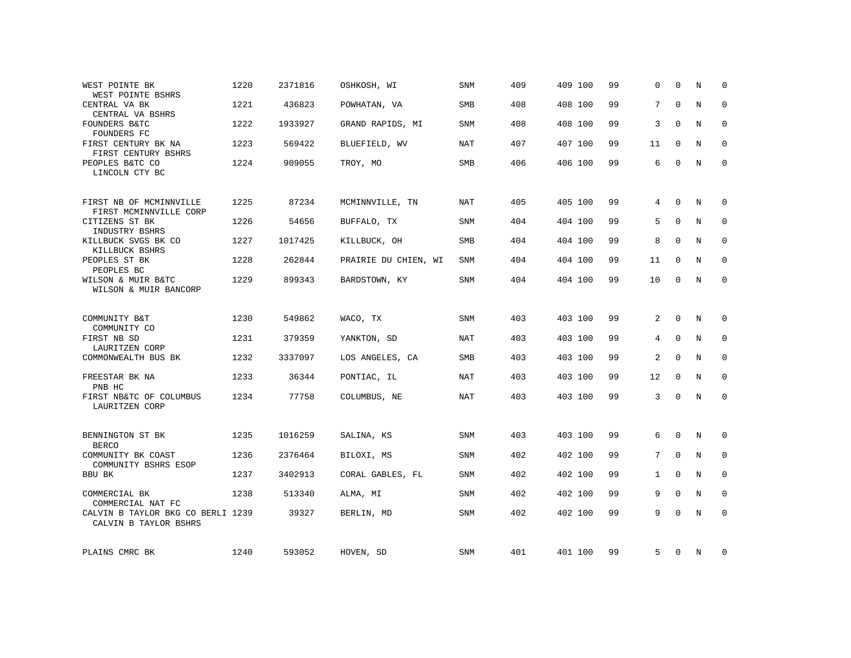| WEST POINTE BK<br>WEST POINTE BSHRS                        | 1220 | 2371816 | OSHKOSH, WI          | <b>SNM</b> | 409 | 409 100 | 99 | $\Omega$       | $\Omega$    | N           | $\Omega$    |
|------------------------------------------------------------|------|---------|----------------------|------------|-----|---------|----|----------------|-------------|-------------|-------------|
| CENTRAL VA BK<br>CENTRAL VA BSHRS                          | 1221 | 436823  | POWHATAN, VA         | SMB        | 408 | 408 100 | 99 | 7              | $\Omega$    | $\mathbf N$ | $\mathbf 0$ |
| FOUNDERS B&TC<br>FOUNDERS FC                               | 1222 | 1933927 | GRAND RAPIDS, MI     | SNM        | 408 | 408 100 | 99 | 3              | $\Omega$    | N           | 0           |
| FIRST CENTURY BK NA<br>FIRST CENTURY BSHRS                 | 1223 | 569422  | BLUEFIELD, WV        | <b>NAT</b> | 407 | 407 100 | 99 | 11             | $\Omega$    | $_{\rm N}$  | $\Omega$    |
| PEOPLES B&TC CO<br>LINCOLN CTY BC                          | 1224 | 909055  | TROY, MO             | SMB        | 406 | 406 100 | 99 | 6              | $\Omega$    | N           | $\mathbf 0$ |
| FIRST NB OF MCMINNVILLE<br>FIRST MCMINNVILLE CORP          | 1225 | 87234   | MCMINNVILLE, TN      | <b>NAT</b> | 405 | 405 100 | 99 | 4              | $\Omega$    | N           | 0           |
| CITIZENS ST BK<br>INDUSTRY BSHRS                           | 1226 | 54656   | BUFFALO, TX          | <b>SNM</b> | 404 | 404 100 | 99 | 5              | $\Omega$    | $\rm N$     | $\mathbf 0$ |
| KILLBUCK SVGS BK CO<br>KILLBUCK BSHRS                      | 1227 | 1017425 | KILLBUCK, OH         | <b>SMB</b> | 404 | 404 100 | 99 | 8              | $\mathbf 0$ | $\mathbf N$ | $\mathbf 0$ |
| PEOPLES ST BK<br>PEOPLES BC                                | 1228 | 262844  | PRAIRIE DU CHIEN, WI | <b>SNM</b> | 404 | 404 100 | 99 | 11             | $\Omega$    | N           | $\Omega$    |
| WILSON & MUIR B&TC<br>WILSON & MUIR BANCORP                | 1229 | 899343  | BARDSTOWN, KY        | <b>SNM</b> | 404 | 404 100 | 99 | 10             | $\mathbf 0$ | N           | $\mathbf 0$ |
| COMMUNITY B&T                                              | 1230 | 549862  | WACO, TX             | <b>SNM</b> | 403 | 403 100 | 99 | 2              | $\Omega$    | N           | 0           |
| COMMUNITY CO<br>FIRST NB SD<br>LAURITZEN CORP              | 1231 | 379359  | YANKTON, SD          | <b>NAT</b> | 403 | 403 100 | 99 | $\overline{4}$ | $\mathbf 0$ | $\mathbf N$ | $\mathbf 0$ |
| COMMONWEALTH BUS BK                                        | 1232 | 3337097 | LOS ANGELES, CA      | <b>SMB</b> | 403 | 403 100 | 99 | 2              | $\mathbf 0$ | $\mathbf N$ | 0           |
| FREESTAR BK NA<br>PNB HC                                   | 1233 | 36344   | PONTIAC, IL          | NAT        | 403 | 403 100 | 99 | 12             | $\Omega$    | N           | 0           |
| FIRST NB&TC OF COLUMBUS<br>LAURITZEN CORP                  | 1234 | 77758   | COLUMBUS, NE         | <b>NAT</b> | 403 | 403 100 | 99 | 3              | $\mathbf 0$ | $\mathbf N$ | $\mathbf 0$ |
| BENNINGTON ST BK<br><b>BERCO</b>                           | 1235 | 1016259 | SALINA, KS           | SNM        | 403 | 403 100 | 99 | 6              | 0           | N           | 0           |
| COMMUNITY BK COAST<br>COMMUNITY BSHRS ESOP                 | 1236 | 2376464 | BILOXI, MS           | SNM        | 402 | 402 100 | 99 | 7              | $\Omega$    | N           | $\mathbf 0$ |
| BBU BK                                                     | 1237 | 3402913 | CORAL GABLES, FL     | <b>SNM</b> | 402 | 402 100 | 99 | $\mathbf{1}$   | $\mathbf 0$ | $\mathbf N$ | $\mathbf 0$ |
| COMMERCIAL BK<br>COMMERCIAL NAT FC                         | 1238 | 513340  | ALMA, MI             | SNM        | 402 | 402 100 | 99 | 9              | $\mathbf 0$ | N           | $\mathbf 0$ |
| CALVIN B TAYLOR BKG CO BERLI 1239<br>CALVIN B TAYLOR BSHRS |      | 39327   | BERLIN, MD           | <b>SNM</b> | 402 | 402 100 | 99 | 9              | $\Omega$    | $\mathbf N$ | $\mathbf 0$ |
| PLAINS CMRC BK                                             | 1240 | 593052  | HOVEN, SD            | SNM        | 401 | 401 100 | 99 | 5              | 0           | N           | 0           |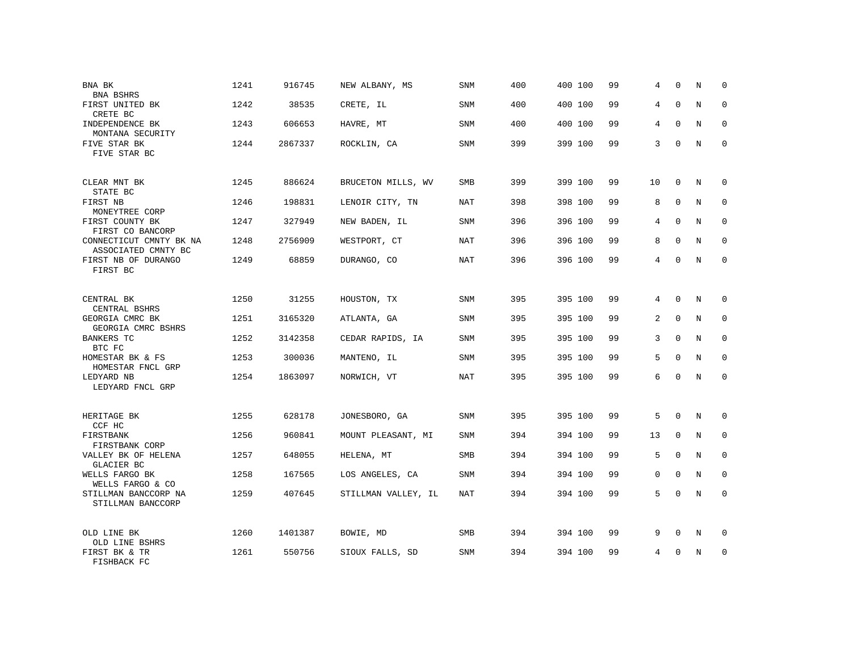| BNA BK                                         | 1241 | 916745  | NEW ALBANY, MS      | <b>SNM</b> | 400 | 400 100 | 99 | 4           | $\mathbf 0$ | N           | 0           |
|------------------------------------------------|------|---------|---------------------|------------|-----|---------|----|-------------|-------------|-------------|-------------|
| BNA BSHRS<br>FIRST UNITED BK<br>CRETE BC       | 1242 | 38535   | CRETE, IL           | <b>SNM</b> | 400 | 400 100 | 99 | 4           | $\Omega$    | $\mathbf N$ | $\Omega$    |
| INDEPENDENCE BK<br>MONTANA SECURITY            | 1243 | 606653  | HAVRE, MT           | <b>SNM</b> | 400 | 400 100 | 99 | 4           | $\mathbf 0$ | N           | 0           |
| FIVE STAR BK<br>FIVE STAR BC                   | 1244 | 2867337 | ROCKLIN, CA         | SNM        | 399 | 399 100 | 99 | 3           | $\Omega$    | N           | $\Omega$    |
| CLEAR MNT BK<br>STATE BC                       | 1245 | 886624  | BRUCETON MILLS, WV  | <b>SMB</b> | 399 | 399 100 | 99 | 10          | $\mathbf 0$ | N           | $\Omega$    |
| FIRST NB<br>MONEYTREE CORP                     | 1246 | 198831  | LENOIR CITY, TN     | NAT        | 398 | 398 100 | 99 | 8           | $\Omega$    | N           | 0           |
| FIRST COUNTY BK<br>FIRST CO BANCORP            | 1247 | 327949  | NEW BADEN, IL       | <b>SNM</b> | 396 | 396 100 | 99 | 4           | $\Omega$    | $_{\rm N}$  | $\Omega$    |
| CONNECTICUT CMNTY BK NA<br>ASSOCIATED CMNTY BC | 1248 | 2756909 | WESTPORT, CT        | NAT        | 396 | 396 100 | 99 | 8           | $\Omega$    | N           | $\Omega$    |
| FIRST NB OF DURANGO<br>FIRST BC                | 1249 | 68859   | DURANGO, CO         | <b>NAT</b> | 396 | 396 100 | 99 | 4           | $\Omega$    | N           | $\Omega$    |
| CENTRAL BK<br>CENTRAL BSHRS                    | 1250 | 31255   | HOUSTON, TX         | SNM        | 395 | 395 100 | 99 | 4           | $\Omega$    | N           | $\Omega$    |
| GEORGIA CMRC BK<br>GEORGIA CMRC BSHRS          | 1251 | 3165320 | ATLANTA, GA         | SNM        | 395 | 395 100 | 99 | 2           | $\Omega$    | N           | $\Omega$    |
| BANKERS TC<br>BTC FC                           | 1252 | 3142358 | CEDAR RAPIDS, IA    | SNM        | 395 | 395 100 | 99 | 3           | $\mathbf 0$ | $\mathbf N$ | $\mathbf 0$ |
| HOMESTAR BK & FS<br>HOMESTAR FNCL GRP          | 1253 | 300036  | MANTENO, IL         | SNM        | 395 | 395 100 | 99 | 5           | $\Omega$    | N           | $\Omega$    |
| LEDYARD NB<br>LEDYARD FNCL GRP                 | 1254 | 1863097 | NORWICH, VT         | <b>NAT</b> | 395 | 395 100 | 99 | 6           | $\Omega$    | $\mathbf N$ | $\mathbf 0$ |
| HERITAGE BK<br>CCF HC                          | 1255 | 628178  | JONESBORO, GA       | <b>SNM</b> | 395 | 395 100 | 99 | 5           | $\mathbf 0$ | N           | $\mathbf 0$ |
| FIRSTBANK<br>FIRSTBANK CORP                    | 1256 | 960841  | MOUNT PLEASANT, MI  | <b>SNM</b> | 394 | 394 100 | 99 | 13          | $\mathbf 0$ | N           | $\mathbf 0$ |
| VALLEY BK OF HELENA<br>GLACIER BC              | 1257 | 648055  | HELENA, MT          | SMB        | 394 | 394 100 | 99 | 5           | $\mathbf 0$ | $\mathbf N$ | 0           |
| WELLS FARGO BK<br>WELLS FARGO & CO             | 1258 | 167565  | LOS ANGELES, CA     | <b>SNM</b> | 394 | 394 100 | 99 | $\mathbf 0$ | $\Omega$    | $\mathbf N$ | $\mathbf 0$ |
| STILLMAN BANCCORP NA<br>STILLMAN BANCCORP      | 1259 | 407645  | STILLMAN VALLEY, IL | NAT        | 394 | 394 100 | 99 | 5           | $\mathbf 0$ | $\mathbf N$ | $\mathbf 0$ |
| OLD LINE BK<br>OLD LINE BSHRS                  | 1260 | 1401387 | BOWIE, MD           | SMB        | 394 | 394 100 | 99 | 9           | 0           | N           | 0           |
| FIRST BK & TR<br>FISHBACK FC                   | 1261 | 550756  | SIOUX FALLS, SD     | <b>SNM</b> | 394 | 394 100 | 99 | 4           | $\Omega$    | N           | $\mathbf 0$ |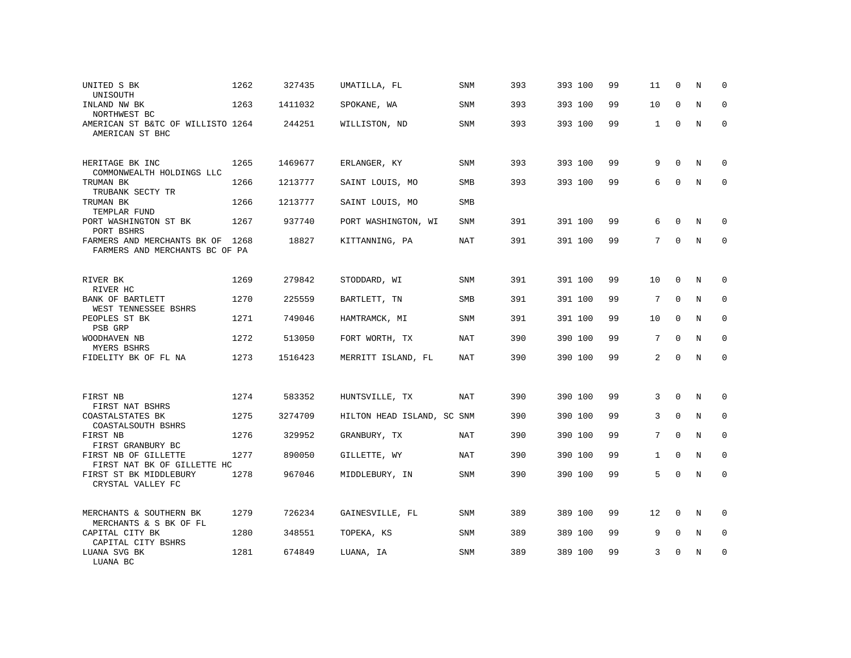| UNITED S BK<br>UNISOUTH                                            | 1262 | 327435  | UMATILLA, FL               | SNM        | 393 | 393 100 | 99 | 11           | 0            | N           | 0           |
|--------------------------------------------------------------------|------|---------|----------------------------|------------|-----|---------|----|--------------|--------------|-------------|-------------|
| INLAND NW BK<br>NORTHWEST BC                                       | 1263 | 1411032 | SPOKANE, WA                | SNM        | 393 | 393 100 | 99 | 10           | $\Omega$     | N           | 0           |
| AMERICAN ST B&TC OF WILLISTO 1264<br>AMERICAN ST BHC               |      | 244251  | WILLISTON, ND              | SNM        | 393 | 393 100 | 99 | $\mathbf{1}$ | $\Omega$     | N           | $\Omega$    |
| HERITAGE BK INC<br>COMMONWEALTH HOLDINGS LLC                       | 1265 | 1469677 | ERLANGER, KY               | SNM        | 393 | 393 100 | 99 | 9            | $\Omega$     | N           | 0           |
| TRUMAN BK<br>TRUBANK SECTY TR                                      | 1266 | 1213777 | SAINT LOUIS, MO            | <b>SMB</b> | 393 | 393 100 | 99 | 6            | $\Omega$     | N           | $\Omega$    |
| TRUMAN BK<br>TEMPLAR FUND                                          | 1266 | 1213777 | SAINT LOUIS, MO            | <b>SMB</b> |     |         |    |              |              |             |             |
| PORT WASHINGTON ST BK<br>PORT BSHRS                                | 1267 | 937740  | PORT WASHINGTON, WI        | SNM        | 391 | 391 100 | 99 | 6            | $\mathbf 0$  | N           | $\Omega$    |
| FARMERS AND MERCHANTS BK OF 1268<br>FARMERS AND MERCHANTS BC OF PA |      | 18827   | KITTANNING, PA             | <b>NAT</b> | 391 | 391 100 | 99 | 7            | $\Omega$     | N           | $\Omega$    |
| RIVER BK<br>RIVER HC                                               | 1269 | 279842  | STODDARD, WI               | SNM        | 391 | 391 100 | 99 | 10           | $\mathbf 0$  | N           | $\mathbf 0$ |
| BANK OF BARTLETT<br>WEST TENNESSEE BSHRS                           | 1270 | 225559  | BARTLETT, TN               | SMB        | 391 | 391 100 | 99 | 7            | $\Omega$     | N           | $\mathbf 0$ |
| PEOPLES ST BK<br>PSB GRP                                           | 1271 | 749046  | HAMTRAMCK, MI              | SNM        | 391 | 391 100 | 99 | 10           | $\Omega$     | N           | $\mathbf 0$ |
| WOODHAVEN NB<br>MYERS BSHRS                                        | 1272 | 513050  | FORT WORTH, TX             | <b>NAT</b> | 390 | 390 100 | 99 | 7            | $\mathbf 0$  | N           | $\mathbf 0$ |
| FIDELITY BK OF FL NA                                               | 1273 | 1516423 | MERRITT ISLAND, FL         | <b>NAT</b> | 390 | 390 100 | 99 | 2            | $\Omega$     | N           | $\Omega$    |
| FIRST NB<br>FIRST NAT BSHRS                                        | 1274 | 583352  | HUNTSVILLE, TX             | <b>NAT</b> | 390 | 390 100 | 99 | 3            | $\mathbf 0$  | $\mathbf N$ | $\mathbf 0$ |
| COASTALSTATES BK<br>COASTALSOUTH BSHRS                             | 1275 | 3274709 | HILTON HEAD ISLAND, SC SNM |            | 390 | 390 100 | 99 | 3            | $\mathbf 0$  | N           | $\mathbf 0$ |
| FIRST NB<br>FIRST GRANBURY BC                                      | 1276 | 329952  | GRANBURY, TX               | NAT        | 390 | 390 100 | 99 | 7            | $\Omega$     | N           | $\mathbf 0$ |
| FIRST NB OF GILLETTE<br>FIRST NAT BK OF GILLETTE HC                | 1277 | 890050  | GILLETTE, WY               | NAT        | 390 | 390 100 | 99 | $\mathbf{1}$ | $\mathbf 0$  | $\mathbf N$ | $\mathbf 0$ |
| FIRST ST BK MIDDLEBURY<br>CRYSTAL VALLEY FC                        | 1278 | 967046  | MIDDLEBURY, IN             | <b>SNM</b> | 390 | 390 100 | 99 | 5            | $\Omega$     | $\mathbf N$ | $\mathbf 0$ |
| MERCHANTS & SOUTHERN BK<br>MERCHANTS & S BK OF FL                  | 1279 | 726234  | GAINESVILLE, FL            | SNM        | 389 | 389 100 | 99 | 12           | $\mathbf{0}$ | N           | 0           |
| CAPITAL CITY BK<br>CAPITAL CITY BSHRS                              | 1280 | 348551  | TOPEKA, KS                 | <b>SNM</b> | 389 | 389 100 | 99 | 9            | $\Omega$     | N           | $\Omega$    |
| LUANA SVG BK<br>LUANA BC                                           | 1281 | 674849  | LUANA, IA                  | <b>SNM</b> | 389 | 389 100 | 99 | 3            | 0            | N           | $\mathbf 0$ |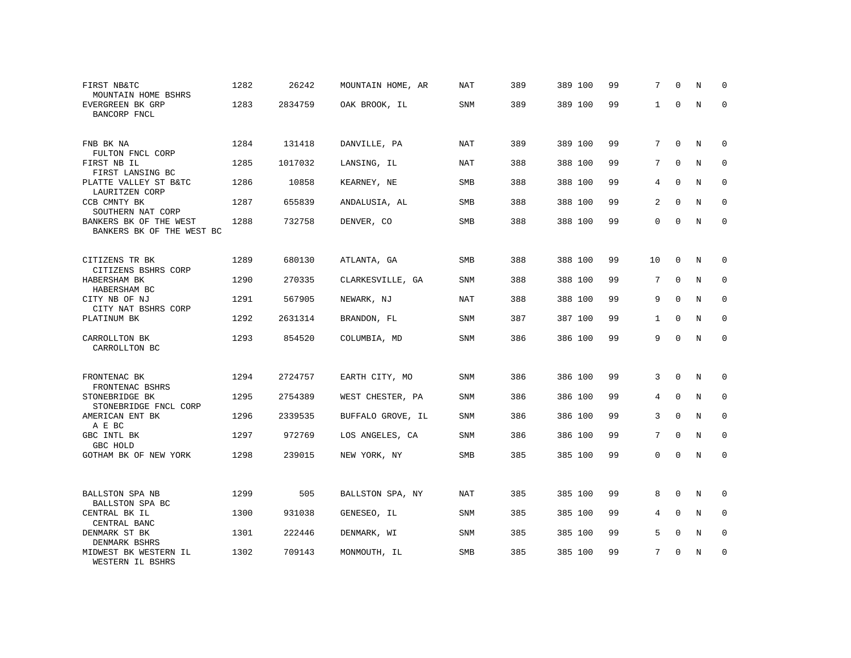| FIRST NB&TC<br>MOUNTAIN HOME BSHRS                  | 1282 | 26242   | MOUNTAIN HOME, AR | NAT        | 389 | 389 100 | 99 | 7            | $\Omega$    | N           | $\Omega$    |
|-----------------------------------------------------|------|---------|-------------------|------------|-----|---------|----|--------------|-------------|-------------|-------------|
| EVERGREEN BK GRP<br>BANCORP FNCL                    | 1283 | 2834759 | OAK BROOK, IL     | <b>SNM</b> | 389 | 389 100 | 99 | $\mathbf{1}$ | $\Omega$    | N           | $\Omega$    |
| FNB BK NA<br>FULTON FNCL CORP                       | 1284 | 131418  | DANVILLE, PA      | NAT        | 389 | 389 100 | 99 | 7            | $\Omega$    | N           | $\Omega$    |
| FIRST NB IL<br>FIRST LANSING BC                     | 1285 | 1017032 | LANSING, IL       | NAT        | 388 | 388 100 | 99 | 7            | $\Omega$    | N           | 0           |
| PLATTE VALLEY ST B&TC<br>LAURITZEN CORP             | 1286 | 10858   | KEARNEY, NE       | <b>SMB</b> | 388 | 388 100 | 99 | 4            | $\Omega$    | N           | $\Omega$    |
| CCB CMNTY BK<br>SOUTHERN NAT CORP                   | 1287 | 655839  | ANDALUSIA, AL     | SMB        | 388 | 388 100 | 99 | 2            | $\mathbf 0$ | N           | $\mathbf 0$ |
| BANKERS BK OF THE WEST<br>BANKERS BK OF THE WEST BC | 1288 | 732758  | DENVER, CO        | SMB        | 388 | 388 100 | 99 | $\Omega$     | $\Omega$    | N           | $\mathbf 0$ |
| CITIZENS TR BK<br>CITIZENS BSHRS CORP               | 1289 | 680130  | ATLANTA, GA       | <b>SMB</b> | 388 | 388 100 | 99 | 10           | $\mathbf 0$ | N           | 0           |
| HABERSHAM BK<br>HABERSHAM BC                        | 1290 | 270335  | CLARKESVILLE, GA  | <b>SNM</b> | 388 | 388 100 | 99 | 7            | $\mathbf 0$ | N           | $\mathbf 0$ |
| CITY NB OF NJ<br>CITY NAT BSHRS CORP                | 1291 | 567905  | NEWARK, NJ        | NAT        | 388 | 388 100 | 99 | 9            | $\Omega$    | N           | $\mathbf 0$ |
| PLATINUM BK                                         | 1292 | 2631314 | BRANDON, FL       | <b>SNM</b> | 387 | 387 100 | 99 | $\mathbf{1}$ | $\Omega$    | N           | $\Omega$    |
| CARROLLTON BK<br>CARROLLTON BC                      | 1293 | 854520  | COLUMBIA, MD      | SNM        | 386 | 386 100 | 99 | 9            | $\Omega$    | N           | $\mathbf 0$ |
| FRONTENAC BK<br>FRONTENAC BSHRS                     | 1294 | 2724757 | EARTH CITY, MO    | SNM        | 386 | 386 100 | 99 | 3            | $\mathbf 0$ | N           | 0           |
| STONEBRIDGE BK<br>STONEBRIDGE FNCL CORP             | 1295 | 2754389 | WEST CHESTER, PA  | <b>SNM</b> | 386 | 386 100 | 99 | 4            | $\Omega$    | N           | $\Omega$    |
| AMERICAN ENT BK<br>A E BC                           | 1296 | 2339535 | BUFFALO GROVE, IL | <b>SNM</b> | 386 | 386 100 | 99 | 3            | $\mathbf 0$ | $\mathbf N$ | $\mathbf 0$ |
| GBC INTL BK<br>GBC HOLD                             | 1297 | 972769  | LOS ANGELES, CA   | <b>SNM</b> | 386 | 386 100 | 99 | 7            | $\Omega$    | N           | $\Omega$    |
| GOTHAM BK OF NEW YORK                               | 1298 | 239015  | NEW YORK, NY      | SMB        | 385 | 385 100 | 99 | $\mathbf 0$  | $\Omega$    | N           | $\mathbf 0$ |
| BALLSTON SPA NB<br>BALLSTON SPA BC                  | 1299 | 505     | BALLSTON SPA, NY  | NAT        | 385 | 385 100 | 99 | 8            | $\mathbf 0$ | N           | 0           |
| CENTRAL BK IL<br>CENTRAL BANC                       | 1300 | 931038  | GENESEO, IL       | <b>SNM</b> | 385 | 385 100 | 99 | 4            | $\Omega$    | N           | $\mathbf 0$ |
| DENMARK ST BK<br>DENMARK BSHRS                      | 1301 | 222446  | DENMARK, WI       | <b>SNM</b> | 385 | 385 100 | 99 | 5            | 0           | N           | 0           |
| MIDWEST BK WESTERN IL<br>WESTERN IL BSHRS           | 1302 | 709143  | MONMOUTH, IL      | <b>SMB</b> | 385 | 385 100 | 99 | 7            | $\Omega$    | N           | $\mathbf 0$ |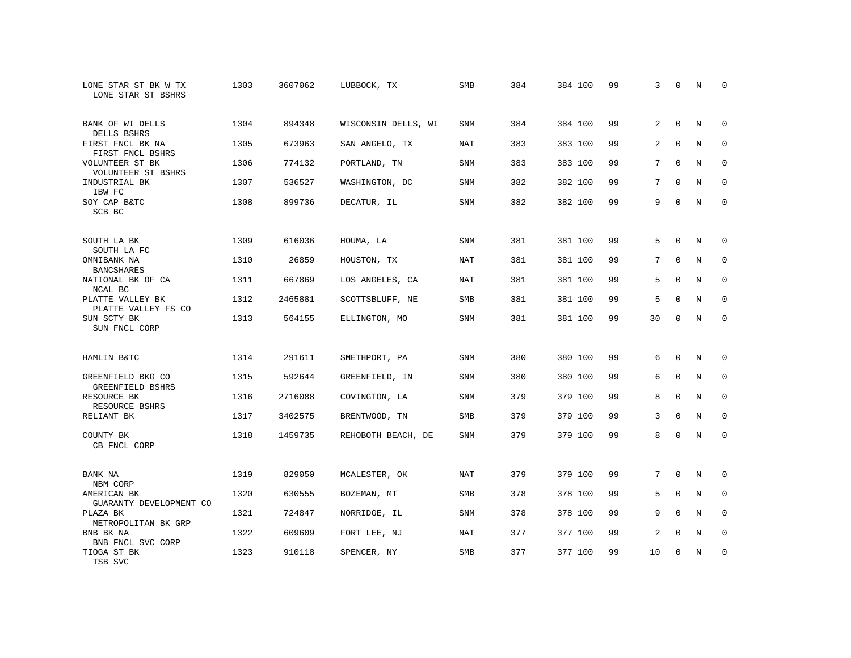| LONE STAR ST BK W TX<br>LONE STAR ST BSHRS | 1303 | 3607062 | LUBBOCK, TX         | SMB        | 384 | 384 100 | 99 | 3              | $\mathbf 0$ | N           | 0           |
|--------------------------------------------|------|---------|---------------------|------------|-----|---------|----|----------------|-------------|-------------|-------------|
| BANK OF WI DELLS<br>DELLS BSHRS            | 1304 | 894348  | WISCONSIN DELLS, WI | <b>SNM</b> | 384 | 384 100 | 99 | $\overline{2}$ | $\Omega$    | N           | $\Omega$    |
| FIRST FNCL BK NA<br>FIRST FNCL BSHRS       | 1305 | 673963  | SAN ANGELO, TX      | <b>NAT</b> | 383 | 383 100 | 99 | 2              | $\mathbf 0$ | N           | $\mathbf 0$ |
| VOLUNTEER ST BK<br>VOLUNTEER ST BSHRS      | 1306 | 774132  | PORTLAND, TN        | <b>SNM</b> | 383 | 383 100 | 99 | 7              | $\Omega$    | N           | $\Omega$    |
| INDUSTRIAL BK<br>IBW FC                    | 1307 | 536527  | WASHINGTON, DC      | SNM        | 382 | 382 100 | 99 | 7              | $\mathbf 0$ | N           | $\mathbf 0$ |
| SOY CAP B&TC<br>SCB BC                     | 1308 | 899736  | DECATUR, IL         | <b>SNM</b> | 382 | 382 100 | 99 | 9              | $\Omega$    | $\mathbf N$ | $\mathbf 0$ |
| SOUTH LA BK<br>SOUTH LA FC                 | 1309 | 616036  | HOUMA, LA           | <b>SNM</b> | 381 | 381 100 | 99 | 5              | $\Omega$    | N           | 0           |
| OMNIBANK NA<br><b>BANCSHARES</b>           | 1310 | 26859   | HOUSTON, TX         | <b>NAT</b> | 381 | 381 100 | 99 | 7              | $\Omega$    | $\mathbf N$ | $\mathbf 0$ |
| NATIONAL BK OF CA<br>NCAL BC               | 1311 | 667869  | LOS ANGELES, CA     | NAT        | 381 | 381 100 | 99 | 5              | $\mathbf 0$ | N           | $\mathbf 0$ |
| PLATTE VALLEY BK<br>PLATTE VALLEY FS CO    | 1312 | 2465881 | SCOTTSBLUFF, NE     | <b>SMB</b> | 381 | 381 100 | 99 | 5              | $\Omega$    | $\mathbf N$ | $\mathbf 0$ |
| SUN SCTY BK<br>SUN FNCL CORP               | 1313 | 564155  | ELLINGTON, MO       | SNM        | 381 | 381 100 | 99 | 30             | $\Omega$    | $_{\rm N}$  | $\Omega$    |
| HAMLIN B&TC                                | 1314 | 291611  | SMETHPORT, PA       | <b>SNM</b> | 380 | 380 100 | 99 | 6              | $\Omega$    | N           | 0           |
| GREENFIELD BKG CO<br>GREENFIELD BSHRS      | 1315 | 592644  | GREENFIELD, IN      | <b>SNM</b> | 380 | 380 100 | 99 | 6              | $\mathbf 0$ | N           | 0           |
| RESOURCE BK<br>RESOURCE BSHRS              | 1316 | 2716088 | COVINGTON, LA       | <b>SNM</b> | 379 | 379 100 | 99 | 8              | $\mathbf 0$ | N           | $\mathbf 0$ |
| RELIANT BK                                 | 1317 | 3402575 | BRENTWOOD, TN       | SMB        | 379 | 379 100 | 99 | 3              | $\Omega$    | $_{\rm N}$  | $\mathbf 0$ |
| COUNTY BK<br>CB FNCL CORP                  | 1318 | 1459735 | REHOBOTH BEACH, DE  | <b>SNM</b> | 379 | 379 100 | 99 | 8              | $\mathbf 0$ | N           | $\mathbf 0$ |
| BANK NA<br>NBM CORP                        | 1319 | 829050  | MCALESTER, OK       | <b>NAT</b> | 379 | 379 100 | 99 | 7              | $\mathbf 0$ | N           | 0           |
| AMERICAN BK<br>GUARANTY DEVELOPMENT CO     | 1320 | 630555  | BOZEMAN, MT         | SMB        | 378 | 378 100 | 99 | 5              | $\mathbf 0$ | N           | $\mathbf 0$ |
| PLAZA BK<br>METROPOLITAN BK GRP            | 1321 | 724847  | NORRIDGE, IL        | <b>SNM</b> | 378 | 378 100 | 99 | 9              | $\Omega$    | N           | $\mathbf 0$ |
| BNB BK NA<br>BNB FNCL SVC CORP             | 1322 | 609609  | FORT LEE, NJ        | <b>NAT</b> | 377 | 377 100 | 99 | 2              | 0           | N           | 0           |
| TIOGA ST BK<br>TSB SVC                     | 1323 | 910118  | SPENCER, NY         | <b>SMB</b> | 377 | 377 100 | 99 | 10             | $\Omega$    | N           | $\mathbf 0$ |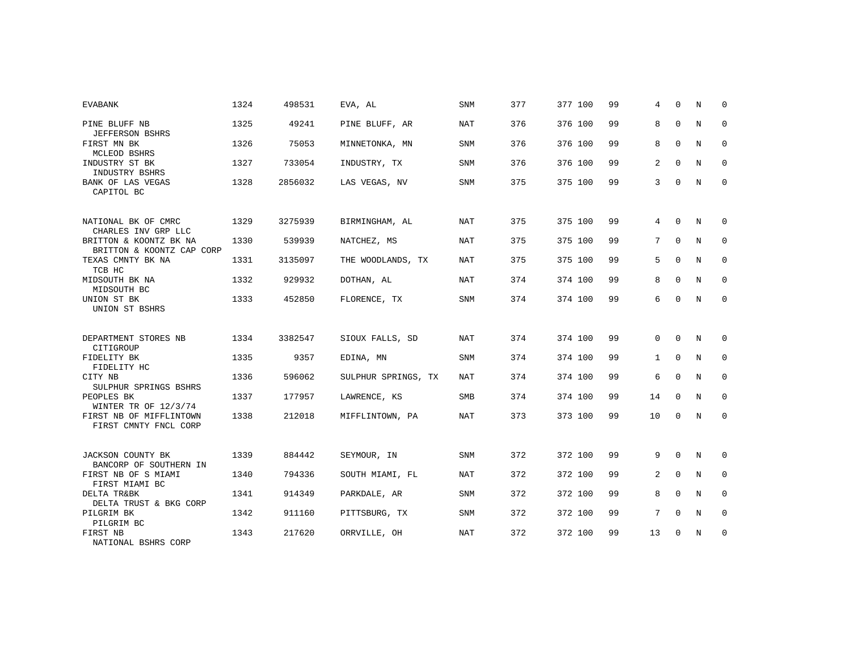| <b>EVABANK</b>                                      | 1324 | 498531  | EVA, AL             | SNM        | 377 | 377 100 | 99 | 4            | $\Omega$    | N | $\Omega$    |
|-----------------------------------------------------|------|---------|---------------------|------------|-----|---------|----|--------------|-------------|---|-------------|
| PINE BLUFF NB<br><b>JEFFERSON BSHRS</b>             | 1325 | 49241   | PINE BLUFF, AR      | <b>NAT</b> | 376 | 376 100 | 99 | 8            | $\mathbf 0$ | N | $\mathbf 0$ |
| FIRST MN BK<br>MCLEOD BSHRS                         | 1326 | 75053   | MINNETONKA, MN      | <b>SNM</b> | 376 | 376 100 | 99 | 8            | $\mathbf 0$ | N | 0           |
| INDUSTRY ST BK<br>INDUSTRY BSHRS                    | 1327 | 733054  | INDUSTRY, TX        | <b>SNM</b> | 376 | 376 100 | 99 | 2            | $\Omega$    | N | 0           |
| <b>BANK OF LAS VEGAS</b><br>CAPITOL BC              | 1328 | 2856032 | LAS VEGAS, NV       | <b>SNM</b> | 375 | 375 100 | 99 | 3            | $\Omega$    | N | $\mathbf 0$ |
| NATIONAL BK OF CMRC<br>CHARLES INV GRP LLC          | 1329 | 3275939 | BIRMINGHAM, AL      | <b>NAT</b> | 375 | 375 100 | 99 | 4            | $\Omega$    | N | $\Omega$    |
| BRITTON & KOONTZ BK NA<br>BRITTON & KOONTZ CAP CORP | 1330 | 539939  | NATCHEZ, MS         | NAT        | 375 | 375 100 | 99 | 7            | $\Omega$    | N | $\mathbf 0$ |
| TEXAS CMNTY BK NA<br>TCB HC                         | 1331 | 3135097 | THE WOODLANDS, TX   | NAT        | 375 | 375 100 | 99 | 5            | $\Omega$    | N | 0           |
| MIDSOUTH BK NA<br>MIDSOUTH BC                       | 1332 | 929932  | DOTHAN, AL          | NAT        | 374 | 374 100 | 99 | 8            | $\Omega$    | N | $\mathbf 0$ |
| UNION ST BK<br>UNION ST BSHRS                       | 1333 | 452850  | FLORENCE, TX        | <b>SNM</b> | 374 | 374 100 | 99 | 6            | $\Omega$    | N | $\mathbf 0$ |
| DEPARTMENT STORES NB<br>CITIGROUP                   | 1334 | 3382547 | SIOUX FALLS, SD     | <b>NAT</b> | 374 | 374 100 | 99 | $\Omega$     | $\Omega$    | N | $\Omega$    |
| FIDELITY BK<br>FIDELITY HC                          | 1335 | 9357    | EDINA, MN           | SNM        | 374 | 374 100 | 99 | $\mathbf{1}$ | $\mathbf 0$ | N | $\mathbf 0$ |
| CITY NB<br>SULPHUR SPRINGS BSHRS                    | 1336 | 596062  | SULPHUR SPRINGS, TX | NAT        | 374 | 374 100 | 99 | 6            | $\mathbf 0$ | N | 0           |
| PEOPLES BK<br>WINTER TR OF 12/3/74                  | 1337 | 177957  | LAWRENCE, KS        | SMB        | 374 | 374 100 | 99 | 14           | $\Omega$    | N | $\mathbf 0$ |
| FIRST NB OF MIFFLINTOWN<br>FIRST CMNTY FNCL CORP    | 1338 | 212018  | MIFFLINTOWN, PA     | NAT        | 373 | 373 100 | 99 | 10           | $\mathbf 0$ | N | 0           |
| JACKSON COUNTY BK<br>BANCORP OF SOUTHERN IN         | 1339 | 884442  | SEYMOUR, IN         | <b>SNM</b> | 372 | 372 100 | 99 | 9            | $\mathbf 0$ | N | 0           |
| FIRST NB OF S MIAMI<br>FIRST MIAMI BC               | 1340 | 794336  | SOUTH MIAMI, FL     | NAT        | 372 | 372 100 | 99 | 2            | $\Omega$    | N | $\mathbf 0$ |
| DELTA TR&BK<br>DELTA TRUST & BKG CORP               | 1341 | 914349  | PARKDALE, AR        | <b>SNM</b> | 372 | 372 100 | 99 | 8            | $\Omega$    | N | 0           |
| PILGRIM BK<br>PILGRIM BC                            | 1342 | 911160  | PITTSBURG, TX       | <b>SNM</b> | 372 | 372 100 | 99 | 7            | $\Omega$    | N | $\mathbf 0$ |
| FIRST NB<br>NATIONAL BSHRS CORP                     | 1343 | 217620  | ORRVILLE, OH        | <b>NAT</b> | 372 | 372 100 | 99 | 13           | $\mathbf 0$ | N | 0           |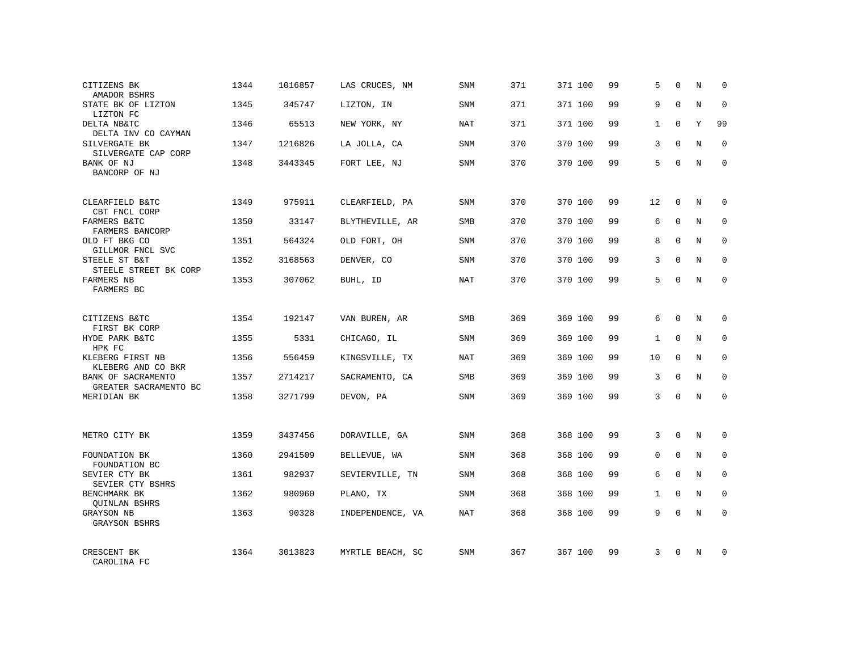| CITIZENS BK<br>AMADOR BSHRS                 | 1344 | 1016857 | LAS CRUCES, NM   | SNM        | 371 | 371 100 | 99 | 5            | $\Omega$    | N          | $\Omega$    |
|---------------------------------------------|------|---------|------------------|------------|-----|---------|----|--------------|-------------|------------|-------------|
| STATE BK OF LIZTON<br>LIZTON FC             | 1345 | 345747  | LIZTON, IN       | SNM        | 371 | 371 100 | 99 | 9            | $\Omega$    | N          | $\Omega$    |
| DELTA NB&TC<br>DELTA INV CO CAYMAN          | 1346 | 65513   | NEW YORK, NY     | NAT        | 371 | 371 100 | 99 | $\mathbf{1}$ | $\Omega$    | Y          | 99          |
| SILVERGATE BK<br>SILVERGATE CAP CORP        | 1347 | 1216826 | LA JOLLA, CA     | <b>SNM</b> | 370 | 370 100 | 99 | 3            | $\Omega$    | N          | $\Omega$    |
| BANK OF NJ<br>BANCORP OF NJ                 | 1348 | 3443345 | FORT LEE, NJ     | SNM        | 370 | 370 100 | 99 | 5            | $\Omega$    | N          | 0           |
| CLEARFIELD B&TC<br>CBT FNCL CORP            | 1349 | 975911  | CLEARFIELD, PA   | <b>SNM</b> | 370 | 370 100 | 99 | 12           | $\mathbf 0$ | N          | $\Omega$    |
| FARMERS B&TC<br>FARMERS BANCORP             | 1350 | 33147   | BLYTHEVILLE, AR  | <b>SMB</b> | 370 | 370 100 | 99 | 6            | $\Omega$    | N          | $\mathbf 0$ |
| OLD FT BKG CO<br>GILLMOR FNCL SVC           | 1351 | 564324  | OLD FORT, OH     | SNM        | 370 | 370 100 | 99 | 8            | $\Omega$    | N          | $\mathbf 0$ |
| STEELE ST B&T<br>STEELE STREET BK CORP      | 1352 | 3168563 | DENVER, CO       | <b>SNM</b> | 370 | 370 100 | 99 | 3            | $\Omega$    | N          | $\Omega$    |
| FARMERS NB<br>FARMERS BC                    | 1353 | 307062  | BUHL, ID         | <b>NAT</b> | 370 | 370 100 | 99 | 5            | $\Omega$    | N          | $\mathbf 0$ |
| CITIZENS B&TC<br>FIRST BK CORP              | 1354 | 192147  | VAN BUREN, AR    | <b>SMB</b> | 369 | 369 100 | 99 | 6            | $\Omega$    | N          | $\Omega$    |
| HYDE PARK B&TC<br>HPK FC                    | 1355 | 5331    | CHICAGO, IL      | SNM        | 369 | 369 100 | 99 | $\mathbf{1}$ | $\Omega$    | N          | $\mathbf 0$ |
| KLEBERG FIRST NB<br>KLEBERG AND CO BKR      | 1356 | 556459  | KINGSVILLE, TX   | <b>NAT</b> | 369 | 369 100 | 99 | 10           | $\Omega$    | N          | $\Omega$    |
| BANK OF SACRAMENTO<br>GREATER SACRAMENTO BC | 1357 | 2714217 | SACRAMENTO, CA   | <b>SMB</b> | 369 | 369 100 | 99 | 3            | $\Omega$    | N          | $\mathbf 0$ |
| MERIDIAN BK                                 | 1358 | 3271799 | DEVON, PA        | SNM        | 369 | 369 100 | 99 | 3            | $\Omega$    | $_{\rm N}$ | $\Omega$    |
| METRO CITY BK                               | 1359 | 3437456 | DORAVILLE, GA    | SNM        | 368 | 368 100 | 99 | 3            | $\Omega$    | $_{\rm N}$ | $\Omega$    |
| FOUNDATION BK<br>FOUNDATION BC              | 1360 | 2941509 | BELLEVUE, WA     | SNM        | 368 | 368 100 | 99 | $\mathbf{0}$ | $\mathbf 0$ | N          | $\mathbf 0$ |
| SEVIER CTY BK<br>SEVIER CTY BSHRS           | 1361 | 982937  | SEVIERVILLE, TN  | <b>SNM</b> | 368 | 368 100 | 99 | 6            | $\Omega$    | N          | $\Omega$    |
| BENCHMARK BK<br><b>OUINLAN BSHRS</b>        | 1362 | 980960  | PLANO, TX        | <b>SNM</b> | 368 | 368 100 | 99 | $\mathbf{1}$ | $\mathbf 0$ | N          | 0           |
| GRAYSON NB<br><b>GRAYSON BSHRS</b>          | 1363 | 90328   | INDEPENDENCE, VA | <b>NAT</b> | 368 | 368 100 | 99 | 9            | $\Omega$    | N          | $\Omega$    |
| CRESCENT BK<br>CAROLINA FC                  | 1364 | 3013823 | MYRTLE BEACH, SC | SNM        | 367 | 367 100 | 99 | 3            | $\Omega$    | N          | $\Omega$    |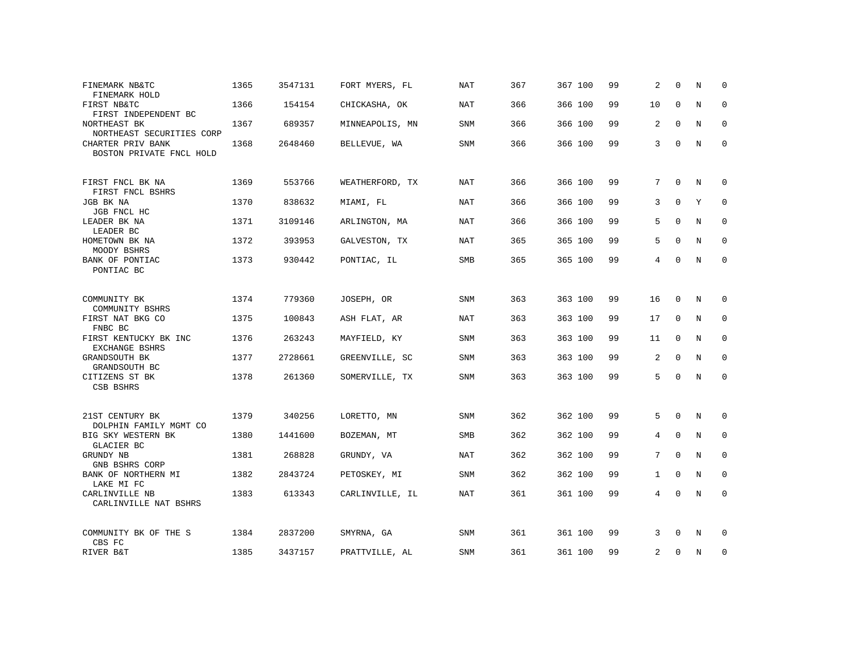| FINEMARK NB&TC<br>FINEMARK HOLD                            | 1365 | 3547131 | FORT MYERS, FL  | <b>NAT</b> | 367 | 367 100 | 99 | 2              | $\Omega$    | N           | $\Omega$    |
|------------------------------------------------------------|------|---------|-----------------|------------|-----|---------|----|----------------|-------------|-------------|-------------|
| FIRST NB&TC<br>FIRST INDEPENDENT BC                        | 1366 | 154154  | CHICKASHA, OK   | <b>NAT</b> | 366 | 366 100 | 99 | 10             | $\Omega$    | N           | $\mathbf 0$ |
| NORTHEAST BK<br>NORTHEAST SECURITIES CORP                  | 1367 | 689357  | MINNEAPOLIS, MN | SNM        | 366 | 366 100 | 99 | 2              | $\Omega$    | N           | 0           |
| CHARTER PRIV BANK<br>BOSTON PRIVATE FNCL HOLD              | 1368 | 2648460 | BELLEVUE, WA    | SNM        | 366 | 366 100 | 99 | 3              | 0           | N           | $\mathbf 0$ |
| FIRST FNCL BK NA<br>FIRST FNCL BSHRS                       | 1369 | 553766  | WEATHERFORD, TX | NAT        | 366 | 366 100 | 99 | 7              | $\Omega$    | N           | $\Omega$    |
| JGB BK NA<br>JGB FNCL HC                                   | 1370 | 838632  | MIAMI, FL       | NAT        | 366 | 366 100 | 99 | 3              | $\Omega$    | Y           | 0           |
| LEADER BK NA<br>LEADER BC                                  | 1371 | 3109146 | ARLINGTON, MA   | <b>NAT</b> | 366 | 366 100 | 99 | 5              | $\Omega$    | $_{\rm N}$  | $\Omega$    |
| HOMETOWN BK NA<br>MOODY BSHRS                              | 1372 | 393953  | GALVESTON, TX   | <b>NAT</b> | 365 | 365 100 | 99 | 5              | $\Omega$    | N           | $\mathbf 0$ |
| BANK OF PONTIAC<br>PONTIAC BC                              | 1373 | 930442  | PONTIAC, IL     | SMB        | 365 | 365 100 | 99 | 4              | 0           | $\mathbf N$ | $\mathbf 0$ |
| COMMUNITY BK                                               | 1374 | 779360  | JOSEPH, OR      | <b>SNM</b> | 363 | 363 100 | 99 | 16             | $\mathbf 0$ | N           | 0           |
| COMMUNITY BSHRS<br>FIRST NAT BKG CO<br>FNBC BC             | 1375 | 100843  | ASH FLAT, AR    | <b>NAT</b> | 363 | 363 100 | 99 | 17             | $\mathbf 0$ | N           | $\mathbf 0$ |
| FIRST KENTUCKY BK INC<br>EXCHANGE BSHRS                    | 1376 | 263243  | MAYFIELD, KY    | <b>SNM</b> | 363 | 363 100 | 99 | 11             | 0           | N           | 0           |
| GRANDSOUTH BK<br>GRANDSOUTH BC                             | 1377 | 2728661 | GREENVILLE, SC  | <b>SNM</b> | 363 | 363 100 | 99 | 2              | $\Omega$    | $\mathbf N$ | $\mathbf 0$ |
| CITIZENS ST BK<br>CSB BSHRS                                | 1378 | 261360  | SOMERVILLE, TX  | <b>SNM</b> | 363 | 363 100 | 99 | 5              | $\Omega$    | $\mathbf N$ | $\mathbf 0$ |
| 21ST CENTURY BK                                            | 1379 | 340256  | LORETTO, MN     | SNM        | 362 | 362 100 | 99 | 5              | 0           | N           | 0           |
| DOLPHIN FAMILY MGMT CO<br>BIG SKY WESTERN BK<br>GLACIER BC | 1380 | 1441600 | BOZEMAN, MT     | <b>SMB</b> | 362 | 362 100 | 99 | 4              | $\mathbf 0$ | N           | $\mathbf 0$ |
| GRUNDY NB<br>GNB BSHRS CORP                                | 1381 | 268828  | GRUNDY, VA      | <b>NAT</b> | 362 | 362 100 | 99 | 7              | $\Omega$    | N           | 0           |
| BANK OF NORTHERN MI<br>LAKE MI FC                          | 1382 | 2843724 | PETOSKEY, MI    | <b>SNM</b> | 362 | 362 100 | 99 | $\mathbf{1}$   | $\mathbf 0$ | N           | $\mathbf 0$ |
| CARLINVILLE NB<br>CARLINVILLE NAT BSHRS                    | 1383 | 613343  | CARLINVILLE, IL | <b>NAT</b> | 361 | 361 100 | 99 | $\overline{4}$ | $\Omega$    | N           | $\Omega$    |
| COMMUNITY BK OF THE S<br>CBS FC                            | 1384 | 2837200 | SMYRNA, GA      | <b>SNM</b> | 361 | 361 100 | 99 | 3              | $\Omega$    | N           | 0           |
| RIVER B&T                                                  | 1385 | 3437157 | PRATTVILLE, AL  | SNM        | 361 | 361 100 | 99 | 2              | $\Omega$    | N           | $\mathbf 0$ |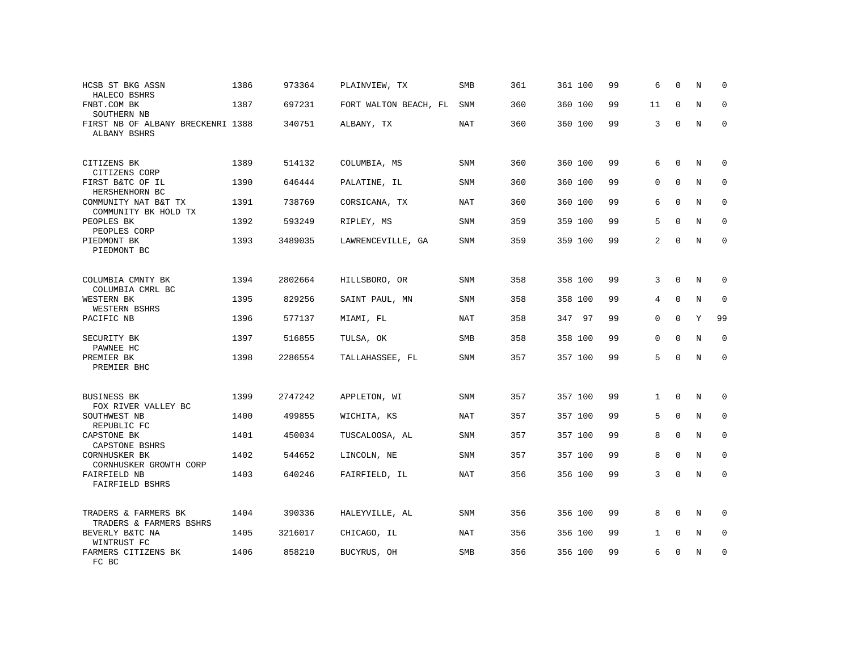| HCSB ST BKG ASSN<br>HALECO BSHRS                  | 1386 | 973364  | PLAINVIEW, TX             | <b>SMB</b> | 361 | 361 100 | 99 | 6              | $\mathbf 0$  | N           | $\mathbf 0$  |
|---------------------------------------------------|------|---------|---------------------------|------------|-----|---------|----|----------------|--------------|-------------|--------------|
| FNBT.COM BK<br>SOUTHERN NB                        | 1387 | 697231  | FORT WALTON BEACH, FL SNM |            | 360 | 360 100 | 99 | 11             | 0            | N           | 0            |
| FIRST NB OF ALBANY BRECKENRI 1388<br>ALBANY BSHRS |      | 340751  | ALBANY, TX                | <b>NAT</b> | 360 | 360 100 | 99 | 3              | $\Omega$     | N           | $\Omega$     |
| CITIZENS BK<br>CITIZENS CORP                      | 1389 | 514132  | COLUMBIA, MS              | SNM        | 360 | 360 100 | 99 | 6              | $\mathbf 0$  | N           | $\mathbf 0$  |
| FIRST B&TC OF IL<br>HERSHENHORN BC                | 1390 | 646444  | PALATINE, IL              | <b>SNM</b> | 360 | 360 100 | 99 | $\Omega$       | $\Omega$     | N           | $\mathbf{0}$ |
| COMMUNITY NAT B&T TX<br>COMMUNITY BK HOLD TX      | 1391 | 738769  | CORSICANA, TX             | <b>NAT</b> | 360 | 360 100 | 99 | 6              | $\Omega$     | N           | $\mathbf{0}$ |
| PEOPLES BK<br>PEOPLES CORP                        | 1392 | 593249  | RIPLEY, MS                | SNM        | 359 | 359 100 | 99 | 5              | $\mathbf 0$  | $\mathbf N$ | $\mathbf 0$  |
| PIEDMONT BK<br>PIEDMONT BC                        | 1393 | 3489035 | LAWRENCEVILLE, GA         | <b>SNM</b> | 359 | 359 100 | 99 | $\overline{2}$ | $\Omega$     | N           | $\Omega$     |
| COLUMBIA CMNTY BK<br>COLUMBIA CMRL BC             | 1394 | 2802664 | HILLSBORO, OR             | SNM        | 358 | 358 100 | 99 | 3              | $\mathbf{0}$ | $\mathbf N$ | $\mathbf{0}$ |
| WESTERN BK<br>WESTERN BSHRS                       | 1395 | 829256  | SAINT PAUL, MN            | <b>SNM</b> | 358 | 358 100 | 99 | $\overline{4}$ | $\mathbf 0$  | N           | $\mathbf{0}$ |
| PACIFIC NB                                        | 1396 | 577137  | MIAMI, FL                 | NAT        | 358 | 347 97  | 99 | 0              | $\Omega$     | Y           | 99           |
| SECURITY BK<br>PAWNEE HC                          | 1397 | 516855  | TULSA, OK                 | SMB        | 358 | 358 100 | 99 | $\mathbf{0}$   | $\mathbf 0$  | $\mathbf N$ | $\mathbf 0$  |
| PREMIER BK<br>PREMIER BHC                         | 1398 | 2286554 | TALLAHASSEE, FL           | SNM        | 357 | 357 100 | 99 | 5              | $\Omega$     | N           | $\mathbf 0$  |
| <b>BUSINESS BK</b><br>FOX RIVER VALLEY BC         | 1399 | 2747242 | APPLETON, WI              | <b>SNM</b> | 357 | 357 100 | 99 | $\mathbf{1}$   | $\mathbf 0$  | $\mathbf N$ | $\mathbf{0}$ |
| SOUTHWEST NB<br>REPUBLIC FC                       | 1400 | 499855  | WICHITA, KS               | <b>NAT</b> | 357 | 357 100 | 99 | 5              | $\mathbf{0}$ | N           | $\mathbf 0$  |
| CAPSTONE BK<br>CAPSTONE BSHRS                     | 1401 | 450034  | TUSCALOOSA, AL            | <b>SNM</b> | 357 | 357 100 | 99 | 8              | $\Omega$     | N           | $\mathbf 0$  |
| CORNHUSKER BK<br>CORNHUSKER GROWTH CORP           | 1402 | 544652  | LINCOLN, NE               | SNM        | 357 | 357 100 | 99 | 8              | $\mathbf 0$  | $\mathbf N$ | $\mathbf 0$  |
| FAIRFIELD NB<br>FAIRFIELD BSHRS                   | 1403 | 640246  | FAIRFIELD, IL             | <b>NAT</b> | 356 | 356 100 | 99 | 3              | $\Omega$     | $\mathbf N$ | $\mathbf 0$  |
| TRADERS & FARMERS BK<br>TRADERS & FARMERS BSHRS   | 1404 | 390336  | HALEYVILLE, AL            | SNM        | 356 | 356 100 | 99 | 8              | $\mathbf 0$  | N           | 0            |
| BEVERLY B&TC NA<br>WINTRUST FC                    | 1405 | 3216017 | CHICAGO, IL               | <b>NAT</b> | 356 | 356 100 | 99 | $\mathbf{1}$   | 0            | N           | 0            |
| FARMERS CITIZENS BK<br>FC BC                      | 1406 | 858210  | BUCYRUS, OH               | <b>SMB</b> | 356 | 356 100 | 99 | 6              | 0            | N           | $\mathbf{0}$ |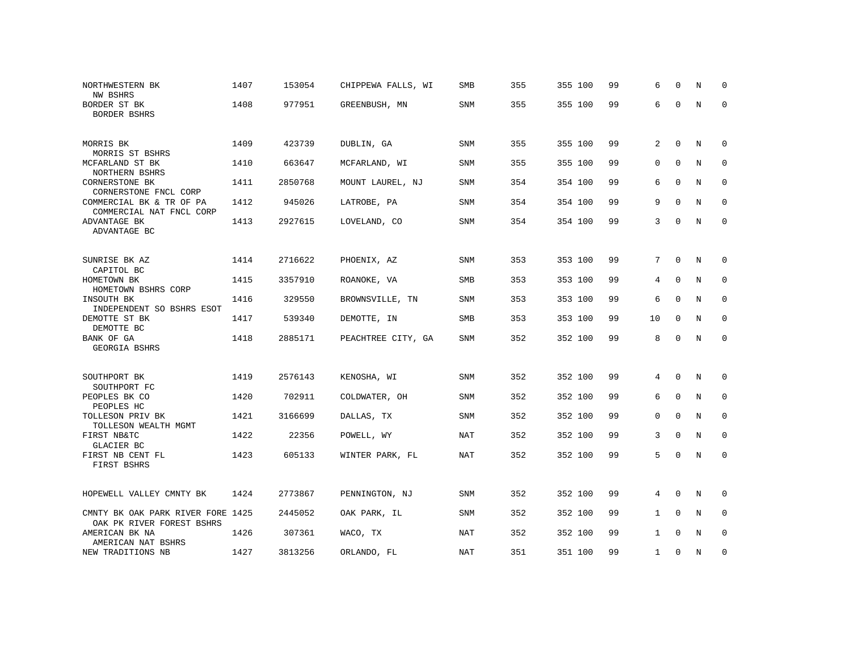| NORTHWESTERN BK<br><b>NW BSHRS</b>                               | 1407 | 153054  | CHIPPEWA FALLS, WI | <b>SMB</b> | 355 | 355 100 | 99 | 6              | $\Omega$     | N           | $\Omega$     |
|------------------------------------------------------------------|------|---------|--------------------|------------|-----|---------|----|----------------|--------------|-------------|--------------|
| BORDER ST BK<br>BORDER BSHRS                                     | 1408 | 977951  | GREENBUSH, MN      | SNM        | 355 | 355 100 | 99 | 6              | $\Omega$     | $\mathbf N$ | $\mathbf{0}$ |
| MORRIS BK                                                        | 1409 | 423739  | DUBLIN, GA         | SNM        | 355 | 355 100 | 99 | 2              | $\mathbf 0$  | N           | $\mathbf 0$  |
| MORRIS ST BSHRS<br>MCFARLAND ST BK                               | 1410 | 663647  | MCFARLAND, WI      | SNM        | 355 | 355 100 | 99 | 0              | $\Omega$     | N           | $\mathbf{0}$ |
| NORTHERN BSHRS<br><b>CORNERSTONE BK</b><br>CORNERSTONE FNCL CORP | 1411 | 2850768 | MOUNT LAUREL, NJ   | <b>SNM</b> | 354 | 354 100 | 99 | 6              | $\Omega$     | N           | $\mathbf 0$  |
| COMMERCIAL BK & TR OF PA<br>COMMERCIAL NAT FNCL CORP             | 1412 | 945026  | LATROBE, PA        | SNM        | 354 | 354 100 | 99 | 9              | $\Omega$     | N           | $\mathbf 0$  |
| ADVANTAGE BK<br>ADVANTAGE BC                                     | 1413 | 2927615 | LOVELAND, CO       | <b>SNM</b> | 354 | 354 100 | 99 | 3              | 0            | N           | $\mathbf{0}$ |
|                                                                  |      |         |                    |            |     |         |    |                |              |             |              |
| SUNRISE BK AZ<br>CAPITOL BC                                      | 1414 | 2716622 | PHOENIX, AZ        | <b>SNM</b> | 353 | 353 100 | 99 | 7              | $\mathbf 0$  | N           | 0            |
| HOMETOWN BK<br>HOMETOWN BSHRS CORP                               | 1415 | 3357910 | ROANOKE, VA        | <b>SMB</b> | 353 | 353 100 | 99 | 4              | $\mathbf 0$  | N           | 0            |
| INSOUTH BK<br>INDEPENDENT SO BSHRS ESOT                          | 1416 | 329550  | BROWNSVILLE, TN    | SNM        | 353 | 353 100 | 99 | 6              | $\mathbf 0$  | N           | 0            |
| DEMOTTE ST BK<br>DEMOTTE BC                                      | 1417 | 539340  | DEMOTTE, IN        | <b>SMB</b> | 353 | 353 100 | 99 | 10             | $\mathbf 0$  | N           | $\Omega$     |
| BANK OF GA<br>GEORGIA BSHRS                                      | 1418 | 2885171 | PEACHTREE CITY, GA | <b>SNM</b> | 352 | 352 100 | 99 | 8              | $\mathbf 0$  | N           | $\mathbf{0}$ |
|                                                                  |      |         |                    |            |     |         |    |                |              |             |              |
| SOUTHPORT BK<br>SOUTHPORT FC                                     | 1419 | 2576143 | KENOSHA, WI        | SNM        | 352 | 352 100 | 99 | 4              | 0            | N           | 0            |
| PEOPLES BK CO<br>PEOPLES HC                                      | 1420 | 702911  | COLDWATER, OH      | <b>SNM</b> | 352 | 352 100 | 99 | 6              | $\mathbf 0$  | N           | $\mathbf 0$  |
| TOLLESON PRIV BK<br>TOLLESON WEALTH MGMT                         | 1421 | 3166699 | DALLAS, TX         | <b>SNM</b> | 352 | 352 100 | 99 | $\mathbf{0}$   | $\Omega$     | N           | $\mathbf 0$  |
| FIRST NB&TC<br>GLACIER BC                                        | 1422 | 22356   | POWELL, WY         | NAT        | 352 | 352 100 | 99 | 3              | $\mathbf 0$  | N           | 0            |
| FIRST NB CENT FL<br>FIRST BSHRS                                  | 1423 | 605133  | WINTER PARK, FL    | NAT        | 352 | 352 100 | 99 | 5              | $\mathbf 0$  | N           | $\mathbf 0$  |
| HOPEWELL VALLEY CMNTY BK                                         | 1424 | 2773867 | PENNINGTON, NJ     | <b>SNM</b> | 352 | 352 100 | 99 | $\overline{4}$ | $\mathbf{0}$ | N           | $\mathbf 0$  |
| CMNTY BK OAK PARK RIVER FORE 1425<br>OAK PK RIVER FOREST BSHRS   |      | 2445052 | OAK PARK, IL       | SNM        | 352 | 352 100 | 99 | $\mathbf{1}$   | $\mathbf 0$  | N           | $\mathbf 0$  |
| AMERICAN BK NA<br>AMERICAN NAT BSHRS                             | 1426 | 307361  | WACO, TX           | NAT        | 352 | 352 100 | 99 | $\mathbf{1}$   | $\Omega$     | N           | $\mathbf{0}$ |
| NEW TRADITIONS NB                                                | 1427 | 3813256 | ORLANDO, FL        | NAT        | 351 | 351 100 | 99 | $\mathbf{1}$   | $\mathbf 0$  | N           | $\mathbf{0}$ |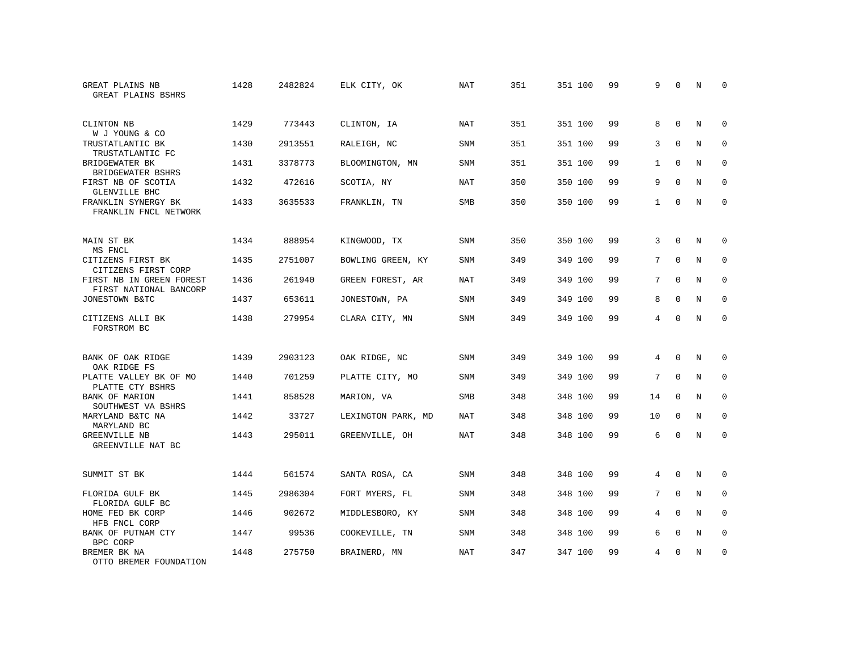| GREAT PLAINS NB<br>GREAT PLAINS BSHRS              | 1428 | 2482824 | ELK CITY, OK       | <b>NAT</b> | 351 | 351 100 | 99 | 9              | $\Omega$    | N           | $\Omega$    |
|----------------------------------------------------|------|---------|--------------------|------------|-----|---------|----|----------------|-------------|-------------|-------------|
| CLINTON NB<br>W J YOUNG & CO                       | 1429 | 773443  | CLINTON, IA        | <b>NAT</b> | 351 | 351 100 | 99 | 8              | $\Omega$    | N           | $\mathbf 0$ |
| TRUSTATLANTIC BK<br>TRUSTATLANTIC FC               | 1430 | 2913551 | RALEIGH, NC        | <b>SNM</b> | 351 | 351 100 | 99 | 3              | $\Omega$    | N           | $\mathbf 0$ |
| BRIDGEWATER BK<br>BRIDGEWATER BSHRS                | 1431 | 3378773 | BLOOMINGTON, MN    | <b>SNM</b> | 351 | 351 100 | 99 | $\mathbf{1}$   | $\Omega$    | N           | $\Omega$    |
| FIRST NB OF SCOTIA<br>GLENVILLE BHC                | 1432 | 472616  | SCOTIA, NY         | NAT        | 350 | 350 100 | 99 | 9              | $\Omega$    | N           | $\Omega$    |
| FRANKLIN SYNERGY BK<br>FRANKLIN FNCL NETWORK       | 1433 | 3635533 | FRANKLIN, TN       | <b>SMB</b> | 350 | 350 100 | 99 | $\mathbf{1}$   | $\Omega$    | N           | $\Omega$    |
| MAIN ST BK<br>MS FNCL                              | 1434 | 888954  | KINGWOOD, TX       | <b>SNM</b> | 350 | 350 100 | 99 | 3              | $\Omega$    | N           | $\Omega$    |
| CITIZENS FIRST BK<br>CITIZENS FIRST CORP           | 1435 | 2751007 | BOWLING GREEN, KY  | <b>SNM</b> | 349 | 349 100 | 99 | 7              | $\mathbf 0$ | N           | $\mathbf 0$ |
| FIRST NB IN GREEN FOREST<br>FIRST NATIONAL BANCORP | 1436 | 261940  | GREEN FOREST, AR   | <b>NAT</b> | 349 | 349 100 | 99 | 7              | $\Omega$    | N           | $\Omega$    |
| JONESTOWN B&TC                                     | 1437 | 653611  | JONESTOWN, PA      | <b>SNM</b> | 349 | 349 100 | 99 | 8              | $\mathbf 0$ | $\mathbf N$ | $\mathbf 0$ |
| CITIZENS ALLI BK<br>FORSTROM BC                    | 1438 | 279954  | CLARA CITY, MN     | <b>SNM</b> | 349 | 349 100 | 99 | $\overline{4}$ | $\Omega$    | N           | $\mathbf 0$ |
| BANK OF OAK RIDGE<br>OAK RIDGE FS                  | 1439 | 2903123 | OAK RIDGE, NC      | <b>SNM</b> | 349 | 349 100 | 99 | $\overline{4}$ | $\Omega$    | N           | 0           |
| PLATTE VALLEY BK OF MO<br>PLATTE CTY BSHRS         | 1440 | 701259  | PLATTE CITY, MO    | <b>SNM</b> | 349 | 349 100 | 99 | 7              | $\Omega$    | N           | $\mathbf 0$ |
| BANK OF MARION<br>SOUTHWEST VA BSHRS               | 1441 | 858528  | MARION, VA         | SMB        | 348 | 348 100 | 99 | 14             | $\mathbf 0$ | N           | 0           |
| MARYLAND B&TC NA<br>MARYLAND BC                    | 1442 | 33727   | LEXINGTON PARK, MD | <b>NAT</b> | 348 | 348 100 | 99 | 10             | $\Omega$    | N           | $\mathbf 0$ |
| GREENVILLE NB<br>GREENVILLE NAT BC                 | 1443 | 295011  | GREENVILLE, OH     | <b>NAT</b> | 348 | 348 100 | 99 | 6              | $\mathbf 0$ | $\mathbf N$ | $\mathbf 0$ |
| SUMMIT ST BK                                       | 1444 | 561574  | SANTA ROSA, CA     | SNM        | 348 | 348 100 | 99 | $\overline{4}$ | $\Omega$    | N           | $\Omega$    |
| FLORIDA GULF BK<br>FLORIDA GULF BC                 | 1445 | 2986304 | FORT MYERS, FL     | SNM        | 348 | 348 100 | 99 | 7              | $\mathbf 0$ | N           | $\mathbf 0$ |
| HOME FED BK CORP<br>HFB FNCL CORP                  | 1446 | 902672  | MIDDLESBORO, KY    | SNM        | 348 | 348 100 | 99 | 4              | $\Omega$    | N           | $\mathbf 0$ |
| BANK OF PUTNAM CTY<br>BPC CORP                     | 1447 | 99536   | COOKEVILLE, TN     | SNM        | 348 | 348 100 | 99 | 6              | $\mathbf 0$ | N           | $\mathbf 0$ |
| BREMER BK NA<br>OTTO BREMER FOUNDATION             | 1448 | 275750  | BRAINERD, MN       | <b>NAT</b> | 347 | 347 100 | 99 | 4              | $\Omega$    | N           | $\mathbf 0$ |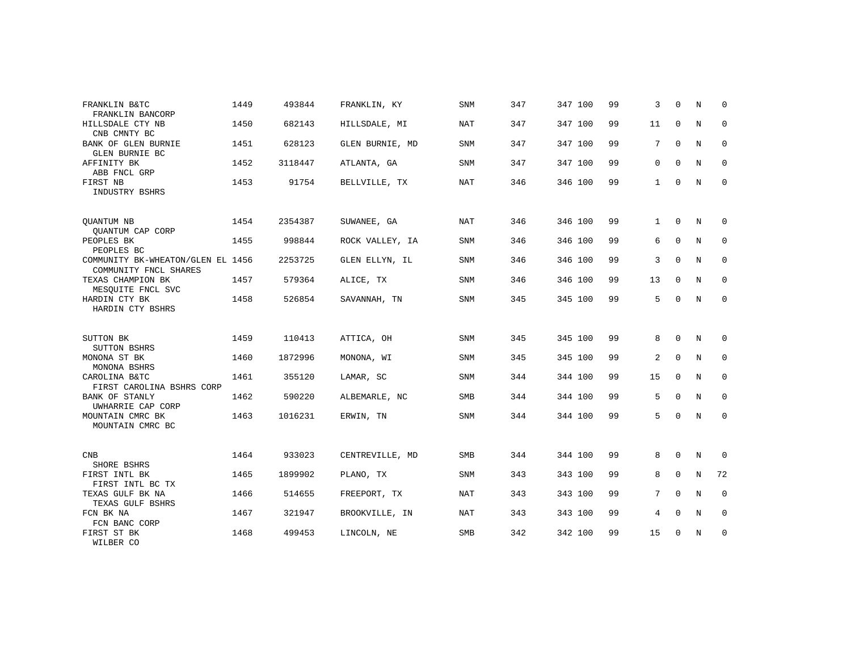| FRANKLIN B&TC<br>FRANKLIN BANCORP                          | 1449 | 493844  | FRANKLIN, KY    | SNM        | 347 | 347 100 | 99 | 3            | $\Omega$    | N | $\Omega$    |
|------------------------------------------------------------|------|---------|-----------------|------------|-----|---------|----|--------------|-------------|---|-------------|
| HILLSDALE CTY NB<br>CNB CMNTY BC                           | 1450 | 682143  | HILLSDALE, MI   | <b>NAT</b> | 347 | 347 100 | 99 | 11           | $\mathbf 0$ | N | $\mathbf 0$ |
| BANK OF GLEN BURNIE<br>GLEN BURNIE BC                      | 1451 | 628123  | GLEN BURNIE, MD | <b>SNM</b> | 347 | 347 100 | 99 | 7            | $\mathbf 0$ | N | 0           |
| AFFINITY BK<br>ABB FNCL GRP                                | 1452 | 3118447 | ATLANTA, GA     | <b>SNM</b> | 347 | 347 100 | 99 | $\mathbf 0$  | $\Omega$    | N | 0           |
| FIRST NB<br>INDUSTRY BSHRS                                 | 1453 | 91754   | BELLVILLE, TX   | <b>NAT</b> | 346 | 346 100 | 99 | $\mathbf 1$  | 0           | N | $\mathbf 0$ |
| QUANTUM NB<br>QUANTUM CAP CORP                             | 1454 | 2354387 | SUWANEE, GA     | <b>NAT</b> | 346 | 346 100 | 99 | $\mathbf{1}$ | $\Omega$    | N | $\Omega$    |
| PEOPLES BK<br>PEOPLES BC                                   | 1455 | 998844  | ROCK VALLEY, IA | <b>SNM</b> | 346 | 346 100 | 99 | 6            | $\Omega$    | N | 0           |
| COMMUNITY BK-WHEATON/GLEN EL 1456<br>COMMUNITY FNCL SHARES |      | 2253725 | GLEN ELLYN, IL  | <b>SNM</b> | 346 | 346 100 | 99 | 3            | 0           | N | 0           |
| TEXAS CHAMPION BK<br>MESQUITE FNCL SVC                     | 1457 | 579364  | ALICE, TX       | <b>SNM</b> | 346 | 346 100 | 99 | 13           | $\mathbf 0$ | N | $\mathbf 0$ |
| HARDIN CTY BK<br>HARDIN CTY BSHRS                          | 1458 | 526854  | SAVANNAH, TN    | <b>SNM</b> | 345 | 345 100 | 99 | 5            | 0           | N | $\mathbf 0$ |
| SUTTON BK<br>SUTTON BSHRS                                  | 1459 | 110413  | ATTICA, OH      | <b>SNM</b> | 345 | 345 100 | 99 | 8            | $\Omega$    | N | 0           |
| MONONA ST BK<br>MONONA BSHRS                               | 1460 | 1872996 | MONONA, WI      | SNM        | 345 | 345 100 | 99 | 2            | $\mathbf 0$ | N | $\mathbf 0$ |
| CAROLINA B&TC<br>FIRST CAROLINA BSHRS CORP                 | 1461 | 355120  | LAMAR, SC       | <b>SNM</b> | 344 | 344 100 | 99 | 15           | $\mathbf 0$ | N | 0           |
| <b>BANK OF STANLY</b><br>UWHARRIE CAP CORP                 | 1462 | 590220  | ALBEMARLE, NC   | <b>SMB</b> | 344 | 344 100 | 99 | 5            | $\Omega$    | N | $\mathbf 0$ |
| MOUNTAIN CMRC BK<br>MOUNTAIN CMRC BC                       | 1463 | 1016231 | ERWIN, TN       | <b>SNM</b> | 344 | 344 100 | 99 | 5            | $\mathbf 0$ | N | 0           |
| <b>CNB</b><br>SHORE BSHRS                                  | 1464 | 933023  | CENTREVILLE, MD | <b>SMB</b> | 344 | 344 100 | 99 | 8            | $\mathbf 0$ | N | 0           |
| FIRST INTL BK<br>FIRST INTL BC TX                          | 1465 | 1899902 | PLANO, TX       | <b>SNM</b> | 343 | 343 100 | 99 | 8            | $\Omega$    | N | 72          |
| TEXAS GULF BK NA<br>TEXAS GULF BSHRS                       | 1466 | 514655  | FREEPORT, TX    | <b>NAT</b> | 343 | 343 100 | 99 | 7            | 0           | N | 0           |
| FCN BK NA<br>FCN BANC CORP                                 | 1467 | 321947  | BROOKVILLE, IN  | <b>NAT</b> | 343 | 343 100 | 99 | 4            | $\Omega$    | N | $\mathbf 0$ |
| FIRST ST BK<br>WILBER CO                                   | 1468 | 499453  | LINCOLN, NE     | <b>SMB</b> | 342 | 342 100 | 99 | 15           | 0           | N | $\mathbf 0$ |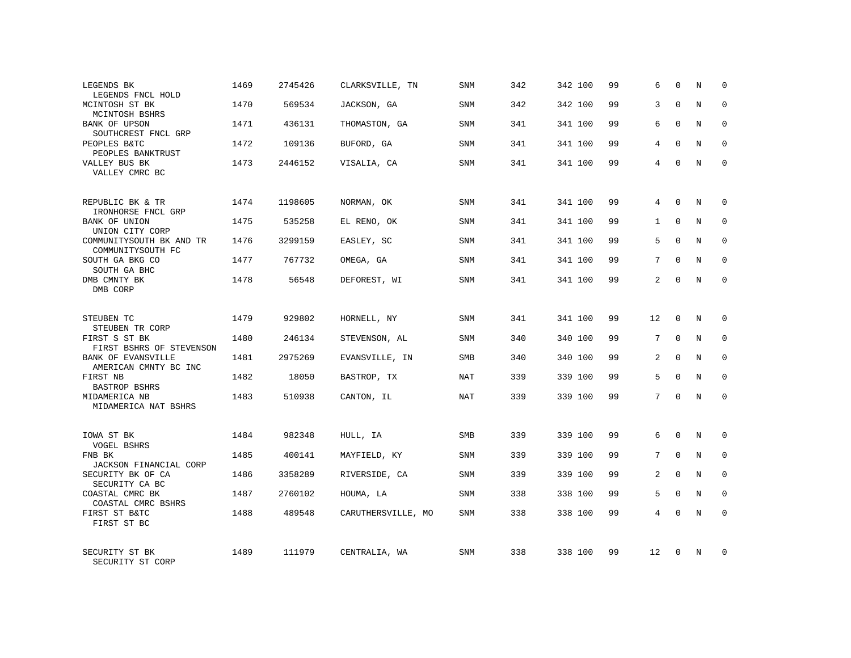| LEGENDS BK<br>LEGENDS FNCL HOLD                    | 1469 | 2745426 | CLARKSVILLE, TN    | SNM        | 342 | 342 100 | 99 | 6              | $\Omega$    | N          | $\Omega$    |
|----------------------------------------------------|------|---------|--------------------|------------|-----|---------|----|----------------|-------------|------------|-------------|
| MCINTOSH ST BK<br>MCINTOSH BSHRS                   | 1470 | 569534  | JACKSON, GA        | SNM        | 342 | 342 100 | 99 | 3              | $\Omega$    | N          | $\Omega$    |
| BANK OF UPSON<br>SOUTHCREST FNCL GRP               | 1471 | 436131  | THOMASTON, GA      | SNM        | 341 | 341 100 | 99 | 6              | $\Omega$    | N          | 0           |
| PEOPLES B&TC<br>PEOPLES BANKTRUST                  | 1472 | 109136  | BUFORD, GA         | <b>SNM</b> | 341 | 341 100 | 99 | 4              | $\Omega$    | N          | $\Omega$    |
| VALLEY BUS BK<br>VALLEY CMRC BC                    | 1473 | 2446152 | VISALIA, CA        | SNM        | 341 | 341 100 | 99 | 4              | $\Omega$    | N          | $\mathbf 0$ |
| REPUBLIC BK & TR<br>IRONHORSE FNCL GRP             | 1474 | 1198605 | NORMAN, OK         | <b>SNM</b> | 341 | 341 100 | 99 | 4              | $\Omega$    | N          | $\Omega$    |
| BANK OF UNION<br>UNION CITY CORP                   | 1475 | 535258  | EL RENO, OK        | <b>SNM</b> | 341 | 341 100 | 99 | $\mathbf{1}$   | $\Omega$    | N          | $\mathbf 0$ |
| COMMUNITYSOUTH BK AND TR<br>COMMUNITYSOUTH FC      | 1476 | 3299159 | EASLEY, SC         | <b>SNM</b> | 341 | 341 100 | 99 | 5              | $\Omega$    | N          | $\mathbf 0$ |
| SOUTH GA BKG CO<br>SOUTH GA BHC                    | 1477 | 767732  | OMEGA, GA          | <b>SNM</b> | 341 | 341 100 | 99 | 7              | $\Omega$    | N          | $\Omega$    |
| DMB CMNTY BK<br>DMB CORP                           | 1478 | 56548   | DEFOREST, WI       | <b>SNM</b> | 341 | 341 100 | 99 | 2              | $\Omega$    | N          | $\mathbf 0$ |
| STEUBEN TC<br>STEUBEN TR CORP                      | 1479 | 929802  | HORNELL, NY        | <b>SNM</b> | 341 | 341 100 | 99 | 12             | $\Omega$    | N          | $\Omega$    |
| FIRST S ST BK<br>FIRST BSHRS OF STEVENSON          | 1480 | 246134  | STEVENSON, AL      | <b>SNM</b> | 340 | 340 100 | 99 | 7              | $\mathbf 0$ | N          | $\mathbf 0$ |
| <b>BANK OF EVANSVILLE</b><br>AMERICAN CMNTY BC INC | 1481 | 2975269 | EVANSVILLE, IN     | <b>SMB</b> | 340 | 340 100 | 99 | $\overline{2}$ | $\Omega$    | N          | $\Omega$    |
| FIRST NB<br><b>BASTROP BSHRS</b>                   | 1482 | 18050   | BASTROP, TX        | <b>NAT</b> | 339 | 339 100 | 99 | 5              | $\Omega$    | $\rm N$    | $\mathbf 0$ |
| MIDAMERICA NB<br>MIDAMERICA NAT BSHRS              | 1483 | 510938  | CANTON, IL         | <b>NAT</b> | 339 | 339 100 | 99 | 7              | $\Omega$    | $_{\rm N}$ | $\Omega$    |
| IOWA ST BK<br>VOGEL BSHRS                          | 1484 | 982348  | HULL, IA           | <b>SMB</b> | 339 | 339 100 | 99 | 6              | $\Omega$    | $_{\rm N}$ | $\Omega$    |
| FNB BK<br>JACKSON FINANCIAL CORP                   | 1485 | 400141  | MAYFIELD, KY       | SNM        | 339 | 339 100 | 99 | 7              | $\mathbf 0$ | N          | $\mathbf 0$ |
| SECURITY BK OF CA<br>SECURITY CA BC                | 1486 | 3358289 | RIVERSIDE, CA      | <b>SNM</b> | 339 | 339 100 | 99 | $\overline{2}$ | $\Omega$    | N          | $\Omega$    |
| COASTAL CMRC BK<br>COASTAL CMRC BSHRS              | 1487 | 2760102 | HOUMA, LA          | <b>SNM</b> | 338 | 338 100 | 99 | 5              | $\Omega$    | N          | $\mathbf 0$ |
| FIRST ST B&TC<br>FIRST ST BC                       | 1488 | 489548  | CARUTHERSVILLE, MO | <b>SNM</b> | 338 | 338 100 | 99 | $\overline{4}$ | $\Omega$    | N          | $\Omega$    |
| SECURITY ST BK<br>SECURITY ST CORP                 | 1489 | 111979  | CENTRALIA, WA      | <b>SNM</b> | 338 | 338 100 | 99 | 12             | $\Omega$    | N          | $\Omega$    |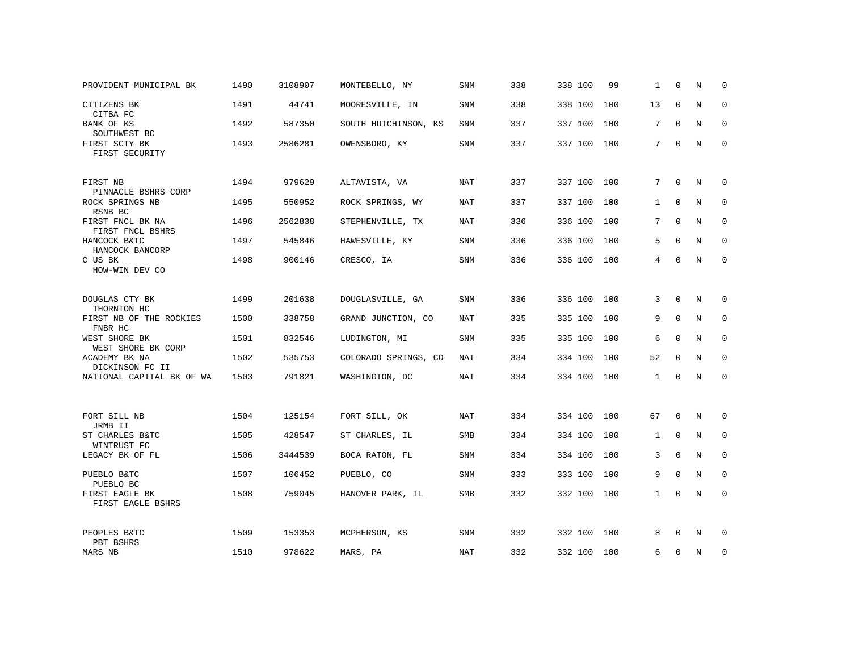| PROVIDENT MUNICIPAL BK                            | 1490 | 3108907 | MONTEBELLO, NY       | <b>SNM</b> | 338 | 338 100     | 99  | $\mathbf{1}$ | $\Omega$     | N          | $\mathbf 0$ |
|---------------------------------------------------|------|---------|----------------------|------------|-----|-------------|-----|--------------|--------------|------------|-------------|
| CITIZENS BK<br>CITBA FC                           | 1491 | 44741   | MOORESVILLE, IN      | <b>SNM</b> | 338 | 338 100     | 100 | 13           | $\mathbf 0$  | N          | $\mathbf 0$ |
| BANK OF KS<br>SOUTHWEST BC                        | 1492 | 587350  | SOUTH HUTCHINSON, KS | SNM        | 337 | 337 100     | 100 | 7            | $\mathbf 0$  | N          | 0           |
| FIRST SCTY BK<br>FIRST SECURITY                   | 1493 | 2586281 | OWENSBORO, KY        | <b>SNM</b> | 337 | 337 100 100 |     | 7            | $\Omega$     | $_{\rm N}$ | $\mathbf 0$ |
| FIRST NB<br>PINNACLE BSHRS CORP                   | 1494 | 979629  | ALTAVISTA, VA        | NAT        | 337 | 337 100 100 |     | 7            | $\Omega$     | N          | $\mathbf 0$ |
| ROCK SPRINGS NB<br>RSNB BC                        | 1495 | 550952  | ROCK SPRINGS, WY     | NAT        | 337 | 337 100 100 |     | $\mathbf{1}$ | $\Omega$     | N          | $\mathbf 0$ |
| FIRST FNCL BK NA<br>FIRST FNCL BSHRS              | 1496 | 2562838 | STEPHENVILLE, TX     | <b>NAT</b> | 336 | 336 100 100 |     | 7            | $\mathbf 0$  | N          | $\mathbf 0$ |
| HANCOCK B&TC<br>HANCOCK BANCORP                   | 1497 | 545846  | HAWESVILLE, KY       | SNM        | 336 | 336 100 100 |     | 5            | $\mathbf 0$  | N          | $\mathbf 0$ |
| C US BK<br>HOW-WIN DEV CO                         | 1498 | 900146  | CRESCO, IA           | SNM        | 336 | 336 100 100 |     | 4            | $\Omega$     | N          | $\mathbf 0$ |
| DOUGLAS CTY BK                                    | 1499 | 201638  | DOUGLASVILLE, GA     | SNM        | 336 | 336 100 100 |     | 3            | 0            | N          | 0           |
| THORNTON HC<br>FIRST NB OF THE ROCKIES<br>FNBR HC | 1500 | 338758  | GRAND JUNCTION, CO   | NAT        | 335 | 335 100 100 |     | 9            | $\Omega$     | N          | $\mathbf 0$ |
| WEST SHORE BK<br>WEST SHORE BK CORP               | 1501 | 832546  | LUDINGTON, MI        | SNM        | 335 | 335 100     | 100 | 6            | $\mathbf 0$  | N          | 0           |
| ACADEMY BK NA<br>DICKINSON FC II                  | 1502 | 535753  | COLORADO SPRINGS, CO | NAT        | 334 | 334 100     | 100 | 52           | $\mathbf 0$  | N          | 0           |
| NATIONAL CAPITAL BK OF WA                         | 1503 | 791821  | WASHINGTON, DC       | NAT        | 334 | 334 100 100 |     | $\mathbf{1}$ | $\mathbf{0}$ | N          | $\mathbf 0$ |
| FORT SILL NB                                      | 1504 | 125154  | FORT SILL, OK        | NAT        | 334 | 334 100 100 |     | 67           | $\mathbf{0}$ | N          | 0           |
| JRMB II<br>ST CHARLES B&TC<br>WINTRUST FC         | 1505 | 428547  | ST CHARLES, IL       | SMB        | 334 | 334 100     | 100 | 1            | 0            | N          | 0           |
| LEGACY BK OF FL                                   | 1506 | 3444539 | BOCA RATON, FL       | SNM        | 334 | 334 100     | 100 | 3            | $\mathbf 0$  | N          | $\mathbf 0$ |
| PUEBLO B&TC<br>PUEBLO BC                          | 1507 | 106452  | PUEBLO, CO           | SNM        | 333 | 333 100     | 100 | 9            | $\mathbf 0$  | N          | $\mathbf 0$ |
| FIRST EAGLE BK<br>FIRST EAGLE BSHRS               | 1508 | 759045  | HANOVER PARK, IL     | SMB        | 332 | 332 100 100 |     | 1            | 0            | N          | 0           |
| PEOPLES B&TC<br>PBT BSHRS                         | 1509 | 153353  | MCPHERSON, KS        | SNM        | 332 | 332 100 100 |     | 8            | $\Omega$     | N          | 0           |
| MARS NB                                           | 1510 | 978622  | MARS, PA             | NAT        | 332 | 332 100 100 |     | 6            | 0            | N          | 0           |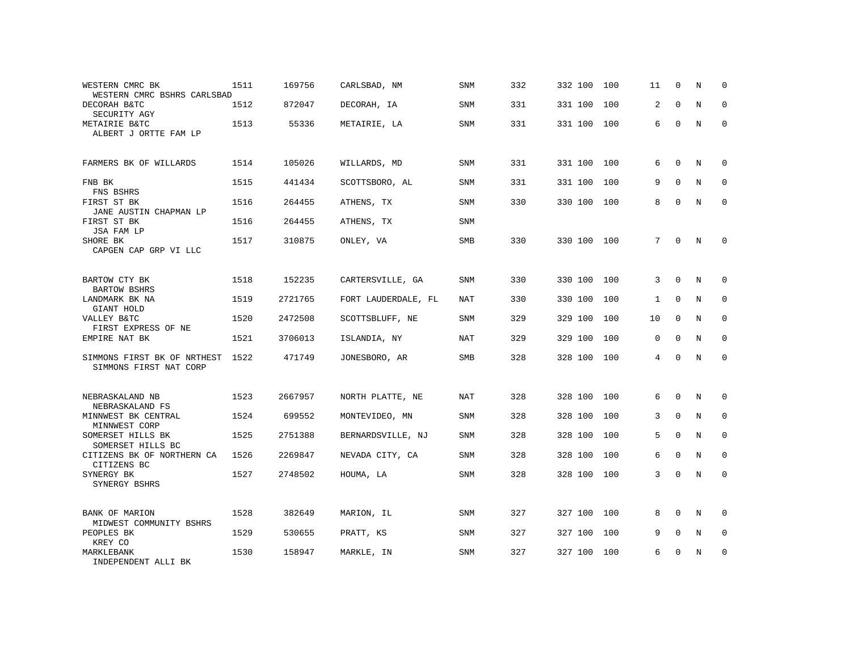| WESTERN CMRC BK<br>WESTERN CMRC BSHRS CARLSBAD        | 1511 | 169756  | CARLSBAD, NM        | <b>SNM</b> | 332 | 332 100 | 100 | 11           | 0            | N           | U            |
|-------------------------------------------------------|------|---------|---------------------|------------|-----|---------|-----|--------------|--------------|-------------|--------------|
| DECORAH B&TC<br>SECURITY AGY                          | 1512 | 872047  | DECORAH, IA         | SNM        | 331 | 331 100 | 100 | 2            | $\Omega$     | N           | $\Omega$     |
| METAIRIE B&TC<br>ALBERT J ORTTE FAM LP                | 1513 | 55336   | METAIRIE, LA        | SNM        | 331 | 331 100 | 100 | 6            | $\Omega$     | N           | $\Omega$     |
| FARMERS BK OF WILLARDS                                | 1514 | 105026  | WILLARDS, MD        | SNM        | 331 | 331 100 | 100 | 6            | $\Omega$     | N           | $\Omega$     |
| FNB BK<br>FNS BSHRS                                   | 1515 | 441434  | SCOTTSBORO, AL      | SNM        | 331 | 331 100 | 100 | 9            | $\mathbf 0$  | N           | $\mathbf{0}$ |
| FIRST ST BK<br>JANE AUSTIN CHAPMAN LP                 | 1516 | 264455  | ATHENS, TX          | SNM        | 330 | 330 100 | 100 | 8            | $\mathbf 0$  | $\mathbf N$ | $\mathbf{0}$ |
| FIRST ST BK<br>JSA FAM LP                             | 1516 | 264455  | ATHENS, TX          | <b>SNM</b> |     |         |     |              |              |             |              |
| SHORE BK<br>CAPGEN CAP GRP VI LLC                     | 1517 | 310875  | ONLEY, VA           | SMB        | 330 | 330 100 | 100 | 7            | $\Omega$     | N           | $\mathbf 0$  |
| BARTOW CTY BK<br><b>BARTOW BSHRS</b>                  | 1518 | 152235  | CARTERSVILLE, GA    | SNM        | 330 | 330 100 | 100 | 3            | $\Omega$     | N           | $\mathbf 0$  |
| LANDMARK BK NA<br>GIANT HOLD                          | 1519 | 2721765 | FORT LAUDERDALE, FL | NAT        | 330 | 330 100 | 100 | $\mathbf{1}$ | 0            | N           | 0            |
| VALLEY B&TC<br>FIRST EXPRESS OF NE                    | 1520 | 2472508 | SCOTTSBLUFF, NE     | <b>SNM</b> | 329 | 329 100 | 100 | 10           | $\Omega$     | N           | $\mathbf 0$  |
| EMPIRE NAT BK                                         | 1521 | 3706013 | ISLANDIA, NY        | NAT        | 329 | 329 100 | 100 | 0            | $\mathbf 0$  | N           | $\mathbf 0$  |
| SIMMONS FIRST BK OF NRTHEST<br>SIMMONS FIRST NAT CORP | 1522 | 471749  | JONESBORO, AR       | SMB        | 328 | 328 100 | 100 | 4            | $\mathbf 0$  | N           | $\mathbf 0$  |
| NEBRASKALAND NB<br>NEBRASKALAND FS                    | 1523 | 2667957 | NORTH PLATTE, NE    | NAT        | 328 | 328 100 | 100 | 6            | $\mathbf 0$  | N           | $\mathbf 0$  |
| MINNWEST BK CENTRAL<br>MINNWEST CORP                  | 1524 | 699552  | MONTEVIDEO, MN      | SNM        | 328 | 328 100 | 100 | 3            | $\mathsf{O}$ | $\mathbf N$ | $\mathbf 0$  |
| SOMERSET HILLS BK<br>SOMERSET HILLS BC                | 1525 | 2751388 | BERNARDSVILLE, NJ   | <b>SNM</b> | 328 | 328 100 | 100 | 5            | $\Omega$     | N           | $\mathbf 0$  |
| CITIZENS BK OF NORTHERN CA<br>CITIZENS BC             | 1526 | 2269847 | NEVADA CITY, CA     | <b>SNM</b> | 328 | 328 100 | 100 | 6            | 0            | N           | 0            |
| SYNERGY BK<br>SYNERGY BSHRS                           | 1527 | 2748502 | HOUMA, LA           | <b>SNM</b> | 328 | 328 100 | 100 | 3            | $\mathbf 0$  | $\rm N$     | $\mathbf 0$  |
| BANK OF MARION<br>MIDWEST COMMUNITY BSHRS             | 1528 | 382649  | MARION, IL          | SNM        | 327 | 327 100 | 100 | 8            | $\mathbf 0$  | N           | 0            |
| PEOPLES BK<br>KREY CO                                 | 1529 | 530655  | PRATT, KS           | <b>SNM</b> | 327 | 327 100 | 100 | 9            | $\Omega$     | N           | $\Omega$     |
| MARKLEBANK<br>INDEPENDENT ALLI BK                     | 1530 | 158947  | MARKLE, IN          | <b>SNM</b> | 327 | 327 100 | 100 | 6            | 0            | N           | 0            |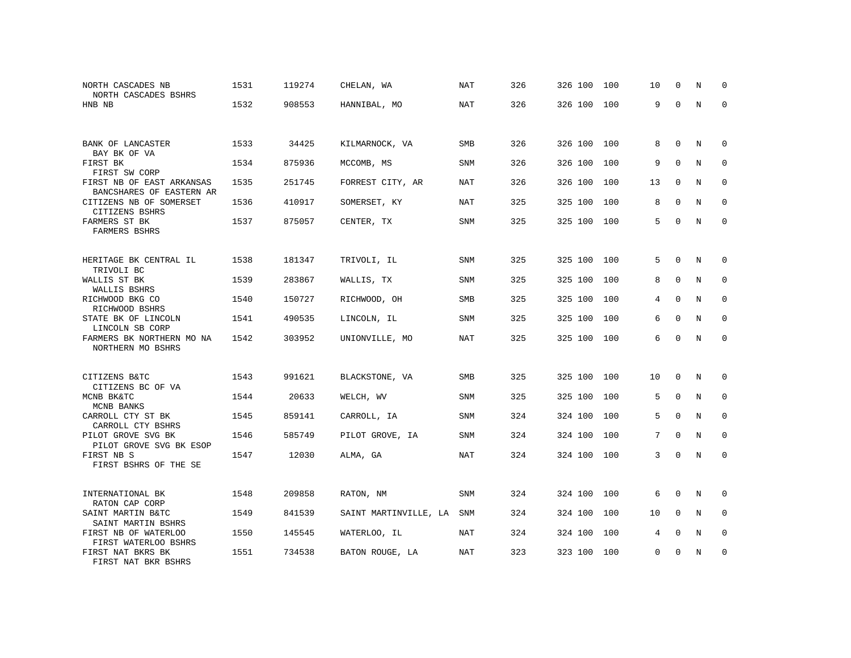| NORTH CASCADES NB<br>NORTH CASCADES BSHRS             | 1531 | 119274 | CHELAN, WA            | NAT        | 326 | 326 100 | 100 | 10       | $\Omega$    | N | $\Omega$    |
|-------------------------------------------------------|------|--------|-----------------------|------------|-----|---------|-----|----------|-------------|---|-------------|
| HNB NB                                                | 1532 | 908553 | HANNIBAL, MO          | <b>NAT</b> | 326 | 326 100 | 100 | 9        | $\Omega$    | N | $\Omega$    |
| BANK OF LANCASTER<br>BAY BK OF VA                     | 1533 | 34425  | KILMARNOCK, VA        | <b>SMB</b> | 326 | 326 100 | 100 | 8        | $\Omega$    | N | $\Omega$    |
| FIRST BK<br>FIRST SW CORP                             | 1534 | 875936 | MCCOMB, MS            | SNM        | 326 | 326 100 | 100 | 9        | $\Omega$    | N | 0           |
| FIRST NB OF EAST ARKANSAS<br>BANCSHARES OF EASTERN AR | 1535 | 251745 | FORREST CITY, AR      | NAT        | 326 | 326 100 | 100 | 13       | $\Omega$    | N | $\Omega$    |
| CITIZENS NB OF SOMERSET<br>CITIZENS BSHRS             | 1536 | 410917 | SOMERSET, KY          | <b>NAT</b> | 325 | 325 100 | 100 | 8        | $\mathbf 0$ | N | $\mathbf 0$ |
| FARMERS ST BK<br>FARMERS BSHRS                        | 1537 | 875057 | CENTER, TX            | SNM        | 325 | 325 100 | 100 | 5        | $\Omega$    | N | $\Omega$    |
| HERITAGE BK CENTRAL IL<br>TRIVOLI BC                  | 1538 | 181347 | TRIVOLI, IL           | SNM        | 325 | 325 100 | 100 | 5        | $\mathbf 0$ | N | 0           |
| WALLIS ST BK<br>WALLIS BSHRS                          | 1539 | 283867 | WALLIS, TX            | <b>SNM</b> | 325 | 325 100 | 100 | 8        | $\mathbf 0$ | N | $\mathbf 0$ |
| RICHWOOD BKG CO<br>RICHWOOD BSHRS                     | 1540 | 150727 | RICHWOOD, OH          | SMB        | 325 | 325 100 | 100 | 4        | $\Omega$    | N | $\mathbf 0$ |
| STATE BK OF LINCOLN<br>LINCOLN SB CORP                | 1541 | 490535 | LINCOLN, IL           | <b>SNM</b> | 325 | 325 100 | 100 | 6        | $\Omega$    | N | $\Omega$    |
| FARMERS BK NORTHERN MO NA<br>NORTHERN MO BSHRS        | 1542 | 303952 | UNIONVILLE, MO        | NAT        | 325 | 325 100 | 100 | 6        | $\Omega$    | N | $\mathbf 0$ |
| CITIZENS B&TC<br>CITIZENS BC OF VA                    | 1543 | 991621 | BLACKSTONE, VA        | <b>SMB</b> | 325 | 325 100 | 100 | 10       | 0           | N | 0           |
| MCNB BK&TC<br>MCNB BANKS                              | 1544 | 20633  | WELCH, WV             | <b>SNM</b> | 325 | 325 100 | 100 | 5        | $\Omega$    | N | $\Omega$    |
| CARROLL CTY ST BK<br>CARROLL CTY BSHRS                | 1545 | 859141 | CARROLL, IA           | <b>SNM</b> | 324 | 324 100 | 100 | 5        | $\mathbf 0$ | N | $\mathbf 0$ |
| PILOT GROVE SVG BK<br>PILOT GROVE SVG BK ESOP         | 1546 | 585749 | PILOT GROVE, IA       | <b>SNM</b> | 324 | 324 100 | 100 | 7        | $\Omega$    | N | $\Omega$    |
| FIRST NB S<br>FIRST BSHRS OF THE SE                   | 1547 | 12030  | ALMA, GA              | <b>NAT</b> | 324 | 324 100 | 100 | 3        | $\Omega$    | N | $\mathbf 0$ |
| INTERNATIONAL BK<br>RATON CAP CORP                    | 1548 | 209858 | RATON, NM             | SNM        | 324 | 324 100 | 100 | 6        | 0           | N | 0           |
| SAINT MARTIN B&TC<br>SAINT MARTIN BSHRS               | 1549 | 841539 | SAINT MARTINVILLE, LA | SNM        | 324 | 324 100 | 100 | 10       | $\mathbf 0$ | N | 0           |
| FIRST NB OF WATERLOO<br>FIRST WATERLOO BSHRS          | 1550 | 145545 | WATERLOO, IL          | NAT        | 324 | 324 100 | 100 | 4        | $\mathbf 0$ | N | 0           |
| FIRST NAT BKRS BK<br>FIRST NAT BKR BSHRS              | 1551 | 734538 | BATON ROUGE, LA       | <b>NAT</b> | 323 | 323 100 | 100 | $\Omega$ | $\Omega$    | N | $\mathbf 0$ |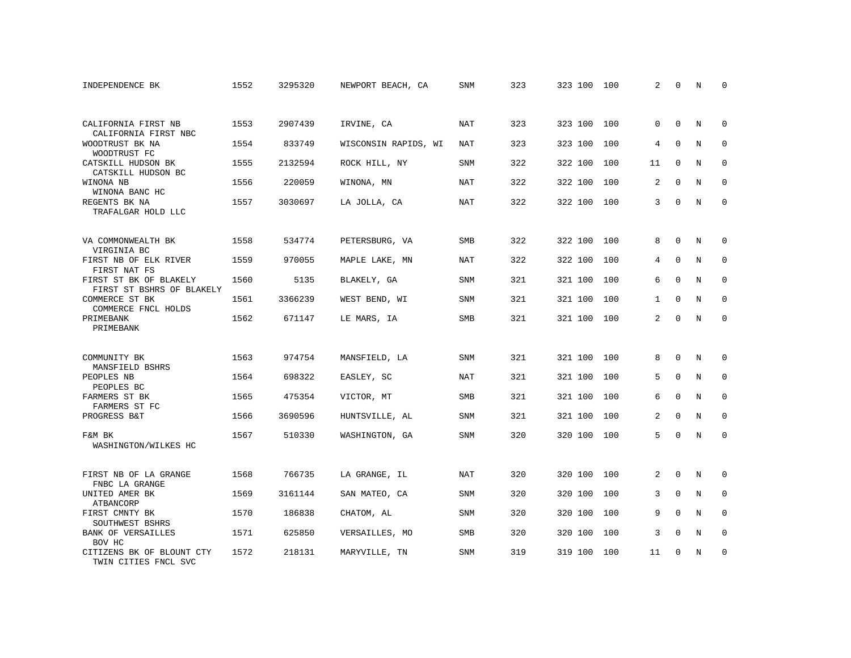| INDEPENDENCE BK                                      | 1552 | 3295320 | NEWPORT BEACH, CA    | SNM        | 323 | 323 100 | 100 | 2              | $\Omega$    | N          | <sup>0</sup> |
|------------------------------------------------------|------|---------|----------------------|------------|-----|---------|-----|----------------|-------------|------------|--------------|
|                                                      |      |         |                      |            |     |         |     |                |             |            |              |
| CALIFORNIA FIRST NB<br>CALIFORNIA FIRST NBC          | 1553 | 2907439 | IRVINE, CA           | <b>NAT</b> | 323 | 323 100 | 100 | $\Omega$       | $\Omega$    | N          | $\mathbf 0$  |
| WOODTRUST BK NA<br>WOODTRUST FC                      | 1554 | 833749  | WISCONSIN RAPIDS, WI | NAT        | 323 | 323 100 | 100 | 4              | $\Omega$    | N          | $\mathbf 0$  |
| CATSKILL HUDSON BK<br>CATSKILL HUDSON BC             | 1555 | 2132594 | ROCK HILL, NY        | <b>SNM</b> | 322 | 322 100 | 100 | 11             | $\Omega$    | N          | $\Omega$     |
| WINONA NB<br>WINONA BANC HC                          | 1556 | 220059  | WINONA, MN           | NAT        | 322 | 322 100 | 100 | 2              | $\Omega$    | N          | $\mathbf 0$  |
| REGENTS BK NA<br>TRAFALGAR HOLD LLC                  | 1557 | 3030697 | LA JOLLA, CA         | <b>NAT</b> | 322 | 322 100 | 100 | 3              | $\Omega$    | $_{\rm N}$ | $\Omega$     |
| VA COMMONWEALTH BK                                   | 1558 | 534774  | PETERSBURG, VA       | <b>SMB</b> | 322 | 322 100 | 100 | 8              | $\Omega$    | N          | $\Omega$     |
| VIRGINIA BC<br>FIRST NB OF ELK RIVER<br>FIRST NAT FS | 1559 | 970055  | MAPLE LAKE, MN       | NAT        | 322 | 322 100 | 100 | 4              | $\mathbf 0$ | N          | $\mathbf 0$  |
| FIRST ST BK OF BLAKELY<br>FIRST ST BSHRS OF BLAKELY  | 1560 | 5135    | BLAKELY, GA          | <b>SNM</b> | 321 | 321 100 | 100 | 6              | $\Omega$    | N          | $\Omega$     |
| COMMERCE ST BK<br>COMMERCE FNCL HOLDS                | 1561 | 3366239 | WEST BEND, WI        | <b>SNM</b> | 321 | 321 100 | 100 | $\mathbf{1}$   | $\mathbf 0$ | $\rm N$    | $\mathbf 0$  |
| PRIMEBANK<br>PRIMEBANK                               | 1562 | 671147  | LE MARS, IA          | <b>SMB</b> | 321 | 321 100 | 100 | $\overline{2}$ | $\Omega$    | N          | $\mathbf 0$  |
| COMMUNITY BK<br>MANSFIELD BSHRS                      | 1563 | 974754  | MANSFIELD, LA        | <b>SNM</b> | 321 | 321 100 | 100 | 8              | $\Omega$    | N          | 0            |
| PEOPLES NB<br>PEOPLES BC                             | 1564 | 698322  | EASLEY, SC           | <b>NAT</b> | 321 | 321 100 | 100 | 5              | $\Omega$    | N          | $\mathbf 0$  |
| FARMERS ST BK<br>FARMERS ST FC                       | 1565 | 475354  | VICTOR, MT           | SMB        | 321 | 321 100 | 100 | 6              | $\mathbf 0$ | N          | 0            |
| PROGRESS B&T                                         | 1566 | 3690596 | HUNTSVILLE, AL       | <b>SNM</b> | 321 | 321 100 | 100 | $\overline{2}$ | $\Omega$    | $_{\rm N}$ | $\mathbf 0$  |
| F&M BK<br>WASHINGTON/WILKES HC                       | 1567 | 510330  | WASHINGTON, GA       | SNM        | 320 | 320 100 | 100 | 5              | $\mathbf 0$ | $_{\rm N}$ | $\mathbf 0$  |
| FIRST NB OF LA GRANGE<br>FNBC LA GRANGE              | 1568 | 766735  | LA GRANGE, IL        | <b>NAT</b> | 320 | 320 100 | 100 | 2              | $\Omega$    | $_{\rm N}$ | $\Omega$     |
| UNITED AMER BK<br>ATBANCORP                          | 1569 | 3161144 | SAN MATEO, CA        | <b>SNM</b> | 320 | 320 100 | 100 | 3              | $\mathbf 0$ | N          | $\mathbf 0$  |
| FIRST CMNTY BK<br>SOUTHWEST BSHRS                    | 1570 | 186838  | CHATOM, AL           | <b>SNM</b> | 320 | 320 100 | 100 | 9              | $\Omega$    | N          | $\mathbf 0$  |
| <b>BANK OF VERSAILLES</b><br>BOV HC                  | 1571 | 625850  | VERSAILLES, MO       | SMB        | 320 | 320 100 | 100 | 3              | $\Omega$    | N          | 0            |
| CITIZENS BK OF BLOUNT CTY<br>TWIN CITIES FNCL SVC    | 1572 | 218131  | MARYVILLE, TN        | <b>SNM</b> | 319 | 319 100 | 100 | 11             | $\Omega$    | N          | $\mathbf 0$  |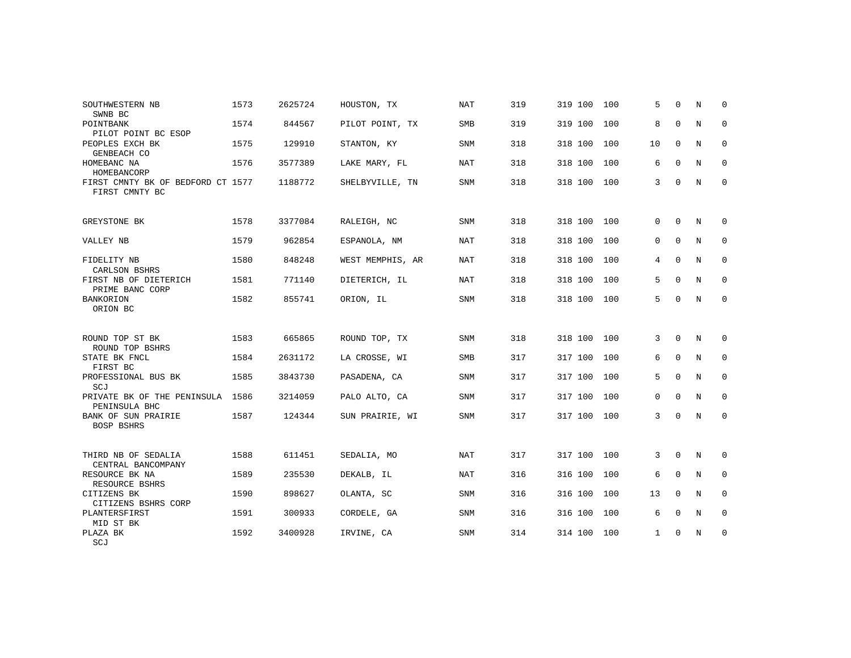| SOUTHWESTERN NB                                        | 1573 | 2625724 | HOUSTON, TX      | <b>NAT</b> | 319 | 319 100     | 100 | 5           | $\Omega$    | N          | $\Omega$    |
|--------------------------------------------------------|------|---------|------------------|------------|-----|-------------|-----|-------------|-------------|------------|-------------|
| SWNB BC<br>POINTBANK<br>PILOT POINT BC ESOP            | 1574 | 844567  | PILOT POINT, TX  | <b>SMB</b> | 319 | 319 100     | 100 | 8           | $\Omega$    | N          | $\mathbf 0$ |
| PEOPLES EXCH BK<br>GENBEACH CO                         | 1575 | 129910  | STANTON, KY      | <b>SNM</b> | 318 | 318 100     | 100 | 10          | $\mathbf 0$ | N          | 0           |
| HOMEBANC NA<br>HOMEBANCORP                             | 1576 | 3577389 | LAKE MARY, FL    | <b>NAT</b> | 318 | 318 100     | 100 | 6           | $\Omega$    | N          | $\Omega$    |
| FIRST CMNTY BK OF BEDFORD CT 1577<br>FIRST CMNTY BC    |      | 1188772 | SHELBYVILLE, TN  | <b>SNM</b> | 318 | 318 100     | 100 | 3           | $\Omega$    | N          | $\mathbf 0$ |
| GREYSTONE BK                                           | 1578 | 3377084 | RALEIGH, NC      | <b>SNM</b> | 318 | 318 100     | 100 | $\Omega$    | $\Omega$    | N          | 0           |
| VALLEY NB                                              | 1579 | 962854  | ESPANOLA, NM     | NAT        | 318 | 318 100     | 100 | 0           | $\Omega$    | N          | $\mathbf 0$ |
| FIDELITY NB<br>CARLSON BSHRS                           | 1580 | 848248  | WEST MEMPHIS, AR | NAT        | 318 | 318 100     | 100 | 4           | $\Omega$    | N          | 0           |
| FIRST NB OF DIETERICH<br>PRIME BANC CORP               | 1581 | 771140  | DIETERICH, IL    | <b>NAT</b> | 318 | 318 100     | 100 | 5           | $\Omega$    | N          | $\mathbf 0$ |
| BANKORION<br>ORION BC                                  | 1582 | 855741  | ORION, IL        | SNM        | 318 | 318 100     | 100 | 5           | $\Omega$    | N          | $\mathbf 0$ |
| ROUND TOP ST BK                                        | 1583 | 665865  | ROUND TOP, TX    | <b>SNM</b> | 318 | 318 100     | 100 | 3           | $\Omega$    | N          | 0           |
| ROUND TOP BSHRS<br>STATE BK FNCL<br>FIRST BC           | 1584 | 2631172 | LA CROSSE, WI    | <b>SMB</b> | 317 | 317 100     | 100 | 6           | $\mathbf 0$ | N          | 0           |
| PROFESSIONAL BUS BK<br>SCJ                             | 1585 | 3843730 | PASADENA, CA     | <b>SNM</b> | 317 | 317 100     | 100 | 5           | $\Omega$    | $_{\rm N}$ | $\mathbf 0$ |
| PRIVATE BK OF THE PENINSULA<br>PENINSULA BHC           | 1586 | 3214059 | PALO ALTO, CA    | <b>SNM</b> | 317 | 317 100     | 100 | 0           | $\Omega$    | N          | $\mathbf 0$ |
| BANK OF SUN PRAIRIE<br>BOSP BSHRS                      | 1587 | 124344  | SUN PRAIRIE, WI  | SNM        | 317 | 317 100 100 |     | 3           | $\Omega$    | N          | 0           |
| THIRD NB OF SEDALIA                                    | 1588 | 611451  | SEDALIA, MO      | <b>NAT</b> | 317 | 317 100 100 |     | 3           | 0           | N          | 0           |
| CENTRAL BANCOMPANY<br>RESOURCE BK NA<br>RESOURCE BSHRS | 1589 | 235530  | DEKALB, IL       | NAT        | 316 | 316 100     | 100 | 6           | $\mathbf 0$ | N          | 0           |
| CITIZENS BK<br>CITIZENS BSHRS CORP                     | 1590 | 898627  | OLANTA, SC       | <b>SNM</b> | 316 | 316 100     | 100 | 13          | $\Omega$    | N          | $\mathbf 0$ |
| PLANTERSFIRST<br>MID ST BK                             | 1591 | 300933  | CORDELE, GA      | SNM        | 316 | 316 100     | 100 | 6           | $\Omega$    | N          | 0           |
| PLAZA BK<br>SCJ                                        | 1592 | 3400928 | IRVINE, CA       | <b>SNM</b> | 314 | 314 100 100 |     | $\mathbf 1$ | 0           | N          | $\mathbf 0$ |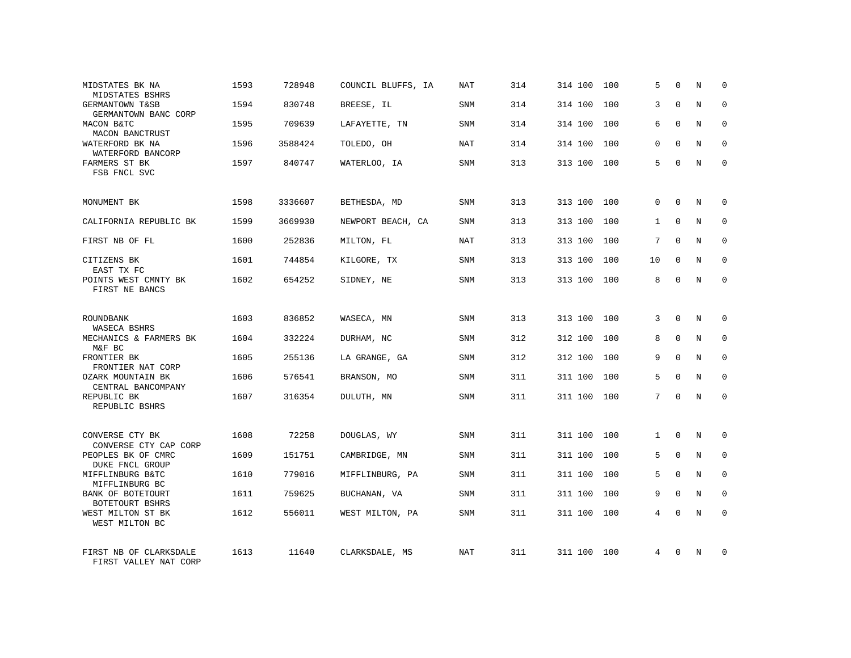| MIDSTATES BK NA<br>MIDSTATES BSHRS              | 1593 | 728948  | COUNCIL BLUFFS, IA | NAT        | 314 | 314 100     | 100 | 5            | $\Omega$    | N          | $\Omega$    |
|-------------------------------------------------|------|---------|--------------------|------------|-----|-------------|-----|--------------|-------------|------------|-------------|
| GERMANTOWN T&SB<br>GERMANTOWN BANC CORP         | 1594 | 830748  | BREESE, IL         | SNM        | 314 | 314 100     | 100 | 3            | $\Omega$    | N          | $\Omega$    |
| MACON B&TC<br>MACON BANCTRUST                   | 1595 | 709639  | LAFAYETTE, TN      | SNM        | 314 | 314 100     | 100 | 6            | $\Omega$    | N          | 0           |
| WATERFORD BK NA<br>WATERFORD BANCORP            | 1596 | 3588424 | TOLEDO, OH         | NAT        | 314 | 314 100     | 100 | $\Omega$     | $\Omega$    | N          | $\Omega$    |
| FARMERS ST BK<br>FSB FNCL SVC                   | 1597 | 840747  | WATERLOO, IA       | SNM        | 313 | 313 100     | 100 | 5            | $\Omega$    | N          | 0           |
| MONUMENT BK                                     | 1598 | 3336607 | BETHESDA, MD       | SNM        | 313 | 313 100     | 100 | $\Omega$     | $\Omega$    | N          | $\mathbf 0$ |
| CALIFORNIA REPUBLIC BK                          | 1599 | 3669930 | NEWPORT BEACH, CA  | <b>SNM</b> | 313 | 313 100     | 100 | $\mathbf{1}$ | $\Omega$    | N          | $\mathbf 0$ |
| FIRST NB OF FL                                  | 1600 | 252836  | MILTON, FL         | <b>NAT</b> | 313 | 313 100     | 100 | 7            | $\Omega$    | N          | $\mathbf 0$ |
| CITIZENS BK<br>EAST TX FC                       | 1601 | 744854  | KILGORE, TX        | <b>SNM</b> | 313 | 313 100     | 100 | 10           | $\Omega$    | N          | $\Omega$    |
| POINTS WEST CMNTY BK<br>FIRST NE BANCS          | 1602 | 654252  | SIDNEY, NE         | SNM        | 313 | 313 100     | 100 | 8            | $\Omega$    | N          | $\mathbf 0$ |
| ROUNDBANK<br>WASECA BSHRS                       | 1603 | 836852  | WASECA, MN         | <b>SNM</b> | 313 | 313 100     | 100 | 3            | $\Omega$    | N          | $\Omega$    |
| MECHANICS & FARMERS BK<br>M&F BC                | 1604 | 332224  | DURHAM, NC         | SNM        | 312 | 312 100     | 100 | 8            | $\mathbf 0$ | N          | $\mathbf 0$ |
| FRONTIER BK<br>FRONTIER NAT CORP                | 1605 | 255136  | LA GRANGE, GA      | <b>SNM</b> | 312 | 312 100     | 100 | 9            | $\Omega$    | N          | $\Omega$    |
| OZARK MOUNTAIN BK<br>CENTRAL BANCOMPANY         | 1606 | 576541  | BRANSON, MO        | <b>SNM</b> | 311 | 311 100     | 100 | 5            | $\Omega$    | N          | $\mathbf 0$ |
| REPUBLIC BK<br>REPUBLIC BSHRS                   | 1607 | 316354  | DULUTH, MN         | <b>SNM</b> | 311 | 311 100     | 100 | 7            | $\Omega$    | $_{\rm N}$ | $\Omega$    |
| CONVERSE CTY BK<br>CONVERSE CTY CAP CORP        | 1608 | 72258   | DOUGLAS, WY        | <b>SNM</b> | 311 | 311 100     | 100 | $\mathbf{1}$ | $\Omega$    | N          | $\Omega$    |
| PEOPLES BK OF CMRC<br><b>DUKE FNCL GROUP</b>    | 1609 | 151751  | CAMBRIDGE, MN      | SNM        | 311 | 311 100     | 100 | 5            | $\mathbf 0$ | N          | $\mathbf 0$ |
| MIFFLINBURG B&TC<br>MIFFLINBURG BC              | 1610 | 779016  | MIFFLINBURG, PA    | <b>SNM</b> | 311 | 311 100     | 100 | 5            | $\Omega$    | N          | $\Omega$    |
| BANK OF BOTETOURT<br>BOTETOURT BSHRS            | 1611 | 759625  | BUCHANAN, VA       | SNM        | 311 | 311 100     | 100 | 9            | $\mathbf 0$ | N          | $\mathbf 0$ |
| WEST MILTON ST BK<br>WEST MILTON BC             | 1612 | 556011  | WEST MILTON, PA    | SNM        | 311 | 311 100     | 100 | 4            | $\Omega$    | N          | $\Omega$    |
| FIRST NB OF CLARKSDALE<br>FIRST VALLEY NAT CORP | 1613 | 11640   | CLARKSDALE, MS     | <b>NAT</b> | 311 | 311 100 100 |     | 4            | $\Omega$    | N          | 0           |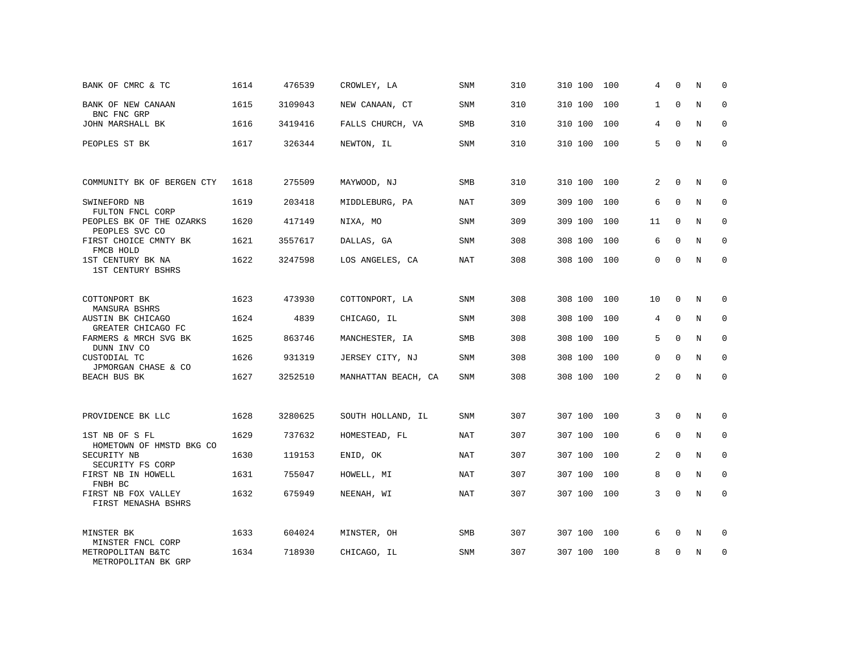| BANK OF CMRC & TC                                             | 1614 | 476539  | CROWLEY, LA         | SNM        | 310 | 310 100 | 100 | 4  | $\Omega$     | N           | 0           |
|---------------------------------------------------------------|------|---------|---------------------|------------|-----|---------|-----|----|--------------|-------------|-------------|
| BANK OF NEW CANAAN<br>BNC FNC GRP                             | 1615 | 3109043 | NEW CANAAN, CT      | SNM        | 310 | 310 100 | 100 | 1  | $\Omega$     | N           | 0           |
| JOHN MARSHALL BK                                              | 1616 | 3419416 | FALLS CHURCH, VA    | SMB        | 310 | 310 100 | 100 | 4  | $\mathbf{0}$ | N           | $\mathbf 0$ |
| PEOPLES ST BK                                                 | 1617 | 326344  | NEWTON, IL          | SNM        | 310 | 310 100 | 100 | 5  | $\Omega$     | N           | $\mathbf 0$ |
|                                                               |      |         |                     |            |     |         |     |    |              |             |             |
| COMMUNITY BK OF BERGEN CTY                                    | 1618 | 275509  | MAYWOOD, NJ         | SMB        | 310 | 310 100 | 100 | 2  | $\mathbf 0$  | N           | $\mathbf 0$ |
| SWINEFORD NB<br>FULTON FNCL CORP                              | 1619 | 203418  | MIDDLEBURG, PA      | NAT        | 309 | 309 100 | 100 | 6  | $\Omega$     | N           | $\Omega$    |
| PEOPLES BK OF THE OZARKS<br>PEOPLES SVC CO                    | 1620 | 417149  | NIXA, MO            | SNM        | 309 | 309 100 | 100 | 11 | 0            | N           | 0           |
| FIRST CHOICE CMNTY BK<br>FMCB HOLD                            | 1621 | 3557617 | DALLAS, GA          | <b>SNM</b> | 308 | 308 100 | 100 | 6  | $\Omega$     | N           | $\Omega$    |
| 1ST CENTURY BK NA<br>1ST CENTURY BSHRS                        | 1622 | 3247598 | LOS ANGELES, CA     | NAT        | 308 | 308 100 | 100 | 0  | 0            | N           | $\mathbf 0$ |
|                                                               |      |         |                     |            |     |         |     |    |              |             |             |
| COTTONPORT BK<br>MANSURA BSHRS                                | 1623 | 473930  | COTTONPORT, LA      | <b>SNM</b> | 308 | 308 100 | 100 | 10 | $\mathbf 0$  | N           | $\mathbf 0$ |
| AUSTIN BK CHICAGO<br>GREATER CHICAGO FC                       | 1624 | 4839    | CHICAGO, IL         | <b>SNM</b> | 308 | 308 100 | 100 | 4  | $\mathbf 0$  | N           | $\mathbf 0$ |
| FARMERS & MRCH SVG BK<br>DUNN INV CO                          | 1625 | 863746  | MANCHESTER, IA      | <b>SMB</b> | 308 | 308 100 | 100 | 5  | $\Omega$     | $_{\rm N}$  | $\Omega$    |
| CUSTODIAL TC<br>JPMORGAN CHASE & CO                           | 1626 | 931319  | JERSEY CITY, NJ     | <b>SNM</b> | 308 | 308 100 | 100 | 0  | $\mathbf 0$  | N           | $\mathbf 0$ |
| BEACH BUS BK                                                  | 1627 | 3252510 | MANHATTAN BEACH, CA | <b>SNM</b> | 308 | 308 100 | 100 | 2  | $\Omega$     | N           | $\mathbf 0$ |
|                                                               |      |         |                     |            |     |         |     |    |              |             |             |
| PROVIDENCE BK LLC                                             | 1628 | 3280625 | SOUTH HOLLAND, IL   | <b>SNM</b> | 307 | 307 100 | 100 | 3  | $\mathbf 0$  | N           | $\mathbf 0$ |
| 1ST NB OF S FL<br>HOMETOWN OF HMSTD BKG CO                    | 1629 | 737632  | HOMESTEAD, FL       | <b>NAT</b> | 307 | 307 100 | 100 | 6  | $\mathbf 0$  | $\mathbb N$ | $\mathbf 0$ |
| SECURITY NB<br>SECURITY FS CORP                               | 1630 | 119153  | ENID, OK            | NAT        | 307 | 307 100 | 100 | 2  | $\mathbf 0$  | N           | 0           |
| FIRST NB IN HOWELL<br>FNBH BC                                 | 1631 | 755047  | HOWELL, MI          | <b>NAT</b> | 307 | 307 100 | 100 | 8  | 0            | N           | $\Omega$    |
| FIRST NB FOX VALLEY                                           | 1632 | 675949  | NEENAH, WI          | <b>NAT</b> | 307 | 307 100 | 100 | 3  | 0            | N           | $\mathbf 0$ |
| FIRST MENASHA BSHRS                                           |      |         |                     |            |     |         |     |    |              |             |             |
| MINSTER BK                                                    | 1633 | 604024  | MINSTER, OH         | SMB        | 307 | 307 100 | 100 | 6  | 0            | N           | 0           |
| MINSTER FNCL CORP<br>METROPOLITAN B&TC<br>METROPOLITAN BK GRP | 1634 | 718930  | CHICAGO, IL         | <b>SNM</b> | 307 | 307 100 | 100 | 8  | $\Omega$     | N           | $\mathbf 0$ |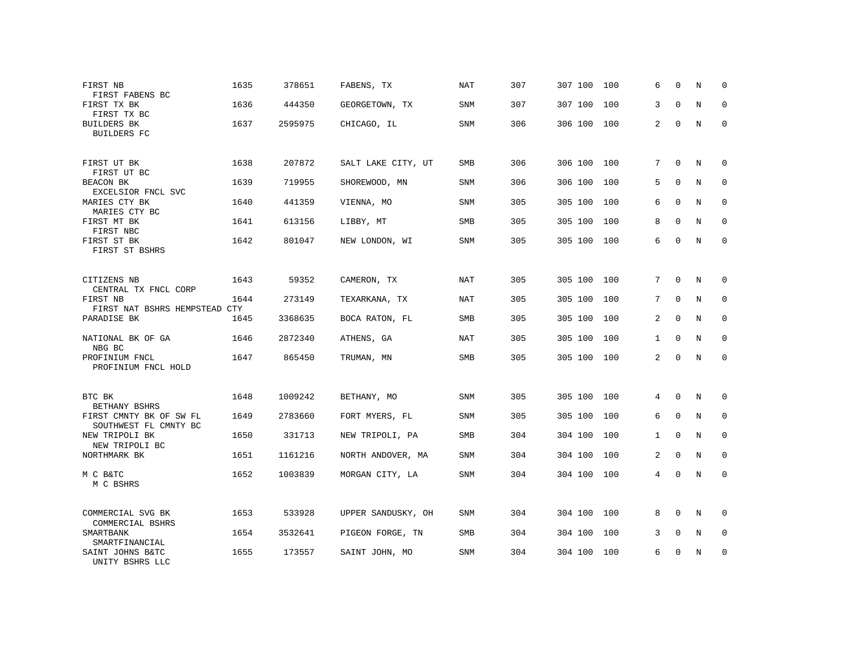| FIRST NB<br>FIRST FABENS BC                      | 1635 | 378651  | FABENS, TX         | <b>NAT</b> | 307 | 307 100 | 100 | 6            | $\Omega$    | N           | 0           |
|--------------------------------------------------|------|---------|--------------------|------------|-----|---------|-----|--------------|-------------|-------------|-------------|
| FIRST TX BK<br>FIRST TX BC                       | 1636 | 444350  | GEORGETOWN, TX     | <b>SNM</b> | 307 | 307 100 | 100 | 3            | $\Omega$    | $_{\rm N}$  | $\Omega$    |
| <b>BUILDERS BK</b><br><b>BUILDERS FC</b>         | 1637 | 2595975 | CHICAGO, IL        | <b>SNM</b> | 306 | 306 100 | 100 | 2            | $\mathbf 0$ | N           | 0           |
| FIRST UT BK<br>FIRST UT BC                       | 1638 | 207872  | SALT LAKE CITY, UT | SMB        | 306 | 306 100 | 100 | 7            | $\Omega$    | N           | $\Omega$    |
| BEACON BK<br>EXCELSIOR FNCL SVC                  | 1639 | 719955  | SHOREWOOD, MN      | <b>SNM</b> | 306 | 306 100 | 100 | 5            | $\Omega$    | N           | $\Omega$    |
| MARIES CTY BK<br>MARIES CTY BC                   | 1640 | 441359  | VIENNA, MO         | SNM        | 305 | 305 100 | 100 | 6            | $\Omega$    | N           | 0           |
| FIRST MT BK<br>FIRST NBC                         | 1641 | 613156  | LIBBY, MT          | <b>SMB</b> | 305 | 305 100 | 100 | 8            | $\Omega$    | N           | $\Omega$    |
| FIRST ST BK<br>FIRST ST BSHRS                    | 1642 | 801047  | NEW LONDON, WI     | SNM        | 305 | 305 100 | 100 | 6            | $\Omega$    | N           | 0           |
| CITIZENS NB<br>CENTRAL TX FNCL CORP              | 1643 | 59352   | CAMERON, TX        | NAT        | 305 | 305 100 | 100 | 7            | $\Omega$    | N           | $\Omega$    |
| FIRST NB<br>FIRST NAT BSHRS HEMPSTEAD CTY        | 1644 | 273149  | TEXARKANA, TX      | <b>NAT</b> | 305 | 305 100 | 100 | 7            | $\Omega$    | N           | $\mathbf 0$ |
| PARADISE BK                                      | 1645 | 3368635 | BOCA RATON, FL     | <b>SMB</b> | 305 | 305 100 | 100 | 2            | $\Omega$    | N           | $\Omega$    |
| NATIONAL BK OF GA<br>NBG BC                      | 1646 | 2872340 | ATHENS, GA         | <b>NAT</b> | 305 | 305 100 | 100 | 1            | $\Omega$    | N           | $\mathbf 0$ |
| PROFINIUM FNCL<br>PROFINIUM FNCL HOLD            | 1647 | 865450  | TRUMAN, MN         | <b>SMB</b> | 305 | 305 100 | 100 | 2            | $\Omega$    | N           | $\Omega$    |
| BTC BK<br>BETHANY BSHRS                          | 1648 | 1009242 | BETHANY, MO        | <b>SNM</b> | 305 | 305 100 | 100 | 4            | $\Omega$    | N           | 0           |
| FIRST CMNTY BK OF SW FL<br>SOUTHWEST FL CMNTY BC | 1649 | 2783660 | FORT MYERS, FL     | <b>SNM</b> | 305 | 305 100 | 100 | 6            | $\mathbf 0$ | $\rm N$     | $\mathbf 0$ |
| NEW TRIPOLI BK<br>NEW TRIPOLI BC                 | 1650 | 331713  | NEW TRIPOLI, PA    | <b>SMB</b> | 304 | 304 100 | 100 | $\mathbf{1}$ | $\Omega$    | N           | $\mathbf 0$ |
| NORTHMARK BK                                     | 1651 | 1161216 | NORTH ANDOVER, MA  | SNM        | 304 | 304 100 | 100 | 2            | $\mathbf 0$ | $\rm N$     | $\mathbf 0$ |
| M C B&TC<br>M C BSHRS                            | 1652 | 1003839 | MORGAN CITY, LA    | <b>SNM</b> | 304 | 304 100 | 100 | 4            | $\Omega$    | $\mathbf N$ | $\mathbf 0$ |
| COMMERCIAL SVG BK<br>COMMERCIAL BSHRS            | 1653 | 533928  | UPPER SANDUSKY, OH | <b>SNM</b> | 304 | 304 100 | 100 | 8            | $\Omega$    | N           | 0           |
| SMARTBANK<br>SMARTFINANCIAL                      | 1654 | 3532641 | PIGEON FORGE, TN   | SMB        | 304 | 304 100 | 100 | 3            | 0           | N           | 0           |
| SAINT JOHNS B&TC<br>UNITY BSHRS LLC              | 1655 | 173557  | SAINT JOHN, MO     | <b>SNM</b> | 304 | 304 100 | 100 | 6            | $\Omega$    | N           | $\mathbf 0$ |